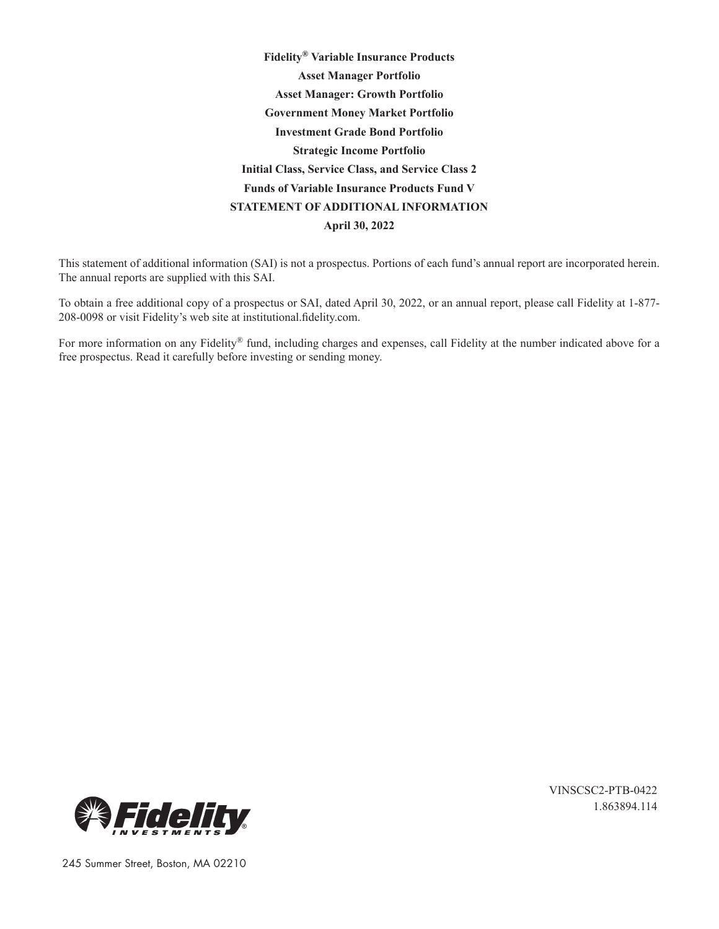**Fidelity® Variable Insurance Products Asset Manager Portfolio Asset Manager: Growth Portfolio Government Money Market Portfolio Investment Grade Bond Portfolio Strategic Income Portfolio Initial Class, Service Class, and Service Class 2 Funds of Variable Insurance Products Fund V STATEMENT OF ADDITIONAL INFORMATION April 30, 2022**

This statement of additional information (SAI) is not a prospectus. Portions of each fund's annual report are incorporated herein. The annual reports are supplied with this SAI.

To obtain a free additional copy of a prospectus or SAI, dated April 30, 2022, or an annual report, please call Fidelity at 1-877- 208-0098 or visit Fidelity's web site at institutional.fidelity.com.

For more information on any Fidelity® fund, including charges and expenses, call Fidelity at the number indicated above for a free prospectus. Read it carefully before investing or sending money.



VINSCSC2-PTB-0422 1.863894.114

245 Summer Street, Boston, MA 02210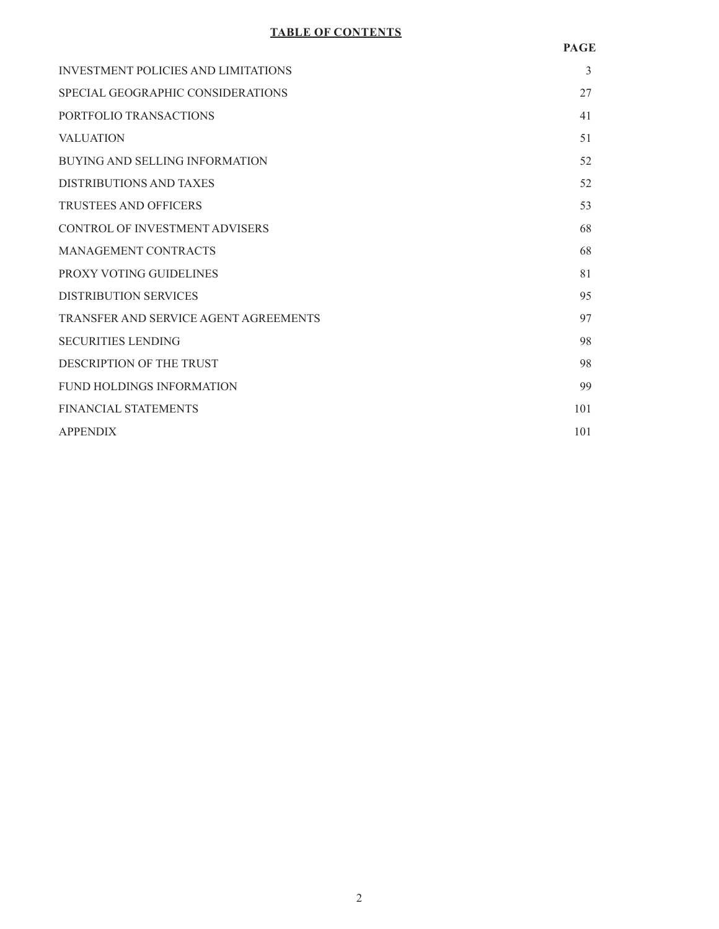# **TABLE OF CONTENTS**

# **PAGE**

| <b>INVESTMENT POLICIES AND LIMITATIONS</b> | 3   |
|--------------------------------------------|-----|
| SPECIAL GEOGRAPHIC CONSIDERATIONS          | 27  |
| PORTFOLIO TRANSACTIONS                     | 41  |
| <b>VALUATION</b>                           | 51  |
| <b>BUYING AND SELLING INFORMATION</b>      | 52  |
| DISTRIBUTIONS AND TAXES                    | 52  |
| <b>TRUSTEES AND OFFICERS</b>               | 53  |
| <b>CONTROL OF INVESTMENT ADVISERS</b>      | 68  |
| MANAGEMENT CONTRACTS                       | 68  |
| PROXY VOTING GUIDELINES                    | 81  |
| <b>DISTRIBUTION SERVICES</b>               | 95  |
| TRANSFER AND SERVICE AGENT AGREEMENTS      | 97  |
| <b>SECURITIES LENDING</b>                  | 98  |
| DESCRIPTION OF THE TRUST                   | 98  |
| <b>FUND HOLDINGS INFORMATION</b>           | 99  |
| <b>FINANCIAL STATEMENTS</b>                | 101 |
| <b>APPENDIX</b>                            | 101 |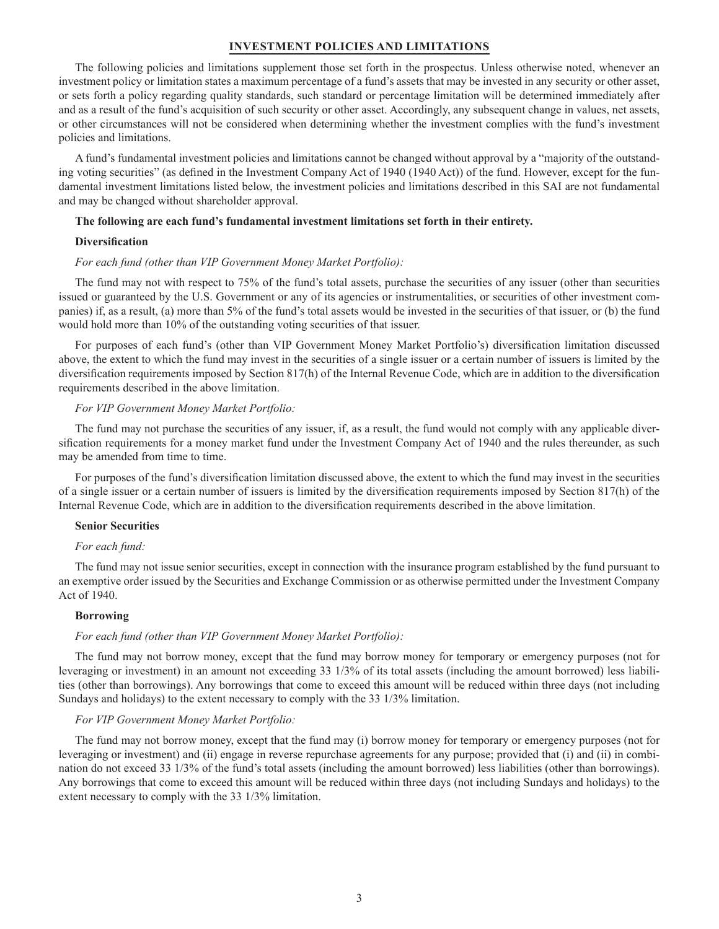# **INVESTMENT POLICIES AND LIMITATIONS**

The following policies and limitations supplement those set forth in the prospectus. Unless otherwise noted, whenever an investment policy or limitation states a maximum percentage of a fund's assets that may be invested in any security or other asset, or sets forth a policy regarding quality standards, such standard or percentage limitation will be determined immediately after and as a result of the fund's acquisition of such security or other asset. Accordingly, any subsequent change in values, net assets, or other circumstances will not be considered when determining whether the investment complies with the fund's investment policies and limitations.

A fund's fundamental investment policies and limitations cannot be changed without approval by a "majority of the outstanding voting securities" (as defined in the Investment Company Act of 1940 (1940 Act)) of the fund. However, except for the fundamental investment limitations listed below, the investment policies and limitations described in this SAI are not fundamental and may be changed without shareholder approval.

#### **The following are each fund's fundamental investment limitations set forth in their entirety.**

#### **Diversification**

#### *For each fund (other than VIP Government Money Market Portfolio):*

The fund may not with respect to 75% of the fund's total assets, purchase the securities of any issuer (other than securities issued or guaranteed by the U.S. Government or any of its agencies or instrumentalities, or securities of other investment companies) if, as a result, (a) more than 5% of the fund's total assets would be invested in the securities of that issuer, or (b) the fund would hold more than 10% of the outstanding voting securities of that issuer.

For purposes of each fund's (other than VIP Government Money Market Portfolio's) diversification limitation discussed above, the extent to which the fund may invest in the securities of a single issuer or a certain number of issuers is limited by the diversification requirements imposed by Section 817(h) of the Internal Revenue Code, which are in addition to the diversification requirements described in the above limitation.

#### *For VIP Government Money Market Portfolio:*

The fund may not purchase the securities of any issuer, if, as a result, the fund would not comply with any applicable diversification requirements for a money market fund under the Investment Company Act of 1940 and the rules thereunder, as such may be amended from time to time.

For purposes of the fund's diversification limitation discussed above, the extent to which the fund may invest in the securities of a single issuer or a certain number of issuers is limited by the diversification requirements imposed by Section 817(h) of the Internal Revenue Code, which are in addition to the diversification requirements described in the above limitation.

#### **Senior Securities**

#### *For each fund:*

The fund may not issue senior securities, except in connection with the insurance program established by the fund pursuant to an exemptive order issued by the Securities and Exchange Commission or as otherwise permitted under the Investment Company Act of 1940.

#### **Borrowing**

#### *For each fund (other than VIP Government Money Market Portfolio):*

The fund may not borrow money, except that the fund may borrow money for temporary or emergency purposes (not for leveraging or investment) in an amount not exceeding 33 1/3% of its total assets (including the amount borrowed) less liabilities (other than borrowings). Any borrowings that come to exceed this amount will be reduced within three days (not including Sundays and holidays) to the extent necessary to comply with the 33 1/3% limitation.

## *For VIP Government Money Market Portfolio:*

The fund may not borrow money, except that the fund may (i) borrow money for temporary or emergency purposes (not for leveraging or investment) and (ii) engage in reverse repurchase agreements for any purpose; provided that (i) and (ii) in combination do not exceed 33 1/3% of the fund's total assets (including the amount borrowed) less liabilities (other than borrowings). Any borrowings that come to exceed this amount will be reduced within three days (not including Sundays and holidays) to the extent necessary to comply with the 33 1/3% limitation.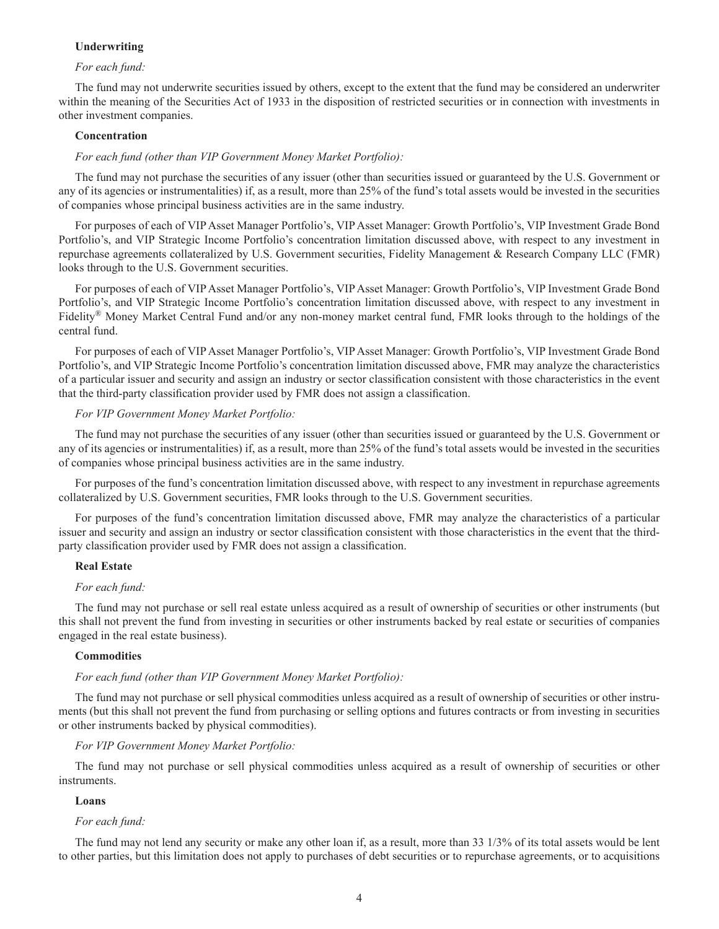# **Underwriting**

## *For each fund:*

The fund may not underwrite securities issued by others, except to the extent that the fund may be considered an underwriter within the meaning of the Securities Act of 1933 in the disposition of restricted securities or in connection with investments in other investment companies.

## **Concentration**

## *For each fund (other than VIP Government Money Market Portfolio):*

The fund may not purchase the securities of any issuer (other than securities issued or guaranteed by the U.S. Government or any of its agencies or instrumentalities) if, as a result, more than 25% of the fund's total assets would be invested in the securities of companies whose principal business activities are in the same industry.

For purposes of each of VIP Asset Manager Portfolio's, VIP Asset Manager: Growth Portfolio's, VIP Investment Grade Bond Portfolio's, and VIP Strategic Income Portfolio's concentration limitation discussed above, with respect to any investment in repurchase agreements collateralized by U.S. Government securities, Fidelity Management & Research Company LLC (FMR) looks through to the U.S. Government securities.

For purposes of each of VIP Asset Manager Portfolio's, VIP Asset Manager: Growth Portfolio's, VIP Investment Grade Bond Portfolio's, and VIP Strategic Income Portfolio's concentration limitation discussed above, with respect to any investment in Fidelity® Money Market Central Fund and/or any non-money market central fund, FMR looks through to the holdings of the central fund.

For purposes of each of VIP Asset Manager Portfolio's, VIP Asset Manager: Growth Portfolio's, VIP Investment Grade Bond Portfolio's, and VIP Strategic Income Portfolio's concentration limitation discussed above, FMR may analyze the characteristics of a particular issuer and security and assign an industry or sector classification consistent with those characteristics in the event that the third-party classification provider used by FMR does not assign a classification.

## *For VIP Government Money Market Portfolio:*

The fund may not purchase the securities of any issuer (other than securities issued or guaranteed by the U.S. Government or any of its agencies or instrumentalities) if, as a result, more than 25% of the fund's total assets would be invested in the securities of companies whose principal business activities are in the same industry.

For purposes of the fund's concentration limitation discussed above, with respect to any investment in repurchase agreements collateralized by U.S. Government securities, FMR looks through to the U.S. Government securities.

For purposes of the fund's concentration limitation discussed above, FMR may analyze the characteristics of a particular issuer and security and assign an industry or sector classification consistent with those characteristics in the event that the thirdparty classification provider used by FMR does not assign a classification.

## **Real Estate**

#### *For each fund:*

The fund may not purchase or sell real estate unless acquired as a result of ownership of securities or other instruments (but this shall not prevent the fund from investing in securities or other instruments backed by real estate or securities of companies engaged in the real estate business).

# **Commodities**

## *For each fund (other than VIP Government Money Market Portfolio):*

The fund may not purchase or sell physical commodities unless acquired as a result of ownership of securities or other instruments (but this shall not prevent the fund from purchasing or selling options and futures contracts or from investing in securities or other instruments backed by physical commodities).

#### *For VIP Government Money Market Portfolio:*

The fund may not purchase or sell physical commodities unless acquired as a result of ownership of securities or other instruments.

## **Loans**

#### *For each fund:*

The fund may not lend any security or make any other loan if, as a result, more than 33 1/3% of its total assets would be lent to other parties, but this limitation does not apply to purchases of debt securities or to repurchase agreements, or to acquisitions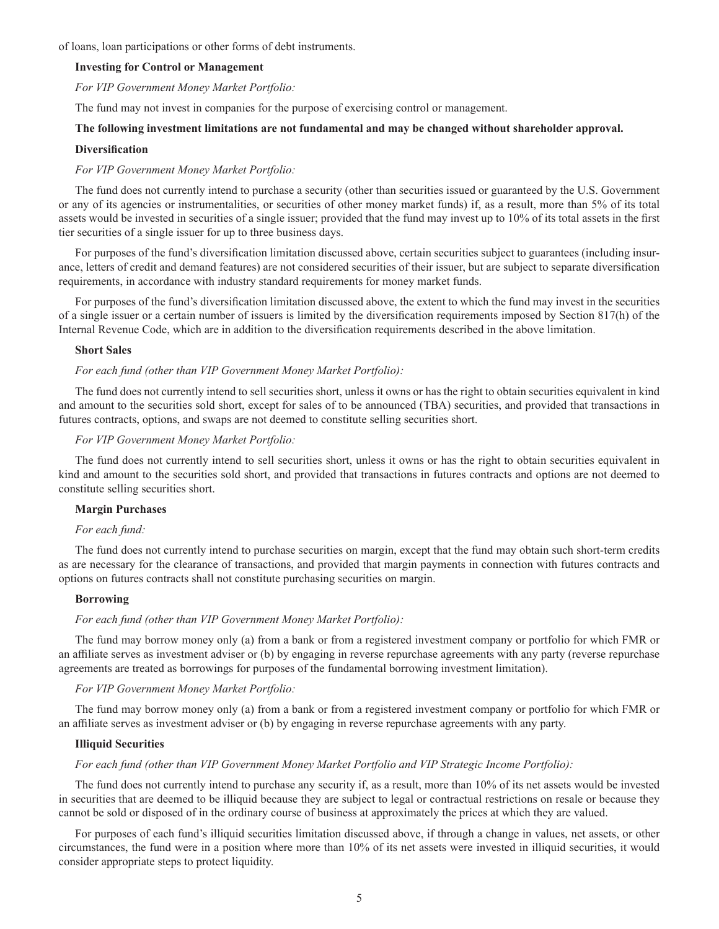of loans, loan participations or other forms of debt instruments.

# **Investing for Control or Management**

*For VIP Government Money Market Portfolio:*

The fund may not invest in companies for the purpose of exercising control or management.

# **The following investment limitations are not fundamental and may be changed without shareholder approval.**

#### **Diversification**

## *For VIP Government Money Market Portfolio:*

The fund does not currently intend to purchase a security (other than securities issued or guaranteed by the U.S. Government or any of its agencies or instrumentalities, or securities of other money market funds) if, as a result, more than 5% of its total assets would be invested in securities of a single issuer; provided that the fund may invest up to 10% of its total assets in the first tier securities of a single issuer for up to three business days.

For purposes of the fund's diversification limitation discussed above, certain securities subject to guarantees (including insurance, letters of credit and demand features) are not considered securities of their issuer, but are subject to separate diversification requirements, in accordance with industry standard requirements for money market funds.

For purposes of the fund's diversification limitation discussed above, the extent to which the fund may invest in the securities of a single issuer or a certain number of issuers is limited by the diversification requirements imposed by Section 817(h) of the Internal Revenue Code, which are in addition to the diversification requirements described in the above limitation.

## **Short Sales**

# *For each fund (other than VIP Government Money Market Portfolio):*

The fund does not currently intend to sell securities short, unless it owns or has the right to obtain securities equivalent in kind and amount to the securities sold short, except for sales of to be announced (TBA) securities, and provided that transactions in futures contracts, options, and swaps are not deemed to constitute selling securities short.

# *For VIP Government Money Market Portfolio:*

The fund does not currently intend to sell securities short, unless it owns or has the right to obtain securities equivalent in kind and amount to the securities sold short, and provided that transactions in futures contracts and options are not deemed to constitute selling securities short.

# **Margin Purchases**

## *For each fund:*

The fund does not currently intend to purchase securities on margin, except that the fund may obtain such short-term credits as are necessary for the clearance of transactions, and provided that margin payments in connection with futures contracts and options on futures contracts shall not constitute purchasing securities on margin.

# **Borrowing**

# *For each fund (other than VIP Government Money Market Portfolio):*

The fund may borrow money only (a) from a bank or from a registered investment company or portfolio for which FMR or an affiliate serves as investment adviser or (b) by engaging in reverse repurchase agreements with any party (reverse repurchase agreements are treated as borrowings for purposes of the fundamental borrowing investment limitation).

## *For VIP Government Money Market Portfolio:*

The fund may borrow money only (a) from a bank or from a registered investment company or portfolio for which FMR or an affiliate serves as investment adviser or (b) by engaging in reverse repurchase agreements with any party.

## **Illiquid Securities**

# *For each fund (other than VIP Government Money Market Portfolio and VIP Strategic Income Portfolio):*

The fund does not currently intend to purchase any security if, as a result, more than 10% of its net assets would be invested in securities that are deemed to be illiquid because they are subject to legal or contractual restrictions on resale or because they cannot be sold or disposed of in the ordinary course of business at approximately the prices at which they are valued.

For purposes of each fund's illiquid securities limitation discussed above, if through a change in values, net assets, or other circumstances, the fund were in a position where more than 10% of its net assets were invested in illiquid securities, it would consider appropriate steps to protect liquidity.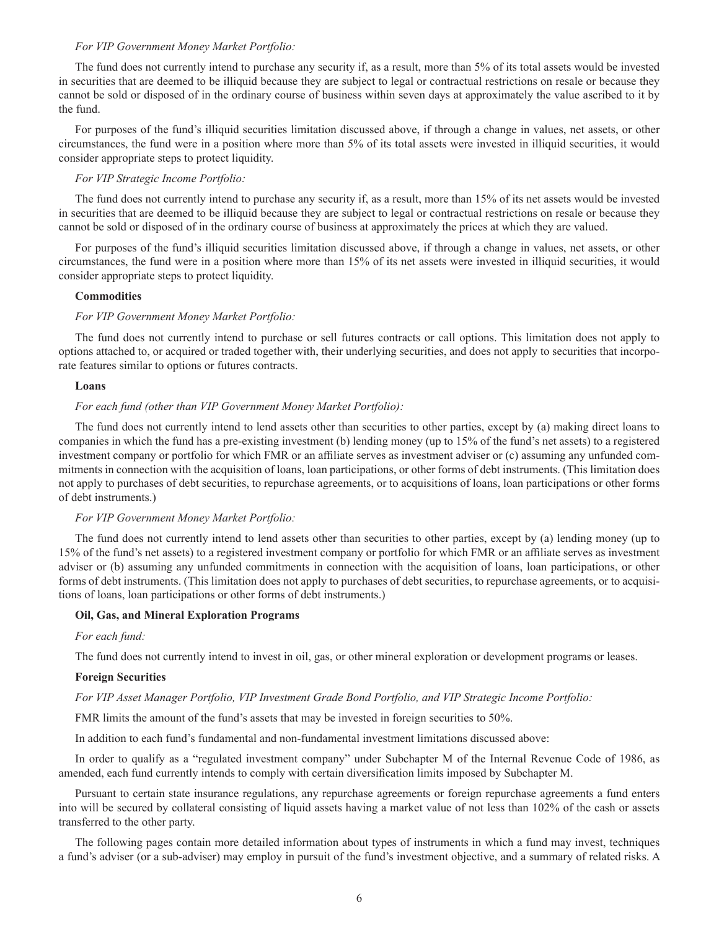## *For VIP Government Money Market Portfolio:*

The fund does not currently intend to purchase any security if, as a result, more than 5% of its total assets would be invested in securities that are deemed to be illiquid because they are subject to legal or contractual restrictions on resale or because they cannot be sold or disposed of in the ordinary course of business within seven days at approximately the value ascribed to it by the fund.

For purposes of the fund's illiquid securities limitation discussed above, if through a change in values, net assets, or other circumstances, the fund were in a position where more than 5% of its total assets were invested in illiquid securities, it would consider appropriate steps to protect liquidity.

## *For VIP Strategic Income Portfolio:*

The fund does not currently intend to purchase any security if, as a result, more than 15% of its net assets would be invested in securities that are deemed to be illiquid because they are subject to legal or contractual restrictions on resale or because they cannot be sold or disposed of in the ordinary course of business at approximately the prices at which they are valued.

For purposes of the fund's illiquid securities limitation discussed above, if through a change in values, net assets, or other circumstances, the fund were in a position where more than 15% of its net assets were invested in illiquid securities, it would consider appropriate steps to protect liquidity.

### **Commodities**

# *For VIP Government Money Market Portfolio:*

The fund does not currently intend to purchase or sell futures contracts or call options. This limitation does not apply to options attached to, or acquired or traded together with, their underlying securities, and does not apply to securities that incorporate features similar to options or futures contracts.

## **Loans**

# *For each fund (other than VIP Government Money Market Portfolio):*

The fund does not currently intend to lend assets other than securities to other parties, except by (a) making direct loans to companies in which the fund has a pre-existing investment (b) lending money (up to 15% of the fund's net assets) to a registered investment company or portfolio for which FMR or an affiliate serves as investment adviser or (c) assuming any unfunded commitments in connection with the acquisition of loans, loan participations, or other forms of debt instruments. (This limitation does not apply to purchases of debt securities, to repurchase agreements, or to acquisitions of loans, loan participations or other forms of debt instruments.)

## *For VIP Government Money Market Portfolio:*

The fund does not currently intend to lend assets other than securities to other parties, except by (a) lending money (up to 15% of the fund's net assets) to a registered investment company or portfolio for which FMR or an affiliate serves as investment adviser or (b) assuming any unfunded commitments in connection with the acquisition of loans, loan participations, or other forms of debt instruments. (This limitation does not apply to purchases of debt securities, to repurchase agreements, or to acquisitions of loans, loan participations or other forms of debt instruments.)

#### **Oil, Gas, and Mineral Exploration Programs**

#### *For each fund:*

The fund does not currently intend to invest in oil, gas, or other mineral exploration or development programs or leases.

# **Foreign Securities**

## *For VIP Asset Manager Portfolio, VIP Investment Grade Bond Portfolio, and VIP Strategic Income Portfolio:*

FMR limits the amount of the fund's assets that may be invested in foreign securities to 50%.

In addition to each fund's fundamental and non-fundamental investment limitations discussed above:

In order to qualify as a "regulated investment company" under Subchapter M of the Internal Revenue Code of 1986, as amended, each fund currently intends to comply with certain diversification limits imposed by Subchapter M.

Pursuant to certain state insurance regulations, any repurchase agreements or foreign repurchase agreements a fund enters into will be secured by collateral consisting of liquid assets having a market value of not less than 102% of the cash or assets transferred to the other party.

The following pages contain more detailed information about types of instruments in which a fund may invest, techniques a fund's adviser (or a sub-adviser) may employ in pursuit of the fund's investment objective, and a summary of related risks. A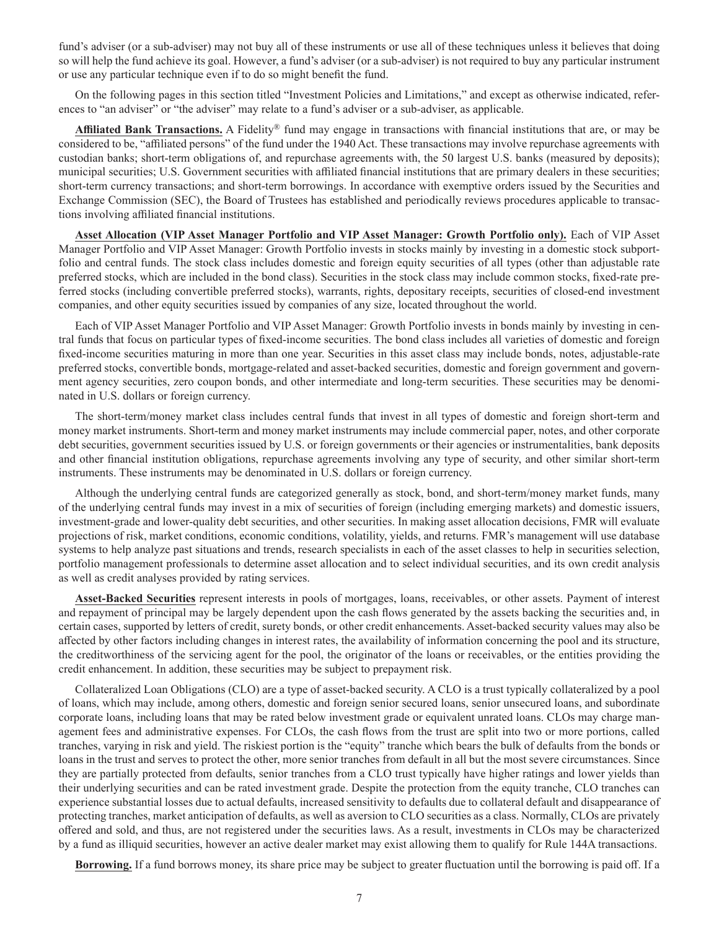fund's adviser (or a sub-adviser) may not buy all of these instruments or use all of these techniques unless it believes that doing so will help the fund achieve its goal. However, a fund's adviser (or a sub-adviser) is not required to buy any particular instrument or use any particular technique even if to do so might benefit the fund.

On the following pages in this section titled "Investment Policies and Limitations," and except as otherwise indicated, references to "an adviser" or "the adviser" may relate to a fund's adviser or a sub-adviser, as applicable.

**Affiliated Bank Transactions.** A Fidelity® fund may engage in transactions with financial institutions that are, or may be considered to be, "affiliated persons" of the fund under the 1940 Act. These transactions may involve repurchase agreements with custodian banks; short-term obligations of, and repurchase agreements with, the 50 largest U.S. banks (measured by deposits); municipal securities; U.S. Government securities with affiliated financial institutions that are primary dealers in these securities; short-term currency transactions; and short-term borrowings. In accordance with exemptive orders issued by the Securities and Exchange Commission (SEC), the Board of Trustees has established and periodically reviews procedures applicable to transactions involving affiliated financial institutions.

**Asset Allocation (VIP Asset Manager Portfolio and VIP Asset Manager: Growth Portfolio only).** Each of VIP Asset Manager Portfolio and VIP Asset Manager: Growth Portfolio invests in stocks mainly by investing in a domestic stock subportfolio and central funds. The stock class includes domestic and foreign equity securities of all types (other than adjustable rate preferred stocks, which are included in the bond class). Securities in the stock class may include common stocks, fixed-rate preferred stocks (including convertible preferred stocks), warrants, rights, depositary receipts, securities of closed-end investment companies, and other equity securities issued by companies of any size, located throughout the world.

Each of VIP Asset Manager Portfolio and VIP Asset Manager: Growth Portfolio invests in bonds mainly by investing in central funds that focus on particular types of fixed-income securities. The bond class includes all varieties of domestic and foreign fixed-income securities maturing in more than one year. Securities in this asset class may include bonds, notes, adjustable-rate preferred stocks, convertible bonds, mortgage-related and asset-backed securities, domestic and foreign government and government agency securities, zero coupon bonds, and other intermediate and long-term securities. These securities may be denominated in U.S. dollars or foreign currency.

The short-term/money market class includes central funds that invest in all types of domestic and foreign short-term and money market instruments. Short-term and money market instruments may include commercial paper, notes, and other corporate debt securities, government securities issued by U.S. or foreign governments or their agencies or instrumentalities, bank deposits and other financial institution obligations, repurchase agreements involving any type of security, and other similar short-term instruments. These instruments may be denominated in U.S. dollars or foreign currency.

Although the underlying central funds are categorized generally as stock, bond, and short-term/money market funds, many of the underlying central funds may invest in a mix of securities of foreign (including emerging markets) and domestic issuers, investment-grade and lower-quality debt securities, and other securities. In making asset allocation decisions, FMR will evaluate projections of risk, market conditions, economic conditions, volatility, yields, and returns. FMR's management will use database systems to help analyze past situations and trends, research specialists in each of the asset classes to help in securities selection, portfolio management professionals to determine asset allocation and to select individual securities, and its own credit analysis as well as credit analyses provided by rating services.

**Asset-Backed Securities** represent interests in pools of mortgages, loans, receivables, or other assets. Payment of interest and repayment of principal may be largely dependent upon the cash flows generated by the assets backing the securities and, in certain cases, supported by letters of credit, surety bonds, or other credit enhancements. Asset-backed security values may also be affected by other factors including changes in interest rates, the availability of information concerning the pool and its structure, the creditworthiness of the servicing agent for the pool, the originator of the loans or receivables, or the entities providing the credit enhancement. In addition, these securities may be subject to prepayment risk.

Collateralized Loan Obligations (CLO) are a type of asset-backed security. A CLO is a trust typically collateralized by a pool of loans, which may include, among others, domestic and foreign senior secured loans, senior unsecured loans, and subordinate corporate loans, including loans that may be rated below investment grade or equivalent unrated loans. CLOs may charge management fees and administrative expenses. For CLOs, the cash flows from the trust are split into two or more portions, called tranches, varying in risk and yield. The riskiest portion is the "equity" tranche which bears the bulk of defaults from the bonds or loans in the trust and serves to protect the other, more senior tranches from default in all but the most severe circumstances. Since they are partially protected from defaults, senior tranches from a CLO trust typically have higher ratings and lower yields than their underlying securities and can be rated investment grade. Despite the protection from the equity tranche, CLO tranches can experience substantial losses due to actual defaults, increased sensitivity to defaults due to collateral default and disappearance of protecting tranches, market anticipation of defaults, as well as aversion to CLO securities as a class. Normally, CLOs are privately offered and sold, and thus, are not registered under the securities laws. As a result, investments in CLOs may be characterized by a fund as illiquid securities, however an active dealer market may exist allowing them to qualify for Rule 144A transactions.

**Borrowing.** If a fund borrows money, its share price may be subject to greater fluctuation until the borrowing is paid off. If a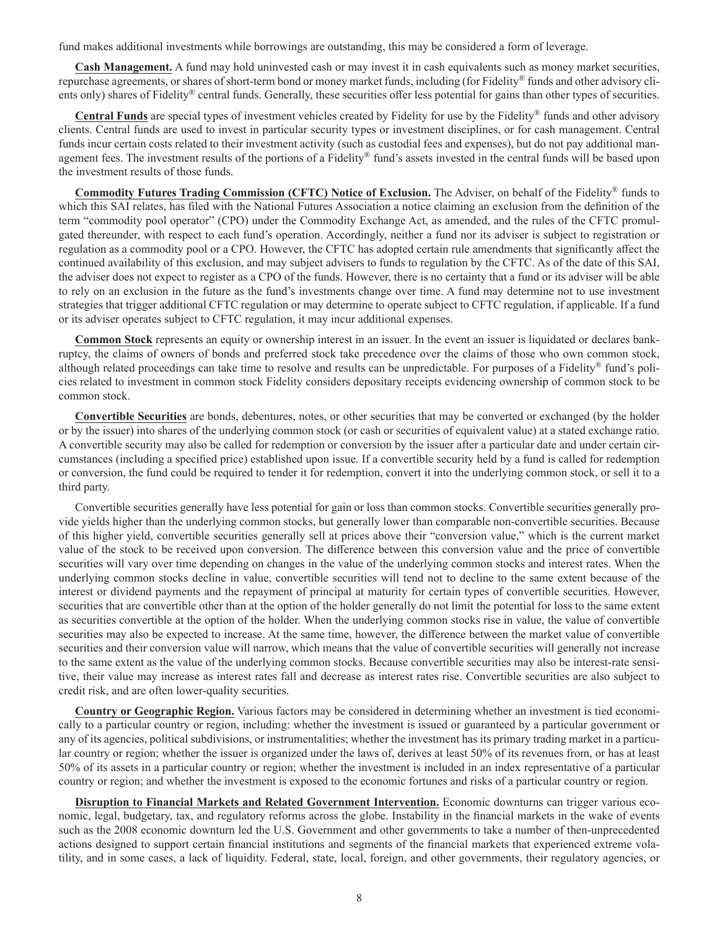fund makes additional investments while borrowings are outstanding, this may be considered a form of leverage.

**Cash Management.** A fund may hold uninvested cash or may invest it in cash equivalents such as money market securities, repurchase agreements, or shares of short-term bond or money market funds, including (for Fidelity® funds and other advisory clients only) shares of Fidelity® central funds. Generally, these securities offer less potential for gains than other types of securities.

**Central Funds** are special types of investment vehicles created by Fidelity for use by the Fidelity® funds and other advisory clients. Central funds are used to invest in particular security types or investment disciplines, or for cash management. Central funds incur certain costs related to their investment activity (such as custodial fees and expenses), but do not pay additional management fees. The investment results of the portions of a Fidelity® fund's assets invested in the central funds will be based upon the investment results of those funds.

**Commodity Futures Trading Commission (CFTC) Notice of Exclusion.** The Adviser, on behalf of the Fidelity® funds to which this SAI relates, has filed with the National Futures Association a notice claiming an exclusion from the definition of the term "commodity pool operator" (CPO) under the Commodity Exchange Act, as amended, and the rules of the CFTC promulgated thereunder, with respect to each fund's operation. Accordingly, neither a fund nor its adviser is subject to registration or regulation as a commodity pool or a CPO. However, the CFTC has adopted certain rule amendments that significantly affect the continued availability of this exclusion, and may subject advisers to funds to regulation by the CFTC. As of the date of this SAI, the adviser does not expect to register as a CPO of the funds. However, there is no certainty that a fund or its adviser will be able to rely on an exclusion in the future as the fund's investments change over time. A fund may determine not to use investment strategies that trigger additional CFTC regulation or may determine to operate subject to CFTC regulation, if applicable. If a fund or its adviser operates subject to CFTC regulation, it may incur additional expenses.

**Common Stock** represents an equity or ownership interest in an issuer. In the event an issuer is liquidated or declares bankruptcy, the claims of owners of bonds and preferred stock take precedence over the claims of those who own common stock, although related proceedings can take time to resolve and results can be unpredictable. For purposes of a Fidelity® fund's policies related to investment in common stock Fidelity considers depositary receipts evidencing ownership of common stock to be common stock.

**Convertible Securities** are bonds, debentures, notes, or other securities that may be converted or exchanged (by the holder or by the issuer) into shares of the underlying common stock (or cash or securities of equivalent value) at a stated exchange ratio. A convertible security may also be called for redemption or conversion by the issuer after a particular date and under certain circumstances (including a specified price) established upon issue. If a convertible security held by a fund is called for redemption or conversion, the fund could be required to tender it for redemption, convert it into the underlying common stock, or sell it to a third party.

Convertible securities generally have less potential for gain or loss than common stocks. Convertible securities generally provide yields higher than the underlying common stocks, but generally lower than comparable non-convertible securities. Because of this higher yield, convertible securities generally sell at prices above their "conversion value," which is the current market value of the stock to be received upon conversion. The difference between this conversion value and the price of convertible securities will vary over time depending on changes in the value of the underlying common stocks and interest rates. When the underlying common stocks decline in value, convertible securities will tend not to decline to the same extent because of the interest or dividend payments and the repayment of principal at maturity for certain types of convertible securities. However, securities that are convertible other than at the option of the holder generally do not limit the potential for loss to the same extent as securities convertible at the option of the holder. When the underlying common stocks rise in value, the value of convertible securities may also be expected to increase. At the same time, however, the difference between the market value of convertible securities and their conversion value will narrow, which means that the value of convertible securities will generally not increase to the same extent as the value of the underlying common stocks. Because convertible securities may also be interest-rate sensitive, their value may increase as interest rates fall and decrease as interest rates rise. Convertible securities are also subject to credit risk, and are often lower-quality securities.

**Country or Geographic Region.** Various factors may be considered in determining whether an investment is tied economically to a particular country or region, including: whether the investment is issued or guaranteed by a particular government or any of its agencies, political subdivisions, or instrumentalities; whether the investment has its primary trading market in a particular country or region; whether the issuer is organized under the laws of, derives at least 50% of its revenues from, or has at least 50% of its assets in a particular country or region; whether the investment is included in an index representative of a particular country or region; and whether the investment is exposed to the economic fortunes and risks of a particular country or region.

**Disruption to Financial Markets and Related Government Intervention.** Economic downturns can trigger various economic, legal, budgetary, tax, and regulatory reforms across the globe. Instability in the financial markets in the wake of events such as the 2008 economic downturn led the U.S. Government and other governments to take a number of then-unprecedented actions designed to support certain financial institutions and segments of the financial markets that experienced extreme volatility, and in some cases, a lack of liquidity. Federal, state, local, foreign, and other governments, their regulatory agencies, or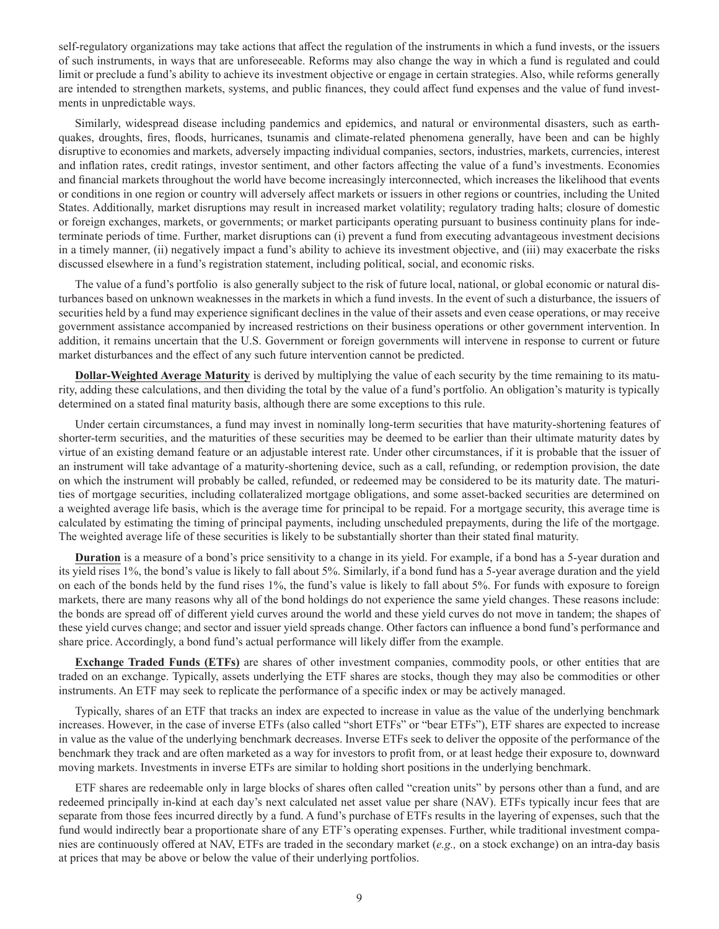self-regulatory organizations may take actions that affect the regulation of the instruments in which a fund invests, or the issuers of such instruments, in ways that are unforeseeable. Reforms may also change the way in which a fund is regulated and could limit or preclude a fund's ability to achieve its investment objective or engage in certain strategies. Also, while reforms generally are intended to strengthen markets, systems, and public finances, they could affect fund expenses and the value of fund investments in unpredictable ways.

Similarly, widespread disease including pandemics and epidemics, and natural or environmental disasters, such as earthquakes, droughts, fires, floods, hurricanes, tsunamis and climate-related phenomena generally, have been and can be highly disruptive to economies and markets, adversely impacting individual companies, sectors, industries, markets, currencies, interest and inflation rates, credit ratings, investor sentiment, and other factors affecting the value of a fund's investments. Economies and financial markets throughout the world have become increasingly interconnected, which increases the likelihood that events or conditions in one region or country will adversely affect markets or issuers in other regions or countries, including the United States. Additionally, market disruptions may result in increased market volatility; regulatory trading halts; closure of domestic or foreign exchanges, markets, or governments; or market participants operating pursuant to business continuity plans for indeterminate periods of time. Further, market disruptions can (i) prevent a fund from executing advantageous investment decisions in a timely manner, (ii) negatively impact a fund's ability to achieve its investment objective, and (iii) may exacerbate the risks discussed elsewhere in a fund's registration statement, including political, social, and economic risks.

The value of a fund's portfolio is also generally subject to the risk of future local, national, or global economic or natural disturbances based on unknown weaknesses in the markets in which a fund invests. In the event of such a disturbance, the issuers of securities held by a fund may experience significant declines in the value of their assets and even cease operations, or may receive government assistance accompanied by increased restrictions on their business operations or other government intervention. In addition, it remains uncertain that the U.S. Government or foreign governments will intervene in response to current or future market disturbances and the effect of any such future intervention cannot be predicted.

**Dollar-Weighted Average Maturity** is derived by multiplying the value of each security by the time remaining to its maturity, adding these calculations, and then dividing the total by the value of a fund's portfolio. An obligation's maturity is typically determined on a stated final maturity basis, although there are some exceptions to this rule.

Under certain circumstances, a fund may invest in nominally long-term securities that have maturity-shortening features of shorter-term securities, and the maturities of these securities may be deemed to be earlier than their ultimate maturity dates by virtue of an existing demand feature or an adjustable interest rate. Under other circumstances, if it is probable that the issuer of an instrument will take advantage of a maturity-shortening device, such as a call, refunding, or redemption provision, the date on which the instrument will probably be called, refunded, or redeemed may be considered to be its maturity date. The maturities of mortgage securities, including collateralized mortgage obligations, and some asset-backed securities are determined on a weighted average life basis, which is the average time for principal to be repaid. For a mortgage security, this average time is calculated by estimating the timing of principal payments, including unscheduled prepayments, during the life of the mortgage. The weighted average life of these securities is likely to be substantially shorter than their stated final maturity.

**Duration** is a measure of a bond's price sensitivity to a change in its yield. For example, if a bond has a 5-year duration and its yield rises 1%, the bond's value is likely to fall about 5%. Similarly, if a bond fund has a 5-year average duration and the yield on each of the bonds held by the fund rises 1%, the fund's value is likely to fall about 5%. For funds with exposure to foreign markets, there are many reasons why all of the bond holdings do not experience the same yield changes. These reasons include: the bonds are spread off of different yield curves around the world and these yield curves do not move in tandem; the shapes of these yield curves change; and sector and issuer yield spreads change. Other factors can influence a bond fund's performance and share price. Accordingly, a bond fund's actual performance will likely differ from the example.

**Exchange Traded Funds (ETFs)** are shares of other investment companies, commodity pools, or other entities that are traded on an exchange. Typically, assets underlying the ETF shares are stocks, though they may also be commodities or other instruments. An ETF may seek to replicate the performance of a specific index or may be actively managed.

Typically, shares of an ETF that tracks an index are expected to increase in value as the value of the underlying benchmark increases. However, in the case of inverse ETFs (also called "short ETFs" or "bear ETFs"), ETF shares are expected to increase in value as the value of the underlying benchmark decreases. Inverse ETFs seek to deliver the opposite of the performance of the benchmark they track and are often marketed as a way for investors to profit from, or at least hedge their exposure to, downward moving markets. Investments in inverse ETFs are similar to holding short positions in the underlying benchmark.

ETF shares are redeemable only in large blocks of shares often called "creation units" by persons other than a fund, and are redeemed principally in-kind at each day's next calculated net asset value per share (NAV). ETFs typically incur fees that are separate from those fees incurred directly by a fund. A fund's purchase of ETFs results in the layering of expenses, such that the fund would indirectly bear a proportionate share of any ETF's operating expenses. Further, while traditional investment companies are continuously offered at NAV, ETFs are traded in the secondary market (*e.g.,* on a stock exchange) on an intra-day basis at prices that may be above or below the value of their underlying portfolios.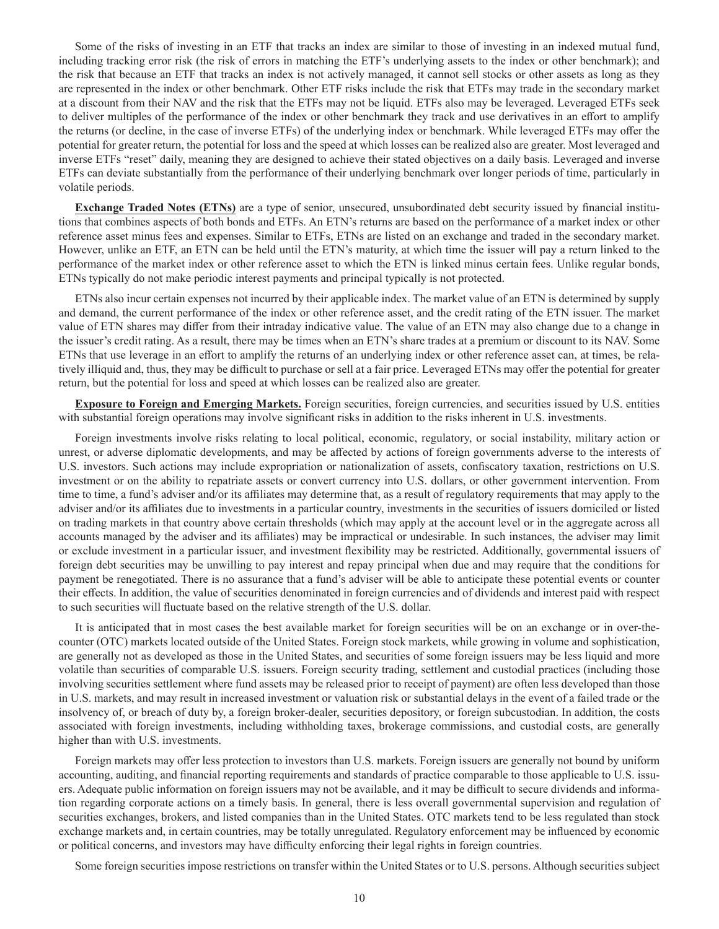Some of the risks of investing in an ETF that tracks an index are similar to those of investing in an indexed mutual fund, including tracking error risk (the risk of errors in matching the ETF's underlying assets to the index or other benchmark); and the risk that because an ETF that tracks an index is not actively managed, it cannot sell stocks or other assets as long as they are represented in the index or other benchmark. Other ETF risks include the risk that ETFs may trade in the secondary market at a discount from their NAV and the risk that the ETFs may not be liquid. ETFs also may be leveraged. Leveraged ETFs seek to deliver multiples of the performance of the index or other benchmark they track and use derivatives in an effort to amplify the returns (or decline, in the case of inverse ETFs) of the underlying index or benchmark. While leveraged ETFs may offer the potential for greater return, the potential for loss and the speed at which losses can be realized also are greater. Most leveraged and inverse ETFs "reset" daily, meaning they are designed to achieve their stated objectives on a daily basis. Leveraged and inverse ETFs can deviate substantially from the performance of their underlying benchmark over longer periods of time, particularly in volatile periods.

**Exchange Traded Notes (ETNs)** are a type of senior, unsecured, unsubordinated debt security issued by financial institutions that combines aspects of both bonds and ETFs. An ETN's returns are based on the performance of a market index or other reference asset minus fees and expenses. Similar to ETFs, ETNs are listed on an exchange and traded in the secondary market. However, unlike an ETF, an ETN can be held until the ETN's maturity, at which time the issuer will pay a return linked to the performance of the market index or other reference asset to which the ETN is linked minus certain fees. Unlike regular bonds, ETNs typically do not make periodic interest payments and principal typically is not protected.

ETNs also incur certain expenses not incurred by their applicable index. The market value of an ETN is determined by supply and demand, the current performance of the index or other reference asset, and the credit rating of the ETN issuer. The market value of ETN shares may differ from their intraday indicative value. The value of an ETN may also change due to a change in the issuer's credit rating. As a result, there may be times when an ETN's share trades at a premium or discount to its NAV. Some ETNs that use leverage in an effort to amplify the returns of an underlying index or other reference asset can, at times, be relatively illiquid and, thus, they may be difficult to purchase or sell at a fair price. Leveraged ETNs may offer the potential for greater return, but the potential for loss and speed at which losses can be realized also are greater.

**Exposure to Foreign and Emerging Markets.** Foreign securities, foreign currencies, and securities issued by U.S. entities with substantial foreign operations may involve significant risks in addition to the risks inherent in U.S. investments.

Foreign investments involve risks relating to local political, economic, regulatory, or social instability, military action or unrest, or adverse diplomatic developments, and may be affected by actions of foreign governments adverse to the interests of U.S. investors. Such actions may include expropriation or nationalization of assets, confiscatory taxation, restrictions on U.S. investment or on the ability to repatriate assets or convert currency into U.S. dollars, or other government intervention. From time to time, a fund's adviser and/or its affiliates may determine that, as a result of regulatory requirements that may apply to the adviser and/or its affiliates due to investments in a particular country, investments in the securities of issuers domiciled or listed on trading markets in that country above certain thresholds (which may apply at the account level or in the aggregate across all accounts managed by the adviser and its affiliates) may be impractical or undesirable. In such instances, the adviser may limit or exclude investment in a particular issuer, and investment flexibility may be restricted. Additionally, governmental issuers of foreign debt securities may be unwilling to pay interest and repay principal when due and may require that the conditions for payment be renegotiated. There is no assurance that a fund's adviser will be able to anticipate these potential events or counter their effects. In addition, the value of securities denominated in foreign currencies and of dividends and interest paid with respect to such securities will fluctuate based on the relative strength of the U.S. dollar.

It is anticipated that in most cases the best available market for foreign securities will be on an exchange or in over-thecounter (OTC) markets located outside of the United States. Foreign stock markets, while growing in volume and sophistication, are generally not as developed as those in the United States, and securities of some foreign issuers may be less liquid and more volatile than securities of comparable U.S. issuers. Foreign security trading, settlement and custodial practices (including those involving securities settlement where fund assets may be released prior to receipt of payment) are often less developed than those in U.S. markets, and may result in increased investment or valuation risk or substantial delays in the event of a failed trade or the insolvency of, or breach of duty by, a foreign broker-dealer, securities depository, or foreign subcustodian. In addition, the costs associated with foreign investments, including withholding taxes, brokerage commissions, and custodial costs, are generally higher than with U.S. investments.

Foreign markets may offer less protection to investors than U.S. markets. Foreign issuers are generally not bound by uniform accounting, auditing, and financial reporting requirements and standards of practice comparable to those applicable to U.S. issuers. Adequate public information on foreign issuers may not be available, and it may be difficult to secure dividends and information regarding corporate actions on a timely basis. In general, there is less overall governmental supervision and regulation of securities exchanges, brokers, and listed companies than in the United States. OTC markets tend to be less regulated than stock exchange markets and, in certain countries, may be totally unregulated. Regulatory enforcement may be influenced by economic or political concerns, and investors may have difficulty enforcing their legal rights in foreign countries.

Some foreign securities impose restrictions on transfer within the United States or to U.S. persons. Although securities subject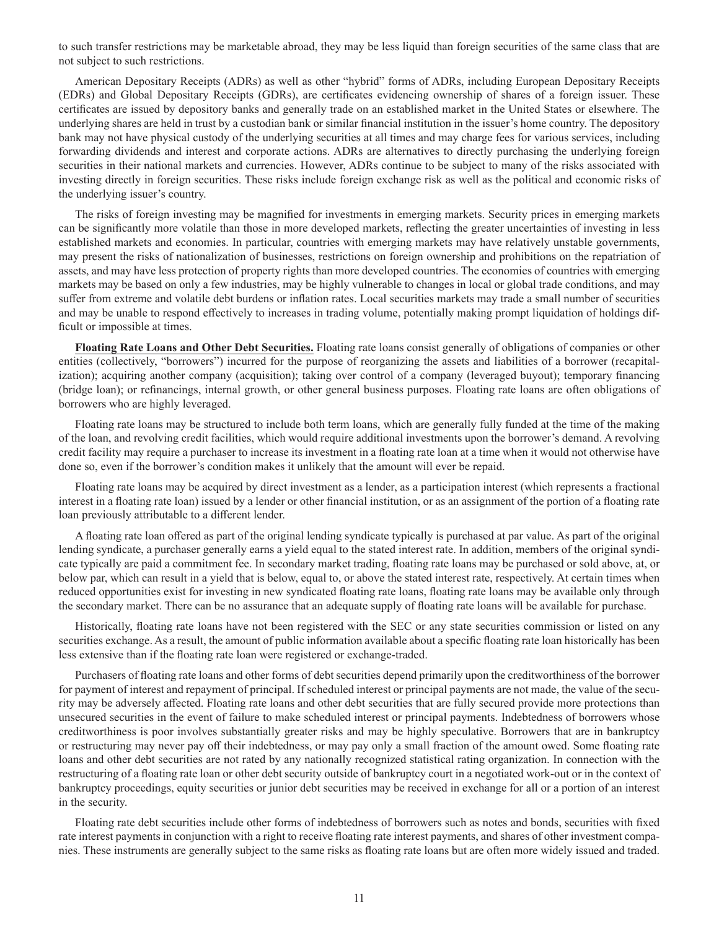to such transfer restrictions may be marketable abroad, they may be less liquid than foreign securities of the same class that are not subject to such restrictions.

American Depositary Receipts (ADRs) as well as other "hybrid" forms of ADRs, including European Depositary Receipts (EDRs) and Global Depositary Receipts (GDRs), are certificates evidencing ownership of shares of a foreign issuer. These certificates are issued by depository banks and generally trade on an established market in the United States or elsewhere. The underlying shares are held in trust by a custodian bank or similar financial institution in the issuer's home country. The depository bank may not have physical custody of the underlying securities at all times and may charge fees for various services, including forwarding dividends and interest and corporate actions. ADRs are alternatives to directly purchasing the underlying foreign securities in their national markets and currencies. However, ADRs continue to be subject to many of the risks associated with investing directly in foreign securities. These risks include foreign exchange risk as well as the political and economic risks of the underlying issuer's country.

The risks of foreign investing may be magnified for investments in emerging markets. Security prices in emerging markets can be significantly more volatile than those in more developed markets, reflecting the greater uncertainties of investing in less established markets and economies. In particular, countries with emerging markets may have relatively unstable governments, may present the risks of nationalization of businesses, restrictions on foreign ownership and prohibitions on the repatriation of assets, and may have less protection of property rights than more developed countries. The economies of countries with emerging markets may be based on only a few industries, may be highly vulnerable to changes in local or global trade conditions, and may suffer from extreme and volatile debt burdens or inflation rates. Local securities markets may trade a small number of securities and may be unable to respond effectively to increases in trading volume, potentially making prompt liquidation of holdings difficult or impossible at times.

**Floating Rate Loans and Other Debt Securities.** Floating rate loans consist generally of obligations of companies or other entities (collectively, "borrowers") incurred for the purpose of reorganizing the assets and liabilities of a borrower (recapitalization); acquiring another company (acquisition); taking over control of a company (leveraged buyout); temporary financing (bridge loan); or refinancings, internal growth, or other general business purposes. Floating rate loans are often obligations of borrowers who are highly leveraged.

Floating rate loans may be structured to include both term loans, which are generally fully funded at the time of the making of the loan, and revolving credit facilities, which would require additional investments upon the borrower's demand. A revolving credit facility may require a purchaser to increase its investment in a floating rate loan at a time when it would not otherwise have done so, even if the borrower's condition makes it unlikely that the amount will ever be repaid.

Floating rate loans may be acquired by direct investment as a lender, as a participation interest (which represents a fractional interest in a floating rate loan) issued by a lender or other financial institution, or as an assignment of the portion of a floating rate loan previously attributable to a different lender.

A floating rate loan offered as part of the original lending syndicate typically is purchased at par value. As part of the original lending syndicate, a purchaser generally earns a yield equal to the stated interest rate. In addition, members of the original syndicate typically are paid a commitment fee. In secondary market trading, floating rate loans may be purchased or sold above, at, or below par, which can result in a yield that is below, equal to, or above the stated interest rate, respectively. At certain times when reduced opportunities exist for investing in new syndicated floating rate loans, floating rate loans may be available only through the secondary market. There can be no assurance that an adequate supply of floating rate loans will be available for purchase.

Historically, floating rate loans have not been registered with the SEC or any state securities commission or listed on any securities exchange. As a result, the amount of public information available about a specific floating rate loan historically has been less extensive than if the floating rate loan were registered or exchange-traded.

Purchasers of floating rate loans and other forms of debt securities depend primarily upon the creditworthiness of the borrower for payment of interest and repayment of principal. If scheduled interest or principal payments are not made, the value of the security may be adversely affected. Floating rate loans and other debt securities that are fully secured provide more protections than unsecured securities in the event of failure to make scheduled interest or principal payments. Indebtedness of borrowers whose creditworthiness is poor involves substantially greater risks and may be highly speculative. Borrowers that are in bankruptcy or restructuring may never pay off their indebtedness, or may pay only a small fraction of the amount owed. Some floating rate loans and other debt securities are not rated by any nationally recognized statistical rating organization. In connection with the restructuring of a floating rate loan or other debt security outside of bankruptcy court in a negotiated work-out or in the context of bankruptcy proceedings, equity securities or junior debt securities may be received in exchange for all or a portion of an interest in the security.

Floating rate debt securities include other forms of indebtedness of borrowers such as notes and bonds, securities with fixed rate interest payments in conjunction with a right to receive floating rate interest payments, and shares of other investment companies. These instruments are generally subject to the same risks as floating rate loans but are often more widely issued and traded.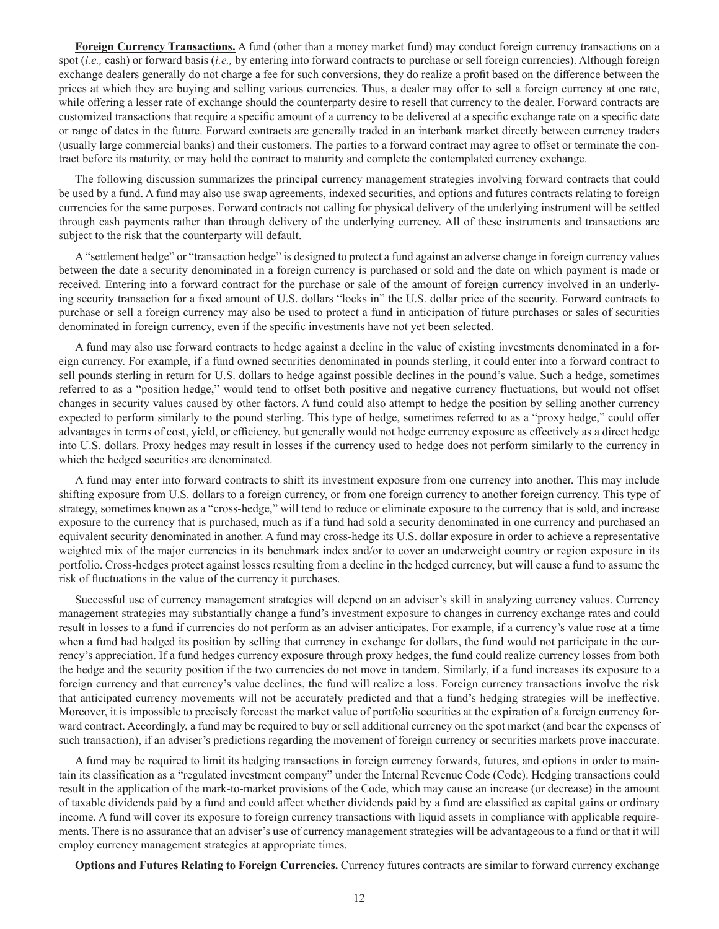**Foreign Currency Transactions.** A fund (other than a money market fund) may conduct foreign currency transactions on a spot (*i.e.,* cash) or forward basis (*i.e.,* by entering into forward contracts to purchase or sell foreign currencies). Although foreign exchange dealers generally do not charge a fee for such conversions, they do realize a profit based on the difference between the prices at which they are buying and selling various currencies. Thus, a dealer may offer to sell a foreign currency at one rate, while offering a lesser rate of exchange should the counterparty desire to resell that currency to the dealer. Forward contracts are customized transactions that require a specific amount of a currency to be delivered at a specific exchange rate on a specific date or range of dates in the future. Forward contracts are generally traded in an interbank market directly between currency traders (usually large commercial banks) and their customers. The parties to a forward contract may agree to offset or terminate the contract before its maturity, or may hold the contract to maturity and complete the contemplated currency exchange.

The following discussion summarizes the principal currency management strategies involving forward contracts that could be used by a fund. A fund may also use swap agreements, indexed securities, and options and futures contracts relating to foreign currencies for the same purposes. Forward contracts not calling for physical delivery of the underlying instrument will be settled through cash payments rather than through delivery of the underlying currency. All of these instruments and transactions are subject to the risk that the counterparty will default.

A "settlement hedge" or "transaction hedge" is designed to protect a fund against an adverse change in foreign currency values between the date a security denominated in a foreign currency is purchased or sold and the date on which payment is made or received. Entering into a forward contract for the purchase or sale of the amount of foreign currency involved in an underlying security transaction for a fixed amount of U.S. dollars "locks in" the U.S. dollar price of the security. Forward contracts to purchase or sell a foreign currency may also be used to protect a fund in anticipation of future purchases or sales of securities denominated in foreign currency, even if the specific investments have not yet been selected.

A fund may also use forward contracts to hedge against a decline in the value of existing investments denominated in a foreign currency. For example, if a fund owned securities denominated in pounds sterling, it could enter into a forward contract to sell pounds sterling in return for U.S. dollars to hedge against possible declines in the pound's value. Such a hedge, sometimes referred to as a "position hedge," would tend to offset both positive and negative currency fluctuations, but would not offset changes in security values caused by other factors. A fund could also attempt to hedge the position by selling another currency expected to perform similarly to the pound sterling. This type of hedge, sometimes referred to as a "proxy hedge," could offer advantages in terms of cost, yield, or efficiency, but generally would not hedge currency exposure as effectively as a direct hedge into U.S. dollars. Proxy hedges may result in losses if the currency used to hedge does not perform similarly to the currency in which the hedged securities are denominated.

A fund may enter into forward contracts to shift its investment exposure from one currency into another. This may include shifting exposure from U.S. dollars to a foreign currency, or from one foreign currency to another foreign currency. This type of strategy, sometimes known as a "cross-hedge," will tend to reduce or eliminate exposure to the currency that is sold, and increase exposure to the currency that is purchased, much as if a fund had sold a security denominated in one currency and purchased an equivalent security denominated in another. A fund may cross-hedge its U.S. dollar exposure in order to achieve a representative weighted mix of the major currencies in its benchmark index and/or to cover an underweight country or region exposure in its portfolio. Cross-hedges protect against losses resulting from a decline in the hedged currency, but will cause a fund to assume the risk of fluctuations in the value of the currency it purchases.

Successful use of currency management strategies will depend on an adviser's skill in analyzing currency values. Currency management strategies may substantially change a fund's investment exposure to changes in currency exchange rates and could result in losses to a fund if currencies do not perform as an adviser anticipates. For example, if a currency's value rose at a time when a fund had hedged its position by selling that currency in exchange for dollars, the fund would not participate in the currency's appreciation. If a fund hedges currency exposure through proxy hedges, the fund could realize currency losses from both the hedge and the security position if the two currencies do not move in tandem. Similarly, if a fund increases its exposure to a foreign currency and that currency's value declines, the fund will realize a loss. Foreign currency transactions involve the risk that anticipated currency movements will not be accurately predicted and that a fund's hedging strategies will be ineffective. Moreover, it is impossible to precisely forecast the market value of portfolio securities at the expiration of a foreign currency forward contract. Accordingly, a fund may be required to buy or sell additional currency on the spot market (and bear the expenses of such transaction), if an adviser's predictions regarding the movement of foreign currency or securities markets prove inaccurate.

A fund may be required to limit its hedging transactions in foreign currency forwards, futures, and options in order to maintain its classification as a "regulated investment company" under the Internal Revenue Code (Code). Hedging transactions could result in the application of the mark-to-market provisions of the Code, which may cause an increase (or decrease) in the amount of taxable dividends paid by a fund and could affect whether dividends paid by a fund are classified as capital gains or ordinary income. A fund will cover its exposure to foreign currency transactions with liquid assets in compliance with applicable requirements. There is no assurance that an adviser's use of currency management strategies will be advantageous to a fund or that it will employ currency management strategies at appropriate times.

**Options and Futures Relating to Foreign Currencies.** Currency futures contracts are similar to forward currency exchange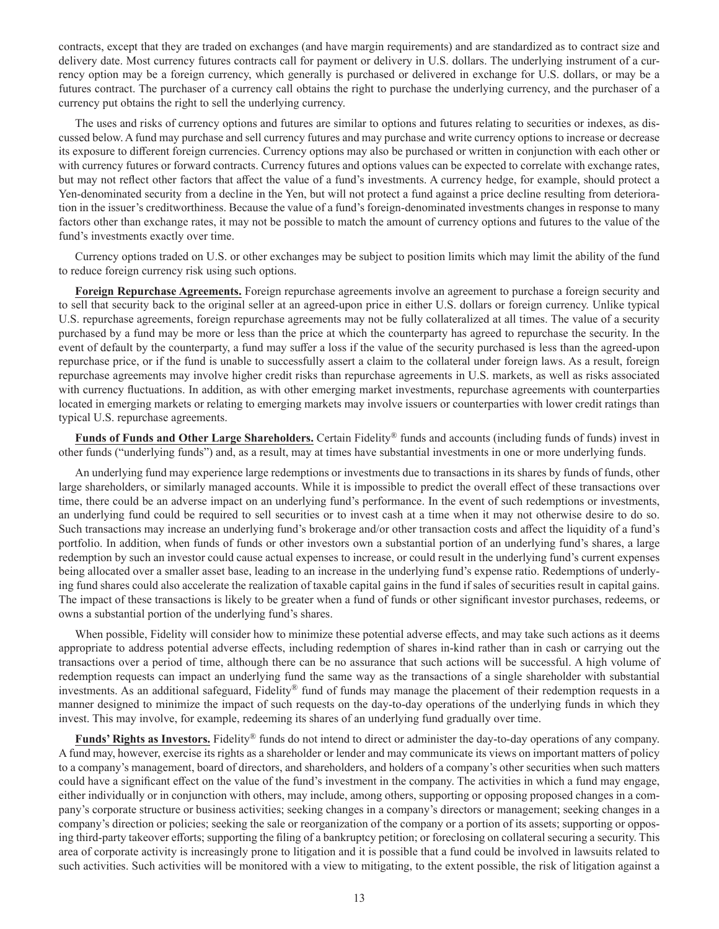contracts, except that they are traded on exchanges (and have margin requirements) and are standardized as to contract size and delivery date. Most currency futures contracts call for payment or delivery in U.S. dollars. The underlying instrument of a currency option may be a foreign currency, which generally is purchased or delivered in exchange for U.S. dollars, or may be a futures contract. The purchaser of a currency call obtains the right to purchase the underlying currency, and the purchaser of a currency put obtains the right to sell the underlying currency.

The uses and risks of currency options and futures are similar to options and futures relating to securities or indexes, as discussed below. A fund may purchase and sell currency futures and may purchase and write currency options to increase or decrease its exposure to different foreign currencies. Currency options may also be purchased or written in conjunction with each other or with currency futures or forward contracts. Currency futures and options values can be expected to correlate with exchange rates, but may not reflect other factors that affect the value of a fund's investments. A currency hedge, for example, should protect a Yen-denominated security from a decline in the Yen, but will not protect a fund against a price decline resulting from deterioration in the issuer's creditworthiness. Because the value of a fund's foreign-denominated investments changes in response to many factors other than exchange rates, it may not be possible to match the amount of currency options and futures to the value of the fund's investments exactly over time.

Currency options traded on U.S. or other exchanges may be subject to position limits which may limit the ability of the fund to reduce foreign currency risk using such options.

**Foreign Repurchase Agreements.** Foreign repurchase agreements involve an agreement to purchase a foreign security and to sell that security back to the original seller at an agreed-upon price in either U.S. dollars or foreign currency. Unlike typical U.S. repurchase agreements, foreign repurchase agreements may not be fully collateralized at all times. The value of a security purchased by a fund may be more or less than the price at which the counterparty has agreed to repurchase the security. In the event of default by the counterparty, a fund may suffer a loss if the value of the security purchased is less than the agreed-upon repurchase price, or if the fund is unable to successfully assert a claim to the collateral under foreign laws. As a result, foreign repurchase agreements may involve higher credit risks than repurchase agreements in U.S. markets, as well as risks associated with currency fluctuations. In addition, as with other emerging market investments, repurchase agreements with counterparties located in emerging markets or relating to emerging markets may involve issuers or counterparties with lower credit ratings than typical U.S. repurchase agreements.

**Funds of Funds and Other Large Shareholders.** Certain Fidelity® funds and accounts (including funds of funds) invest in other funds ("underlying funds") and, as a result, may at times have substantial investments in one or more underlying funds.

An underlying fund may experience large redemptions or investments due to transactions in its shares by funds of funds, other large shareholders, or similarly managed accounts. While it is impossible to predict the overall effect of these transactions over time, there could be an adverse impact on an underlying fund's performance. In the event of such redemptions or investments, an underlying fund could be required to sell securities or to invest cash at a time when it may not otherwise desire to do so. Such transactions may increase an underlying fund's brokerage and/or other transaction costs and affect the liquidity of a fund's portfolio. In addition, when funds of funds or other investors own a substantial portion of an underlying fund's shares, a large redemption by such an investor could cause actual expenses to increase, or could result in the underlying fund's current expenses being allocated over a smaller asset base, leading to an increase in the underlying fund's expense ratio. Redemptions of underlying fund shares could also accelerate the realization of taxable capital gains in the fund if sales of securities result in capital gains. The impact of these transactions is likely to be greater when a fund of funds or other significant investor purchases, redeems, or owns a substantial portion of the underlying fund's shares.

When possible, Fidelity will consider how to minimize these potential adverse effects, and may take such actions as it deems appropriate to address potential adverse effects, including redemption of shares in-kind rather than in cash or carrying out the transactions over a period of time, although there can be no assurance that such actions will be successful. A high volume of redemption requests can impact an underlying fund the same way as the transactions of a single shareholder with substantial investments. As an additional safeguard, Fidelity® fund of funds may manage the placement of their redemption requests in a manner designed to minimize the impact of such requests on the day-to-day operations of the underlying funds in which they invest. This may involve, for example, redeeming its shares of an underlying fund gradually over time.

**Funds' Rights as Investors.** Fidelity® funds do not intend to direct or administer the day-to-day operations of any company. A fund may, however, exercise its rights as a shareholder or lender and may communicate its views on important matters of policy to a company's management, board of directors, and shareholders, and holders of a company's other securities when such matters could have a significant effect on the value of the fund's investment in the company. The activities in which a fund may engage, either individually or in conjunction with others, may include, among others, supporting or opposing proposed changes in a company's corporate structure or business activities; seeking changes in a company's directors or management; seeking changes in a company's direction or policies; seeking the sale or reorganization of the company or a portion of its assets; supporting or opposing third-party takeover efforts; supporting the filing of a bankruptcy petition; or foreclosing on collateral securing a security. This area of corporate activity is increasingly prone to litigation and it is possible that a fund could be involved in lawsuits related to such activities. Such activities will be monitored with a view to mitigating, to the extent possible, the risk of litigation against a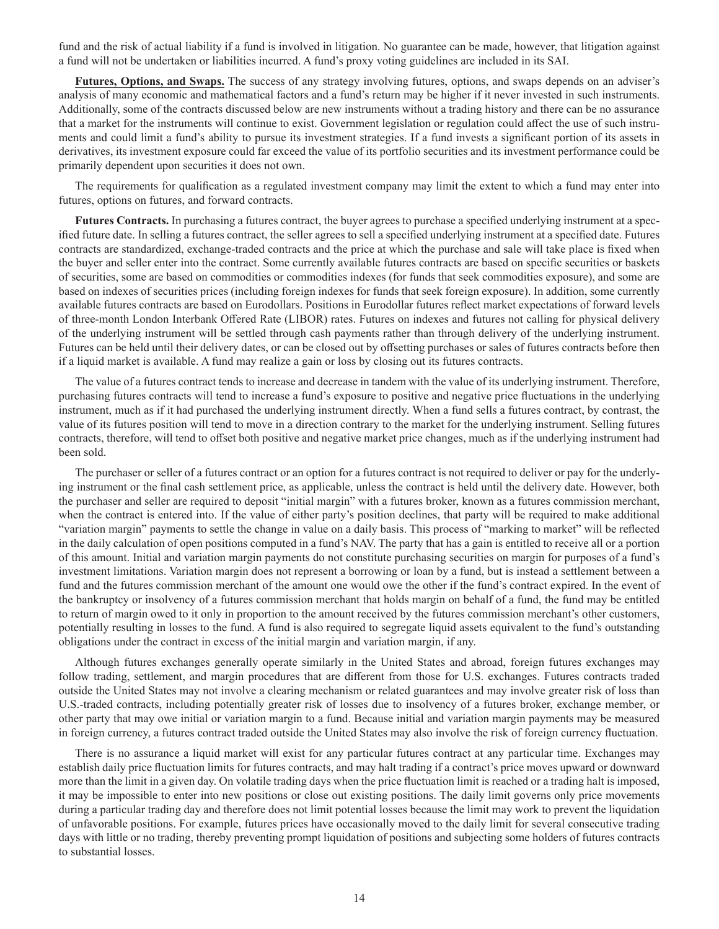fund and the risk of actual liability if a fund is involved in litigation. No guarantee can be made, however, that litigation against a fund will not be undertaken or liabilities incurred. A fund's proxy voting guidelines are included in its SAI.

**Futures, Options, and Swaps.** The success of any strategy involving futures, options, and swaps depends on an adviser's analysis of many economic and mathematical factors and a fund's return may be higher if it never invested in such instruments. Additionally, some of the contracts discussed below are new instruments without a trading history and there can be no assurance that a market for the instruments will continue to exist. Government legislation or regulation could affect the use of such instruments and could limit a fund's ability to pursue its investment strategies. If a fund invests a significant portion of its assets in derivatives, its investment exposure could far exceed the value of its portfolio securities and its investment performance could be primarily dependent upon securities it does not own.

The requirements for qualification as a regulated investment company may limit the extent to which a fund may enter into futures, options on futures, and forward contracts.

**Futures Contracts.** In purchasing a futures contract, the buyer agrees to purchase a specified underlying instrument at a specified future date. In selling a futures contract, the seller agrees to sell a specified underlying instrument at a specified date. Futures contracts are standardized, exchange-traded contracts and the price at which the purchase and sale will take place is fixed when the buyer and seller enter into the contract. Some currently available futures contracts are based on specific securities or baskets of securities, some are based on commodities or commodities indexes (for funds that seek commodities exposure), and some are based on indexes of securities prices (including foreign indexes for funds that seek foreign exposure). In addition, some currently available futures contracts are based on Eurodollars. Positions in Eurodollar futures reflect market expectations of forward levels of three-month London Interbank Offered Rate (LIBOR) rates. Futures on indexes and futures not calling for physical delivery of the underlying instrument will be settled through cash payments rather than through delivery of the underlying instrument. Futures can be held until their delivery dates, or can be closed out by offsetting purchases or sales of futures contracts before then if a liquid market is available. A fund may realize a gain or loss by closing out its futures contracts.

The value of a futures contract tends to increase and decrease in tandem with the value of its underlying instrument. Therefore, purchasing futures contracts will tend to increase a fund's exposure to positive and negative price fluctuations in the underlying instrument, much as if it had purchased the underlying instrument directly. When a fund sells a futures contract, by contrast, the value of its futures position will tend to move in a direction contrary to the market for the underlying instrument. Selling futures contracts, therefore, will tend to offset both positive and negative market price changes, much as if the underlying instrument had been sold.

The purchaser or seller of a futures contract or an option for a futures contract is not required to deliver or pay for the underlying instrument or the final cash settlement price, as applicable, unless the contract is held until the delivery date. However, both the purchaser and seller are required to deposit "initial margin" with a futures broker, known as a futures commission merchant, when the contract is entered into. If the value of either party's position declines, that party will be required to make additional "variation margin" payments to settle the change in value on a daily basis. This process of "marking to market" will be reflected in the daily calculation of open positions computed in a fund's NAV. The party that has a gain is entitled to receive all or a portion of this amount. Initial and variation margin payments do not constitute purchasing securities on margin for purposes of a fund's investment limitations. Variation margin does not represent a borrowing or loan by a fund, but is instead a settlement between a fund and the futures commission merchant of the amount one would owe the other if the fund's contract expired. In the event of the bankruptcy or insolvency of a futures commission merchant that holds margin on behalf of a fund, the fund may be entitled to return of margin owed to it only in proportion to the amount received by the futures commission merchant's other customers, potentially resulting in losses to the fund. A fund is also required to segregate liquid assets equivalent to the fund's outstanding obligations under the contract in excess of the initial margin and variation margin, if any.

Although futures exchanges generally operate similarly in the United States and abroad, foreign futures exchanges may follow trading, settlement, and margin procedures that are different from those for U.S. exchanges. Futures contracts traded outside the United States may not involve a clearing mechanism or related guarantees and may involve greater risk of loss than U.S.-traded contracts, including potentially greater risk of losses due to insolvency of a futures broker, exchange member, or other party that may owe initial or variation margin to a fund. Because initial and variation margin payments may be measured in foreign currency, a futures contract traded outside the United States may also involve the risk of foreign currency fluctuation.

There is no assurance a liquid market will exist for any particular futures contract at any particular time. Exchanges may establish daily price fluctuation limits for futures contracts, and may halt trading if a contract's price moves upward or downward more than the limit in a given day. On volatile trading days when the price fluctuation limit is reached or a trading halt is imposed, it may be impossible to enter into new positions or close out existing positions. The daily limit governs only price movements during a particular trading day and therefore does not limit potential losses because the limit may work to prevent the liquidation of unfavorable positions. For example, futures prices have occasionally moved to the daily limit for several consecutive trading days with little or no trading, thereby preventing prompt liquidation of positions and subjecting some holders of futures contracts to substantial losses.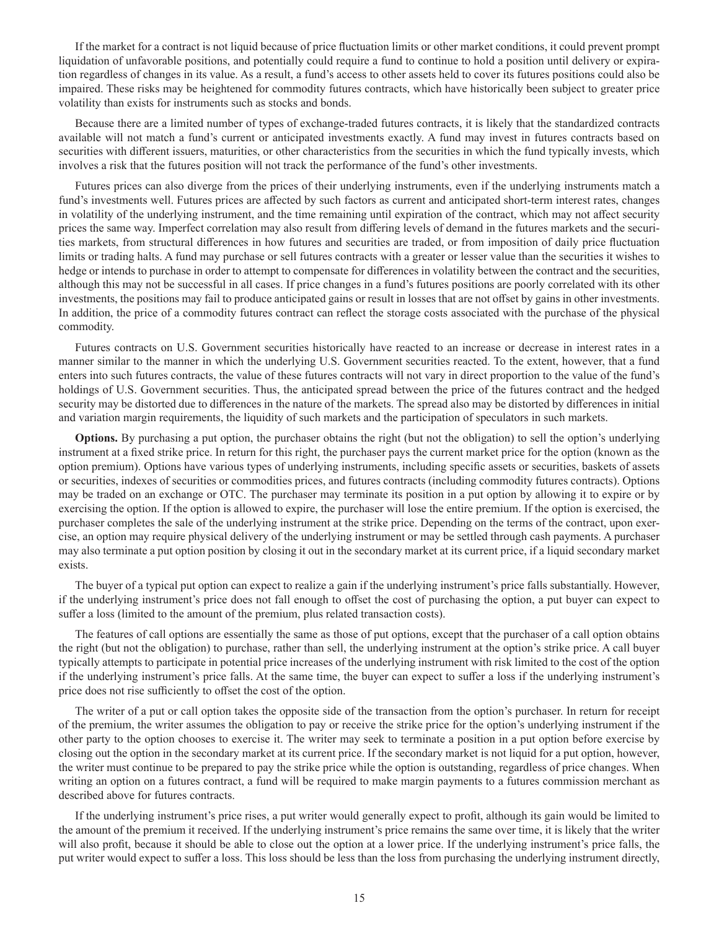If the market for a contract is not liquid because of price fluctuation limits or other market conditions, it could prevent prompt liquidation of unfavorable positions, and potentially could require a fund to continue to hold a position until delivery or expiration regardless of changes in its value. As a result, a fund's access to other assets held to cover its futures positions could also be impaired. These risks may be heightened for commodity futures contracts, which have historically been subject to greater price volatility than exists for instruments such as stocks and bonds.

Because there are a limited number of types of exchange-traded futures contracts, it is likely that the standardized contracts available will not match a fund's current or anticipated investments exactly. A fund may invest in futures contracts based on securities with different issuers, maturities, or other characteristics from the securities in which the fund typically invests, which involves a risk that the futures position will not track the performance of the fund's other investments.

Futures prices can also diverge from the prices of their underlying instruments, even if the underlying instruments match a fund's investments well. Futures prices are affected by such factors as current and anticipated short-term interest rates, changes in volatility of the underlying instrument, and the time remaining until expiration of the contract, which may not affect security prices the same way. Imperfect correlation may also result from differing levels of demand in the futures markets and the securities markets, from structural differences in how futures and securities are traded, or from imposition of daily price fluctuation limits or trading halts. A fund may purchase or sell futures contracts with a greater or lesser value than the securities it wishes to hedge or intends to purchase in order to attempt to compensate for differences in volatility between the contract and the securities, although this may not be successful in all cases. If price changes in a fund's futures positions are poorly correlated with its other investments, the positions may fail to produce anticipated gains or result in losses that are not offset by gains in other investments. In addition, the price of a commodity futures contract can reflect the storage costs associated with the purchase of the physical commodity.

Futures contracts on U.S. Government securities historically have reacted to an increase or decrease in interest rates in a manner similar to the manner in which the underlying U.S. Government securities reacted. To the extent, however, that a fund enters into such futures contracts, the value of these futures contracts will not vary in direct proportion to the value of the fund's holdings of U.S. Government securities. Thus, the anticipated spread between the price of the futures contract and the hedged security may be distorted due to differences in the nature of the markets. The spread also may be distorted by differences in initial and variation margin requirements, the liquidity of such markets and the participation of speculators in such markets.

**Options.** By purchasing a put option, the purchaser obtains the right (but not the obligation) to sell the option's underlying instrument at a fixed strike price. In return for this right, the purchaser pays the current market price for the option (known as the option premium). Options have various types of underlying instruments, including specific assets or securities, baskets of assets or securities, indexes of securities or commodities prices, and futures contracts (including commodity futures contracts). Options may be traded on an exchange or OTC. The purchaser may terminate its position in a put option by allowing it to expire or by exercising the option. If the option is allowed to expire, the purchaser will lose the entire premium. If the option is exercised, the purchaser completes the sale of the underlying instrument at the strike price. Depending on the terms of the contract, upon exercise, an option may require physical delivery of the underlying instrument or may be settled through cash payments. A purchaser may also terminate a put option position by closing it out in the secondary market at its current price, if a liquid secondary market exists.

The buyer of a typical put option can expect to realize a gain if the underlying instrument's price falls substantially. However, if the underlying instrument's price does not fall enough to offset the cost of purchasing the option, a put buyer can expect to suffer a loss (limited to the amount of the premium, plus related transaction costs).

The features of call options are essentially the same as those of put options, except that the purchaser of a call option obtains the right (but not the obligation) to purchase, rather than sell, the underlying instrument at the option's strike price. A call buyer typically attempts to participate in potential price increases of the underlying instrument with risk limited to the cost of the option if the underlying instrument's price falls. At the same time, the buyer can expect to suffer a loss if the underlying instrument's price does not rise sufficiently to offset the cost of the option.

The writer of a put or call option takes the opposite side of the transaction from the option's purchaser. In return for receipt of the premium, the writer assumes the obligation to pay or receive the strike price for the option's underlying instrument if the other party to the option chooses to exercise it. The writer may seek to terminate a position in a put option before exercise by closing out the option in the secondary market at its current price. If the secondary market is not liquid for a put option, however, the writer must continue to be prepared to pay the strike price while the option is outstanding, regardless of price changes. When writing an option on a futures contract, a fund will be required to make margin payments to a futures commission merchant as described above for futures contracts.

If the underlying instrument's price rises, a put writer would generally expect to profit, although its gain would be limited to the amount of the premium it received. If the underlying instrument's price remains the same over time, it is likely that the writer will also profit, because it should be able to close out the option at a lower price. If the underlying instrument's price falls, the put writer would expect to suffer a loss. This loss should be less than the loss from purchasing the underlying instrument directly,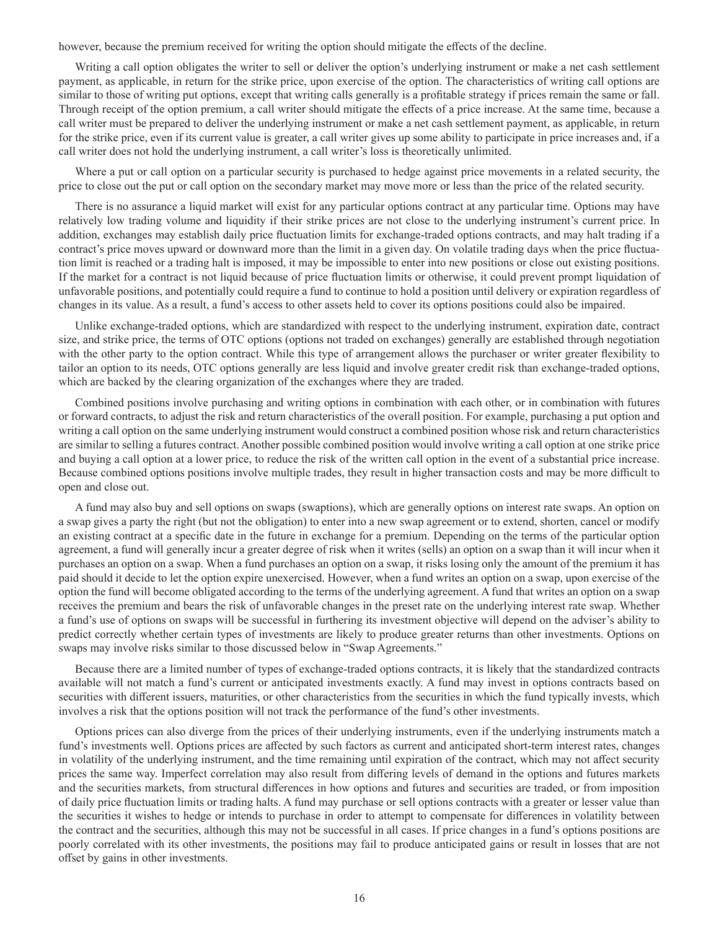however, because the premium received for writing the option should mitigate the effects of the decline.

Writing a call option obligates the writer to sell or deliver the option's underlying instrument or make a net cash settlement payment, as applicable, in return for the strike price, upon exercise of the option. The characteristics of writing call options are similar to those of writing put options, except that writing calls generally is a profitable strategy if prices remain the same or fall. Through receipt of the option premium, a call writer should mitigate the effects of a price increase. At the same time, because a call writer must be prepared to deliver the underlying instrument or make a net cash settlement payment, as applicable, in return for the strike price, even if its current value is greater, a call writer gives up some ability to participate in price increases and, if a call writer does not hold the underlying instrument, a call writer's loss is theoretically unlimited.

Where a put or call option on a particular security is purchased to hedge against price movements in a related security, the price to close out the put or call option on the secondary market may move more or less than the price of the related security.

There is no assurance a liquid market will exist for any particular options contract at any particular time. Options may have relatively low trading volume and liquidity if their strike prices are not close to the underlying instrument's current price. In addition, exchanges may establish daily price fluctuation limits for exchange-traded options contracts, and may halt trading if a contract's price moves upward or downward more than the limit in a given day. On volatile trading days when the price fluctuation limit is reached or a trading halt is imposed, it may be impossible to enter into new positions or close out existing positions. If the market for a contract is not liquid because of price fluctuation limits or otherwise, it could prevent prompt liquidation of unfavorable positions, and potentially could require a fund to continue to hold a position until delivery or expiration regardless of changes in its value. As a result, a fund's access to other assets held to cover its options positions could also be impaired.

Unlike exchange-traded options, which are standardized with respect to the underlying instrument, expiration date, contract size, and strike price, the terms of OTC options (options not traded on exchanges) generally are established through negotiation with the other party to the option contract. While this type of arrangement allows the purchaser or writer greater flexibility to tailor an option to its needs, OTC options generally are less liquid and involve greater credit risk than exchange-traded options, which are backed by the clearing organization of the exchanges where they are traded.

Combined positions involve purchasing and writing options in combination with each other, or in combination with futures or forward contracts, to adjust the risk and return characteristics of the overall position. For example, purchasing a put option and writing a call option on the same underlying instrument would construct a combined position whose risk and return characteristics are similar to selling a futures contract. Another possible combined position would involve writing a call option at one strike price and buying a call option at a lower price, to reduce the risk of the written call option in the event of a substantial price increase. Because combined options positions involve multiple trades, they result in higher transaction costs and may be more difficult to open and close out.

A fund may also buy and sell options on swaps (swaptions), which are generally options on interest rate swaps. An option on a swap gives a party the right (but not the obligation) to enter into a new swap agreement or to extend, shorten, cancel or modify an existing contract at a specific date in the future in exchange for a premium. Depending on the terms of the particular option agreement, a fund will generally incur a greater degree of risk when it writes (sells) an option on a swap than it will incur when it purchases an option on a swap. When a fund purchases an option on a swap, it risks losing only the amount of the premium it has paid should it decide to let the option expire unexercised. However, when a fund writes an option on a swap, upon exercise of the option the fund will become obligated according to the terms of the underlying agreement. A fund that writes an option on a swap receives the premium and bears the risk of unfavorable changes in the preset rate on the underlying interest rate swap. Whether a fund's use of options on swaps will be successful in furthering its investment objective will depend on the adviser's ability to predict correctly whether certain types of investments are likely to produce greater returns than other investments. Options on swaps may involve risks similar to those discussed below in "Swap Agreements."

Because there are a limited number of types of exchange-traded options contracts, it is likely that the standardized contracts available will not match a fund's current or anticipated investments exactly. A fund may invest in options contracts based on securities with different issuers, maturities, or other characteristics from the securities in which the fund typically invests, which involves a risk that the options position will not track the performance of the fund's other investments.

Options prices can also diverge from the prices of their underlying instruments, even if the underlying instruments match a fund's investments well. Options prices are affected by such factors as current and anticipated short-term interest rates, changes in volatility of the underlying instrument, and the time remaining until expiration of the contract, which may not affect security prices the same way. Imperfect correlation may also result from differing levels of demand in the options and futures markets and the securities markets, from structural differences in how options and futures and securities are traded, or from imposition of daily price fluctuation limits or trading halts. A fund may purchase or sell options contracts with a greater or lesser value than the securities it wishes to hedge or intends to purchase in order to attempt to compensate for differences in volatility between the contract and the securities, although this may not be successful in all cases. If price changes in a fund's options positions are poorly correlated with its other investments, the positions may fail to produce anticipated gains or result in losses that are not offset by gains in other investments.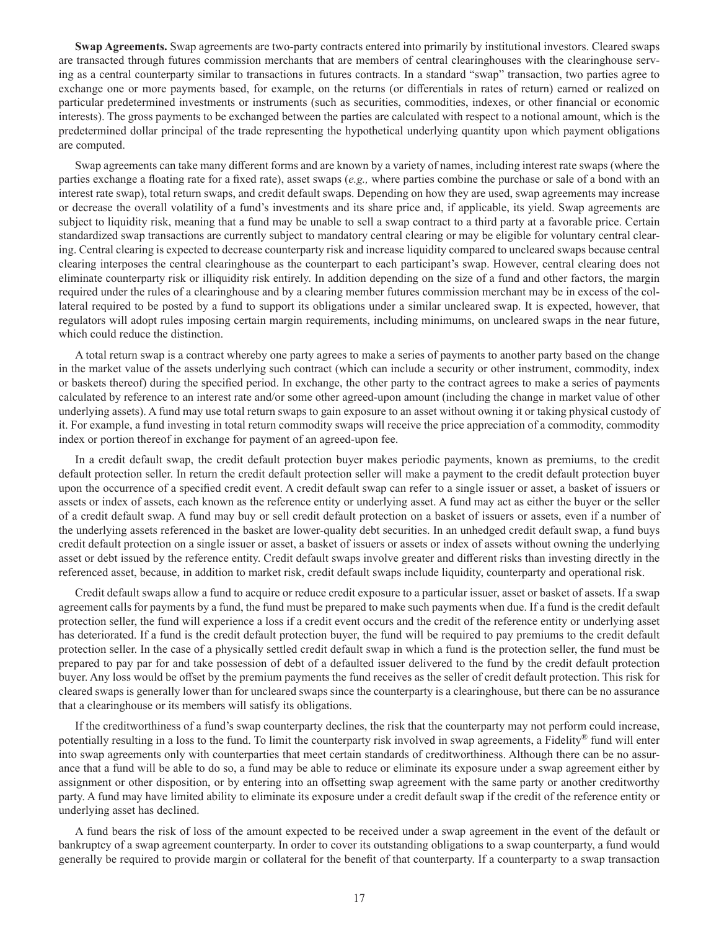**Swap Agreements.** Swap agreements are two-party contracts entered into primarily by institutional investors. Cleared swaps are transacted through futures commission merchants that are members of central clearinghouses with the clearinghouse serving as a central counterparty similar to transactions in futures contracts. In a standard "swap" transaction, two parties agree to exchange one or more payments based, for example, on the returns (or differentials in rates of return) earned or realized on particular predetermined investments or instruments (such as securities, commodities, indexes, or other financial or economic interests). The gross payments to be exchanged between the parties are calculated with respect to a notional amount, which is the predetermined dollar principal of the trade representing the hypothetical underlying quantity upon which payment obligations are computed.

Swap agreements can take many different forms and are known by a variety of names, including interest rate swaps (where the parties exchange a floating rate for a fixed rate), asset swaps (*e.g.,* where parties combine the purchase or sale of a bond with an interest rate swap), total return swaps, and credit default swaps. Depending on how they are used, swap agreements may increase or decrease the overall volatility of a fund's investments and its share price and, if applicable, its yield. Swap agreements are subject to liquidity risk, meaning that a fund may be unable to sell a swap contract to a third party at a favorable price. Certain standardized swap transactions are currently subject to mandatory central clearing or may be eligible for voluntary central clearing. Central clearing is expected to decrease counterparty risk and increase liquidity compared to uncleared swaps because central clearing interposes the central clearinghouse as the counterpart to each participant's swap. However, central clearing does not eliminate counterparty risk or illiquidity risk entirely. In addition depending on the size of a fund and other factors, the margin required under the rules of a clearinghouse and by a clearing member futures commission merchant may be in excess of the collateral required to be posted by a fund to support its obligations under a similar uncleared swap. It is expected, however, that regulators will adopt rules imposing certain margin requirements, including minimums, on uncleared swaps in the near future, which could reduce the distinction.

A total return swap is a contract whereby one party agrees to make a series of payments to another party based on the change in the market value of the assets underlying such contract (which can include a security or other instrument, commodity, index or baskets thereof) during the specified period. In exchange, the other party to the contract agrees to make a series of payments calculated by reference to an interest rate and/or some other agreed-upon amount (including the change in market value of other underlying assets). A fund may use total return swaps to gain exposure to an asset without owning it or taking physical custody of it. For example, a fund investing in total return commodity swaps will receive the price appreciation of a commodity, commodity index or portion thereof in exchange for payment of an agreed-upon fee.

In a credit default swap, the credit default protection buyer makes periodic payments, known as premiums, to the credit default protection seller. In return the credit default protection seller will make a payment to the credit default protection buyer upon the occurrence of a specified credit event. A credit default swap can refer to a single issuer or asset, a basket of issuers or assets or index of assets, each known as the reference entity or underlying asset. A fund may act as either the buyer or the seller of a credit default swap. A fund may buy or sell credit default protection on a basket of issuers or assets, even if a number of the underlying assets referenced in the basket are lower-quality debt securities. In an unhedged credit default swap, a fund buys credit default protection on a single issuer or asset, a basket of issuers or assets or index of assets without owning the underlying asset or debt issued by the reference entity. Credit default swaps involve greater and different risks than investing directly in the referenced asset, because, in addition to market risk, credit default swaps include liquidity, counterparty and operational risk.

Credit default swaps allow a fund to acquire or reduce credit exposure to a particular issuer, asset or basket of assets. If a swap agreement calls for payments by a fund, the fund must be prepared to make such payments when due. If a fund is the credit default protection seller, the fund will experience a loss if a credit event occurs and the credit of the reference entity or underlying asset has deteriorated. If a fund is the credit default protection buyer, the fund will be required to pay premiums to the credit default protection seller. In the case of a physically settled credit default swap in which a fund is the protection seller, the fund must be prepared to pay par for and take possession of debt of a defaulted issuer delivered to the fund by the credit default protection buyer. Any loss would be offset by the premium payments the fund receives as the seller of credit default protection. This risk for cleared swaps is generally lower than for uncleared swaps since the counterparty is a clearinghouse, but there can be no assurance that a clearinghouse or its members will satisfy its obligations.

If the creditworthiness of a fund's swap counterparty declines, the risk that the counterparty may not perform could increase, potentially resulting in a loss to the fund. To limit the counterparty risk involved in swap agreements, a Fidelity® fund will enter into swap agreements only with counterparties that meet certain standards of creditworthiness. Although there can be no assurance that a fund will be able to do so, a fund may be able to reduce or eliminate its exposure under a swap agreement either by assignment or other disposition, or by entering into an offsetting swap agreement with the same party or another creditworthy party. A fund may have limited ability to eliminate its exposure under a credit default swap if the credit of the reference entity or underlying asset has declined.

A fund bears the risk of loss of the amount expected to be received under a swap agreement in the event of the default or bankruptcy of a swap agreement counterparty. In order to cover its outstanding obligations to a swap counterparty, a fund would generally be required to provide margin or collateral for the benefit of that counterparty. If a counterparty to a swap transaction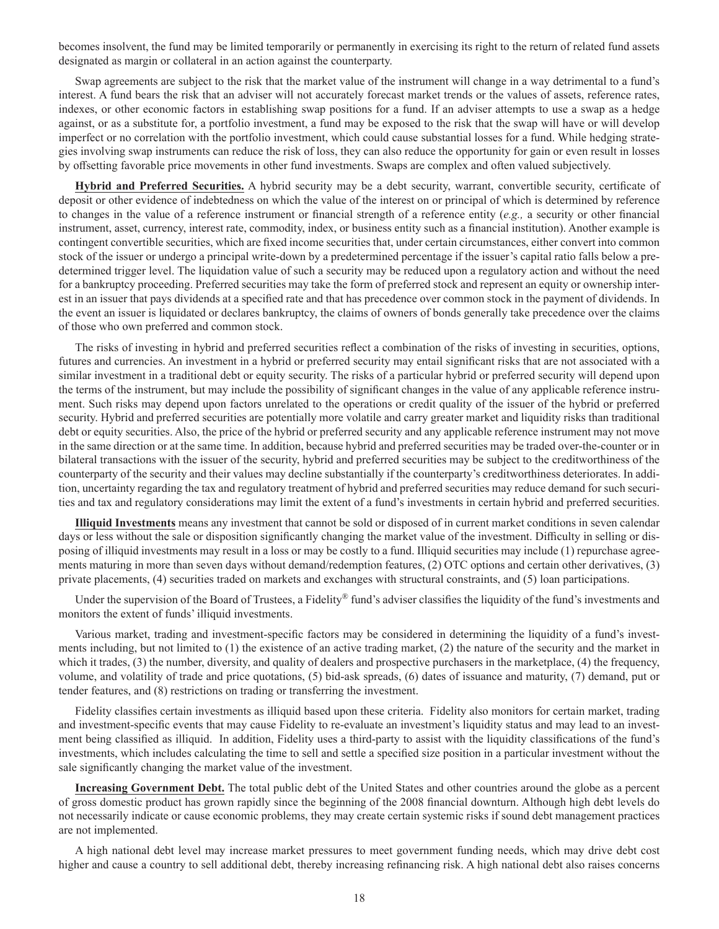becomes insolvent, the fund may be limited temporarily or permanently in exercising its right to the return of related fund assets designated as margin or collateral in an action against the counterparty.

Swap agreements are subject to the risk that the market value of the instrument will change in a way detrimental to a fund's interest. A fund bears the risk that an adviser will not accurately forecast market trends or the values of assets, reference rates, indexes, or other economic factors in establishing swap positions for a fund. If an adviser attempts to use a swap as a hedge against, or as a substitute for, a portfolio investment, a fund may be exposed to the risk that the swap will have or will develop imperfect or no correlation with the portfolio investment, which could cause substantial losses for a fund. While hedging strategies involving swap instruments can reduce the risk of loss, they can also reduce the opportunity for gain or even result in losses by offsetting favorable price movements in other fund investments. Swaps are complex and often valued subjectively.

**Hybrid and Preferred Securities.** A hybrid security may be a debt security, warrant, convertible security, certificate of deposit or other evidence of indebtedness on which the value of the interest on or principal of which is determined by reference to changes in the value of a reference instrument or financial strength of a reference entity (*e.g.,* a security or other financial instrument, asset, currency, interest rate, commodity, index, or business entity such as a financial institution). Another example is contingent convertible securities, which are fixed income securities that, under certain circumstances, either convert into common stock of the issuer or undergo a principal write-down by a predetermined percentage if the issuer's capital ratio falls below a predetermined trigger level. The liquidation value of such a security may be reduced upon a regulatory action and without the need for a bankruptcy proceeding. Preferred securities may take the form of preferred stock and represent an equity or ownership interest in an issuer that pays dividends at a specified rate and that has precedence over common stock in the payment of dividends. In the event an issuer is liquidated or declares bankruptcy, the claims of owners of bonds generally take precedence over the claims of those who own preferred and common stock.

The risks of investing in hybrid and preferred securities reflect a combination of the risks of investing in securities, options, futures and currencies. An investment in a hybrid or preferred security may entail significant risks that are not associated with a similar investment in a traditional debt or equity security. The risks of a particular hybrid or preferred security will depend upon the terms of the instrument, but may include the possibility of significant changes in the value of any applicable reference instrument. Such risks may depend upon factors unrelated to the operations or credit quality of the issuer of the hybrid or preferred security. Hybrid and preferred securities are potentially more volatile and carry greater market and liquidity risks than traditional debt or equity securities. Also, the price of the hybrid or preferred security and any applicable reference instrument may not move in the same direction or at the same time. In addition, because hybrid and preferred securities may be traded over-the-counter or in bilateral transactions with the issuer of the security, hybrid and preferred securities may be subject to the creditworthiness of the counterparty of the security and their values may decline substantially if the counterparty's creditworthiness deteriorates. In addition, uncertainty regarding the tax and regulatory treatment of hybrid and preferred securities may reduce demand for such securities and tax and regulatory considerations may limit the extent of a fund's investments in certain hybrid and preferred securities.

**Illiquid Investments** means any investment that cannot be sold or disposed of in current market conditions in seven calendar days or less without the sale or disposition significantly changing the market value of the investment. Difficulty in selling or disposing of illiquid investments may result in a loss or may be costly to a fund. Illiquid securities may include (1) repurchase agreements maturing in more than seven days without demand/redemption features, (2) OTC options and certain other derivatives, (3) private placements, (4) securities traded on markets and exchanges with structural constraints, and (5) loan participations.

Under the supervision of the Board of Trustees, a Fidelity® fund's adviser classifies the liquidity of the fund's investments and monitors the extent of funds' illiquid investments.

Various market, trading and investment-specific factors may be considered in determining the liquidity of a fund's investments including, but not limited to (1) the existence of an active trading market, (2) the nature of the security and the market in which it trades, (3) the number, diversity, and quality of dealers and prospective purchasers in the marketplace, (4) the frequency, volume, and volatility of trade and price quotations, (5) bid-ask spreads, (6) dates of issuance and maturity, (7) demand, put or tender features, and (8) restrictions on trading or transferring the investment.

Fidelity classifies certain investments as illiquid based upon these criteria. Fidelity also monitors for certain market, trading and investment-specific events that may cause Fidelity to re-evaluate an investment's liquidity status and may lead to an investment being classified as illiquid. In addition, Fidelity uses a third-party to assist with the liquidity classifications of the fund's investments, which includes calculating the time to sell and settle a specified size position in a particular investment without the sale significantly changing the market value of the investment.

**Increasing Government Debt.** The total public debt of the United States and other countries around the globe as a percent of gross domestic product has grown rapidly since the beginning of the 2008 financial downturn. Although high debt levels do not necessarily indicate or cause economic problems, they may create certain systemic risks if sound debt management practices are not implemented.

A high national debt level may increase market pressures to meet government funding needs, which may drive debt cost higher and cause a country to sell additional debt, thereby increasing refinancing risk. A high national debt also raises concerns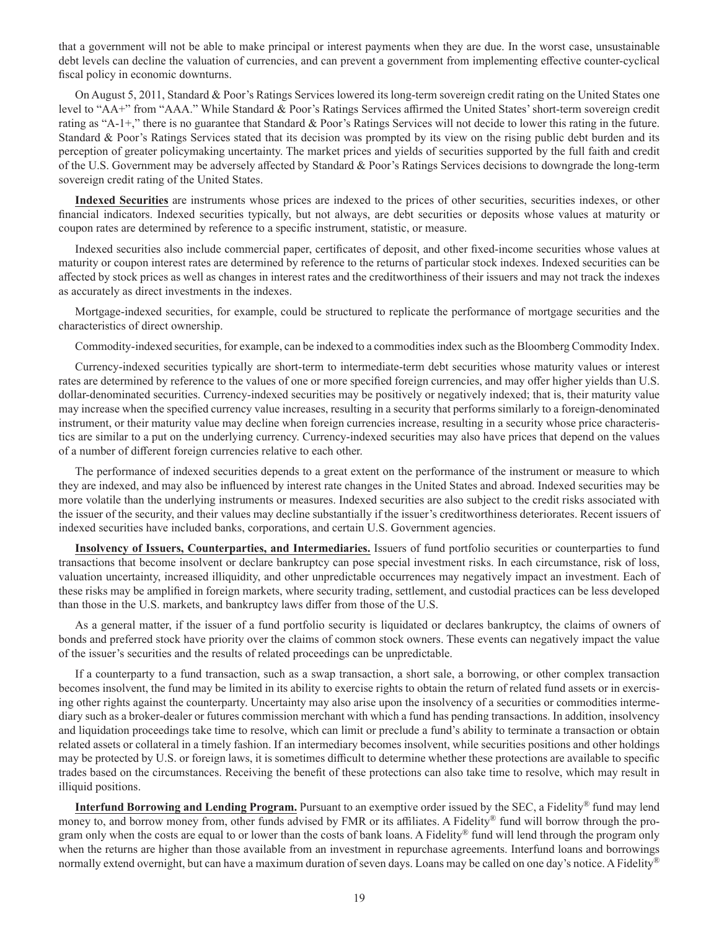that a government will not be able to make principal or interest payments when they are due. In the worst case, unsustainable debt levels can decline the valuation of currencies, and can prevent a government from implementing effective counter-cyclical fiscal policy in economic downturns.

On August 5, 2011, Standard & Poor's Ratings Services lowered its long-term sovereign credit rating on the United States one level to "AA+" from "AAA." While Standard & Poor's Ratings Services affirmed the United States' short-term sovereign credit rating as "A-1+," there is no guarantee that Standard & Poor's Ratings Services will not decide to lower this rating in the future. Standard & Poor's Ratings Services stated that its decision was prompted by its view on the rising public debt burden and its perception of greater policymaking uncertainty. The market prices and yields of securities supported by the full faith and credit of the U.S. Government may be adversely affected by Standard & Poor's Ratings Services decisions to downgrade the long-term sovereign credit rating of the United States.

**Indexed Securities** are instruments whose prices are indexed to the prices of other securities, securities indexes, or other financial indicators. Indexed securities typically, but not always, are debt securities or deposits whose values at maturity or coupon rates are determined by reference to a specific instrument, statistic, or measure.

Indexed securities also include commercial paper, certificates of deposit, and other fixed-income securities whose values at maturity or coupon interest rates are determined by reference to the returns of particular stock indexes. Indexed securities can be affected by stock prices as well as changes in interest rates and the creditworthiness of their issuers and may not track the indexes as accurately as direct investments in the indexes.

Mortgage-indexed securities, for example, could be structured to replicate the performance of mortgage securities and the characteristics of direct ownership.

Commodity-indexed securities, for example, can be indexed to a commodities index such as the Bloomberg Commodity Index.

Currency-indexed securities typically are short-term to intermediate-term debt securities whose maturity values or interest rates are determined by reference to the values of one or more specified foreign currencies, and may offer higher yields than U.S. dollar-denominated securities. Currency-indexed securities may be positively or negatively indexed; that is, their maturity value may increase when the specified currency value increases, resulting in a security that performs similarly to a foreign-denominated instrument, or their maturity value may decline when foreign currencies increase, resulting in a security whose price characteristics are similar to a put on the underlying currency. Currency-indexed securities may also have prices that depend on the values of a number of different foreign currencies relative to each other.

The performance of indexed securities depends to a great extent on the performance of the instrument or measure to which they are indexed, and may also be influenced by interest rate changes in the United States and abroad. Indexed securities may be more volatile than the underlying instruments or measures. Indexed securities are also subject to the credit risks associated with the issuer of the security, and their values may decline substantially if the issuer's creditworthiness deteriorates. Recent issuers of indexed securities have included banks, corporations, and certain U.S. Government agencies.

**Insolvency of Issuers, Counterparties, and Intermediaries.** Issuers of fund portfolio securities or counterparties to fund transactions that become insolvent or declare bankruptcy can pose special investment risks. In each circumstance, risk of loss, valuation uncertainty, increased illiquidity, and other unpredictable occurrences may negatively impact an investment. Each of these risks may be amplified in foreign markets, where security trading, settlement, and custodial practices can be less developed than those in the U.S. markets, and bankruptcy laws differ from those of the U.S.

As a general matter, if the issuer of a fund portfolio security is liquidated or declares bankruptcy, the claims of owners of bonds and preferred stock have priority over the claims of common stock owners. These events can negatively impact the value of the issuer's securities and the results of related proceedings can be unpredictable.

If a counterparty to a fund transaction, such as a swap transaction, a short sale, a borrowing, or other complex transaction becomes insolvent, the fund may be limited in its ability to exercise rights to obtain the return of related fund assets or in exercising other rights against the counterparty. Uncertainty may also arise upon the insolvency of a securities or commodities intermediary such as a broker-dealer or futures commission merchant with which a fund has pending transactions. In addition, insolvency and liquidation proceedings take time to resolve, which can limit or preclude a fund's ability to terminate a transaction or obtain related assets or collateral in a timely fashion. If an intermediary becomes insolvent, while securities positions and other holdings may be protected by U.S. or foreign laws, it is sometimes difficult to determine whether these protections are available to specific trades based on the circumstances. Receiving the benefit of these protections can also take time to resolve, which may result in illiquid positions.

**Interfund Borrowing and Lending Program.** Pursuant to an exemptive order issued by the SEC, a Fidelity® fund may lend money to, and borrow money from, other funds advised by FMR or its affiliates. A Fidelity® fund will borrow through the program only when the costs are equal to or lower than the costs of bank loans. A Fidelity® fund will lend through the program only when the returns are higher than those available from an investment in repurchase agreements. Interfund loans and borrowings normally extend overnight, but can have a maximum duration of seven days. Loans may be called on one day's notice. A Fidelity®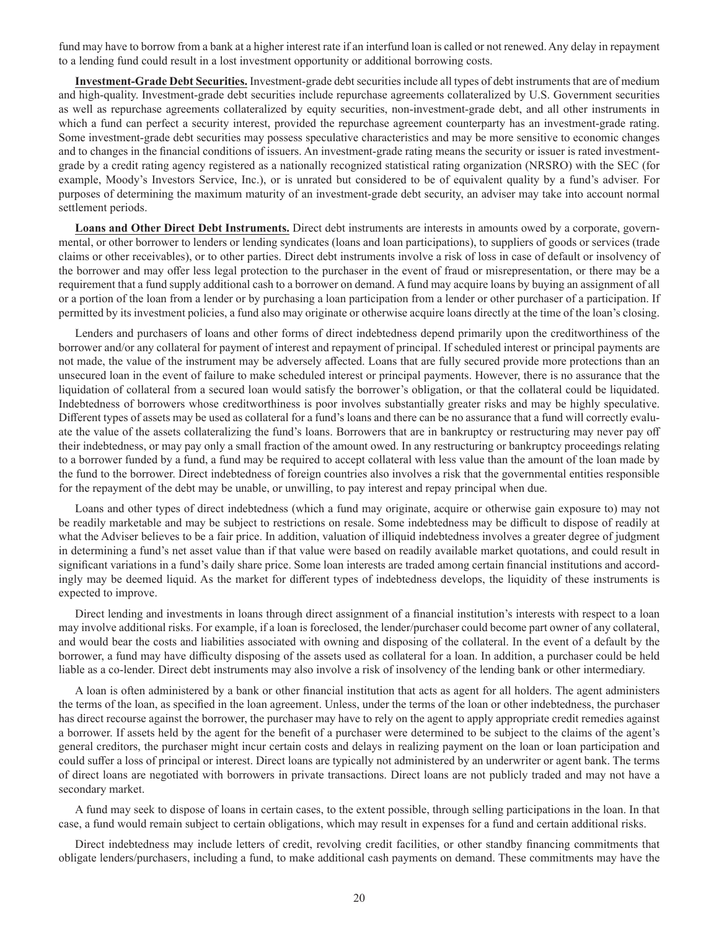fund may have to borrow from a bank at a higher interest rate if an interfund loan is called or not renewed. Any delay in repayment to a lending fund could result in a lost investment opportunity or additional borrowing costs.

**Investment-Grade Debt Securities.** Investment-grade debt securities include all types of debt instruments that are of medium and high-quality. Investment-grade debt securities include repurchase agreements collateralized by U.S. Government securities as well as repurchase agreements collateralized by equity securities, non-investment-grade debt, and all other instruments in which a fund can perfect a security interest, provided the repurchase agreement counterparty has an investment-grade rating. Some investment-grade debt securities may possess speculative characteristics and may be more sensitive to economic changes and to changes in the financial conditions of issuers. An investment-grade rating means the security or issuer is rated investmentgrade by a credit rating agency registered as a nationally recognized statistical rating organization (NRSRO) with the SEC (for example, Moody's Investors Service, Inc.), or is unrated but considered to be of equivalent quality by a fund's adviser. For purposes of determining the maximum maturity of an investment-grade debt security, an adviser may take into account normal settlement periods.

**Loans and Other Direct Debt Instruments.** Direct debt instruments are interests in amounts owed by a corporate, governmental, or other borrower to lenders or lending syndicates (loans and loan participations), to suppliers of goods or services (trade claims or other receivables), or to other parties. Direct debt instruments involve a risk of loss in case of default or insolvency of the borrower and may offer less legal protection to the purchaser in the event of fraud or misrepresentation, or there may be a requirement that a fund supply additional cash to a borrower on demand. A fund may acquire loans by buying an assignment of all or a portion of the loan from a lender or by purchasing a loan participation from a lender or other purchaser of a participation. If permitted by its investment policies, a fund also may originate or otherwise acquire loans directly at the time of the loan's closing.

Lenders and purchasers of loans and other forms of direct indebtedness depend primarily upon the creditworthiness of the borrower and/or any collateral for payment of interest and repayment of principal. If scheduled interest or principal payments are not made, the value of the instrument may be adversely affected. Loans that are fully secured provide more protections than an unsecured loan in the event of failure to make scheduled interest or principal payments. However, there is no assurance that the liquidation of collateral from a secured loan would satisfy the borrower's obligation, or that the collateral could be liquidated. Indebtedness of borrowers whose creditworthiness is poor involves substantially greater risks and may be highly speculative. Different types of assets may be used as collateral for a fund's loans and there can be no assurance that a fund will correctly evaluate the value of the assets collateralizing the fund's loans. Borrowers that are in bankruptcy or restructuring may never pay off their indebtedness, or may pay only a small fraction of the amount owed. In any restructuring or bankruptcy proceedings relating to a borrower funded by a fund, a fund may be required to accept collateral with less value than the amount of the loan made by the fund to the borrower. Direct indebtedness of foreign countries also involves a risk that the governmental entities responsible for the repayment of the debt may be unable, or unwilling, to pay interest and repay principal when due.

Loans and other types of direct indebtedness (which a fund may originate, acquire or otherwise gain exposure to) may not be readily marketable and may be subject to restrictions on resale. Some indebtedness may be difficult to dispose of readily at what the Adviser believes to be a fair price. In addition, valuation of illiquid indebtedness involves a greater degree of judgment in determining a fund's net asset value than if that value were based on readily available market quotations, and could result in significant variations in a fund's daily share price. Some loan interests are traded among certain financial institutions and accordingly may be deemed liquid. As the market for different types of indebtedness develops, the liquidity of these instruments is expected to improve.

Direct lending and investments in loans through direct assignment of a financial institution's interests with respect to a loan may involve additional risks. For example, if a loan is foreclosed, the lender/purchaser could become part owner of any collateral, and would bear the costs and liabilities associated with owning and disposing of the collateral. In the event of a default by the borrower, a fund may have difficulty disposing of the assets used as collateral for a loan. In addition, a purchaser could be held liable as a co-lender. Direct debt instruments may also involve a risk of insolvency of the lending bank or other intermediary.

A loan is often administered by a bank or other financial institution that acts as agent for all holders. The agent administers the terms of the loan, as specified in the loan agreement. Unless, under the terms of the loan or other indebtedness, the purchaser has direct recourse against the borrower, the purchaser may have to rely on the agent to apply appropriate credit remedies against a borrower. If assets held by the agent for the benefit of a purchaser were determined to be subject to the claims of the agent's general creditors, the purchaser might incur certain costs and delays in realizing payment on the loan or loan participation and could suffer a loss of principal or interest. Direct loans are typically not administered by an underwriter or agent bank. The terms of direct loans are negotiated with borrowers in private transactions. Direct loans are not publicly traded and may not have a secondary market.

A fund may seek to dispose of loans in certain cases, to the extent possible, through selling participations in the loan. In that case, a fund would remain subject to certain obligations, which may result in expenses for a fund and certain additional risks.

Direct indebtedness may include letters of credit, revolving credit facilities, or other standby financing commitments that obligate lenders/purchasers, including a fund, to make additional cash payments on demand. These commitments may have the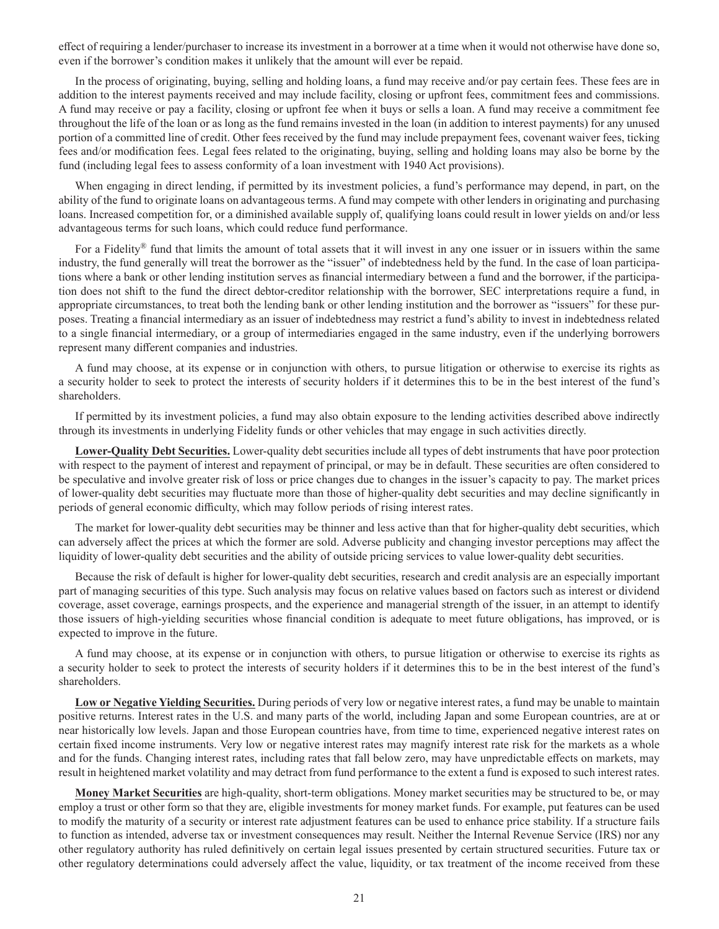effect of requiring a lender/purchaser to increase its investment in a borrower at a time when it would not otherwise have done so, even if the borrower's condition makes it unlikely that the amount will ever be repaid.

In the process of originating, buying, selling and holding loans, a fund may receive and/or pay certain fees. These fees are in addition to the interest payments received and may include facility, closing or upfront fees, commitment fees and commissions. A fund may receive or pay a facility, closing or upfront fee when it buys or sells a loan. A fund may receive a commitment fee throughout the life of the loan or as long as the fund remains invested in the loan (in addition to interest payments) for any unused portion of a committed line of credit. Other fees received by the fund may include prepayment fees, covenant waiver fees, ticking fees and/or modification fees. Legal fees related to the originating, buying, selling and holding loans may also be borne by the fund (including legal fees to assess conformity of a loan investment with 1940 Act provisions).

When engaging in direct lending, if permitted by its investment policies, a fund's performance may depend, in part, on the ability of the fund to originate loans on advantageous terms. A fund may compete with other lenders in originating and purchasing loans. Increased competition for, or a diminished available supply of, qualifying loans could result in lower yields on and/or less advantageous terms for such loans, which could reduce fund performance.

For a Fidelity® fund that limits the amount of total assets that it will invest in any one issuer or in issuers within the same industry, the fund generally will treat the borrower as the "issuer" of indebtedness held by the fund. In the case of loan participations where a bank or other lending institution serves as financial intermediary between a fund and the borrower, if the participation does not shift to the fund the direct debtor-creditor relationship with the borrower, SEC interpretations require a fund, in appropriate circumstances, to treat both the lending bank or other lending institution and the borrower as "issuers" for these purposes. Treating a financial intermediary as an issuer of indebtedness may restrict a fund's ability to invest in indebtedness related to a single financial intermediary, or a group of intermediaries engaged in the same industry, even if the underlying borrowers represent many different companies and industries.

A fund may choose, at its expense or in conjunction with others, to pursue litigation or otherwise to exercise its rights as a security holder to seek to protect the interests of security holders if it determines this to be in the best interest of the fund's shareholders.

If permitted by its investment policies, a fund may also obtain exposure to the lending activities described above indirectly through its investments in underlying Fidelity funds or other vehicles that may engage in such activities directly.

**Lower-Quality Debt Securities.** Lower-quality debt securities include all types of debt instruments that have poor protection with respect to the payment of interest and repayment of principal, or may be in default. These securities are often considered to be speculative and involve greater risk of loss or price changes due to changes in the issuer's capacity to pay. The market prices of lower-quality debt securities may fluctuate more than those of higher-quality debt securities and may decline significantly in periods of general economic difficulty, which may follow periods of rising interest rates.

The market for lower-quality debt securities may be thinner and less active than that for higher-quality debt securities, which can adversely affect the prices at which the former are sold. Adverse publicity and changing investor perceptions may affect the liquidity of lower-quality debt securities and the ability of outside pricing services to value lower-quality debt securities.

Because the risk of default is higher for lower-quality debt securities, research and credit analysis are an especially important part of managing securities of this type. Such analysis may focus on relative values based on factors such as interest or dividend coverage, asset coverage, earnings prospects, and the experience and managerial strength of the issuer, in an attempt to identify those issuers of high-yielding securities whose financial condition is adequate to meet future obligations, has improved, or is expected to improve in the future.

A fund may choose, at its expense or in conjunction with others, to pursue litigation or otherwise to exercise its rights as a security holder to seek to protect the interests of security holders if it determines this to be in the best interest of the fund's shareholders.

**Low or Negative Yielding Securities.** During periods of very low or negative interest rates, a fund may be unable to maintain positive returns. Interest rates in the U.S. and many parts of the world, including Japan and some European countries, are at or near historically low levels. Japan and those European countries have, from time to time, experienced negative interest rates on certain fixed income instruments. Very low or negative interest rates may magnify interest rate risk for the markets as a whole and for the funds. Changing interest rates, including rates that fall below zero, may have unpredictable effects on markets, may result in heightened market volatility and may detract from fund performance to the extent a fund is exposed to such interest rates.

**Money Market Securities** are high-quality, short-term obligations. Money market securities may be structured to be, or may employ a trust or other form so that they are, eligible investments for money market funds. For example, put features can be used to modify the maturity of a security or interest rate adjustment features can be used to enhance price stability. If a structure fails to function as intended, adverse tax or investment consequences may result. Neither the Internal Revenue Service (IRS) nor any other regulatory authority has ruled definitively on certain legal issues presented by certain structured securities. Future tax or other regulatory determinations could adversely affect the value, liquidity, or tax treatment of the income received from these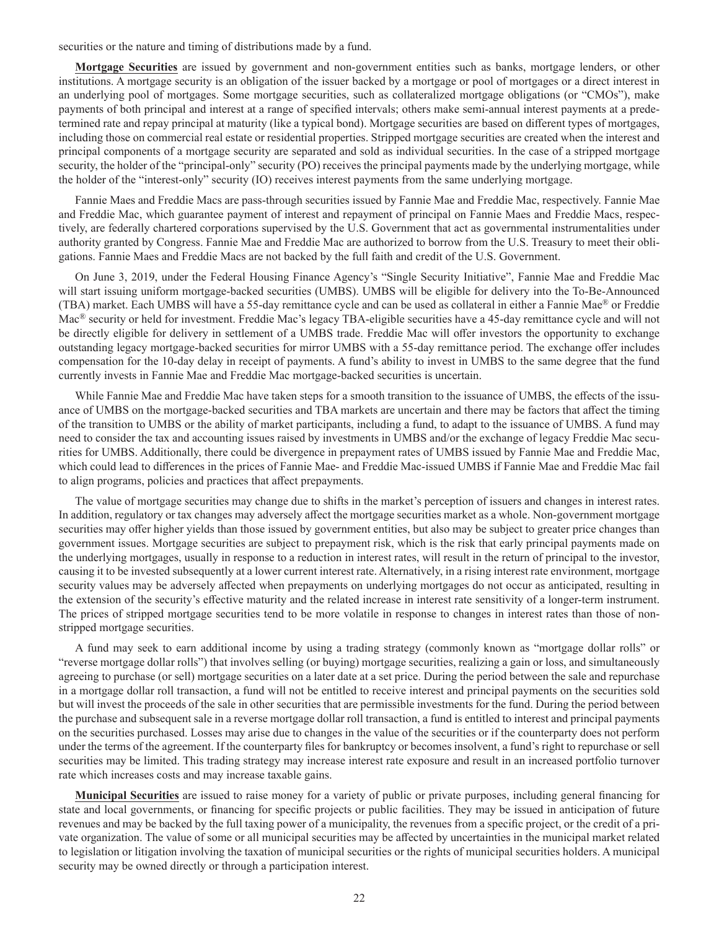securities or the nature and timing of distributions made by a fund.

**Mortgage Securities** are issued by government and non-government entities such as banks, mortgage lenders, or other institutions. A mortgage security is an obligation of the issuer backed by a mortgage or pool of mortgages or a direct interest in an underlying pool of mortgages. Some mortgage securities, such as collateralized mortgage obligations (or "CMOs"), make payments of both principal and interest at a range of specified intervals; others make semi-annual interest payments at a predetermined rate and repay principal at maturity (like a typical bond). Mortgage securities are based on different types of mortgages, including those on commercial real estate or residential properties. Stripped mortgage securities are created when the interest and principal components of a mortgage security are separated and sold as individual securities. In the case of a stripped mortgage security, the holder of the "principal-only" security (PO) receives the principal payments made by the underlying mortgage, while the holder of the "interest-only" security (IO) receives interest payments from the same underlying mortgage.

Fannie Maes and Freddie Macs are pass-through securities issued by Fannie Mae and Freddie Mac, respectively. Fannie Mae and Freddie Mac, which guarantee payment of interest and repayment of principal on Fannie Maes and Freddie Macs, respectively, are federally chartered corporations supervised by the U.S. Government that act as governmental instrumentalities under authority granted by Congress. Fannie Mae and Freddie Mac are authorized to borrow from the U.S. Treasury to meet their obligations. Fannie Maes and Freddie Macs are not backed by the full faith and credit of the U.S. Government.

On June 3, 2019, under the Federal Housing Finance Agency's "Single Security Initiative", Fannie Mae and Freddie Mac will start issuing uniform mortgage-backed securities (UMBS). UMBS will be eligible for delivery into the To-Be-Announced (TBA) market. Each UMBS will have a 55-day remittance cycle and can be used as collateral in either a Fannie Mae® or Freddie Mac<sup>®</sup> security or held for investment. Freddie Mac's legacy TBA-eligible securities have a 45-day remittance cycle and will not be directly eligible for delivery in settlement of a UMBS trade. Freddie Mac will offer investors the opportunity to exchange outstanding legacy mortgage-backed securities for mirror UMBS with a 55-day remittance period. The exchange offer includes compensation for the 10-day delay in receipt of payments. A fund's ability to invest in UMBS to the same degree that the fund currently invests in Fannie Mae and Freddie Mac mortgage-backed securities is uncertain.

While Fannie Mae and Freddie Mac have taken steps for a smooth transition to the issuance of UMBS, the effects of the issuance of UMBS on the mortgage-backed securities and TBA markets are uncertain and there may be factors that affect the timing of the transition to UMBS or the ability of market participants, including a fund, to adapt to the issuance of UMBS. A fund may need to consider the tax and accounting issues raised by investments in UMBS and/or the exchange of legacy Freddie Mac securities for UMBS. Additionally, there could be divergence in prepayment rates of UMBS issued by Fannie Mae and Freddie Mac, which could lead to differences in the prices of Fannie Mae- and Freddie Mac-issued UMBS if Fannie Mae and Freddie Mac fail to align programs, policies and practices that affect prepayments.

The value of mortgage securities may change due to shifts in the market's perception of issuers and changes in interest rates. In addition, regulatory or tax changes may adversely affect the mortgage securities market as a whole. Non-government mortgage securities may offer higher yields than those issued by government entities, but also may be subject to greater price changes than government issues. Mortgage securities are subject to prepayment risk, which is the risk that early principal payments made on the underlying mortgages, usually in response to a reduction in interest rates, will result in the return of principal to the investor, causing it to be invested subsequently at a lower current interest rate. Alternatively, in a rising interest rate environment, mortgage security values may be adversely affected when prepayments on underlying mortgages do not occur as anticipated, resulting in the extension of the security's effective maturity and the related increase in interest rate sensitivity of a longer-term instrument. The prices of stripped mortgage securities tend to be more volatile in response to changes in interest rates than those of nonstripped mortgage securities.

A fund may seek to earn additional income by using a trading strategy (commonly known as "mortgage dollar rolls" or "reverse mortgage dollar rolls") that involves selling (or buying) mortgage securities, realizing a gain or loss, and simultaneously agreeing to purchase (or sell) mortgage securities on a later date at a set price. During the period between the sale and repurchase in a mortgage dollar roll transaction, a fund will not be entitled to receive interest and principal payments on the securities sold but will invest the proceeds of the sale in other securities that are permissible investments for the fund. During the period between the purchase and subsequent sale in a reverse mortgage dollar roll transaction, a fund is entitled to interest and principal payments on the securities purchased. Losses may arise due to changes in the value of the securities or if the counterparty does not perform under the terms of the agreement. If the counterparty files for bankruptcy or becomes insolvent, a fund's right to repurchase or sell securities may be limited. This trading strategy may increase interest rate exposure and result in an increased portfolio turnover rate which increases costs and may increase taxable gains.

**Municipal Securities** are issued to raise money for a variety of public or private purposes, including general financing for state and local governments, or financing for specific projects or public facilities. They may be issued in anticipation of future revenues and may be backed by the full taxing power of a municipality, the revenues from a specific project, or the credit of a private organization. The value of some or all municipal securities may be affected by uncertainties in the municipal market related to legislation or litigation involving the taxation of municipal securities or the rights of municipal securities holders. A municipal security may be owned directly or through a participation interest.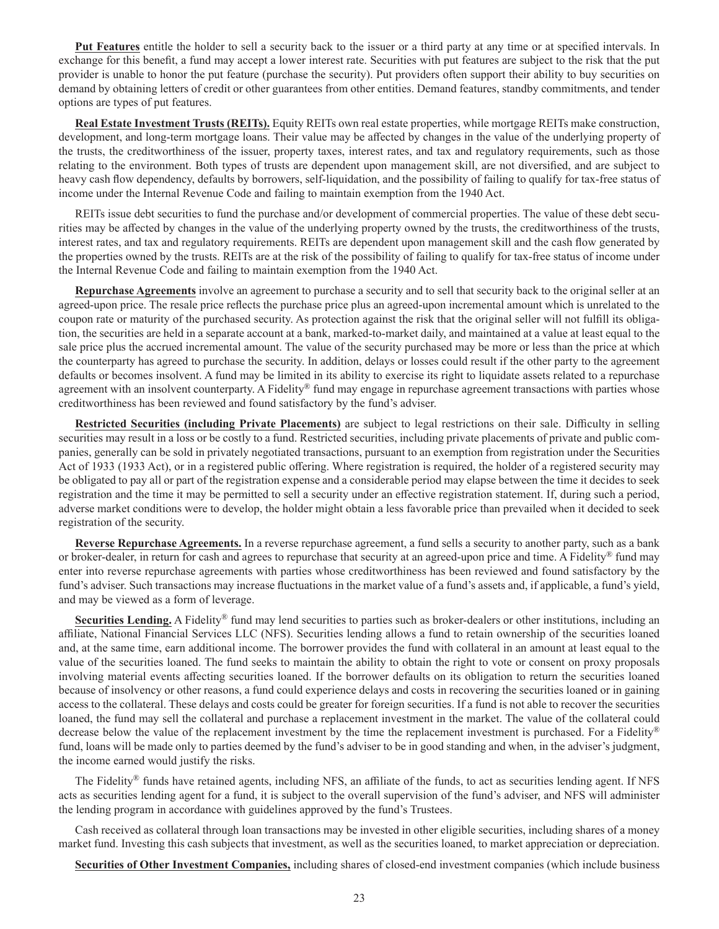**Put Features** entitle the holder to sell a security back to the issuer or a third party at any time or at specified intervals. In exchange for this benefit, a fund may accept a lower interest rate. Securities with put features are subject to the risk that the put provider is unable to honor the put feature (purchase the security). Put providers often support their ability to buy securities on demand by obtaining letters of credit or other guarantees from other entities. Demand features, standby commitments, and tender options are types of put features.

**Real Estate Investment Trusts (REITs).** Equity REITs own real estate properties, while mortgage REITs make construction, development, and long-term mortgage loans. Their value may be affected by changes in the value of the underlying property of the trusts, the creditworthiness of the issuer, property taxes, interest rates, and tax and regulatory requirements, such as those relating to the environment. Both types of trusts are dependent upon management skill, are not diversified, and are subject to heavy cash flow dependency, defaults by borrowers, self-liquidation, and the possibility of failing to qualify for tax-free status of income under the Internal Revenue Code and failing to maintain exemption from the 1940 Act.

REITs issue debt securities to fund the purchase and/or development of commercial properties. The value of these debt securities may be affected by changes in the value of the underlying property owned by the trusts, the creditworthiness of the trusts, interest rates, and tax and regulatory requirements. REITs are dependent upon management skill and the cash flow generated by the properties owned by the trusts. REITs are at the risk of the possibility of failing to qualify for tax-free status of income under the Internal Revenue Code and failing to maintain exemption from the 1940 Act.

**Repurchase Agreements** involve an agreement to purchase a security and to sell that security back to the original seller at an agreed-upon price. The resale price reflects the purchase price plus an agreed-upon incremental amount which is unrelated to the coupon rate or maturity of the purchased security. As protection against the risk that the original seller will not fulfill its obligation, the securities are held in a separate account at a bank, marked-to-market daily, and maintained at a value at least equal to the sale price plus the accrued incremental amount. The value of the security purchased may be more or less than the price at which the counterparty has agreed to purchase the security. In addition, delays or losses could result if the other party to the agreement defaults or becomes insolvent. A fund may be limited in its ability to exercise its right to liquidate assets related to a repurchase agreement with an insolvent counterparty. A Fidelity® fund may engage in repurchase agreement transactions with parties whose creditworthiness has been reviewed and found satisfactory by the fund's adviser.

**Restricted Securities (including Private Placements)** are subject to legal restrictions on their sale. Difficulty in selling securities may result in a loss or be costly to a fund. Restricted securities, including private placements of private and public companies, generally can be sold in privately negotiated transactions, pursuant to an exemption from registration under the Securities Act of 1933 (1933 Act), or in a registered public offering. Where registration is required, the holder of a registered security may be obligated to pay all or part of the registration expense and a considerable period may elapse between the time it decides to seek registration and the time it may be permitted to sell a security under an effective registration statement. If, during such a period, adverse market conditions were to develop, the holder might obtain a less favorable price than prevailed when it decided to seek registration of the security.

**Reverse Repurchase Agreements.** In a reverse repurchase agreement, a fund sells a security to another party, such as a bank or broker-dealer, in return for cash and agrees to repurchase that security at an agreed-upon price and time. A Fidelity<sup>®</sup> fund may enter into reverse repurchase agreements with parties whose creditworthiness has been reviewed and found satisfactory by the fund's adviser. Such transactions may increase fluctuations in the market value of a fund's assets and, if applicable, a fund's yield, and may be viewed as a form of leverage.

**Securities Lending.** A Fidelity® fund may lend securities to parties such as broker-dealers or other institutions, including an affiliate, National Financial Services LLC (NFS). Securities lending allows a fund to retain ownership of the securities loaned and, at the same time, earn additional income. The borrower provides the fund with collateral in an amount at least equal to the value of the securities loaned. The fund seeks to maintain the ability to obtain the right to vote or consent on proxy proposals involving material events affecting securities loaned. If the borrower defaults on its obligation to return the securities loaned because of insolvency or other reasons, a fund could experience delays and costs in recovering the securities loaned or in gaining access to the collateral. These delays and costs could be greater for foreign securities. If a fund is not able to recover the securities loaned, the fund may sell the collateral and purchase a replacement investment in the market. The value of the collateral could decrease below the value of the replacement investment by the time the replacement investment is purchased. For a Fidelity® fund, loans will be made only to parties deemed by the fund's adviser to be in good standing and when, in the adviser's judgment, the income earned would justify the risks.

The Fidelity<sup>®</sup> funds have retained agents, including NFS, an affiliate of the funds, to act as securities lending agent. If NFS acts as securities lending agent for a fund, it is subject to the overall supervision of the fund's adviser, and NFS will administer the lending program in accordance with guidelines approved by the fund's Trustees.

Cash received as collateral through loan transactions may be invested in other eligible securities, including shares of a money market fund. Investing this cash subjects that investment, as well as the securities loaned, to market appreciation or depreciation.

**Securities of Other Investment Companies,** including shares of closed-end investment companies (which include business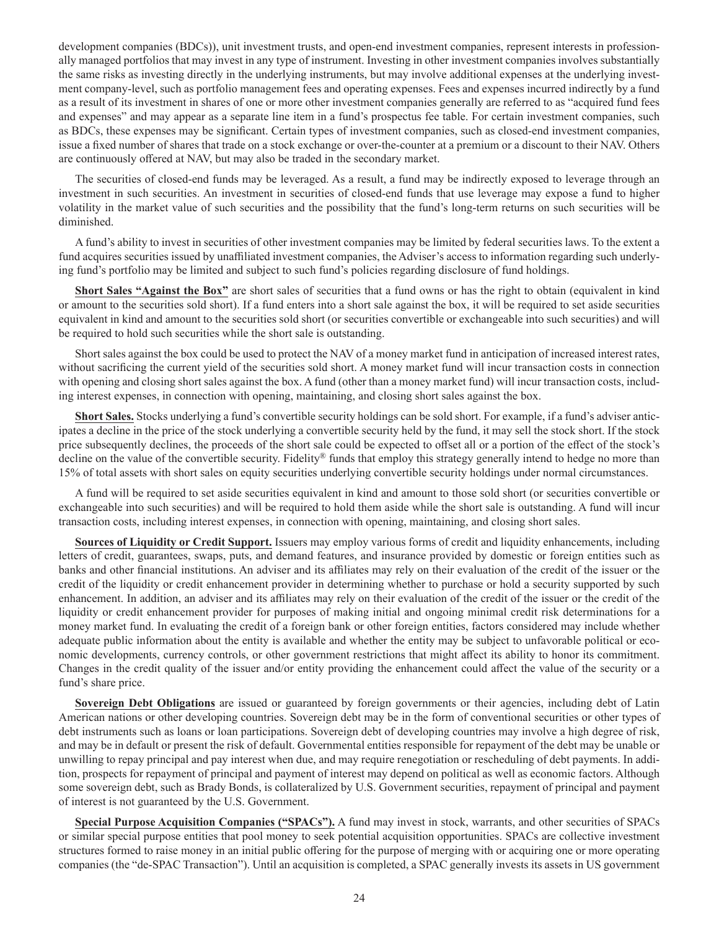development companies (BDCs)), unit investment trusts, and open-end investment companies, represent interests in professionally managed portfolios that may invest in any type of instrument. Investing in other investment companies involves substantially the same risks as investing directly in the underlying instruments, but may involve additional expenses at the underlying investment company-level, such as portfolio management fees and operating expenses. Fees and expenses incurred indirectly by a fund as a result of its investment in shares of one or more other investment companies generally are referred to as "acquired fund fees and expenses" and may appear as a separate line item in a fund's prospectus fee table. For certain investment companies, such as BDCs, these expenses may be significant. Certain types of investment companies, such as closed-end investment companies, issue a fixed number of shares that trade on a stock exchange or over-the-counter at a premium or a discount to their NAV. Others are continuously offered at NAV, but may also be traded in the secondary market.

The securities of closed-end funds may be leveraged. As a result, a fund may be indirectly exposed to leverage through an investment in such securities. An investment in securities of closed-end funds that use leverage may expose a fund to higher volatility in the market value of such securities and the possibility that the fund's long-term returns on such securities will be diminished.

A fund's ability to invest in securities of other investment companies may be limited by federal securities laws. To the extent a fund acquires securities issued by unaffiliated investment companies, the Adviser's access to information regarding such underlying fund's portfolio may be limited and subject to such fund's policies regarding disclosure of fund holdings.

**Short Sales "Against the Box"** are short sales of securities that a fund owns or has the right to obtain (equivalent in kind or amount to the securities sold short). If a fund enters into a short sale against the box, it will be required to set aside securities equivalent in kind and amount to the securities sold short (or securities convertible or exchangeable into such securities) and will be required to hold such securities while the short sale is outstanding.

Short sales against the box could be used to protect the NAV of a money market fund in anticipation of increased interest rates, without sacrificing the current yield of the securities sold short. A money market fund will incur transaction costs in connection with opening and closing short sales against the box. A fund (other than a money market fund) will incur transaction costs, including interest expenses, in connection with opening, maintaining, and closing short sales against the box.

**Short Sales.** Stocks underlying a fund's convertible security holdings can be sold short. For example, if a fund's adviser anticipates a decline in the price of the stock underlying a convertible security held by the fund, it may sell the stock short. If the stock price subsequently declines, the proceeds of the short sale could be expected to offset all or a portion of the effect of the stock's decline on the value of the convertible security. Fidelity® funds that employ this strategy generally intend to hedge no more than 15% of total assets with short sales on equity securities underlying convertible security holdings under normal circumstances.

A fund will be required to set aside securities equivalent in kind and amount to those sold short (or securities convertible or exchangeable into such securities) and will be required to hold them aside while the short sale is outstanding. A fund will incur transaction costs, including interest expenses, in connection with opening, maintaining, and closing short sales.

**Sources of Liquidity or Credit Support.** Issuers may employ various forms of credit and liquidity enhancements, including letters of credit, guarantees, swaps, puts, and demand features, and insurance provided by domestic or foreign entities such as banks and other financial institutions. An adviser and its affiliates may rely on their evaluation of the credit of the issuer or the credit of the liquidity or credit enhancement provider in determining whether to purchase or hold a security supported by such enhancement. In addition, an adviser and its affiliates may rely on their evaluation of the credit of the issuer or the credit of the liquidity or credit enhancement provider for purposes of making initial and ongoing minimal credit risk determinations for a money market fund. In evaluating the credit of a foreign bank or other foreign entities, factors considered may include whether adequate public information about the entity is available and whether the entity may be subject to unfavorable political or economic developments, currency controls, or other government restrictions that might affect its ability to honor its commitment. Changes in the credit quality of the issuer and/or entity providing the enhancement could affect the value of the security or a fund's share price.

**Sovereign Debt Obligations** are issued or guaranteed by foreign governments or their agencies, including debt of Latin American nations or other developing countries. Sovereign debt may be in the form of conventional securities or other types of debt instruments such as loans or loan participations. Sovereign debt of developing countries may involve a high degree of risk, and may be in default or present the risk of default. Governmental entities responsible for repayment of the debt may be unable or unwilling to repay principal and pay interest when due, and may require renegotiation or rescheduling of debt payments. In addition, prospects for repayment of principal and payment of interest may depend on political as well as economic factors. Although some sovereign debt, such as Brady Bonds, is collateralized by U.S. Government securities, repayment of principal and payment of interest is not guaranteed by the U.S. Government.

**Special Purpose Acquisition Companies ("SPACs").** A fund may invest in stock, warrants, and other securities of SPACs or similar special purpose entities that pool money to seek potential acquisition opportunities. SPACs are collective investment structures formed to raise money in an initial public offering for the purpose of merging with or acquiring one or more operating companies (the "de-SPAC Transaction"). Until an acquisition is completed, a SPAC generally invests its assets in US government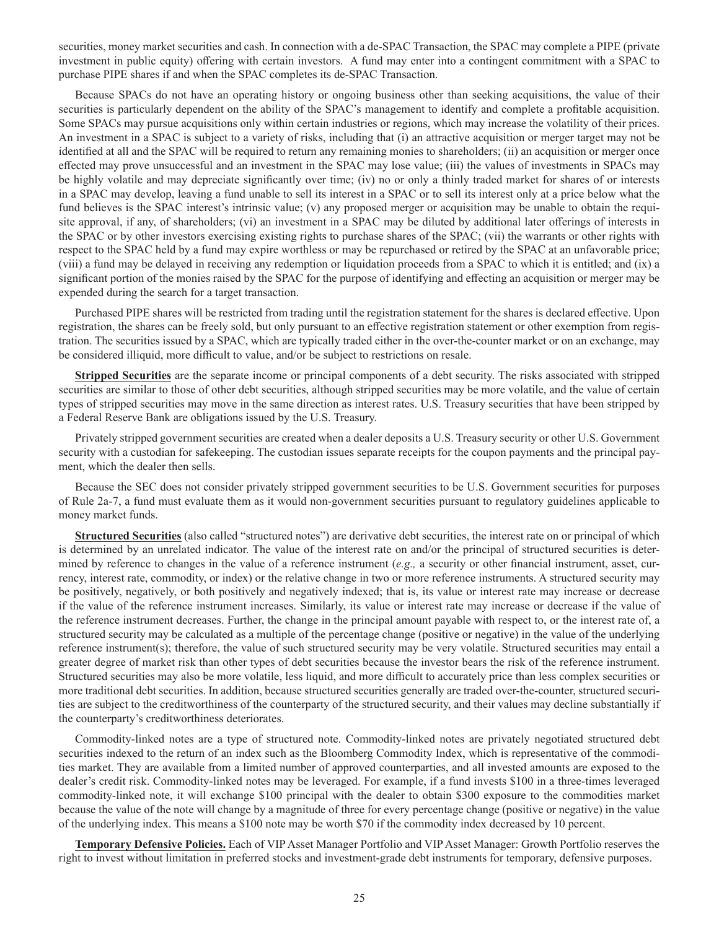securities, money market securities and cash. In connection with a de-SPAC Transaction, the SPAC may complete a PIPE (private investment in public equity) offering with certain investors. A fund may enter into a contingent commitment with a SPAC to purchase PIPE shares if and when the SPAC completes its de-SPAC Transaction.

Because SPACs do not have an operating history or ongoing business other than seeking acquisitions, the value of their securities is particularly dependent on the ability of the SPAC's management to identify and complete a profitable acquisition. Some SPACs may pursue acquisitions only within certain industries or regions, which may increase the volatility of their prices. An investment in a SPAC is subject to a variety of risks, including that (i) an attractive acquisition or merger target may not be identified at all and the SPAC will be required to return any remaining monies to shareholders; (ii) an acquisition or merger once effected may prove unsuccessful and an investment in the SPAC may lose value; (iii) the values of investments in SPACs may be highly volatile and may depreciate significantly over time; (iv) no or only a thinly traded market for shares of or interests in a SPAC may develop, leaving a fund unable to sell its interest in a SPAC or to sell its interest only at a price below what the fund believes is the SPAC interest's intrinsic value; (v) any proposed merger or acquisition may be unable to obtain the requisite approval, if any, of shareholders; (vi) an investment in a SPAC may be diluted by additional later offerings of interests in the SPAC or by other investors exercising existing rights to purchase shares of the SPAC; (vii) the warrants or other rights with respect to the SPAC held by a fund may expire worthless or may be repurchased or retired by the SPAC at an unfavorable price; (viii) a fund may be delayed in receiving any redemption or liquidation proceeds from a SPAC to which it is entitled; and (ix) a significant portion of the monies raised by the SPAC for the purpose of identifying and effecting an acquisition or merger may be expended during the search for a target transaction.

Purchased PIPE shares will be restricted from trading until the registration statement for the shares is declared effective. Upon registration, the shares can be freely sold, but only pursuant to an effective registration statement or other exemption from registration. The securities issued by a SPAC, which are typically traded either in the over-the-counter market or on an exchange, may be considered illiquid, more difficult to value, and/or be subject to restrictions on resale.

**Stripped Securities** are the separate income or principal components of a debt security. The risks associated with stripped securities are similar to those of other debt securities, although stripped securities may be more volatile, and the value of certain types of stripped securities may move in the same direction as interest rates. U.S. Treasury securities that have been stripped by a Federal Reserve Bank are obligations issued by the U.S. Treasury.

Privately stripped government securities are created when a dealer deposits a U.S. Treasury security or other U.S. Government security with a custodian for safekeeping. The custodian issues separate receipts for the coupon payments and the principal payment, which the dealer then sells.

Because the SEC does not consider privately stripped government securities to be U.S. Government securities for purposes of Rule 2a-7, a fund must evaluate them as it would non-government securities pursuant to regulatory guidelines applicable to money market funds.

**Structured Securities** (also called "structured notes") are derivative debt securities, the interest rate on or principal of which is determined by an unrelated indicator. The value of the interest rate on and/or the principal of structured securities is determined by reference to changes in the value of a reference instrument (*e.g.,* a security or other financial instrument, asset, currency, interest rate, commodity, or index) or the relative change in two or more reference instruments. A structured security may be positively, negatively, or both positively and negatively indexed; that is, its value or interest rate may increase or decrease if the value of the reference instrument increases. Similarly, its value or interest rate may increase or decrease if the value of the reference instrument decreases. Further, the change in the principal amount payable with respect to, or the interest rate of, a structured security may be calculated as a multiple of the percentage change (positive or negative) in the value of the underlying reference instrument(s); therefore, the value of such structured security may be very volatile. Structured securities may entail a greater degree of market risk than other types of debt securities because the investor bears the risk of the reference instrument. Structured securities may also be more volatile, less liquid, and more difficult to accurately price than less complex securities or more traditional debt securities. In addition, because structured securities generally are traded over-the-counter, structured securities are subject to the creditworthiness of the counterparty of the structured security, and their values may decline substantially if the counterparty's creditworthiness deteriorates.

Commodity-linked notes are a type of structured note. Commodity-linked notes are privately negotiated structured debt securities indexed to the return of an index such as the Bloomberg Commodity Index, which is representative of the commodities market. They are available from a limited number of approved counterparties, and all invested amounts are exposed to the dealer's credit risk. Commodity-linked notes may be leveraged. For example, if a fund invests \$100 in a three-times leveraged commodity-linked note, it will exchange \$100 principal with the dealer to obtain \$300 exposure to the commodities market because the value of the note will change by a magnitude of three for every percentage change (positive or negative) in the value of the underlying index. This means a \$100 note may be worth \$70 if the commodity index decreased by 10 percent.

**Temporary Defensive Policies.** Each of VIP Asset Manager Portfolio and VIP Asset Manager: Growth Portfolio reserves the right to invest without limitation in preferred stocks and investment-grade debt instruments for temporary, defensive purposes.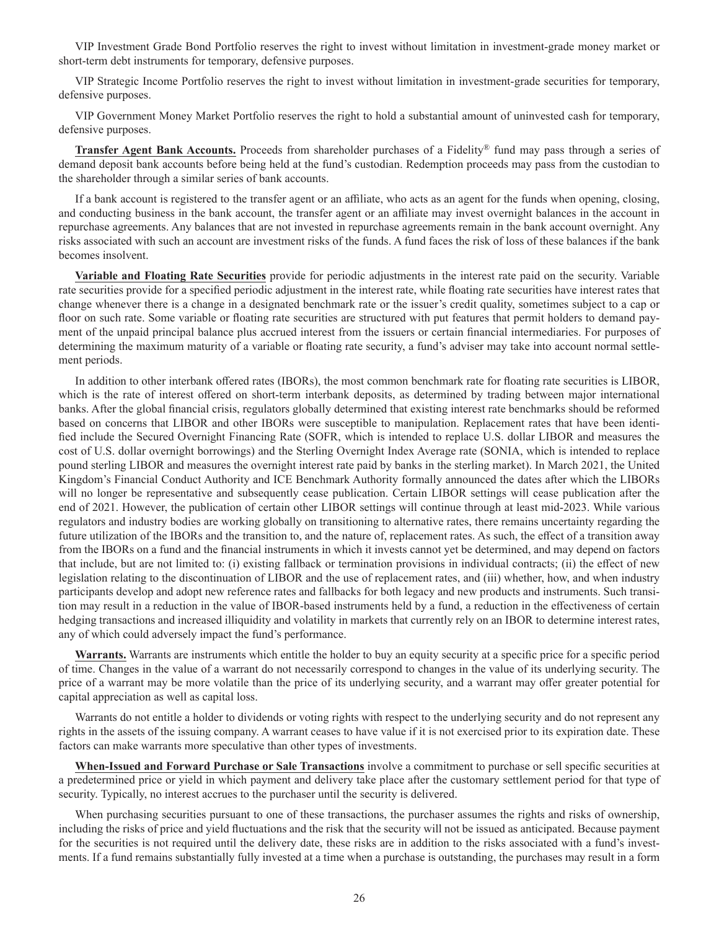VIP Investment Grade Bond Portfolio reserves the right to invest without limitation in investment-grade money market or short-term debt instruments for temporary, defensive purposes.

VIP Strategic Income Portfolio reserves the right to invest without limitation in investment-grade securities for temporary, defensive purposes.

VIP Government Money Market Portfolio reserves the right to hold a substantial amount of uninvested cash for temporary, defensive purposes.

**Transfer Agent Bank Accounts.** Proceeds from shareholder purchases of a Fidelity® fund may pass through a series of demand deposit bank accounts before being held at the fund's custodian. Redemption proceeds may pass from the custodian to the shareholder through a similar series of bank accounts.

If a bank account is registered to the transfer agent or an affiliate, who acts as an agent for the funds when opening, closing, and conducting business in the bank account, the transfer agent or an affiliate may invest overnight balances in the account in repurchase agreements. Any balances that are not invested in repurchase agreements remain in the bank account overnight. Any risks associated with such an account are investment risks of the funds. A fund faces the risk of loss of these balances if the bank becomes insolvent.

**Variable and Floating Rate Securities** provide for periodic adjustments in the interest rate paid on the security. Variable rate securities provide for a specified periodic adjustment in the interest rate, while floating rate securities have interest rates that change whenever there is a change in a designated benchmark rate or the issuer's credit quality, sometimes subject to a cap or floor on such rate. Some variable or floating rate securities are structured with put features that permit holders to demand payment of the unpaid principal balance plus accrued interest from the issuers or certain financial intermediaries. For purposes of determining the maximum maturity of a variable or floating rate security, a fund's adviser may take into account normal settlement periods.

In addition to other interbank offered rates (IBORs), the most common benchmark rate for floating rate securities is LIBOR, which is the rate of interest offered on short-term interbank deposits, as determined by trading between major international banks. After the global financial crisis, regulators globally determined that existing interest rate benchmarks should be reformed based on concerns that LIBOR and other IBORs were susceptible to manipulation. Replacement rates that have been identified include the Secured Overnight Financing Rate (SOFR, which is intended to replace U.S. dollar LIBOR and measures the cost of U.S. dollar overnight borrowings) and the Sterling Overnight Index Average rate (SONIA, which is intended to replace pound sterling LIBOR and measures the overnight interest rate paid by banks in the sterling market). In March 2021, the United Kingdom's Financial Conduct Authority and ICE Benchmark Authority formally announced the dates after which the LIBORs will no longer be representative and subsequently cease publication. Certain LIBOR settings will cease publication after the end of 2021. However, the publication of certain other LIBOR settings will continue through at least mid-2023. While various regulators and industry bodies are working globally on transitioning to alternative rates, there remains uncertainty regarding the future utilization of the IBORs and the transition to, and the nature of, replacement rates. As such, the effect of a transition away from the IBORs on a fund and the financial instruments in which it invests cannot yet be determined, and may depend on factors that include, but are not limited to: (i) existing fallback or termination provisions in individual contracts; (ii) the effect of new legislation relating to the discontinuation of LIBOR and the use of replacement rates, and (iii) whether, how, and when industry participants develop and adopt new reference rates and fallbacks for both legacy and new products and instruments. Such transition may result in a reduction in the value of IBOR-based instruments held by a fund, a reduction in the effectiveness of certain hedging transactions and increased illiquidity and volatility in markets that currently rely on an IBOR to determine interest rates, any of which could adversely impact the fund's performance.

**Warrants.** Warrants are instruments which entitle the holder to buy an equity security at a specific price for a specific period of time. Changes in the value of a warrant do not necessarily correspond to changes in the value of its underlying security. The price of a warrant may be more volatile than the price of its underlying security, and a warrant may offer greater potential for capital appreciation as well as capital loss.

Warrants do not entitle a holder to dividends or voting rights with respect to the underlying security and do not represent any rights in the assets of the issuing company. A warrant ceases to have value if it is not exercised prior to its expiration date. These factors can make warrants more speculative than other types of investments.

**When-Issued and Forward Purchase or Sale Transactions** involve a commitment to purchase or sell specific securities at a predetermined price or yield in which payment and delivery take place after the customary settlement period for that type of security. Typically, no interest accrues to the purchaser until the security is delivered.

When purchasing securities pursuant to one of these transactions, the purchaser assumes the rights and risks of ownership, including the risks of price and yield fluctuations and the risk that the security will not be issued as anticipated. Because payment for the securities is not required until the delivery date, these risks are in addition to the risks associated with a fund's investments. If a fund remains substantially fully invested at a time when a purchase is outstanding, the purchases may result in a form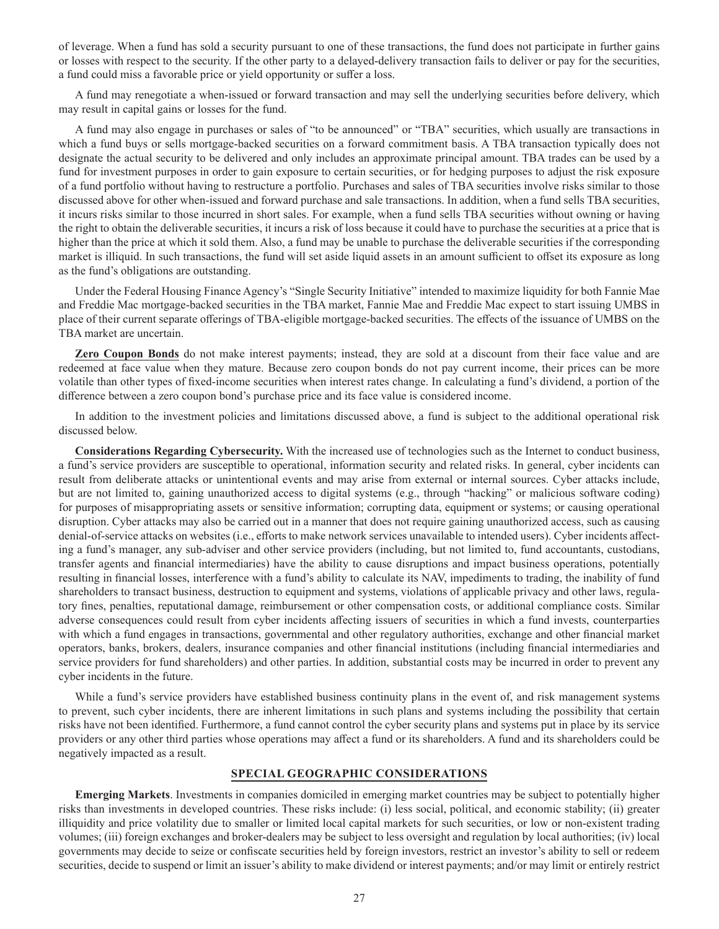of leverage. When a fund has sold a security pursuant to one of these transactions, the fund does not participate in further gains or losses with respect to the security. If the other party to a delayed-delivery transaction fails to deliver or pay for the securities, a fund could miss a favorable price or yield opportunity or suffer a loss.

A fund may renegotiate a when-issued or forward transaction and may sell the underlying securities before delivery, which may result in capital gains or losses for the fund.

A fund may also engage in purchases or sales of "to be announced" or "TBA" securities, which usually are transactions in which a fund buys or sells mortgage-backed securities on a forward commitment basis. A TBA transaction typically does not designate the actual security to be delivered and only includes an approximate principal amount. TBA trades can be used by a fund for investment purposes in order to gain exposure to certain securities, or for hedging purposes to adjust the risk exposure of a fund portfolio without having to restructure a portfolio. Purchases and sales of TBA securities involve risks similar to those discussed above for other when-issued and forward purchase and sale transactions. In addition, when a fund sells TBA securities, it incurs risks similar to those incurred in short sales. For example, when a fund sells TBA securities without owning or having the right to obtain the deliverable securities, it incurs a risk of loss because it could have to purchase the securities at a price that is higher than the price at which it sold them. Also, a fund may be unable to purchase the deliverable securities if the corresponding market is illiquid. In such transactions, the fund will set aside liquid assets in an amount sufficient to offset its exposure as long as the fund's obligations are outstanding.

Under the Federal Housing Finance Agency's "Single Security Initiative" intended to maximize liquidity for both Fannie Mae and Freddie Mac mortgage-backed securities in the TBA market, Fannie Mae and Freddie Mac expect to start issuing UMBS in place of their current separate offerings of TBA-eligible mortgage-backed securities. The effects of the issuance of UMBS on the TBA market are uncertain.

**Zero Coupon Bonds** do not make interest payments; instead, they are sold at a discount from their face value and are redeemed at face value when they mature. Because zero coupon bonds do not pay current income, their prices can be more volatile than other types of fixed-income securities when interest rates change. In calculating a fund's dividend, a portion of the difference between a zero coupon bond's purchase price and its face value is considered income.

In addition to the investment policies and limitations discussed above, a fund is subject to the additional operational risk discussed below.

**Considerations Regarding Cybersecurity.** With the increased use of technologies such as the Internet to conduct business, a fund's service providers are susceptible to operational, information security and related risks. In general, cyber incidents can result from deliberate attacks or unintentional events and may arise from external or internal sources. Cyber attacks include, but are not limited to, gaining unauthorized access to digital systems (e.g., through "hacking" or malicious software coding) for purposes of misappropriating assets or sensitive information; corrupting data, equipment or systems; or causing operational disruption. Cyber attacks may also be carried out in a manner that does not require gaining unauthorized access, such as causing denial-of-service attacks on websites (i.e., efforts to make network services unavailable to intended users). Cyber incidents affecting a fund's manager, any sub-adviser and other service providers (including, but not limited to, fund accountants, custodians, transfer agents and financial intermediaries) have the ability to cause disruptions and impact business operations, potentially resulting in financial losses, interference with a fund's ability to calculate its NAV, impediments to trading, the inability of fund shareholders to transact business, destruction to equipment and systems, violations of applicable privacy and other laws, regulatory fines, penalties, reputational damage, reimbursement or other compensation costs, or additional compliance costs. Similar adverse consequences could result from cyber incidents affecting issuers of securities in which a fund invests, counterparties with which a fund engages in transactions, governmental and other regulatory authorities, exchange and other financial market operators, banks, brokers, dealers, insurance companies and other financial institutions (including financial intermediaries and service providers for fund shareholders) and other parties. In addition, substantial costs may be incurred in order to prevent any cyber incidents in the future.

While a fund's service providers have established business continuity plans in the event of, and risk management systems to prevent, such cyber incidents, there are inherent limitations in such plans and systems including the possibility that certain risks have not been identified. Furthermore, a fund cannot control the cyber security plans and systems put in place by its service providers or any other third parties whose operations may affect a fund or its shareholders. A fund and its shareholders could be negatively impacted as a result.

# **SPECIAL GEOGRAPHIC CONSIDERATIONS**

**Emerging Markets**. Investments in companies domiciled in emerging market countries may be subject to potentially higher risks than investments in developed countries. These risks include: (i) less social, political, and economic stability; (ii) greater illiquidity and price volatility due to smaller or limited local capital markets for such securities, or low or non-existent trading volumes; (iii) foreign exchanges and broker-dealers may be subject to less oversight and regulation by local authorities; (iv) local governments may decide to seize or confiscate securities held by foreign investors, restrict an investor's ability to sell or redeem securities, decide to suspend or limit an issuer's ability to make dividend or interest payments; and/or may limit or entirely restrict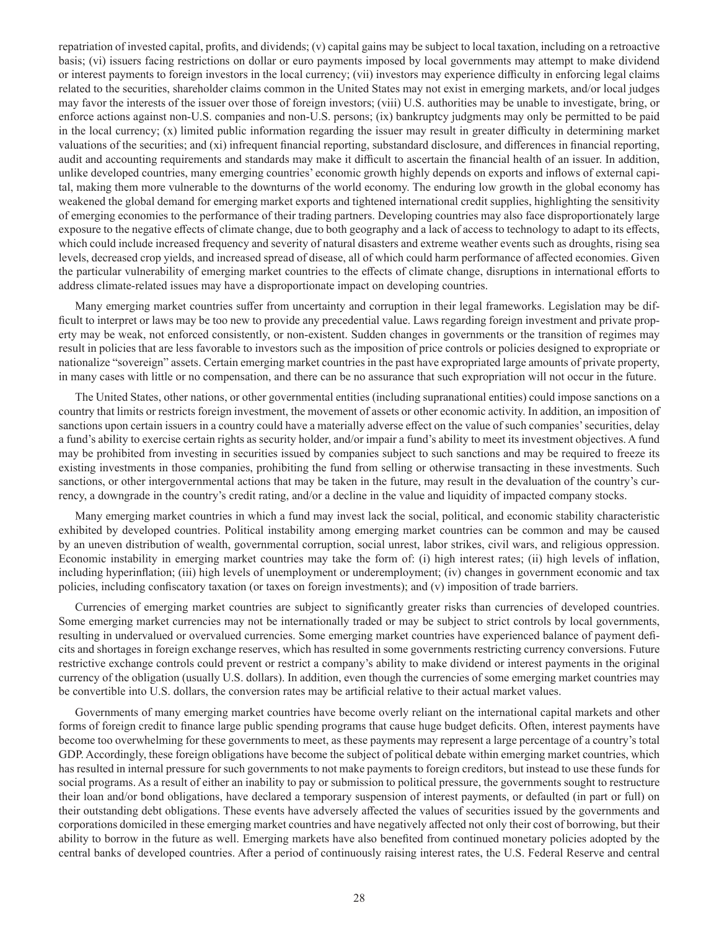repatriation of invested capital, profits, and dividends; (v) capital gains may be subject to local taxation, including on a retroactive basis; (vi) issuers facing restrictions on dollar or euro payments imposed by local governments may attempt to make dividend or interest payments to foreign investors in the local currency; (vii) investors may experience difficulty in enforcing legal claims related to the securities, shareholder claims common in the United States may not exist in emerging markets, and/or local judges may favor the interests of the issuer over those of foreign investors; (viii) U.S. authorities may be unable to investigate, bring, or enforce actions against non-U.S. companies and non-U.S. persons; (ix) bankruptcy judgments may only be permitted to be paid in the local currency; (x) limited public information regarding the issuer may result in greater difficulty in determining market valuations of the securities; and (xi) infrequent financial reporting, substandard disclosure, and differences in financial reporting, audit and accounting requirements and standards may make it difficult to ascertain the financial health of an issuer. In addition, unlike developed countries, many emerging countries' economic growth highly depends on exports and inflows of external capital, making them more vulnerable to the downturns of the world economy. The enduring low growth in the global economy has weakened the global demand for emerging market exports and tightened international credit supplies, highlighting the sensitivity of emerging economies to the performance of their trading partners. Developing countries may also face disproportionately large exposure to the negative effects of climate change, due to both geography and a lack of access to technology to adapt to its effects, which could include increased frequency and severity of natural disasters and extreme weather events such as droughts, rising sea levels, decreased crop yields, and increased spread of disease, all of which could harm performance of affected economies. Given the particular vulnerability of emerging market countries to the effects of climate change, disruptions in international efforts to address climate-related issues may have a disproportionate impact on developing countries.

Many emerging market countries suffer from uncertainty and corruption in their legal frameworks. Legislation may be difficult to interpret or laws may be too new to provide any precedential value. Laws regarding foreign investment and private property may be weak, not enforced consistently, or non-existent. Sudden changes in governments or the transition of regimes may result in policies that are less favorable to investors such as the imposition of price controls or policies designed to expropriate or nationalize "sovereign" assets. Certain emerging market countries in the past have expropriated large amounts of private property, in many cases with little or no compensation, and there can be no assurance that such expropriation will not occur in the future.

The United States, other nations, or other governmental entities (including supranational entities) could impose sanctions on a country that limits or restricts foreign investment, the movement of assets or other economic activity. In addition, an imposition of sanctions upon certain issuers in a country could have a materially adverse effect on the value of such companies' securities, delay a fund's ability to exercise certain rights as security holder, and/or impair a fund's ability to meet its investment objectives. A fund may be prohibited from investing in securities issued by companies subject to such sanctions and may be required to freeze its existing investments in those companies, prohibiting the fund from selling or otherwise transacting in these investments. Such sanctions, or other intergovernmental actions that may be taken in the future, may result in the devaluation of the country's currency, a downgrade in the country's credit rating, and/or a decline in the value and liquidity of impacted company stocks.

Many emerging market countries in which a fund may invest lack the social, political, and economic stability characteristic exhibited by developed countries. Political instability among emerging market countries can be common and may be caused by an uneven distribution of wealth, governmental corruption, social unrest, labor strikes, civil wars, and religious oppression. Economic instability in emerging market countries may take the form of: (i) high interest rates; (ii) high levels of inflation, including hyperinflation; (iii) high levels of unemployment or underemployment; (iv) changes in government economic and tax policies, including confiscatory taxation (or taxes on foreign investments); and (v) imposition of trade barriers.

Currencies of emerging market countries are subject to significantly greater risks than currencies of developed countries. Some emerging market currencies may not be internationally traded or may be subject to strict controls by local governments, resulting in undervalued or overvalued currencies. Some emerging market countries have experienced balance of payment deficits and shortages in foreign exchange reserves, which has resulted in some governments restricting currency conversions. Future restrictive exchange controls could prevent or restrict a company's ability to make dividend or interest payments in the original currency of the obligation (usually U.S. dollars). In addition, even though the currencies of some emerging market countries may be convertible into U.S. dollars, the conversion rates may be artificial relative to their actual market values.

Governments of many emerging market countries have become overly reliant on the international capital markets and other forms of foreign credit to finance large public spending programs that cause huge budget deficits. Often, interest payments have become too overwhelming for these governments to meet, as these payments may represent a large percentage of a country's total GDP. Accordingly, these foreign obligations have become the subject of political debate within emerging market countries, which has resulted in internal pressure for such governments to not make payments to foreign creditors, but instead to use these funds for social programs. As a result of either an inability to pay or submission to political pressure, the governments sought to restructure their loan and/or bond obligations, have declared a temporary suspension of interest payments, or defaulted (in part or full) on their outstanding debt obligations. These events have adversely affected the values of securities issued by the governments and corporations domiciled in these emerging market countries and have negatively affected not only their cost of borrowing, but their ability to borrow in the future as well. Emerging markets have also benefited from continued monetary policies adopted by the central banks of developed countries. After a period of continuously raising interest rates, the U.S. Federal Reserve and central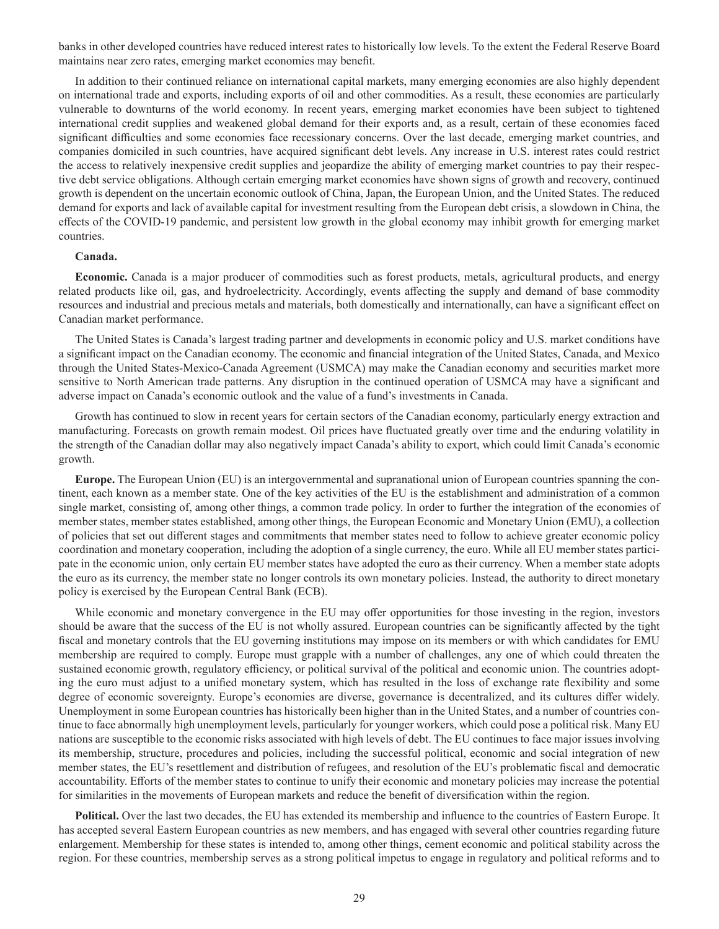banks in other developed countries have reduced interest rates to historically low levels. To the extent the Federal Reserve Board maintains near zero rates, emerging market economies may benefit.

In addition to their continued reliance on international capital markets, many emerging economies are also highly dependent on international trade and exports, including exports of oil and other commodities. As a result, these economies are particularly vulnerable to downturns of the world economy. In recent years, emerging market economies have been subject to tightened international credit supplies and weakened global demand for their exports and, as a result, certain of these economies faced significant difficulties and some economies face recessionary concerns. Over the last decade, emerging market countries, and companies domiciled in such countries, have acquired significant debt levels. Any increase in U.S. interest rates could restrict the access to relatively inexpensive credit supplies and jeopardize the ability of emerging market countries to pay their respective debt service obligations. Although certain emerging market economies have shown signs of growth and recovery, continued growth is dependent on the uncertain economic outlook of China, Japan, the European Union, and the United States. The reduced demand for exports and lack of available capital for investment resulting from the European debt crisis, a slowdown in China, the effects of the COVID-19 pandemic, and persistent low growth in the global economy may inhibit growth for emerging market countries.

#### **Canada.**

**Economic.** Canada is a major producer of commodities such as forest products, metals, agricultural products, and energy related products like oil, gas, and hydroelectricity. Accordingly, events affecting the supply and demand of base commodity resources and industrial and precious metals and materials, both domestically and internationally, can have a significant effect on Canadian market performance.

The United States is Canada's largest trading partner and developments in economic policy and U.S. market conditions have a significant impact on the Canadian economy. The economic and financial integration of the United States, Canada, and Mexico through the United States-Mexico-Canada Agreement (USMCA) may make the Canadian economy and securities market more sensitive to North American trade patterns. Any disruption in the continued operation of USMCA may have a significant and adverse impact on Canada's economic outlook and the value of a fund's investments in Canada.

Growth has continued to slow in recent years for certain sectors of the Canadian economy, particularly energy extraction and manufacturing. Forecasts on growth remain modest. Oil prices have fluctuated greatly over time and the enduring volatility in the strength of the Canadian dollar may also negatively impact Canada's ability to export, which could limit Canada's economic growth.

**Europe.** The European Union (EU) is an intergovernmental and supranational union of European countries spanning the continent, each known as a member state. One of the key activities of the EU is the establishment and administration of a common single market, consisting of, among other things, a common trade policy. In order to further the integration of the economies of member states, member states established, among other things, the European Economic and Monetary Union (EMU), a collection of policies that set out different stages and commitments that member states need to follow to achieve greater economic policy coordination and monetary cooperation, including the adoption of a single currency, the euro. While all EU member states participate in the economic union, only certain EU member states have adopted the euro as their currency. When a member state adopts the euro as its currency, the member state no longer controls its own monetary policies. Instead, the authority to direct monetary policy is exercised by the European Central Bank (ECB).

While economic and monetary convergence in the EU may offer opportunities for those investing in the region, investors should be aware that the success of the EU is not wholly assured. European countries can be significantly affected by the tight fiscal and monetary controls that the EU governing institutions may impose on its members or with which candidates for EMU membership are required to comply. Europe must grapple with a number of challenges, any one of which could threaten the sustained economic growth, regulatory efficiency, or political survival of the political and economic union. The countries adopting the euro must adjust to a unified monetary system, which has resulted in the loss of exchange rate flexibility and some degree of economic sovereignty. Europe's economies are diverse, governance is decentralized, and its cultures differ widely. Unemployment in some European countries has historically been higher than in the United States, and a number of countries continue to face abnormally high unemployment levels, particularly for younger workers, which could pose a political risk. Many EU nations are susceptible to the economic risks associated with high levels of debt. The EU continues to face major issues involving its membership, structure, procedures and policies, including the successful political, economic and social integration of new member states, the EU's resettlement and distribution of refugees, and resolution of the EU's problematic fiscal and democratic accountability. Efforts of the member states to continue to unify their economic and monetary policies may increase the potential for similarities in the movements of European markets and reduce the benefit of diversification within the region.

**Political.** Over the last two decades, the EU has extended its membership and influence to the countries of Eastern Europe. It has accepted several Eastern European countries as new members, and has engaged with several other countries regarding future enlargement. Membership for these states is intended to, among other things, cement economic and political stability across the region. For these countries, membership serves as a strong political impetus to engage in regulatory and political reforms and to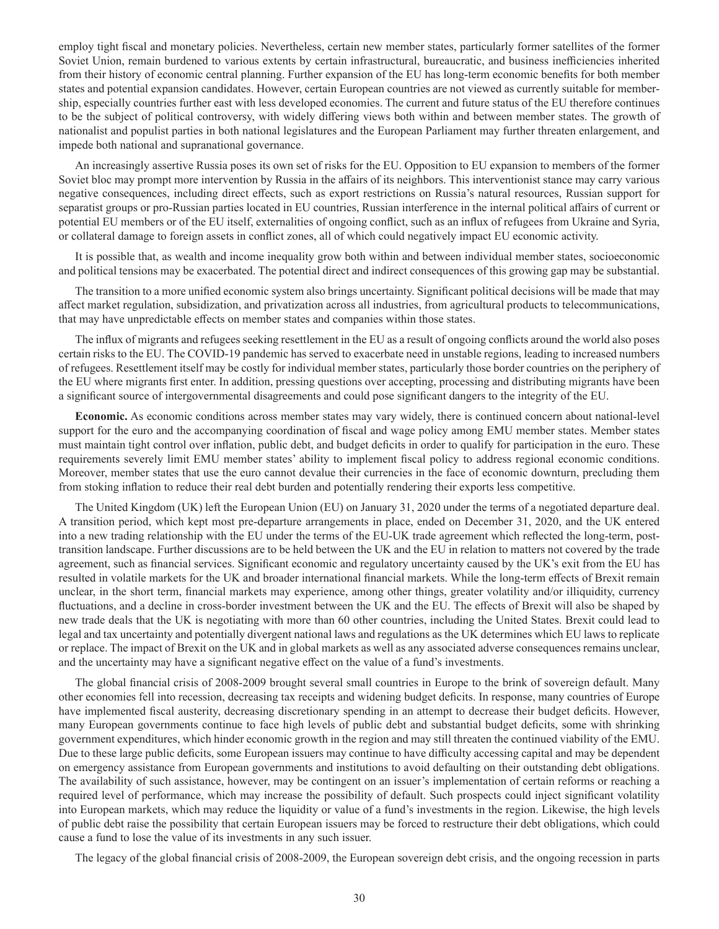employ tight fiscal and monetary policies. Nevertheless, certain new member states, particularly former satellites of the former Soviet Union, remain burdened to various extents by certain infrastructural, bureaucratic, and business inefficiencies inherited from their history of economic central planning. Further expansion of the EU has long-term economic benefits for both member states and potential expansion candidates. However, certain European countries are not viewed as currently suitable for membership, especially countries further east with less developed economies. The current and future status of the EU therefore continues to be the subject of political controversy, with widely differing views both within and between member states. The growth of nationalist and populist parties in both national legislatures and the European Parliament may further threaten enlargement, and impede both national and supranational governance.

An increasingly assertive Russia poses its own set of risks for the EU. Opposition to EU expansion to members of the former Soviet bloc may prompt more intervention by Russia in the affairs of its neighbors. This interventionist stance may carry various negative consequences, including direct effects, such as export restrictions on Russia's natural resources, Russian support for separatist groups or pro-Russian parties located in EU countries, Russian interference in the internal political affairs of current or potential EU members or of the EU itself, externalities of ongoing conflict, such as an influx of refugees from Ukraine and Syria, or collateral damage to foreign assets in conflict zones, all of which could negatively impact EU economic activity.

It is possible that, as wealth and income inequality grow both within and between individual member states, socioeconomic and political tensions may be exacerbated. The potential direct and indirect consequences of this growing gap may be substantial.

The transition to a more unified economic system also brings uncertainty. Significant political decisions will be made that may affect market regulation, subsidization, and privatization across all industries, from agricultural products to telecommunications, that may have unpredictable effects on member states and companies within those states.

The influx of migrants and refugees seeking resettlement in the EU as a result of ongoing conflicts around the world also poses certain risks to the EU. The COVID-19 pandemic has served to exacerbate need in unstable regions, leading to increased numbers of refugees. Resettlement itself may be costly for individual member states, particularly those border countries on the periphery of the EU where migrants first enter. In addition, pressing questions over accepting, processing and distributing migrants have been a significant source of intergovernmental disagreements and could pose significant dangers to the integrity of the EU.

**Economic.** As economic conditions across member states may vary widely, there is continued concern about national-level support for the euro and the accompanying coordination of fiscal and wage policy among EMU member states. Member states must maintain tight control over inflation, public debt, and budget deficits in order to qualify for participation in the euro. These requirements severely limit EMU member states' ability to implement fiscal policy to address regional economic conditions. Moreover, member states that use the euro cannot devalue their currencies in the face of economic downturn, precluding them from stoking inflation to reduce their real debt burden and potentially rendering their exports less competitive.

The United Kingdom (UK) left the European Union (EU) on January 31, 2020 under the terms of a negotiated departure deal. A transition period, which kept most pre-departure arrangements in place, ended on December 31, 2020, and the UK entered into a new trading relationship with the EU under the terms of the EU-UK trade agreement which reflected the long-term, posttransition landscape. Further discussions are to be held between the UK and the EU in relation to matters not covered by the trade agreement, such as financial services. Significant economic and regulatory uncertainty caused by the UK's exit from the EU has resulted in volatile markets for the UK and broader international financial markets. While the long-term effects of Brexit remain unclear, in the short term, financial markets may experience, among other things, greater volatility and/or illiquidity, currency fluctuations, and a decline in cross-border investment between the UK and the EU. The effects of Brexit will also be shaped by new trade deals that the UK is negotiating with more than 60 other countries, including the United States. Brexit could lead to legal and tax uncertainty and potentially divergent national laws and regulations as the UK determines which EU laws to replicate or replace. The impact of Brexit on the UK and in global markets as well as any associated adverse consequences remains unclear, and the uncertainty may have a significant negative effect on the value of a fund's investments.

The global financial crisis of 2008-2009 brought several small countries in Europe to the brink of sovereign default. Many other economies fell into recession, decreasing tax receipts and widening budget deficits. In response, many countries of Europe have implemented fiscal austerity, decreasing discretionary spending in an attempt to decrease their budget deficits. However, many European governments continue to face high levels of public debt and substantial budget deficits, some with shrinking government expenditures, which hinder economic growth in the region and may still threaten the continued viability of the EMU. Due to these large public deficits, some European issuers may continue to have difficulty accessing capital and may be dependent on emergency assistance from European governments and institutions to avoid defaulting on their outstanding debt obligations. The availability of such assistance, however, may be contingent on an issuer's implementation of certain reforms or reaching a required level of performance, which may increase the possibility of default. Such prospects could inject significant volatility into European markets, which may reduce the liquidity or value of a fund's investments in the region. Likewise, the high levels of public debt raise the possibility that certain European issuers may be forced to restructure their debt obligations, which could cause a fund to lose the value of its investments in any such issuer.

The legacy of the global financial crisis of 2008-2009, the European sovereign debt crisis, and the ongoing recession in parts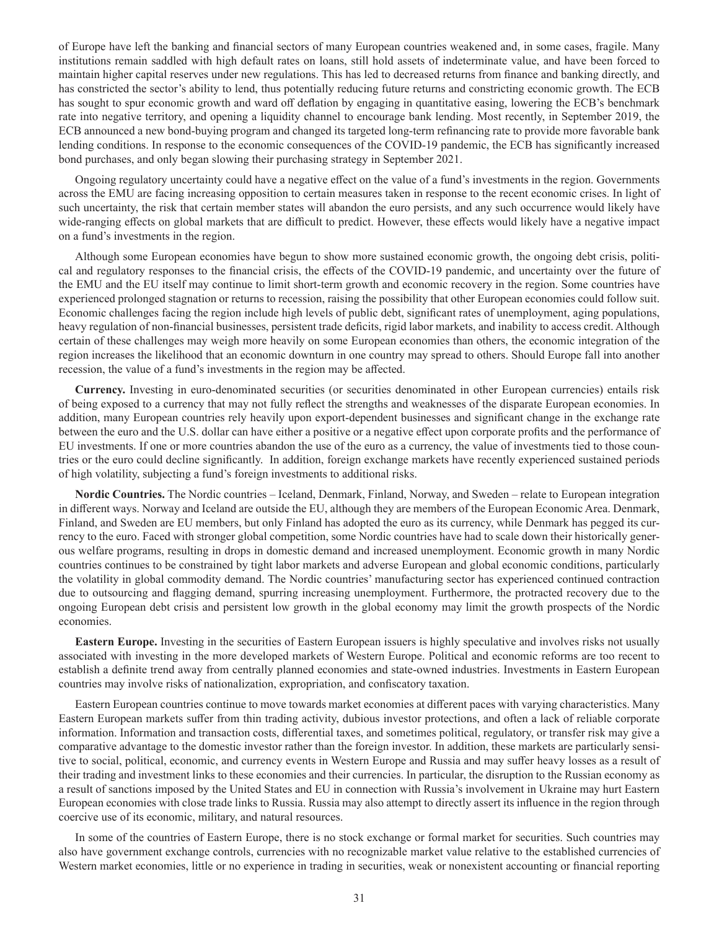of Europe have left the banking and financial sectors of many European countries weakened and, in some cases, fragile. Many institutions remain saddled with high default rates on loans, still hold assets of indeterminate value, and have been forced to maintain higher capital reserves under new regulations. This has led to decreased returns from finance and banking directly, and has constricted the sector's ability to lend, thus potentially reducing future returns and constricting economic growth. The ECB has sought to spur economic growth and ward off deflation by engaging in quantitative easing, lowering the ECB's benchmark rate into negative territory, and opening a liquidity channel to encourage bank lending. Most recently, in September 2019, the ECB announced a new bond-buying program and changed its targeted long-term refinancing rate to provide more favorable bank lending conditions. In response to the economic consequences of the COVID-19 pandemic, the ECB has significantly increased bond purchases, and only began slowing their purchasing strategy in September 2021.

Ongoing regulatory uncertainty could have a negative effect on the value of a fund's investments in the region. Governments across the EMU are facing increasing opposition to certain measures taken in response to the recent economic crises. In light of such uncertainty, the risk that certain member states will abandon the euro persists, and any such occurrence would likely have wide-ranging effects on global markets that are difficult to predict. However, these effects would likely have a negative impact on a fund's investments in the region.

Although some European economies have begun to show more sustained economic growth, the ongoing debt crisis, political and regulatory responses to the financial crisis, the effects of the COVID-19 pandemic, and uncertainty over the future of the EMU and the EU itself may continue to limit short-term growth and economic recovery in the region. Some countries have experienced prolonged stagnation or returns to recession, raising the possibility that other European economies could follow suit. Economic challenges facing the region include high levels of public debt, significant rates of unemployment, aging populations, heavy regulation of non-financial businesses, persistent trade deficits, rigid labor markets, and inability to access credit. Although certain of these challenges may weigh more heavily on some European economies than others, the economic integration of the region increases the likelihood that an economic downturn in one country may spread to others. Should Europe fall into another recession, the value of a fund's investments in the region may be affected.

**Currency.** Investing in euro-denominated securities (or securities denominated in other European currencies) entails risk of being exposed to a currency that may not fully reflect the strengths and weaknesses of the disparate European economies. In addition, many European countries rely heavily upon export-dependent businesses and significant change in the exchange rate between the euro and the U.S. dollar can have either a positive or a negative effect upon corporate profits and the performance of EU investments. If one or more countries abandon the use of the euro as a currency, the value of investments tied to those countries or the euro could decline significantly. In addition, foreign exchange markets have recently experienced sustained periods of high volatility, subjecting a fund's foreign investments to additional risks.

**Nordic Countries.** The Nordic countries – Iceland, Denmark, Finland, Norway, and Sweden – relate to European integration in different ways. Norway and Iceland are outside the EU, although they are members of the European Economic Area. Denmark, Finland, and Sweden are EU members, but only Finland has adopted the euro as its currency, while Denmark has pegged its currency to the euro. Faced with stronger global competition, some Nordic countries have had to scale down their historically generous welfare programs, resulting in drops in domestic demand and increased unemployment. Economic growth in many Nordic countries continues to be constrained by tight labor markets and adverse European and global economic conditions, particularly the volatility in global commodity demand. The Nordic countries' manufacturing sector has experienced continued contraction due to outsourcing and flagging demand, spurring increasing unemployment. Furthermore, the protracted recovery due to the ongoing European debt crisis and persistent low growth in the global economy may limit the growth prospects of the Nordic economies.

**Eastern Europe.** Investing in the securities of Eastern European issuers is highly speculative and involves risks not usually associated with investing in the more developed markets of Western Europe. Political and economic reforms are too recent to establish a definite trend away from centrally planned economies and state-owned industries. Investments in Eastern European countries may involve risks of nationalization, expropriation, and confiscatory taxation.

Eastern European countries continue to move towards market economies at different paces with varying characteristics. Many Eastern European markets suffer from thin trading activity, dubious investor protections, and often a lack of reliable corporate information. Information and transaction costs, differential taxes, and sometimes political, regulatory, or transfer risk may give a comparative advantage to the domestic investor rather than the foreign investor. In addition, these markets are particularly sensitive to social, political, economic, and currency events in Western Europe and Russia and may suffer heavy losses as a result of their trading and investment links to these economies and their currencies. In particular, the disruption to the Russian economy as a result of sanctions imposed by the United States and EU in connection with Russia's involvement in Ukraine may hurt Eastern European economies with close trade links to Russia. Russia may also attempt to directly assert its influence in the region through coercive use of its economic, military, and natural resources.

In some of the countries of Eastern Europe, there is no stock exchange or formal market for securities. Such countries may also have government exchange controls, currencies with no recognizable market value relative to the established currencies of Western market economies, little or no experience in trading in securities, weak or nonexistent accounting or financial reporting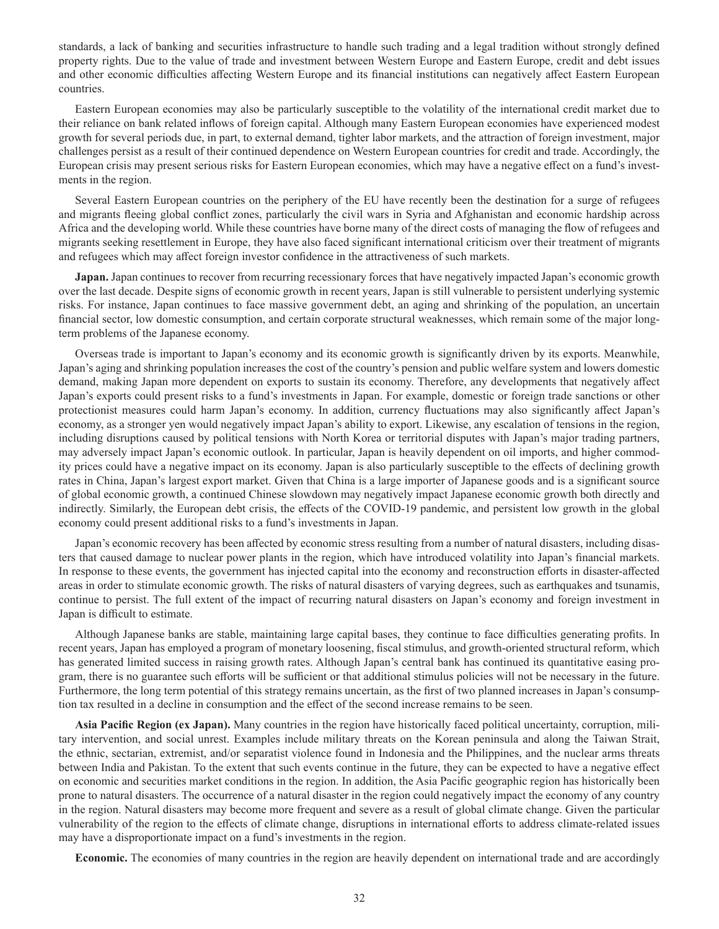standards, a lack of banking and securities infrastructure to handle such trading and a legal tradition without strongly defined property rights. Due to the value of trade and investment between Western Europe and Eastern Europe, credit and debt issues and other economic difficulties affecting Western Europe and its financial institutions can negatively affect Eastern European countries.

Eastern European economies may also be particularly susceptible to the volatility of the international credit market due to their reliance on bank related inflows of foreign capital. Although many Eastern European economies have experienced modest growth for several periods due, in part, to external demand, tighter labor markets, and the attraction of foreign investment, major challenges persist as a result of their continued dependence on Western European countries for credit and trade. Accordingly, the European crisis may present serious risks for Eastern European economies, which may have a negative effect on a fund's investments in the region.

Several Eastern European countries on the periphery of the EU have recently been the destination for a surge of refugees and migrants fleeing global conflict zones, particularly the civil wars in Syria and Afghanistan and economic hardship across Africa and the developing world. While these countries have borne many of the direct costs of managing the flow of refugees and migrants seeking resettlement in Europe, they have also faced significant international criticism over their treatment of migrants and refugees which may affect foreign investor confidence in the attractiveness of such markets.

**Japan.** Japan continues to recover from recurring recessionary forces that have negatively impacted Japan's economic growth over the last decade. Despite signs of economic growth in recent years, Japan is still vulnerable to persistent underlying systemic risks. For instance, Japan continues to face massive government debt, an aging and shrinking of the population, an uncertain financial sector, low domestic consumption, and certain corporate structural weaknesses, which remain some of the major longterm problems of the Japanese economy.

Overseas trade is important to Japan's economy and its economic growth is significantly driven by its exports. Meanwhile, Japan's aging and shrinking population increases the cost of the country's pension and public welfare system and lowers domestic demand, making Japan more dependent on exports to sustain its economy. Therefore, any developments that negatively affect Japan's exports could present risks to a fund's investments in Japan. For example, domestic or foreign trade sanctions or other protectionist measures could harm Japan's economy. In addition, currency fluctuations may also significantly affect Japan's economy, as a stronger yen would negatively impact Japan's ability to export. Likewise, any escalation of tensions in the region, including disruptions caused by political tensions with North Korea or territorial disputes with Japan's major trading partners, may adversely impact Japan's economic outlook. In particular, Japan is heavily dependent on oil imports, and higher commodity prices could have a negative impact on its economy. Japan is also particularly susceptible to the effects of declining growth rates in China, Japan's largest export market. Given that China is a large importer of Japanese goods and is a significant source of global economic growth, a continued Chinese slowdown may negatively impact Japanese economic growth both directly and indirectly. Similarly, the European debt crisis, the effects of the COVID-19 pandemic, and persistent low growth in the global economy could present additional risks to a fund's investments in Japan.

Japan's economic recovery has been affected by economic stress resulting from a number of natural disasters, including disasters that caused damage to nuclear power plants in the region, which have introduced volatility into Japan's financial markets. In response to these events, the government has injected capital into the economy and reconstruction efforts in disaster-affected areas in order to stimulate economic growth. The risks of natural disasters of varying degrees, such as earthquakes and tsunamis, continue to persist. The full extent of the impact of recurring natural disasters on Japan's economy and foreign investment in Japan is difficult to estimate.

Although Japanese banks are stable, maintaining large capital bases, they continue to face difficulties generating profits. In recent years, Japan has employed a program of monetary loosening, fiscal stimulus, and growth-oriented structural reform, which has generated limited success in raising growth rates. Although Japan's central bank has continued its quantitative easing program, there is no guarantee such efforts will be sufficient or that additional stimulus policies will not be necessary in the future. Furthermore, the long term potential of this strategy remains uncertain, as the first of two planned increases in Japan's consumption tax resulted in a decline in consumption and the effect of the second increase remains to be seen.

**Asia Pacific Region (ex Japan).** Many countries in the region have historically faced political uncertainty, corruption, military intervention, and social unrest. Examples include military threats on the Korean peninsula and along the Taiwan Strait, the ethnic, sectarian, extremist, and/or separatist violence found in Indonesia and the Philippines, and the nuclear arms threats between India and Pakistan. To the extent that such events continue in the future, they can be expected to have a negative effect on economic and securities market conditions in the region. In addition, the Asia Pacific geographic region has historically been prone to natural disasters. The occurrence of a natural disaster in the region could negatively impact the economy of any country in the region. Natural disasters may become more frequent and severe as a result of global climate change. Given the particular vulnerability of the region to the effects of climate change, disruptions in international efforts to address climate-related issues may have a disproportionate impact on a fund's investments in the region.

**Economic.** The economies of many countries in the region are heavily dependent on international trade and are accordingly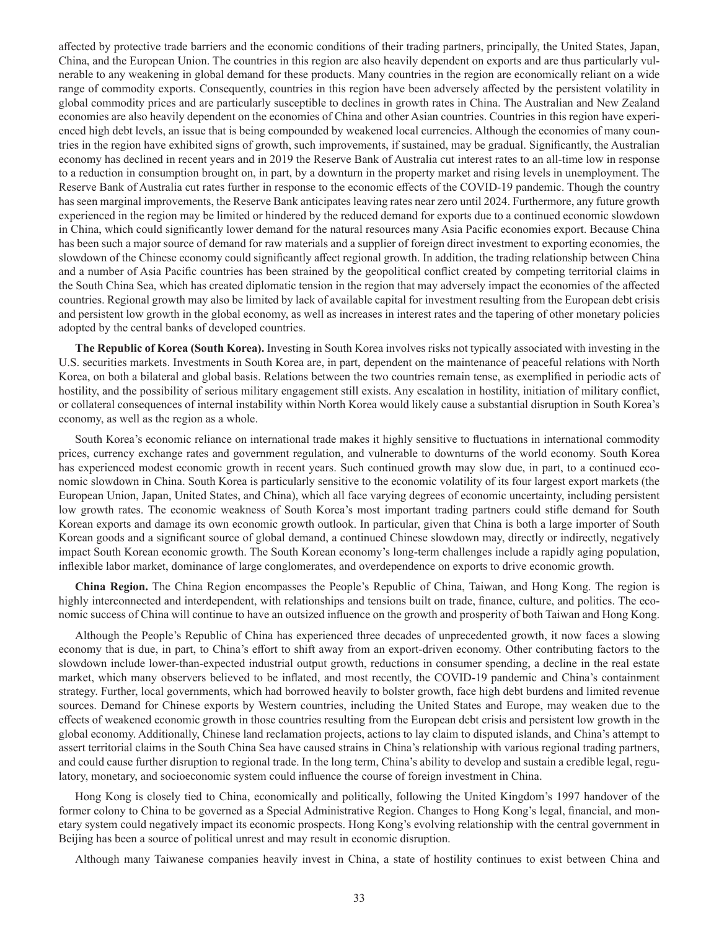affected by protective trade barriers and the economic conditions of their trading partners, principally, the United States, Japan, China, and the European Union. The countries in this region are also heavily dependent on exports and are thus particularly vulnerable to any weakening in global demand for these products. Many countries in the region are economically reliant on a wide range of commodity exports. Consequently, countries in this region have been adversely affected by the persistent volatility in global commodity prices and are particularly susceptible to declines in growth rates in China. The Australian and New Zealand economies are also heavily dependent on the economies of China and other Asian countries. Countries in this region have experienced high debt levels, an issue that is being compounded by weakened local currencies. Although the economies of many countries in the region have exhibited signs of growth, such improvements, if sustained, may be gradual. Significantly, the Australian economy has declined in recent years and in 2019 the Reserve Bank of Australia cut interest rates to an all-time low in response to a reduction in consumption brought on, in part, by a downturn in the property market and rising levels in unemployment. The Reserve Bank of Australia cut rates further in response to the economic effects of the COVID-19 pandemic. Though the country has seen marginal improvements, the Reserve Bank anticipates leaving rates near zero until 2024. Furthermore, any future growth experienced in the region may be limited or hindered by the reduced demand for exports due to a continued economic slowdown in China, which could significantly lower demand for the natural resources many Asia Pacific economies export. Because China has been such a major source of demand for raw materials and a supplier of foreign direct investment to exporting economies, the slowdown of the Chinese economy could significantly affect regional growth. In addition, the trading relationship between China and a number of Asia Pacific countries has been strained by the geopolitical conflict created by competing territorial claims in the South China Sea, which has created diplomatic tension in the region that may adversely impact the economies of the affected countries. Regional growth may also be limited by lack of available capital for investment resulting from the European debt crisis and persistent low growth in the global economy, as well as increases in interest rates and the tapering of other monetary policies adopted by the central banks of developed countries.

**The Republic of Korea (South Korea).** Investing in South Korea involves risks not typically associated with investing in the U.S. securities markets. Investments in South Korea are, in part, dependent on the maintenance of peaceful relations with North Korea, on both a bilateral and global basis. Relations between the two countries remain tense, as exemplified in periodic acts of hostility, and the possibility of serious military engagement still exists. Any escalation in hostility, initiation of military conflict, or collateral consequences of internal instability within North Korea would likely cause a substantial disruption in South Korea's economy, as well as the region as a whole.

South Korea's economic reliance on international trade makes it highly sensitive to fluctuations in international commodity prices, currency exchange rates and government regulation, and vulnerable to downturns of the world economy. South Korea has experienced modest economic growth in recent years. Such continued growth may slow due, in part, to a continued economic slowdown in China. South Korea is particularly sensitive to the economic volatility of its four largest export markets (the European Union, Japan, United States, and China), which all face varying degrees of economic uncertainty, including persistent low growth rates. The economic weakness of South Korea's most important trading partners could stifle demand for South Korean exports and damage its own economic growth outlook. In particular, given that China is both a large importer of South Korean goods and a significant source of global demand, a continued Chinese slowdown may, directly or indirectly, negatively impact South Korean economic growth. The South Korean economy's long-term challenges include a rapidly aging population, inflexible labor market, dominance of large conglomerates, and overdependence on exports to drive economic growth.

**China Region.** The China Region encompasses the People's Republic of China, Taiwan, and Hong Kong. The region is highly interconnected and interdependent, with relationships and tensions built on trade, finance, culture, and politics. The economic success of China will continue to have an outsized influence on the growth and prosperity of both Taiwan and Hong Kong.

Although the People's Republic of China has experienced three decades of unprecedented growth, it now faces a slowing economy that is due, in part, to China's effort to shift away from an export-driven economy. Other contributing factors to the slowdown include lower-than-expected industrial output growth, reductions in consumer spending, a decline in the real estate market, which many observers believed to be inflated, and most recently, the COVID-19 pandemic and China's containment strategy. Further, local governments, which had borrowed heavily to bolster growth, face high debt burdens and limited revenue sources. Demand for Chinese exports by Western countries, including the United States and Europe, may weaken due to the effects of weakened economic growth in those countries resulting from the European debt crisis and persistent low growth in the global economy. Additionally, Chinese land reclamation projects, actions to lay claim to disputed islands, and China's attempt to assert territorial claims in the South China Sea have caused strains in China's relationship with various regional trading partners, and could cause further disruption to regional trade. In the long term, China's ability to develop and sustain a credible legal, regulatory, monetary, and socioeconomic system could influence the course of foreign investment in China.

Hong Kong is closely tied to China, economically and politically, following the United Kingdom's 1997 handover of the former colony to China to be governed as a Special Administrative Region. Changes to Hong Kong's legal, financial, and monetary system could negatively impact its economic prospects. Hong Kong's evolving relationship with the central government in Beijing has been a source of political unrest and may result in economic disruption.

Although many Taiwanese companies heavily invest in China, a state of hostility continues to exist between China and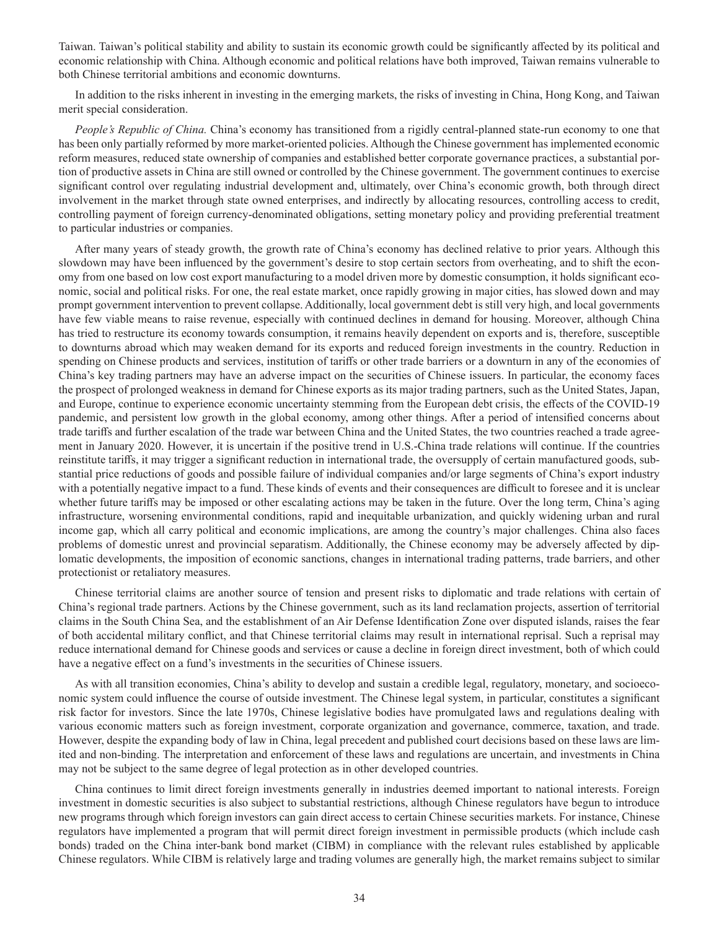Taiwan. Taiwan's political stability and ability to sustain its economic growth could be significantly affected by its political and economic relationship with China. Although economic and political relations have both improved, Taiwan remains vulnerable to both Chinese territorial ambitions and economic downturns.

In addition to the risks inherent in investing in the emerging markets, the risks of investing in China, Hong Kong, and Taiwan merit special consideration.

*People's Republic of China.* China's economy has transitioned from a rigidly central-planned state-run economy to one that has been only partially reformed by more market-oriented policies. Although the Chinese government has implemented economic reform measures, reduced state ownership of companies and established better corporate governance practices, a substantial portion of productive assets in China are still owned or controlled by the Chinese government. The government continues to exercise significant control over regulating industrial development and, ultimately, over China's economic growth, both through direct involvement in the market through state owned enterprises, and indirectly by allocating resources, controlling access to credit, controlling payment of foreign currency-denominated obligations, setting monetary policy and providing preferential treatment to particular industries or companies.

After many years of steady growth, the growth rate of China's economy has declined relative to prior years. Although this slowdown may have been influenced by the government's desire to stop certain sectors from overheating, and to shift the economy from one based on low cost export manufacturing to a model driven more by domestic consumption, it holds significant economic, social and political risks. For one, the real estate market, once rapidly growing in major cities, has slowed down and may prompt government intervention to prevent collapse. Additionally, local government debt is still very high, and local governments have few viable means to raise revenue, especially with continued declines in demand for housing. Moreover, although China has tried to restructure its economy towards consumption, it remains heavily dependent on exports and is, therefore, susceptible to downturns abroad which may weaken demand for its exports and reduced foreign investments in the country. Reduction in spending on Chinese products and services, institution of tariffs or other trade barriers or a downturn in any of the economies of China's key trading partners may have an adverse impact on the securities of Chinese issuers. In particular, the economy faces the prospect of prolonged weakness in demand for Chinese exports as its major trading partners, such as the United States, Japan, and Europe, continue to experience economic uncertainty stemming from the European debt crisis, the effects of the COVID-19 pandemic, and persistent low growth in the global economy, among other things. After a period of intensified concerns about trade tariffs and further escalation of the trade war between China and the United States, the two countries reached a trade agreement in January 2020. However, it is uncertain if the positive trend in U.S.-China trade relations will continue. If the countries reinstitute tariffs, it may trigger a significant reduction in international trade, the oversupply of certain manufactured goods, substantial price reductions of goods and possible failure of individual companies and/or large segments of China's export industry with a potentially negative impact to a fund. These kinds of events and their consequences are difficult to foresee and it is unclear whether future tariffs may be imposed or other escalating actions may be taken in the future. Over the long term, China's aging infrastructure, worsening environmental conditions, rapid and inequitable urbanization, and quickly widening urban and rural income gap, which all carry political and economic implications, are among the country's major challenges. China also faces problems of domestic unrest and provincial separatism. Additionally, the Chinese economy may be adversely affected by diplomatic developments, the imposition of economic sanctions, changes in international trading patterns, trade barriers, and other protectionist or retaliatory measures.

Chinese territorial claims are another source of tension and present risks to diplomatic and trade relations with certain of China's regional trade partners. Actions by the Chinese government, such as its land reclamation projects, assertion of territorial claims in the South China Sea, and the establishment of an Air Defense Identification Zone over disputed islands, raises the fear of both accidental military conflict, and that Chinese territorial claims may result in international reprisal. Such a reprisal may reduce international demand for Chinese goods and services or cause a decline in foreign direct investment, both of which could have a negative effect on a fund's investments in the securities of Chinese issuers.

As with all transition economies, China's ability to develop and sustain a credible legal, regulatory, monetary, and socioeconomic system could influence the course of outside investment. The Chinese legal system, in particular, constitutes a significant risk factor for investors. Since the late 1970s, Chinese legislative bodies have promulgated laws and regulations dealing with various economic matters such as foreign investment, corporate organization and governance, commerce, taxation, and trade. However, despite the expanding body of law in China, legal precedent and published court decisions based on these laws are limited and non-binding. The interpretation and enforcement of these laws and regulations are uncertain, and investments in China may not be subject to the same degree of legal protection as in other developed countries.

China continues to limit direct foreign investments generally in industries deemed important to national interests. Foreign investment in domestic securities is also subject to substantial restrictions, although Chinese regulators have begun to introduce new programs through which foreign investors can gain direct access to certain Chinese securities markets. For instance, Chinese regulators have implemented a program that will permit direct foreign investment in permissible products (which include cash bonds) traded on the China inter-bank bond market (CIBM) in compliance with the relevant rules established by applicable Chinese regulators. While CIBM is relatively large and trading volumes are generally high, the market remains subject to similar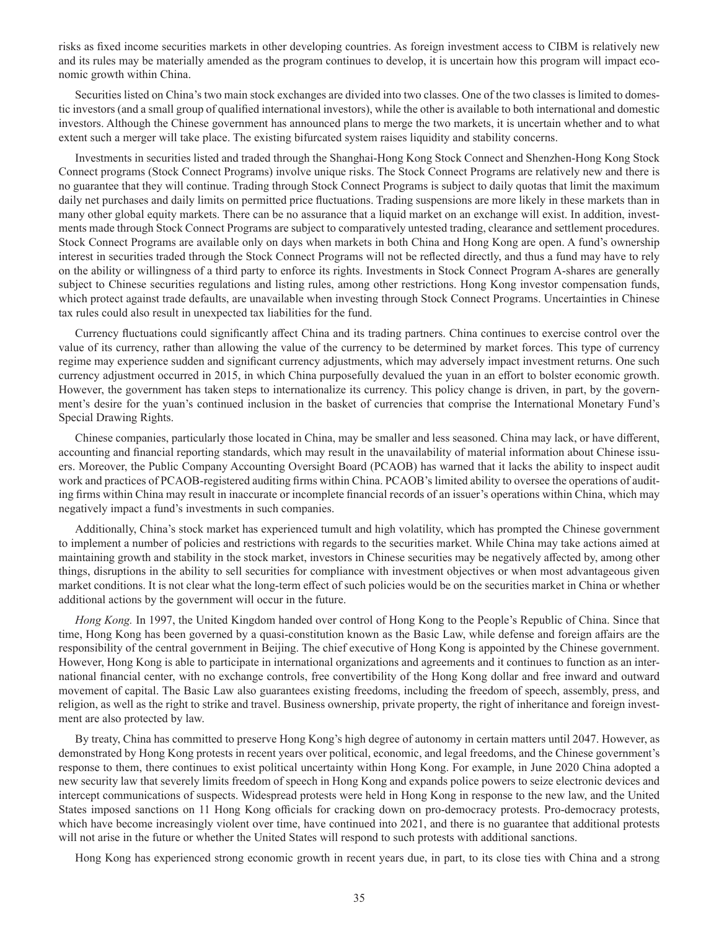risks as fixed income securities markets in other developing countries. As foreign investment access to CIBM is relatively new and its rules may be materially amended as the program continues to develop, it is uncertain how this program will impact economic growth within China.

Securities listed on China's two main stock exchanges are divided into two classes. One of the two classes is limited to domestic investors (and a small group of qualified international investors), while the other is available to both international and domestic investors. Although the Chinese government has announced plans to merge the two markets, it is uncertain whether and to what extent such a merger will take place. The existing bifurcated system raises liquidity and stability concerns.

Investments in securities listed and traded through the Shanghai-Hong Kong Stock Connect and Shenzhen-Hong Kong Stock Connect programs (Stock Connect Programs) involve unique risks. The Stock Connect Programs are relatively new and there is no guarantee that they will continue. Trading through Stock Connect Programs is subject to daily quotas that limit the maximum daily net purchases and daily limits on permitted price fluctuations. Trading suspensions are more likely in these markets than in many other global equity markets. There can be no assurance that a liquid market on an exchange will exist. In addition, investments made through Stock Connect Programs are subject to comparatively untested trading, clearance and settlement procedures. Stock Connect Programs are available only on days when markets in both China and Hong Kong are open. A fund's ownership interest in securities traded through the Stock Connect Programs will not be reflected directly, and thus a fund may have to rely on the ability or willingness of a third party to enforce its rights. Investments in Stock Connect Program A-shares are generally subject to Chinese securities regulations and listing rules, among other restrictions. Hong Kong investor compensation funds, which protect against trade defaults, are unavailable when investing through Stock Connect Programs. Uncertainties in Chinese tax rules could also result in unexpected tax liabilities for the fund.

Currency fluctuations could significantly affect China and its trading partners. China continues to exercise control over the value of its currency, rather than allowing the value of the currency to be determined by market forces. This type of currency regime may experience sudden and significant currency adjustments, which may adversely impact investment returns. One such currency adjustment occurred in 2015, in which China purposefully devalued the yuan in an effort to bolster economic growth. However, the government has taken steps to internationalize its currency. This policy change is driven, in part, by the government's desire for the yuan's continued inclusion in the basket of currencies that comprise the International Monetary Fund's Special Drawing Rights.

Chinese companies, particularly those located in China, may be smaller and less seasoned. China may lack, or have different, accounting and financial reporting standards, which may result in the unavailability of material information about Chinese issuers. Moreover, the Public Company Accounting Oversight Board (PCAOB) has warned that it lacks the ability to inspect audit work and practices of PCAOB-registered auditing firms within China. PCAOB's limited ability to oversee the operations of auditing firms within China may result in inaccurate or incomplete financial records of an issuer's operations within China, which may negatively impact a fund's investments in such companies.

Additionally, China's stock market has experienced tumult and high volatility, which has prompted the Chinese government to implement a number of policies and restrictions with regards to the securities market. While China may take actions aimed at maintaining growth and stability in the stock market, investors in Chinese securities may be negatively affected by, among other things, disruptions in the ability to sell securities for compliance with investment objectives or when most advantageous given market conditions. It is not clear what the long-term effect of such policies would be on the securities market in China or whether additional actions by the government will occur in the future.

*Hong Kong.* In 1997, the United Kingdom handed over control of Hong Kong to the People's Republic of China. Since that time, Hong Kong has been governed by a quasi-constitution known as the Basic Law, while defense and foreign affairs are the responsibility of the central government in Beijing. The chief executive of Hong Kong is appointed by the Chinese government. However, Hong Kong is able to participate in international organizations and agreements and it continues to function as an international financial center, with no exchange controls, free convertibility of the Hong Kong dollar and free inward and outward movement of capital. The Basic Law also guarantees existing freedoms, including the freedom of speech, assembly, press, and religion, as well as the right to strike and travel. Business ownership, private property, the right of inheritance and foreign investment are also protected by law.

By treaty, China has committed to preserve Hong Kong's high degree of autonomy in certain matters until 2047. However, as demonstrated by Hong Kong protests in recent years over political, economic, and legal freedoms, and the Chinese government's response to them, there continues to exist political uncertainty within Hong Kong. For example, in June 2020 China adopted a new security law that severely limits freedom of speech in Hong Kong and expands police powers to seize electronic devices and intercept communications of suspects. Widespread protests were held in Hong Kong in response to the new law, and the United States imposed sanctions on 11 Hong Kong officials for cracking down on pro-democracy protests. Pro-democracy protests, which have become increasingly violent over time, have continued into 2021, and there is no guarantee that additional protests will not arise in the future or whether the United States will respond to such protests with additional sanctions.

Hong Kong has experienced strong economic growth in recent years due, in part, to its close ties with China and a strong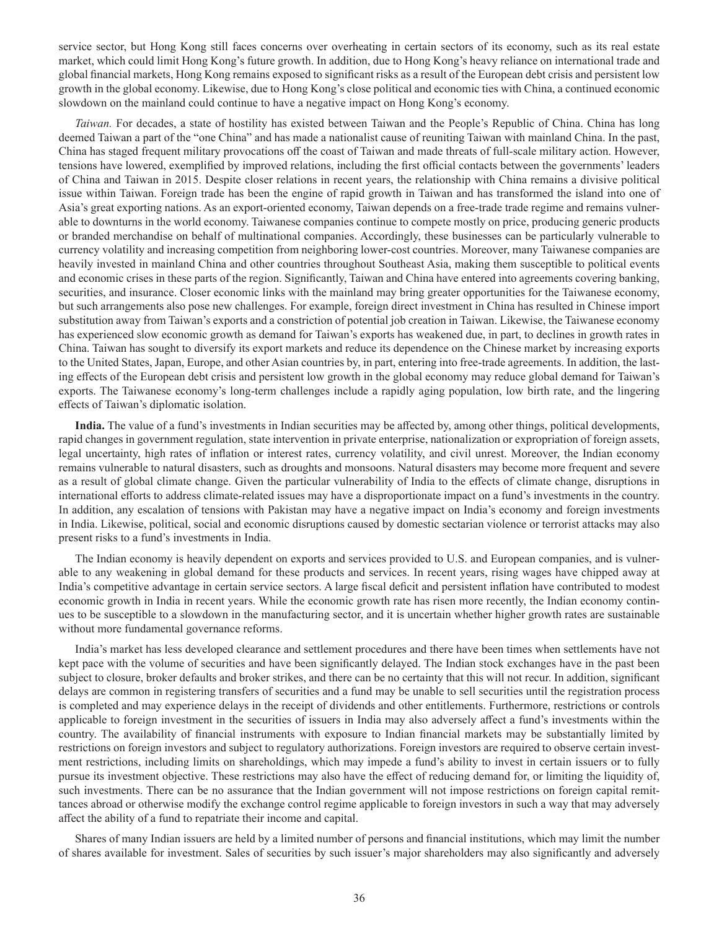service sector, but Hong Kong still faces concerns over overheating in certain sectors of its economy, such as its real estate market, which could limit Hong Kong's future growth. In addition, due to Hong Kong's heavy reliance on international trade and global financial markets, Hong Kong remains exposed to significant risks as a result of the European debt crisis and persistent low growth in the global economy. Likewise, due to Hong Kong's close political and economic ties with China, a continued economic slowdown on the mainland could continue to have a negative impact on Hong Kong's economy.

*Taiwan.* For decades, a state of hostility has existed between Taiwan and the People's Republic of China. China has long deemed Taiwan a part of the "one China" and has made a nationalist cause of reuniting Taiwan with mainland China. In the past, China has staged frequent military provocations off the coast of Taiwan and made threats of full-scale military action. However, tensions have lowered, exemplified by improved relations, including the first official contacts between the governments' leaders of China and Taiwan in 2015. Despite closer relations in recent years, the relationship with China remains a divisive political issue within Taiwan. Foreign trade has been the engine of rapid growth in Taiwan and has transformed the island into one of Asia's great exporting nations. As an export-oriented economy, Taiwan depends on a free-trade trade regime and remains vulnerable to downturns in the world economy. Taiwanese companies continue to compete mostly on price, producing generic products or branded merchandise on behalf of multinational companies. Accordingly, these businesses can be particularly vulnerable to currency volatility and increasing competition from neighboring lower-cost countries. Moreover, many Taiwanese companies are heavily invested in mainland China and other countries throughout Southeast Asia, making them susceptible to political events and economic crises in these parts of the region. Significantly, Taiwan and China have entered into agreements covering banking, securities, and insurance. Closer economic links with the mainland may bring greater opportunities for the Taiwanese economy, but such arrangements also pose new challenges. For example, foreign direct investment in China has resulted in Chinese import substitution away from Taiwan's exports and a constriction of potential job creation in Taiwan. Likewise, the Taiwanese economy has experienced slow economic growth as demand for Taiwan's exports has weakened due, in part, to declines in growth rates in China. Taiwan has sought to diversify its export markets and reduce its dependence on the Chinese market by increasing exports to the United States, Japan, Europe, and other Asian countries by, in part, entering into free-trade agreements. In addition, the lasting effects of the European debt crisis and persistent low growth in the global economy may reduce global demand for Taiwan's exports. The Taiwanese economy's long-term challenges include a rapidly aging population, low birth rate, and the lingering effects of Taiwan's diplomatic isolation.

**India.** The value of a fund's investments in Indian securities may be affected by, among other things, political developments, rapid changes in government regulation, state intervention in private enterprise, nationalization or expropriation of foreign assets, legal uncertainty, high rates of inflation or interest rates, currency volatility, and civil unrest. Moreover, the Indian economy remains vulnerable to natural disasters, such as droughts and monsoons. Natural disasters may become more frequent and severe as a result of global climate change. Given the particular vulnerability of India to the effects of climate change, disruptions in international efforts to address climate-related issues may have a disproportionate impact on a fund's investments in the country. In addition, any escalation of tensions with Pakistan may have a negative impact on India's economy and foreign investments in India. Likewise, political, social and economic disruptions caused by domestic sectarian violence or terrorist attacks may also present risks to a fund's investments in India.

The Indian economy is heavily dependent on exports and services provided to U.S. and European companies, and is vulnerable to any weakening in global demand for these products and services. In recent years, rising wages have chipped away at India's competitive advantage in certain service sectors. A large fiscal deficit and persistent inflation have contributed to modest economic growth in India in recent years. While the economic growth rate has risen more recently, the Indian economy continues to be susceptible to a slowdown in the manufacturing sector, and it is uncertain whether higher growth rates are sustainable without more fundamental governance reforms.

India's market has less developed clearance and settlement procedures and there have been times when settlements have not kept pace with the volume of securities and have been significantly delayed. The Indian stock exchanges have in the past been subject to closure, broker defaults and broker strikes, and there can be no certainty that this will not recur. In addition, significant delays are common in registering transfers of securities and a fund may be unable to sell securities until the registration process is completed and may experience delays in the receipt of dividends and other entitlements. Furthermore, restrictions or controls applicable to foreign investment in the securities of issuers in India may also adversely affect a fund's investments within the country. The availability of financial instruments with exposure to Indian financial markets may be substantially limited by restrictions on foreign investors and subject to regulatory authorizations. Foreign investors are required to observe certain investment restrictions, including limits on shareholdings, which may impede a fund's ability to invest in certain issuers or to fully pursue its investment objective. These restrictions may also have the effect of reducing demand for, or limiting the liquidity of, such investments. There can be no assurance that the Indian government will not impose restrictions on foreign capital remittances abroad or otherwise modify the exchange control regime applicable to foreign investors in such a way that may adversely affect the ability of a fund to repatriate their income and capital.

Shares of many Indian issuers are held by a limited number of persons and financial institutions, which may limit the number of shares available for investment. Sales of securities by such issuer's major shareholders may also significantly and adversely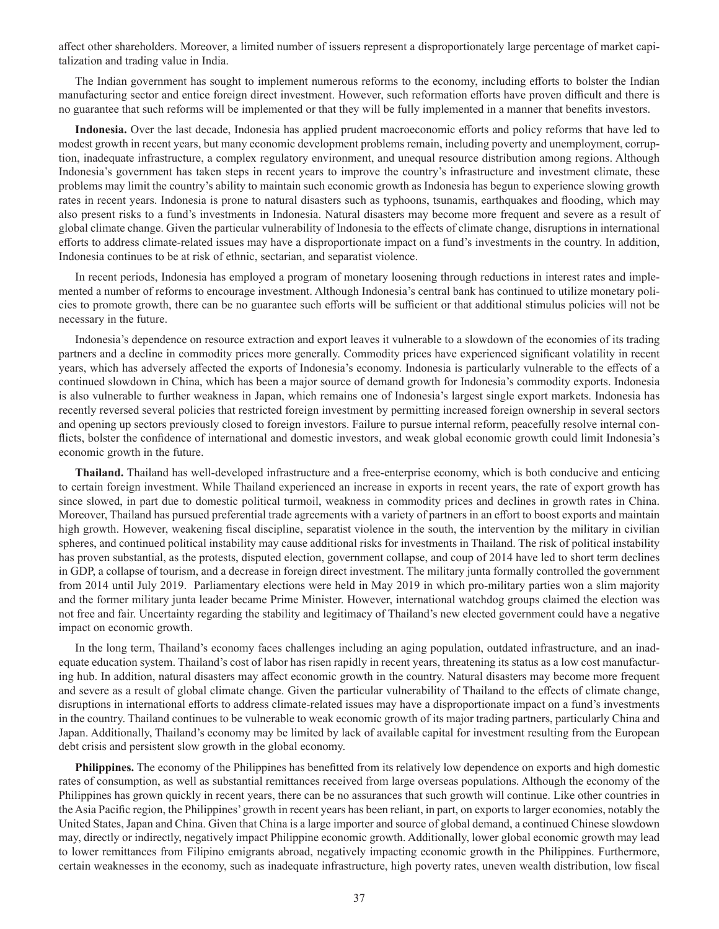affect other shareholders. Moreover, a limited number of issuers represent a disproportionately large percentage of market capitalization and trading value in India.

The Indian government has sought to implement numerous reforms to the economy, including efforts to bolster the Indian manufacturing sector and entice foreign direct investment. However, such reformation efforts have proven difficult and there is no guarantee that such reforms will be implemented or that they will be fully implemented in a manner that benefits investors.

**Indonesia.** Over the last decade, Indonesia has applied prudent macroeconomic efforts and policy reforms that have led to modest growth in recent years, but many economic development problems remain, including poverty and unemployment, corruption, inadequate infrastructure, a complex regulatory environment, and unequal resource distribution among regions. Although Indonesia's government has taken steps in recent years to improve the country's infrastructure and investment climate, these problems may limit the country's ability to maintain such economic growth as Indonesia has begun to experience slowing growth rates in recent years. Indonesia is prone to natural disasters such as typhoons, tsunamis, earthquakes and flooding, which may also present risks to a fund's investments in Indonesia. Natural disasters may become more frequent and severe as a result of global climate change. Given the particular vulnerability of Indonesia to the effects of climate change, disruptions in international efforts to address climate-related issues may have a disproportionate impact on a fund's investments in the country. In addition, Indonesia continues to be at risk of ethnic, sectarian, and separatist violence.

In recent periods, Indonesia has employed a program of monetary loosening through reductions in interest rates and implemented a number of reforms to encourage investment. Although Indonesia's central bank has continued to utilize monetary policies to promote growth, there can be no guarantee such efforts will be sufficient or that additional stimulus policies will not be necessary in the future.

Indonesia's dependence on resource extraction and export leaves it vulnerable to a slowdown of the economies of its trading partners and a decline in commodity prices more generally. Commodity prices have experienced significant volatility in recent years, which has adversely affected the exports of Indonesia's economy. Indonesia is particularly vulnerable to the effects of a continued slowdown in China, which has been a major source of demand growth for Indonesia's commodity exports. Indonesia is also vulnerable to further weakness in Japan, which remains one of Indonesia's largest single export markets. Indonesia has recently reversed several policies that restricted foreign investment by permitting increased foreign ownership in several sectors and opening up sectors previously closed to foreign investors. Failure to pursue internal reform, peacefully resolve internal conflicts, bolster the confidence of international and domestic investors, and weak global economic growth could limit Indonesia's economic growth in the future.

**Thailand.** Thailand has well-developed infrastructure and a free-enterprise economy, which is both conducive and enticing to certain foreign investment. While Thailand experienced an increase in exports in recent years, the rate of export growth has since slowed, in part due to domestic political turmoil, weakness in commodity prices and declines in growth rates in China. Moreover, Thailand has pursued preferential trade agreements with a variety of partners in an effort to boost exports and maintain high growth. However, weakening fiscal discipline, separatist violence in the south, the intervention by the military in civilian spheres, and continued political instability may cause additional risks for investments in Thailand. The risk of political instability has proven substantial, as the protests, disputed election, government collapse, and coup of 2014 have led to short term declines in GDP, a collapse of tourism, and a decrease in foreign direct investment. The military junta formally controlled the government from 2014 until July 2019. Parliamentary elections were held in May 2019 in which pro-military parties won a slim majority and the former military junta leader became Prime Minister. However, international watchdog groups claimed the election was not free and fair. Uncertainty regarding the stability and legitimacy of Thailand's new elected government could have a negative impact on economic growth.

In the long term, Thailand's economy faces challenges including an aging population, outdated infrastructure, and an inadequate education system. Thailand's cost of labor has risen rapidly in recent years, threatening its status as a low cost manufacturing hub. In addition, natural disasters may affect economic growth in the country. Natural disasters may become more frequent and severe as a result of global climate change. Given the particular vulnerability of Thailand to the effects of climate change, disruptions in international efforts to address climate-related issues may have a disproportionate impact on a fund's investments in the country. Thailand continues to be vulnerable to weak economic growth of its major trading partners, particularly China and Japan. Additionally, Thailand's economy may be limited by lack of available capital for investment resulting from the European debt crisis and persistent slow growth in the global economy.

**Philippines.** The economy of the Philippines has benefitted from its relatively low dependence on exports and high domestic rates of consumption, as well as substantial remittances received from large overseas populations. Although the economy of the Philippines has grown quickly in recent years, there can be no assurances that such growth will continue. Like other countries in the Asia Pacific region, the Philippines' growth in recent years has been reliant, in part, on exports to larger economies, notably the United States, Japan and China. Given that China is a large importer and source of global demand, a continued Chinese slowdown may, directly or indirectly, negatively impact Philippine economic growth. Additionally, lower global economic growth may lead to lower remittances from Filipino emigrants abroad, negatively impacting economic growth in the Philippines. Furthermore, certain weaknesses in the economy, such as inadequate infrastructure, high poverty rates, uneven wealth distribution, low fiscal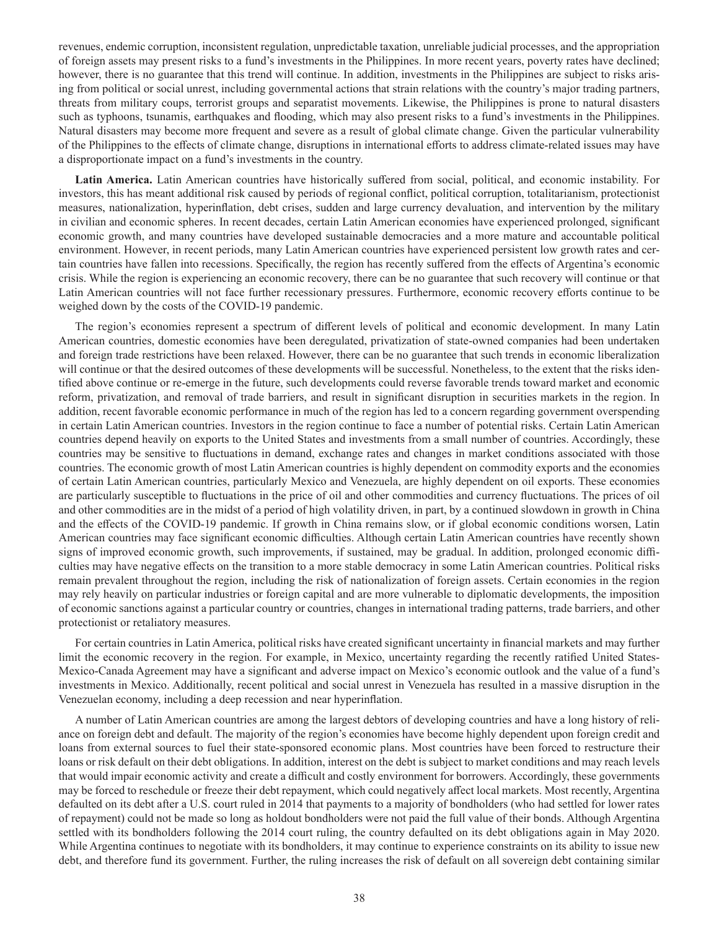revenues, endemic corruption, inconsistent regulation, unpredictable taxation, unreliable judicial processes, and the appropriation of foreign assets may present risks to a fund's investments in the Philippines. In more recent years, poverty rates have declined; however, there is no guarantee that this trend will continue. In addition, investments in the Philippines are subject to risks arising from political or social unrest, including governmental actions that strain relations with the country's major trading partners, threats from military coups, terrorist groups and separatist movements. Likewise, the Philippines is prone to natural disasters such as typhoons, tsunamis, earthquakes and flooding, which may also present risks to a fund's investments in the Philippines. Natural disasters may become more frequent and severe as a result of global climate change. Given the particular vulnerability of the Philippines to the effects of climate change, disruptions in international efforts to address climate-related issues may have a disproportionate impact on a fund's investments in the country.

**Latin America.** Latin American countries have historically suffered from social, political, and economic instability. For investors, this has meant additional risk caused by periods of regional conflict, political corruption, totalitarianism, protectionist measures, nationalization, hyperinflation, debt crises, sudden and large currency devaluation, and intervention by the military in civilian and economic spheres. In recent decades, certain Latin American economies have experienced prolonged, significant economic growth, and many countries have developed sustainable democracies and a more mature and accountable political environment. However, in recent periods, many Latin American countries have experienced persistent low growth rates and certain countries have fallen into recessions. Specifically, the region has recently suffered from the effects of Argentina's economic crisis. While the region is experiencing an economic recovery, there can be no guarantee that such recovery will continue or that Latin American countries will not face further recessionary pressures. Furthermore, economic recovery efforts continue to be weighed down by the costs of the COVID-19 pandemic.

The region's economies represent a spectrum of different levels of political and economic development. In many Latin American countries, domestic economies have been deregulated, privatization of state-owned companies had been undertaken and foreign trade restrictions have been relaxed. However, there can be no guarantee that such trends in economic liberalization will continue or that the desired outcomes of these developments will be successful. Nonetheless, to the extent that the risks identified above continue or re-emerge in the future, such developments could reverse favorable trends toward market and economic reform, privatization, and removal of trade barriers, and result in significant disruption in securities markets in the region. In addition, recent favorable economic performance in much of the region has led to a concern regarding government overspending in certain Latin American countries. Investors in the region continue to face a number of potential risks. Certain Latin American countries depend heavily on exports to the United States and investments from a small number of countries. Accordingly, these countries may be sensitive to fluctuations in demand, exchange rates and changes in market conditions associated with those countries. The economic growth of most Latin American countries is highly dependent on commodity exports and the economies of certain Latin American countries, particularly Mexico and Venezuela, are highly dependent on oil exports. These economies are particularly susceptible to fluctuations in the price of oil and other commodities and currency fluctuations. The prices of oil and other commodities are in the midst of a period of high volatility driven, in part, by a continued slowdown in growth in China and the effects of the COVID-19 pandemic. If growth in China remains slow, or if global economic conditions worsen, Latin American countries may face significant economic difficulties. Although certain Latin American countries have recently shown signs of improved economic growth, such improvements, if sustained, may be gradual. In addition, prolonged economic difficulties may have negative effects on the transition to a more stable democracy in some Latin American countries. Political risks remain prevalent throughout the region, including the risk of nationalization of foreign assets. Certain economies in the region may rely heavily on particular industries or foreign capital and are more vulnerable to diplomatic developments, the imposition of economic sanctions against a particular country or countries, changes in international trading patterns, trade barriers, and other protectionist or retaliatory measures.

For certain countries in Latin America, political risks have created significant uncertainty in financial markets and may further limit the economic recovery in the region. For example, in Mexico, uncertainty regarding the recently ratified United States-Mexico-Canada Agreement may have a significant and adverse impact on Mexico's economic outlook and the value of a fund's investments in Mexico. Additionally, recent political and social unrest in Venezuela has resulted in a massive disruption in the Venezuelan economy, including a deep recession and near hyperinflation.

A number of Latin American countries are among the largest debtors of developing countries and have a long history of reliance on foreign debt and default. The majority of the region's economies have become highly dependent upon foreign credit and loans from external sources to fuel their state-sponsored economic plans. Most countries have been forced to restructure their loans or risk default on their debt obligations. In addition, interest on the debt is subject to market conditions and may reach levels that would impair economic activity and create a difficult and costly environment for borrowers. Accordingly, these governments may be forced to reschedule or freeze their debt repayment, which could negatively affect local markets. Most recently, Argentina defaulted on its debt after a U.S. court ruled in 2014 that payments to a majority of bondholders (who had settled for lower rates of repayment) could not be made so long as holdout bondholders were not paid the full value of their bonds. Although Argentina settled with its bondholders following the 2014 court ruling, the country defaulted on its debt obligations again in May 2020. While Argentina continues to negotiate with its bondholders, it may continue to experience constraints on its ability to issue new debt, and therefore fund its government. Further, the ruling increases the risk of default on all sovereign debt containing similar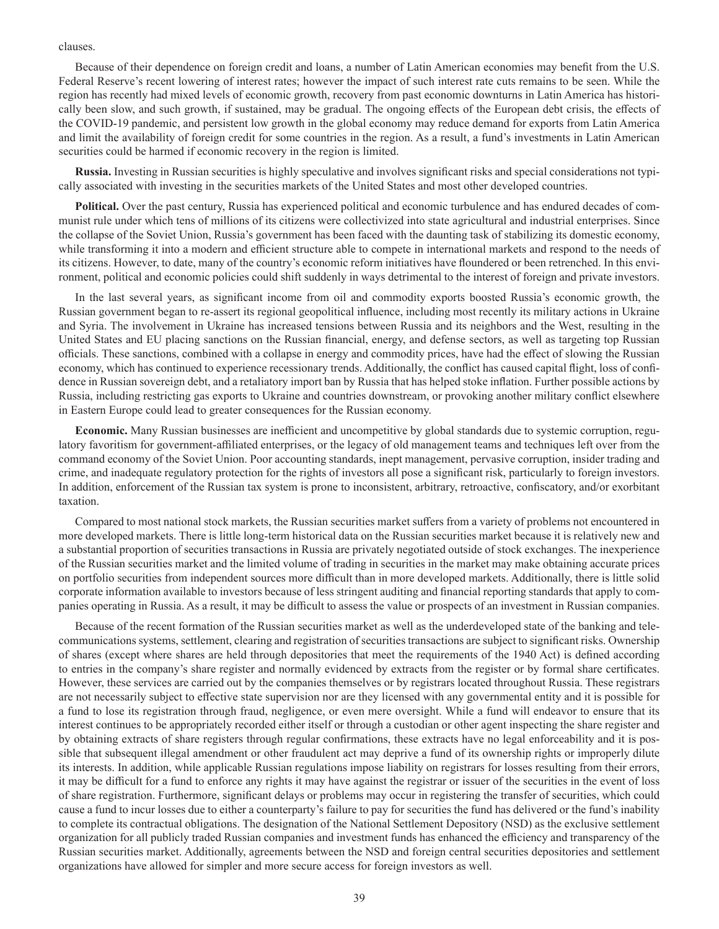#### clauses.

Because of their dependence on foreign credit and loans, a number of Latin American economies may benefit from the U.S. Federal Reserve's recent lowering of interest rates; however the impact of such interest rate cuts remains to be seen. While the region has recently had mixed levels of economic growth, recovery from past economic downturns in Latin America has historically been slow, and such growth, if sustained, may be gradual. The ongoing effects of the European debt crisis, the effects of the COVID-19 pandemic, and persistent low growth in the global economy may reduce demand for exports from Latin America and limit the availability of foreign credit for some countries in the region. As a result, a fund's investments in Latin American securities could be harmed if economic recovery in the region is limited.

**Russia.** Investing in Russian securities is highly speculative and involves significant risks and special considerations not typically associated with investing in the securities markets of the United States and most other developed countries.

**Political.** Over the past century, Russia has experienced political and economic turbulence and has endured decades of communist rule under which tens of millions of its citizens were collectivized into state agricultural and industrial enterprises. Since the collapse of the Soviet Union, Russia's government has been faced with the daunting task of stabilizing its domestic economy, while transforming it into a modern and efficient structure able to compete in international markets and respond to the needs of its citizens. However, to date, many of the country's economic reform initiatives have floundered or been retrenched. In this environment, political and economic policies could shift suddenly in ways detrimental to the interest of foreign and private investors.

In the last several years, as significant income from oil and commodity exports boosted Russia's economic growth, the Russian government began to re-assert its regional geopolitical influence, including most recently its military actions in Ukraine and Syria. The involvement in Ukraine has increased tensions between Russia and its neighbors and the West, resulting in the United States and EU placing sanctions on the Russian financial, energy, and defense sectors, as well as targeting top Russian officials. These sanctions, combined with a collapse in energy and commodity prices, have had the effect of slowing the Russian economy, which has continued to experience recessionary trends. Additionally, the conflict has caused capital flight, loss of confidence in Russian sovereign debt, and a retaliatory import ban by Russia that has helped stoke inflation. Further possible actions by Russia, including restricting gas exports to Ukraine and countries downstream, or provoking another military conflict elsewhere in Eastern Europe could lead to greater consequences for the Russian economy.

**Economic.** Many Russian businesses are inefficient and uncompetitive by global standards due to systemic corruption, regulatory favoritism for government-affiliated enterprises, or the legacy of old management teams and techniques left over from the command economy of the Soviet Union. Poor accounting standards, inept management, pervasive corruption, insider trading and crime, and inadequate regulatory protection for the rights of investors all pose a significant risk, particularly to foreign investors. In addition, enforcement of the Russian tax system is prone to inconsistent, arbitrary, retroactive, confiscatory, and/or exorbitant taxation.

Compared to most national stock markets, the Russian securities market suffers from a variety of problems not encountered in more developed markets. There is little long-term historical data on the Russian securities market because it is relatively new and a substantial proportion of securities transactions in Russia are privately negotiated outside of stock exchanges. The inexperience of the Russian securities market and the limited volume of trading in securities in the market may make obtaining accurate prices on portfolio securities from independent sources more difficult than in more developed markets. Additionally, there is little solid corporate information available to investors because of less stringent auditing and financial reporting standards that apply to companies operating in Russia. As a result, it may be difficult to assess the value or prospects of an investment in Russian companies.

Because of the recent formation of the Russian securities market as well as the underdeveloped state of the banking and telecommunications systems, settlement, clearing and registration of securities transactions are subject to significant risks. Ownership of shares (except where shares are held through depositories that meet the requirements of the 1940 Act) is defined according to entries in the company's share register and normally evidenced by extracts from the register or by formal share certificates. However, these services are carried out by the companies themselves or by registrars located throughout Russia. These registrars are not necessarily subject to effective state supervision nor are they licensed with any governmental entity and it is possible for a fund to lose its registration through fraud, negligence, or even mere oversight. While a fund will endeavor to ensure that its interest continues to be appropriately recorded either itself or through a custodian or other agent inspecting the share register and by obtaining extracts of share registers through regular confirmations, these extracts have no legal enforceability and it is possible that subsequent illegal amendment or other fraudulent act may deprive a fund of its ownership rights or improperly dilute its interests. In addition, while applicable Russian regulations impose liability on registrars for losses resulting from their errors, it may be difficult for a fund to enforce any rights it may have against the registrar or issuer of the securities in the event of loss of share registration. Furthermore, significant delays or problems may occur in registering the transfer of securities, which could cause a fund to incur losses due to either a counterparty's failure to pay for securities the fund has delivered or the fund's inability to complete its contractual obligations. The designation of the National Settlement Depository (NSD) as the exclusive settlement organization for all publicly traded Russian companies and investment funds has enhanced the efficiency and transparency of the Russian securities market. Additionally, agreements between the NSD and foreign central securities depositories and settlement organizations have allowed for simpler and more secure access for foreign investors as well.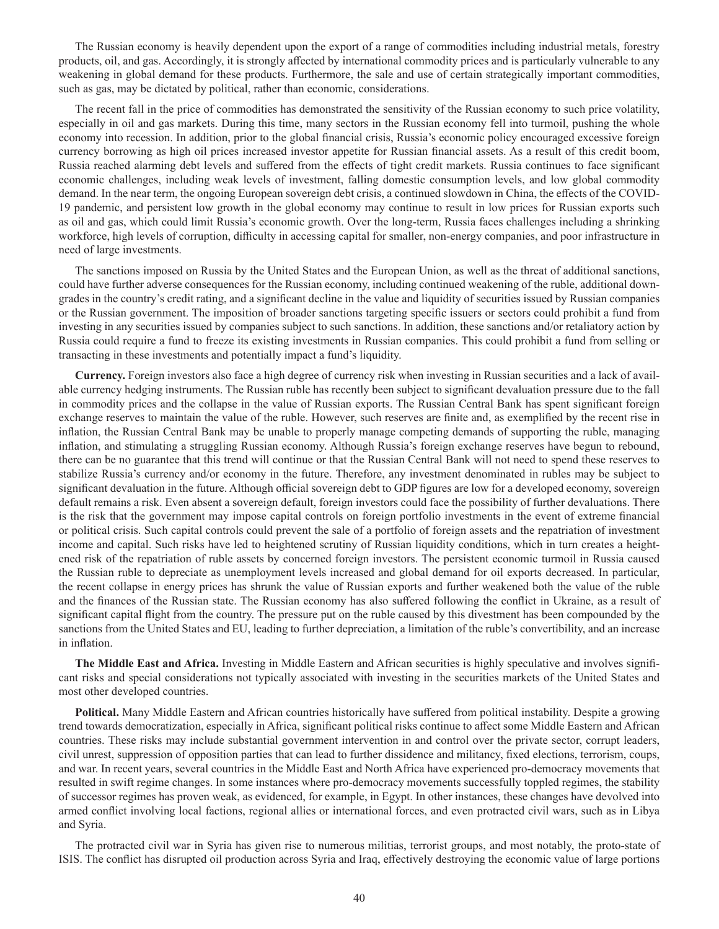The Russian economy is heavily dependent upon the export of a range of commodities including industrial metals, forestry products, oil, and gas. Accordingly, it is strongly affected by international commodity prices and is particularly vulnerable to any weakening in global demand for these products. Furthermore, the sale and use of certain strategically important commodities, such as gas, may be dictated by political, rather than economic, considerations.

The recent fall in the price of commodities has demonstrated the sensitivity of the Russian economy to such price volatility, especially in oil and gas markets. During this time, many sectors in the Russian economy fell into turmoil, pushing the whole economy into recession. In addition, prior to the global financial crisis, Russia's economic policy encouraged excessive foreign currency borrowing as high oil prices increased investor appetite for Russian financial assets. As a result of this credit boom, Russia reached alarming debt levels and suffered from the effects of tight credit markets. Russia continues to face significant economic challenges, including weak levels of investment, falling domestic consumption levels, and low global commodity demand. In the near term, the ongoing European sovereign debt crisis, a continued slowdown in China, the effects of the COVID-19 pandemic, and persistent low growth in the global economy may continue to result in low prices for Russian exports such as oil and gas, which could limit Russia's economic growth. Over the long-term, Russia faces challenges including a shrinking workforce, high levels of corruption, difficulty in accessing capital for smaller, non-energy companies, and poor infrastructure in need of large investments.

The sanctions imposed on Russia by the United States and the European Union, as well as the threat of additional sanctions, could have further adverse consequences for the Russian economy, including continued weakening of the ruble, additional downgrades in the country's credit rating, and a significant decline in the value and liquidity of securities issued by Russian companies or the Russian government. The imposition of broader sanctions targeting specific issuers or sectors could prohibit a fund from investing in any securities issued by companies subject to such sanctions. In addition, these sanctions and/or retaliatory action by Russia could require a fund to freeze its existing investments in Russian companies. This could prohibit a fund from selling or transacting in these investments and potentially impact a fund's liquidity.

**Currency.** Foreign investors also face a high degree of currency risk when investing in Russian securities and a lack of available currency hedging instruments. The Russian ruble has recently been subject to significant devaluation pressure due to the fall in commodity prices and the collapse in the value of Russian exports. The Russian Central Bank has spent significant foreign exchange reserves to maintain the value of the ruble. However, such reserves are finite and, as exemplified by the recent rise in inflation, the Russian Central Bank may be unable to properly manage competing demands of supporting the ruble, managing inflation, and stimulating a struggling Russian economy. Although Russia's foreign exchange reserves have begun to rebound, there can be no guarantee that this trend will continue or that the Russian Central Bank will not need to spend these reserves to stabilize Russia's currency and/or economy in the future. Therefore, any investment denominated in rubles may be subject to significant devaluation in the future. Although official sovereign debt to GDP figures are low for a developed economy, sovereign default remains a risk. Even absent a sovereign default, foreign investors could face the possibility of further devaluations. There is the risk that the government may impose capital controls on foreign portfolio investments in the event of extreme financial or political crisis. Such capital controls could prevent the sale of a portfolio of foreign assets and the repatriation of investment income and capital. Such risks have led to heightened scrutiny of Russian liquidity conditions, which in turn creates a heightened risk of the repatriation of ruble assets by concerned foreign investors. The persistent economic turmoil in Russia caused the Russian ruble to depreciate as unemployment levels increased and global demand for oil exports decreased. In particular, the recent collapse in energy prices has shrunk the value of Russian exports and further weakened both the value of the ruble and the finances of the Russian state. The Russian economy has also suffered following the conflict in Ukraine, as a result of significant capital flight from the country. The pressure put on the ruble caused by this divestment has been compounded by the sanctions from the United States and EU, leading to further depreciation, a limitation of the ruble's convertibility, and an increase in inflation.

**The Middle East and Africa.** Investing in Middle Eastern and African securities is highly speculative and involves significant risks and special considerations not typically associated with investing in the securities markets of the United States and most other developed countries.

**Political.** Many Middle Eastern and African countries historically have suffered from political instability. Despite a growing trend towards democratization, especially in Africa, significant political risks continue to affect some Middle Eastern and African countries. These risks may include substantial government intervention in and control over the private sector, corrupt leaders, civil unrest, suppression of opposition parties that can lead to further dissidence and militancy, fixed elections, terrorism, coups, and war. In recent years, several countries in the Middle East and North Africa have experienced pro-democracy movements that resulted in swift regime changes. In some instances where pro-democracy movements successfully toppled regimes, the stability of successor regimes has proven weak, as evidenced, for example, in Egypt. In other instances, these changes have devolved into armed conflict involving local factions, regional allies or international forces, and even protracted civil wars, such as in Libya and Syria.

The protracted civil war in Syria has given rise to numerous militias, terrorist groups, and most notably, the proto-state of ISIS. The conflict has disrupted oil production across Syria and Iraq, effectively destroying the economic value of large portions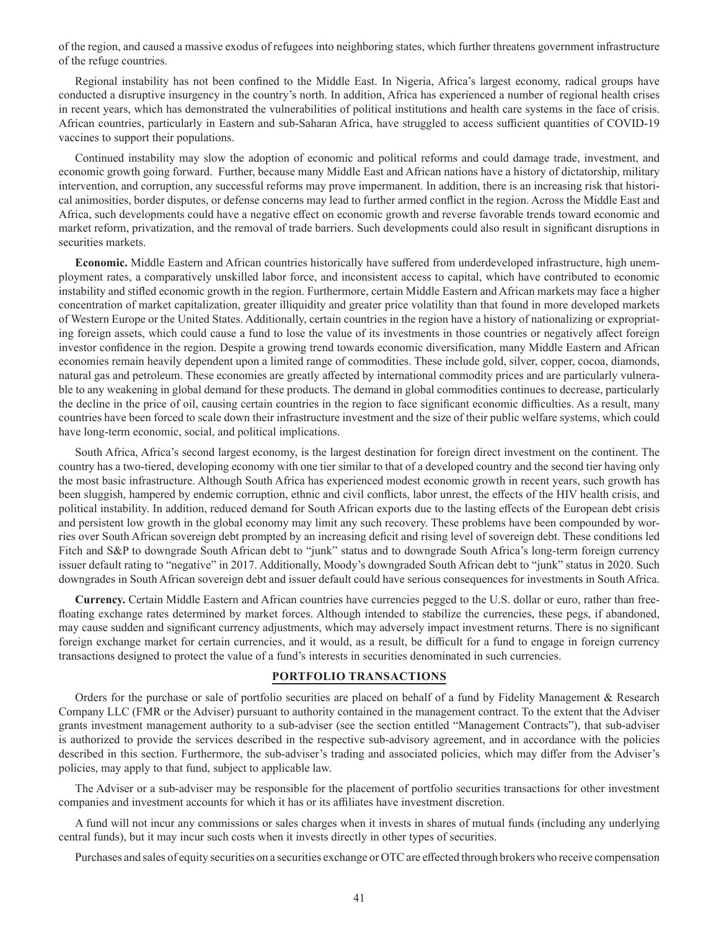of the region, and caused a massive exodus of refugees into neighboring states, which further threatens government infrastructure of the refuge countries.

Regional instability has not been confined to the Middle East. In Nigeria, Africa's largest economy, radical groups have conducted a disruptive insurgency in the country's north. In addition, Africa has experienced a number of regional health crises in recent years, which has demonstrated the vulnerabilities of political institutions and health care systems in the face of crisis. African countries, particularly in Eastern and sub-Saharan Africa, have struggled to access sufficient quantities of COVID-19 vaccines to support their populations.

Continued instability may slow the adoption of economic and political reforms and could damage trade, investment, and economic growth going forward. Further, because many Middle East and African nations have a history of dictatorship, military intervention, and corruption, any successful reforms may prove impermanent. In addition, there is an increasing risk that historical animosities, border disputes, or defense concerns may lead to further armed conflict in the region. Across the Middle East and Africa, such developments could have a negative effect on economic growth and reverse favorable trends toward economic and market reform, privatization, and the removal of trade barriers. Such developments could also result in significant disruptions in securities markets.

**Economic.** Middle Eastern and African countries historically have suffered from underdeveloped infrastructure, high unemployment rates, a comparatively unskilled labor force, and inconsistent access to capital, which have contributed to economic instability and stifled economic growth in the region. Furthermore, certain Middle Eastern and African markets may face a higher concentration of market capitalization, greater illiquidity and greater price volatility than that found in more developed markets of Western Europe or the United States. Additionally, certain countries in the region have a history of nationalizing or expropriating foreign assets, which could cause a fund to lose the value of its investments in those countries or negatively affect foreign investor confidence in the region. Despite a growing trend towards economic diversification, many Middle Eastern and African economies remain heavily dependent upon a limited range of commodities. These include gold, silver, copper, cocoa, diamonds, natural gas and petroleum. These economies are greatly affected by international commodity prices and are particularly vulnerable to any weakening in global demand for these products. The demand in global commodities continues to decrease, particularly the decline in the price of oil, causing certain countries in the region to face significant economic difficulties. As a result, many countries have been forced to scale down their infrastructure investment and the size of their public welfare systems, which could have long-term economic, social, and political implications.

South Africa, Africa's second largest economy, is the largest destination for foreign direct investment on the continent. The country has a two-tiered, developing economy with one tier similar to that of a developed country and the second tier having only the most basic infrastructure. Although South Africa has experienced modest economic growth in recent years, such growth has been sluggish, hampered by endemic corruption, ethnic and civil conflicts, labor unrest, the effects of the HIV health crisis, and political instability. In addition, reduced demand for South African exports due to the lasting effects of the European debt crisis and persistent low growth in the global economy may limit any such recovery. These problems have been compounded by worries over South African sovereign debt prompted by an increasing deficit and rising level of sovereign debt. These conditions led Fitch and S&P to downgrade South African debt to "junk" status and to downgrade South Africa's long-term foreign currency issuer default rating to "negative" in 2017. Additionally, Moody's downgraded South African debt to "junk" status in 2020. Such downgrades in South African sovereign debt and issuer default could have serious consequences for investments in South Africa.

**Currency.** Certain Middle Eastern and African countries have currencies pegged to the U.S. dollar or euro, rather than freefloating exchange rates determined by market forces. Although intended to stabilize the currencies, these pegs, if abandoned, may cause sudden and significant currency adjustments, which may adversely impact investment returns. There is no significant foreign exchange market for certain currencies, and it would, as a result, be difficult for a fund to engage in foreign currency transactions designed to protect the value of a fund's interests in securities denominated in such currencies.

## **PORTFOLIO TRANSACTIONS**

Orders for the purchase or sale of portfolio securities are placed on behalf of a fund by Fidelity Management & Research Company LLC (FMR or the Adviser) pursuant to authority contained in the management contract. To the extent that the Adviser grants investment management authority to a sub-adviser (see the section entitled "Management Contracts"), that sub-adviser is authorized to provide the services described in the respective sub-advisory agreement, and in accordance with the policies described in this section. Furthermore, the sub-adviser's trading and associated policies, which may differ from the Adviser's policies, may apply to that fund, subject to applicable law.

The Adviser or a sub-adviser may be responsible for the placement of portfolio securities transactions for other investment companies and investment accounts for which it has or its affiliates have investment discretion.

A fund will not incur any commissions or sales charges when it invests in shares of mutual funds (including any underlying central funds), but it may incur such costs when it invests directly in other types of securities.

Purchases and sales of equity securities on a securities exchange or OTC are effected through brokers who receive compensation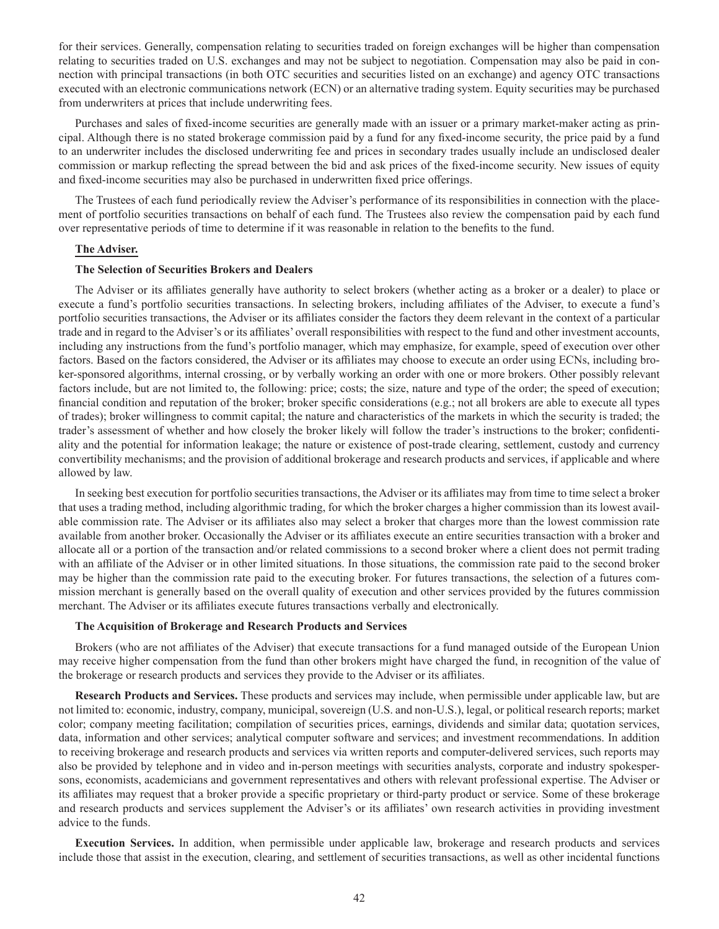for their services. Generally, compensation relating to securities traded on foreign exchanges will be higher than compensation relating to securities traded on U.S. exchanges and may not be subject to negotiation. Compensation may also be paid in connection with principal transactions (in both OTC securities and securities listed on an exchange) and agency OTC transactions executed with an electronic communications network (ECN) or an alternative trading system. Equity securities may be purchased from underwriters at prices that include underwriting fees.

Purchases and sales of fixed-income securities are generally made with an issuer or a primary market-maker acting as principal. Although there is no stated brokerage commission paid by a fund for any fixed-income security, the price paid by a fund to an underwriter includes the disclosed underwriting fee and prices in secondary trades usually include an undisclosed dealer commission or markup reflecting the spread between the bid and ask prices of the fixed-income security. New issues of equity and fixed-income securities may also be purchased in underwritten fixed price offerings.

The Trustees of each fund periodically review the Adviser's performance of its responsibilities in connection with the placement of portfolio securities transactions on behalf of each fund. The Trustees also review the compensation paid by each fund over representative periods of time to determine if it was reasonable in relation to the benefits to the fund.

#### **The Adviser.**

### **The Selection of Securities Brokers and Dealers**

The Adviser or its affiliates generally have authority to select brokers (whether acting as a broker or a dealer) to place or execute a fund's portfolio securities transactions. In selecting brokers, including affiliates of the Adviser, to execute a fund's portfolio securities transactions, the Adviser or its affiliates consider the factors they deem relevant in the context of a particular trade and in regard to the Adviser's or its affiliates' overall responsibilities with respect to the fund and other investment accounts, including any instructions from the fund's portfolio manager, which may emphasize, for example, speed of execution over other factors. Based on the factors considered, the Adviser or its affiliates may choose to execute an order using ECNs, including broker-sponsored algorithms, internal crossing, or by verbally working an order with one or more brokers. Other possibly relevant factors include, but are not limited to, the following: price; costs; the size, nature and type of the order; the speed of execution; financial condition and reputation of the broker; broker specific considerations (e.g.; not all brokers are able to execute all types of trades); broker willingness to commit capital; the nature and characteristics of the markets in which the security is traded; the trader's assessment of whether and how closely the broker likely will follow the trader's instructions to the broker; confidentiality and the potential for information leakage; the nature or existence of post-trade clearing, settlement, custody and currency convertibility mechanisms; and the provision of additional brokerage and research products and services, if applicable and where allowed by law.

In seeking best execution for portfolio securities transactions, the Adviser or its affiliates may from time to time select a broker that uses a trading method, including algorithmic trading, for which the broker charges a higher commission than its lowest available commission rate. The Adviser or its affiliates also may select a broker that charges more than the lowest commission rate available from another broker. Occasionally the Adviser or its affiliates execute an entire securities transaction with a broker and allocate all or a portion of the transaction and/or related commissions to a second broker where a client does not permit trading with an affiliate of the Adviser or in other limited situations. In those situations, the commission rate paid to the second broker may be higher than the commission rate paid to the executing broker. For futures transactions, the selection of a futures commission merchant is generally based on the overall quality of execution and other services provided by the futures commission merchant. The Adviser or its affiliates execute futures transactions verbally and electronically.

### **The Acquisition of Brokerage and Research Products and Services**

Brokers (who are not affiliates of the Adviser) that execute transactions for a fund managed outside of the European Union may receive higher compensation from the fund than other brokers might have charged the fund, in recognition of the value of the brokerage or research products and services they provide to the Adviser or its affiliates.

**Research Products and Services.** These products and services may include, when permissible under applicable law, but are not limited to: economic, industry, company, municipal, sovereign (U.S. and non-U.S.), legal, or political research reports; market color; company meeting facilitation; compilation of securities prices, earnings, dividends and similar data; quotation services, data, information and other services; analytical computer software and services; and investment recommendations. In addition to receiving brokerage and research products and services via written reports and computer-delivered services, such reports may also be provided by telephone and in video and in-person meetings with securities analysts, corporate and industry spokespersons, economists, academicians and government representatives and others with relevant professional expertise. The Adviser or its affiliates may request that a broker provide a specific proprietary or third-party product or service. Some of these brokerage and research products and services supplement the Adviser's or its affiliates' own research activities in providing investment advice to the funds.

**Execution Services.** In addition, when permissible under applicable law, brokerage and research products and services include those that assist in the execution, clearing, and settlement of securities transactions, as well as other incidental functions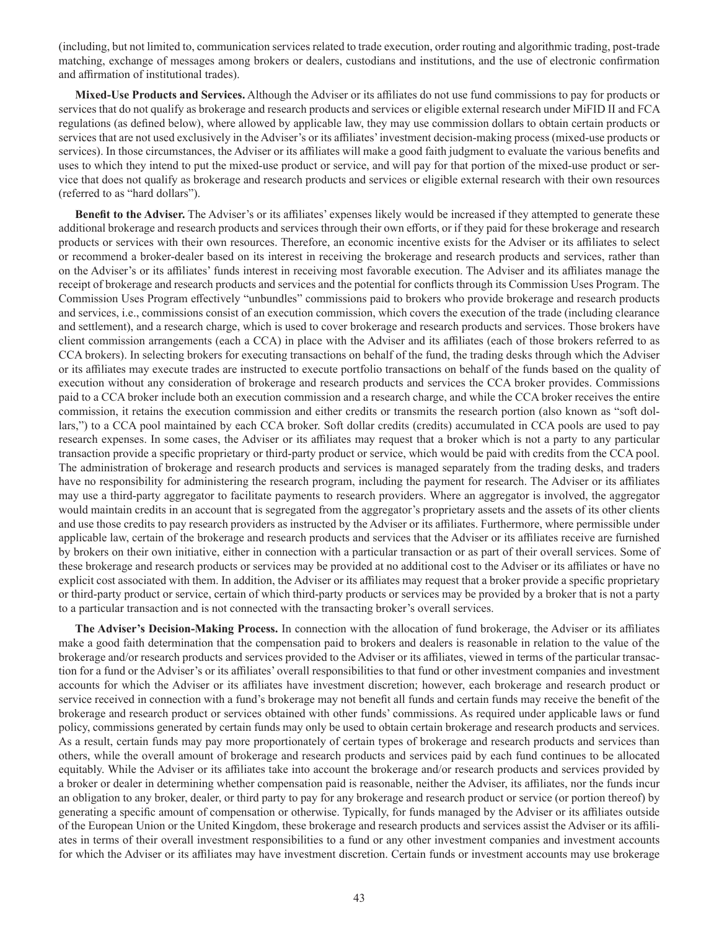(including, but not limited to, communication services related to trade execution, order routing and algorithmic trading, post-trade matching, exchange of messages among brokers or dealers, custodians and institutions, and the use of electronic confirmation and affirmation of institutional trades).

**Mixed-Use Products and Services.** Although the Adviser or its affiliates do not use fund commissions to pay for products or services that do not qualify as brokerage and research products and services or eligible external research under MiFID II and FCA regulations (as defined below), where allowed by applicable law, they may use commission dollars to obtain certain products or services that are not used exclusively in the Adviser's or its affiliates' investment decision-making process (mixed-use products or services). In those circumstances, the Adviser or its affiliates will make a good faith judgment to evaluate the various benefits and uses to which they intend to put the mixed-use product or service, and will pay for that portion of the mixed-use product or service that does not qualify as brokerage and research products and services or eligible external research with their own resources (referred to as "hard dollars").

**Benefit to the Adviser.** The Adviser's or its affiliates' expenses likely would be increased if they attempted to generate these additional brokerage and research products and services through their own efforts, or if they paid for these brokerage and research products or services with their own resources. Therefore, an economic incentive exists for the Adviser or its affiliates to select or recommend a broker-dealer based on its interest in receiving the brokerage and research products and services, rather than on the Adviser's or its affiliates' funds interest in receiving most favorable execution. The Adviser and its affiliates manage the receipt of brokerage and research products and services and the potential for conflicts through its Commission Uses Program. The Commission Uses Program effectively "unbundles" commissions paid to brokers who provide brokerage and research products and services, i.e., commissions consist of an execution commission, which covers the execution of the trade (including clearance and settlement), and a research charge, which is used to cover brokerage and research products and services. Those brokers have client commission arrangements (each a CCA) in place with the Adviser and its affiliates (each of those brokers referred to as CCA brokers). In selecting brokers for executing transactions on behalf of the fund, the trading desks through which the Adviser or its affiliates may execute trades are instructed to execute portfolio transactions on behalf of the funds based on the quality of execution without any consideration of brokerage and research products and services the CCA broker provides. Commissions paid to a CCA broker include both an execution commission and a research charge, and while the CCA broker receives the entire commission, it retains the execution commission and either credits or transmits the research portion (also known as "soft dollars,") to a CCA pool maintained by each CCA broker. Soft dollar credits (credits) accumulated in CCA pools are used to pay research expenses. In some cases, the Adviser or its affiliates may request that a broker which is not a party to any particular transaction provide a specific proprietary or third-party product or service, which would be paid with credits from the CCA pool. The administration of brokerage and research products and services is managed separately from the trading desks, and traders have no responsibility for administering the research program, including the payment for research. The Adviser or its affiliates may use a third-party aggregator to facilitate payments to research providers. Where an aggregator is involved, the aggregator would maintain credits in an account that is segregated from the aggregator's proprietary assets and the assets of its other clients and use those credits to pay research providers as instructed by the Adviser or its affiliates. Furthermore, where permissible under applicable law, certain of the brokerage and research products and services that the Adviser or its affiliates receive are furnished by brokers on their own initiative, either in connection with a particular transaction or as part of their overall services. Some of these brokerage and research products or services may be provided at no additional cost to the Adviser or its affiliates or have no explicit cost associated with them. In addition, the Adviser or its affiliates may request that a broker provide a specific proprietary or third-party product or service, certain of which third-party products or services may be provided by a broker that is not a party to a particular transaction and is not connected with the transacting broker's overall services.

**The Adviser's Decision-Making Process.** In connection with the allocation of fund brokerage, the Adviser or its affiliates make a good faith determination that the compensation paid to brokers and dealers is reasonable in relation to the value of the brokerage and/or research products and services provided to the Adviser or its affiliates, viewed in terms of the particular transaction for a fund or the Adviser's or its affiliates' overall responsibilities to that fund or other investment companies and investment accounts for which the Adviser or its affiliates have investment discretion; however, each brokerage and research product or service received in connection with a fund's brokerage may not benefit all funds and certain funds may receive the benefit of the brokerage and research product or services obtained with other funds' commissions. As required under applicable laws or fund policy, commissions generated by certain funds may only be used to obtain certain brokerage and research products and services. As a result, certain funds may pay more proportionately of certain types of brokerage and research products and services than others, while the overall amount of brokerage and research products and services paid by each fund continues to be allocated equitably. While the Adviser or its affiliates take into account the brokerage and/or research products and services provided by a broker or dealer in determining whether compensation paid is reasonable, neither the Adviser, its affiliates, nor the funds incur an obligation to any broker, dealer, or third party to pay for any brokerage and research product or service (or portion thereof) by generating a specific amount of compensation or otherwise. Typically, for funds managed by the Adviser or its affiliates outside of the European Union or the United Kingdom, these brokerage and research products and services assist the Adviser or its affiliates in terms of their overall investment responsibilities to a fund or any other investment companies and investment accounts for which the Adviser or its affiliates may have investment discretion. Certain funds or investment accounts may use brokerage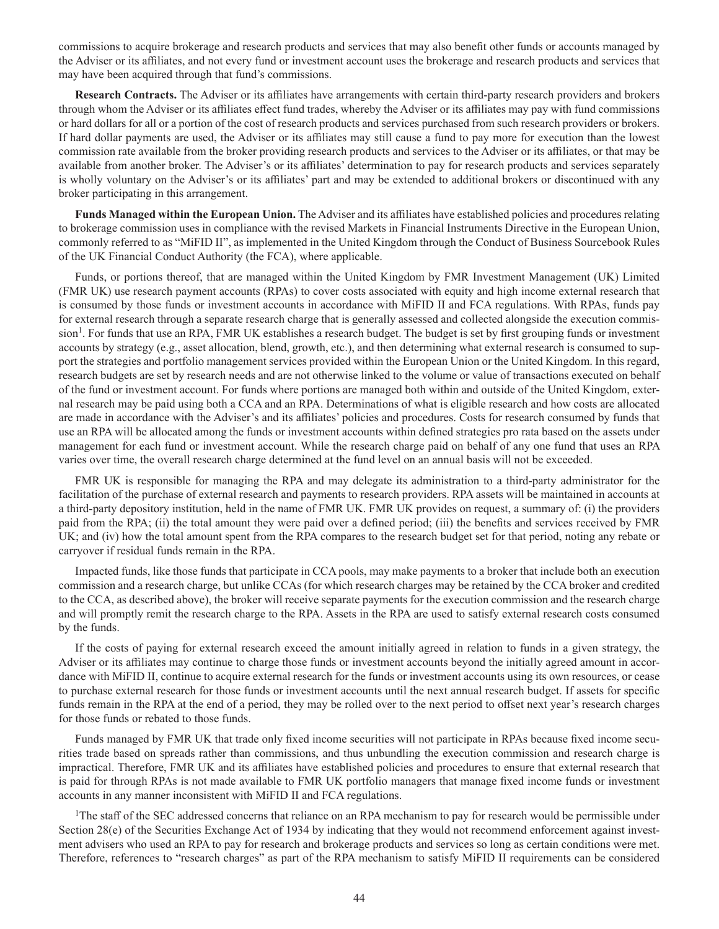commissions to acquire brokerage and research products and services that may also benefit other funds or accounts managed by the Adviser or its affiliates, and not every fund or investment account uses the brokerage and research products and services that may have been acquired through that fund's commissions.

**Research Contracts.** The Adviser or its affiliates have arrangements with certain third-party research providers and brokers through whom the Adviser or its affiliates effect fund trades, whereby the Adviser or its affiliates may pay with fund commissions or hard dollars for all or a portion of the cost of research products and services purchased from such research providers or brokers. If hard dollar payments are used, the Adviser or its affiliates may still cause a fund to pay more for execution than the lowest commission rate available from the broker providing research products and services to the Adviser or its affiliates, or that may be available from another broker. The Adviser's or its affiliates' determination to pay for research products and services separately is wholly voluntary on the Adviser's or its affiliates' part and may be extended to additional brokers or discontinued with any broker participating in this arrangement.

**Funds Managed within the European Union.** The Adviser and its affiliates have established policies and procedures relating to brokerage commission uses in compliance with the revised Markets in Financial Instruments Directive in the European Union, commonly referred to as "MiFID II", as implemented in the United Kingdom through the Conduct of Business Sourcebook Rules of the UK Financial Conduct Authority (the FCA), where applicable.

Funds, or portions thereof, that are managed within the United Kingdom by FMR Investment Management (UK) Limited (FMR UK) use research payment accounts (RPAs) to cover costs associated with equity and high income external research that is consumed by those funds or investment accounts in accordance with MiFID II and FCA regulations. With RPAs, funds pay for external research through a separate research charge that is generally assessed and collected alongside the execution commission<sup>1</sup>. For funds that use an RPA, FMR UK establishes a research budget. The budget is set by first grouping funds or investment accounts by strategy (e.g., asset allocation, blend, growth, etc.), and then determining what external research is consumed to support the strategies and portfolio management services provided within the European Union or the United Kingdom. In this regard, research budgets are set by research needs and are not otherwise linked to the volume or value of transactions executed on behalf of the fund or investment account. For funds where portions are managed both within and outside of the United Kingdom, external research may be paid using both a CCA and an RPA. Determinations of what is eligible research and how costs are allocated are made in accordance with the Adviser's and its affiliates' policies and procedures. Costs for research consumed by funds that use an RPA will be allocated among the funds or investment accounts within defined strategies pro rata based on the assets under management for each fund or investment account. While the research charge paid on behalf of any one fund that uses an RPA varies over time, the overall research charge determined at the fund level on an annual basis will not be exceeded.

FMR UK is responsible for managing the RPA and may delegate its administration to a third-party administrator for the facilitation of the purchase of external research and payments to research providers. RPA assets will be maintained in accounts at a third-party depository institution, held in the name of FMR UK. FMR UK provides on request, a summary of: (i) the providers paid from the RPA; (ii) the total amount they were paid over a defined period; (iii) the benefits and services received by FMR UK; and (iv) how the total amount spent from the RPA compares to the research budget set for that period, noting any rebate or carryover if residual funds remain in the RPA.

Impacted funds, like those funds that participate in CCA pools, may make payments to a broker that include both an execution commission and a research charge, but unlike CCAs (for which research charges may be retained by the CCA broker and credited to the CCA, as described above), the broker will receive separate payments for the execution commission and the research charge and will promptly remit the research charge to the RPA. Assets in the RPA are used to satisfy external research costs consumed by the funds.

If the costs of paying for external research exceed the amount initially agreed in relation to funds in a given strategy, the Adviser or its affiliates may continue to charge those funds or investment accounts beyond the initially agreed amount in accordance with MiFID II, continue to acquire external research for the funds or investment accounts using its own resources, or cease to purchase external research for those funds or investment accounts until the next annual research budget. If assets for specific funds remain in the RPA at the end of a period, they may be rolled over to the next period to offset next year's research charges for those funds or rebated to those funds.

Funds managed by FMR UK that trade only fixed income securities will not participate in RPAs because fixed income securities trade based on spreads rather than commissions, and thus unbundling the execution commission and research charge is impractical. Therefore, FMR UK and its affiliates have established policies and procedures to ensure that external research that is paid for through RPAs is not made available to FMR UK portfolio managers that manage fixed income funds or investment accounts in any manner inconsistent with MiFID II and FCA regulations.

<sup>1</sup>The staff of the SEC addressed concerns that reliance on an RPA mechanism to pay for research would be permissible under Section 28(e) of the Securities Exchange Act of 1934 by indicating that they would not recommend enforcement against investment advisers who used an RPA to pay for research and brokerage products and services so long as certain conditions were met. Therefore, references to "research charges" as part of the RPA mechanism to satisfy MiFID II requirements can be considered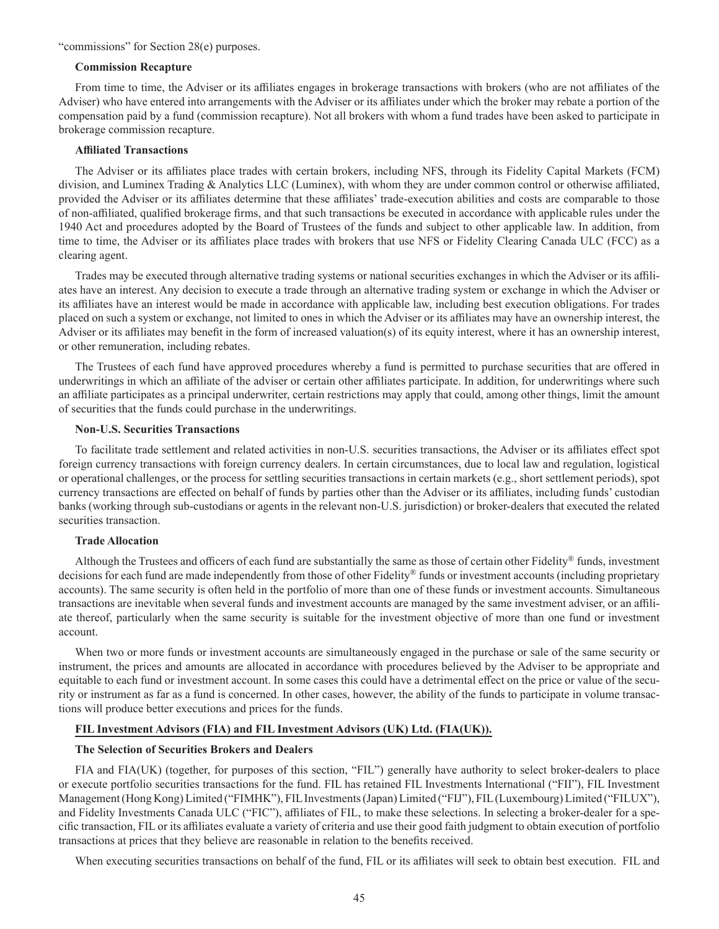#### "commissions" for Section 28(e) purposes.

#### **Commission Recapture**

From time to time, the Adviser or its affiliates engages in brokerage transactions with brokers (who are not affiliates of the Adviser) who have entered into arrangements with the Adviser or its affiliates under which the broker may rebate a portion of the compensation paid by a fund (commission recapture). Not all brokers with whom a fund trades have been asked to participate in brokerage commission recapture.

### **Affiliated Transactions**

The Adviser or its affiliates place trades with certain brokers, including NFS, through its Fidelity Capital Markets (FCM) division, and Luminex Trading & Analytics LLC (Luminex), with whom they are under common control or otherwise affiliated, provided the Adviser or its affiliates determine that these affiliates' trade-execution abilities and costs are comparable to those of non-affiliated, qualified brokerage firms, and that such transactions be executed in accordance with applicable rules under the 1940 Act and procedures adopted by the Board of Trustees of the funds and subject to other applicable law. In addition, from time to time, the Adviser or its affiliates place trades with brokers that use NFS or Fidelity Clearing Canada ULC (FCC) as a clearing agent.

Trades may be executed through alternative trading systems or national securities exchanges in which the Adviser or its affiliates have an interest. Any decision to execute a trade through an alternative trading system or exchange in which the Adviser or its affiliates have an interest would be made in accordance with applicable law, including best execution obligations. For trades placed on such a system or exchange, not limited to ones in which the Adviser or its affiliates may have an ownership interest, the Adviser or its affiliates may benefit in the form of increased valuation(s) of its equity interest, where it has an ownership interest, or other remuneration, including rebates.

The Trustees of each fund have approved procedures whereby a fund is permitted to purchase securities that are offered in underwritings in which an affiliate of the adviser or certain other affiliates participate. In addition, for underwritings where such an affiliate participates as a principal underwriter, certain restrictions may apply that could, among other things, limit the amount of securities that the funds could purchase in the underwritings.

### **Non-U.S. Securities Transactions**

To facilitate trade settlement and related activities in non-U.S. securities transactions, the Adviser or its affiliates effect spot foreign currency transactions with foreign currency dealers. In certain circumstances, due to local law and regulation, logistical or operational challenges, or the process for settling securities transactions in certain markets (e.g., short settlement periods), spot currency transactions are effected on behalf of funds by parties other than the Adviser or its affiliates, including funds' custodian banks (working through sub-custodians or agents in the relevant non-U.S. jurisdiction) or broker-dealers that executed the related securities transaction.

### **Trade Allocation**

Although the Trustees and officers of each fund are substantially the same as those of certain other Fidelity® funds, investment decisions for each fund are made independently from those of other Fidelity® funds or investment accounts (including proprietary accounts). The same security is often held in the portfolio of more than one of these funds or investment accounts. Simultaneous transactions are inevitable when several funds and investment accounts are managed by the same investment adviser, or an affiliate thereof, particularly when the same security is suitable for the investment objective of more than one fund or investment account.

When two or more funds or investment accounts are simultaneously engaged in the purchase or sale of the same security or instrument, the prices and amounts are allocated in accordance with procedures believed by the Adviser to be appropriate and equitable to each fund or investment account. In some cases this could have a detrimental effect on the price or value of the security or instrument as far as a fund is concerned. In other cases, however, the ability of the funds to participate in volume transactions will produce better executions and prices for the funds.

## **FIL Investment Advisors (FIA) and FIL Investment Advisors (UK) Ltd. (FIA(UK)).**

#### **The Selection of Securities Brokers and Dealers**

FIA and FIA(UK) (together, for purposes of this section, "FIL") generally have authority to select broker-dealers to place or execute portfolio securities transactions for the fund. FIL has retained FIL Investments International ("FII"), FIL Investment Management (Hong Kong) Limited ("FIMHK"), FIL Investments (Japan) Limited ("FIJ"), FIL (Luxembourg) Limited ("FILUX"), and Fidelity Investments Canada ULC ("FIC"), affiliates of FIL, to make these selections. In selecting a broker-dealer for a specific transaction, FIL or its affiliates evaluate a variety of criteria and use their good faith judgment to obtain execution of portfolio transactions at prices that they believe are reasonable in relation to the benefits received.

When executing securities transactions on behalf of the fund, FIL or its affiliates will seek to obtain best execution. FIL and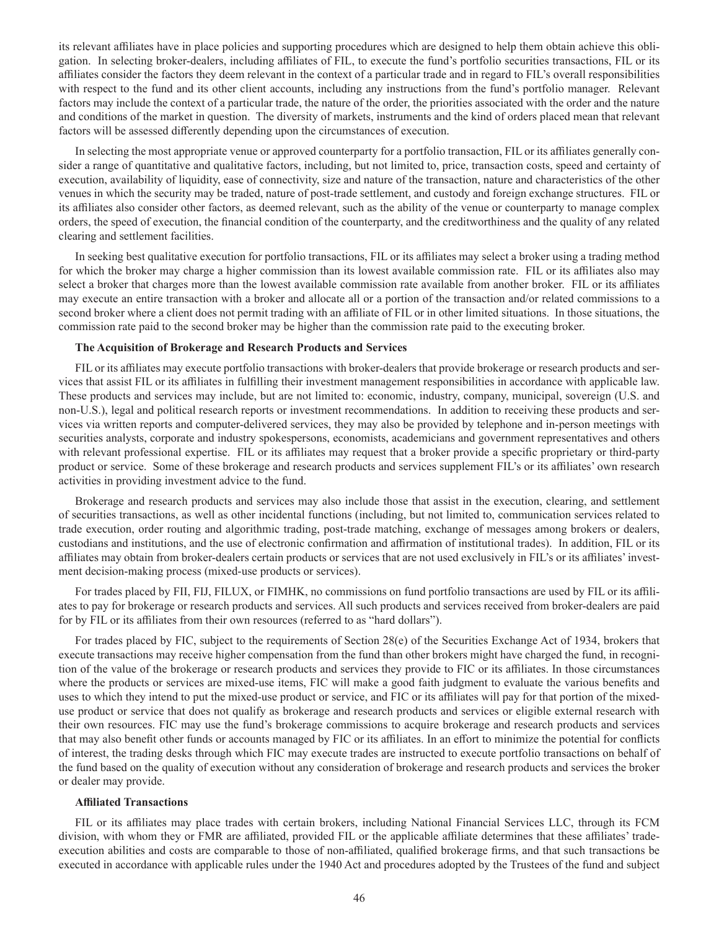its relevant affiliates have in place policies and supporting procedures which are designed to help them obtain achieve this obligation. In selecting broker-dealers, including affiliates of FIL, to execute the fund's portfolio securities transactions, FIL or its affiliates consider the factors they deem relevant in the context of a particular trade and in regard to FIL's overall responsibilities with respect to the fund and its other client accounts, including any instructions from the fund's portfolio manager. Relevant factors may include the context of a particular trade, the nature of the order, the priorities associated with the order and the nature and conditions of the market in question. The diversity of markets, instruments and the kind of orders placed mean that relevant factors will be assessed differently depending upon the circumstances of execution.

In selecting the most appropriate venue or approved counterparty for a portfolio transaction, FIL or its affiliates generally consider a range of quantitative and qualitative factors, including, but not limited to, price, transaction costs, speed and certainty of execution, availability of liquidity, ease of connectivity, size and nature of the transaction, nature and characteristics of the other venues in which the security may be traded, nature of post-trade settlement, and custody and foreign exchange structures. FIL or its affiliates also consider other factors, as deemed relevant, such as the ability of the venue or counterparty to manage complex orders, the speed of execution, the financial condition of the counterparty, and the creditworthiness and the quality of any related clearing and settlement facilities.

In seeking best qualitative execution for portfolio transactions, FIL or its affiliates may select a broker using a trading method for which the broker may charge a higher commission than its lowest available commission rate. FIL or its affiliates also may select a broker that charges more than the lowest available commission rate available from another broker. FIL or its affiliates may execute an entire transaction with a broker and allocate all or a portion of the transaction and/or related commissions to a second broker where a client does not permit trading with an affiliate of FIL or in other limited situations. In those situations, the commission rate paid to the second broker may be higher than the commission rate paid to the executing broker.

### **The Acquisition of Brokerage and Research Products and Services**

FIL or its affiliates may execute portfolio transactions with broker-dealers that provide brokerage or research products and services that assist FIL or its affiliates in fulfilling their investment management responsibilities in accordance with applicable law. These products and services may include, but are not limited to: economic, industry, company, municipal, sovereign (U.S. and non-U.S.), legal and political research reports or investment recommendations. In addition to receiving these products and services via written reports and computer-delivered services, they may also be provided by telephone and in-person meetings with securities analysts, corporate and industry spokespersons, economists, academicians and government representatives and others with relevant professional expertise. FIL or its affiliates may request that a broker provide a specific proprietary or third-party product or service. Some of these brokerage and research products and services supplement FIL's or its affiliates' own research activities in providing investment advice to the fund.

Brokerage and research products and services may also include those that assist in the execution, clearing, and settlement of securities transactions, as well as other incidental functions (including, but not limited to, communication services related to trade execution, order routing and algorithmic trading, post-trade matching, exchange of messages among brokers or dealers, custodians and institutions, and the use of electronic confirmation and affirmation of institutional trades). In addition, FIL or its affiliates may obtain from broker-dealers certain products or services that are not used exclusively in FIL's or its affiliates' investment decision-making process (mixed-use products or services).

For trades placed by FII, FIJ, FILUX, or FIMHK, no commissions on fund portfolio transactions are used by FIL or its affiliates to pay for brokerage or research products and services. All such products and services received from broker-dealers are paid for by FIL or its affiliates from their own resources (referred to as "hard dollars").

For trades placed by FIC, subject to the requirements of Section 28(e) of the Securities Exchange Act of 1934, brokers that execute transactions may receive higher compensation from the fund than other brokers might have charged the fund, in recognition of the value of the brokerage or research products and services they provide to FIC or its affiliates. In those circumstances where the products or services are mixed-use items, FIC will make a good faith judgment to evaluate the various benefits and uses to which they intend to put the mixed-use product or service, and FIC or its affiliates will pay for that portion of the mixeduse product or service that does not qualify as brokerage and research products and services or eligible external research with their own resources. FIC may use the fund's brokerage commissions to acquire brokerage and research products and services that may also benefit other funds or accounts managed by FIC or its affiliates. In an effort to minimize the potential for conflicts of interest, the trading desks through which FIC may execute trades are instructed to execute portfolio transactions on behalf of the fund based on the quality of execution without any consideration of brokerage and research products and services the broker or dealer may provide.

#### **Affiliated Transactions**

FIL or its affiliates may place trades with certain brokers, including National Financial Services LLC, through its FCM division, with whom they or FMR are affiliated, provided FIL or the applicable affiliate determines that these affiliates' tradeexecution abilities and costs are comparable to those of non-affiliated, qualified brokerage firms, and that such transactions be executed in accordance with applicable rules under the 1940 Act and procedures adopted by the Trustees of the fund and subject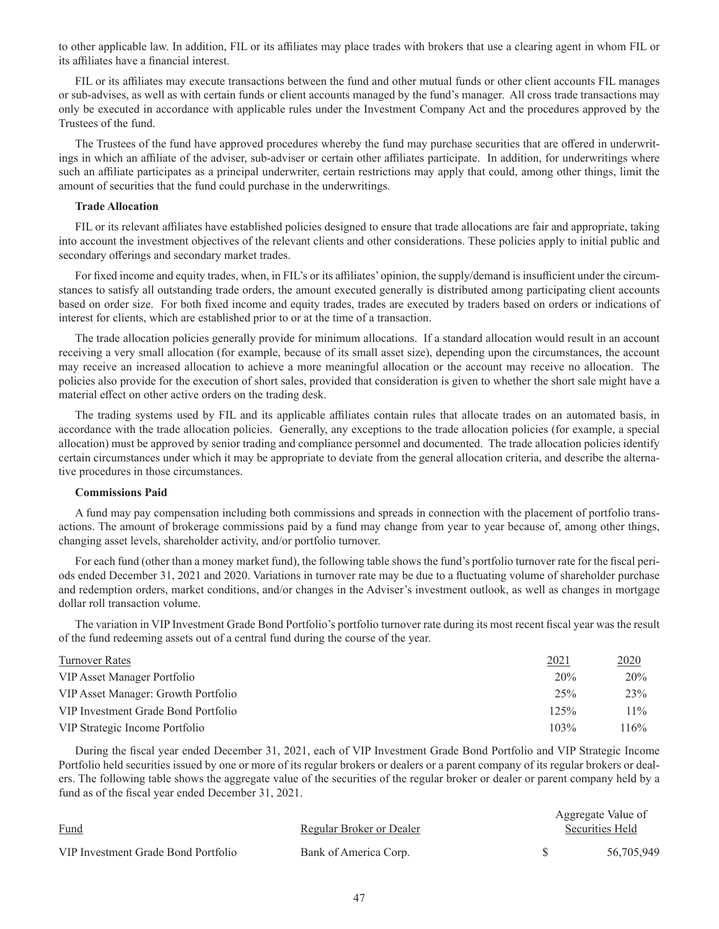to other applicable law. In addition, FIL or its affiliates may place trades with brokers that use a clearing agent in whom FIL or its affiliates have a financial interest.

FIL or its affiliates may execute transactions between the fund and other mutual funds or other client accounts FIL manages or sub-advises, as well as with certain funds or client accounts managed by the fund's manager. All cross trade transactions may only be executed in accordance with applicable rules under the Investment Company Act and the procedures approved by the Trustees of the fund.

The Trustees of the fund have approved procedures whereby the fund may purchase securities that are offered in underwritings in which an affiliate of the adviser, sub-adviser or certain other affiliates participate. In addition, for underwritings where such an affiliate participates as a principal underwriter, certain restrictions may apply that could, among other things, limit the amount of securities that the fund could purchase in the underwritings.

### **Trade Allocation**

FIL or its relevant affiliates have established policies designed to ensure that trade allocations are fair and appropriate, taking into account the investment objectives of the relevant clients and other considerations. These policies apply to initial public and secondary offerings and secondary market trades.

For fixed income and equity trades, when, in FIL's or its affiliates' opinion, the supply/demand is insufficient under the circumstances to satisfy all outstanding trade orders, the amount executed generally is distributed among participating client accounts based on order size. For both fixed income and equity trades, trades are executed by traders based on orders or indications of interest for clients, which are established prior to or at the time of a transaction.

The trade allocation policies generally provide for minimum allocations. If a standard allocation would result in an account receiving a very small allocation (for example, because of its small asset size), depending upon the circumstances, the account may receive an increased allocation to achieve a more meaningful allocation or the account may receive no allocation. The policies also provide for the execution of short sales, provided that consideration is given to whether the short sale might have a material effect on other active orders on the trading desk.

The trading systems used by FIL and its applicable affiliates contain rules that allocate trades on an automated basis, in accordance with the trade allocation policies. Generally, any exceptions to the trade allocation policies (for example, a special allocation) must be approved by senior trading and compliance personnel and documented. The trade allocation policies identify certain circumstances under which it may be appropriate to deviate from the general allocation criteria, and describe the alternative procedures in those circumstances.

#### **Commissions Paid**

A fund may pay compensation including both commissions and spreads in connection with the placement of portfolio transactions. The amount of brokerage commissions paid by a fund may change from year to year because of, among other things, changing asset levels, shareholder activity, and/or portfolio turnover.

For each fund (other than a money market fund), the following table shows the fund's portfolio turnover rate for the fiscal periods ended December 31, 2021 and 2020. Variations in turnover rate may be due to a fluctuating volume of shareholder purchase and redemption orders, market conditions, and/or changes in the Adviser's investment outlook, as well as changes in mortgage dollar roll transaction volume.

The variation in VIP Investment Grade Bond Portfolio's portfolio turnover rate during its most recent fiscal year was the result of the fund redeeming assets out of a central fund during the course of the year.

| Turnover Rates                      | 2021 | 2020   |
|-------------------------------------|------|--------|
| VIP Asset Manager Portfolio         | 20%  | 20%    |
| VIP Asset Manager: Growth Portfolio | 25%  | 23%    |
| VIP Investment Grade Bond Portfolio | 125% | $11\%$ |
| VIP Strategic Income Portfolio      | 103% | 116%   |

During the fiscal year ended December 31, 2021, each of VIP Investment Grade Bond Portfolio and VIP Strategic Income Portfolio held securities issued by one or more of its regular brokers or dealers or a parent company of its regular brokers or dealers. The following table shows the aggregate value of the securities of the regular broker or dealer or parent company held by a fund as of the fiscal year ended December 31, 2021.

| Fund                                | Regular Broker or Dealer | Aggregate Value of<br>Securities Held |            |
|-------------------------------------|--------------------------|---------------------------------------|------------|
| VIP Investment Grade Bond Portfolio | Bank of America Corp.    |                                       | 56,705,949 |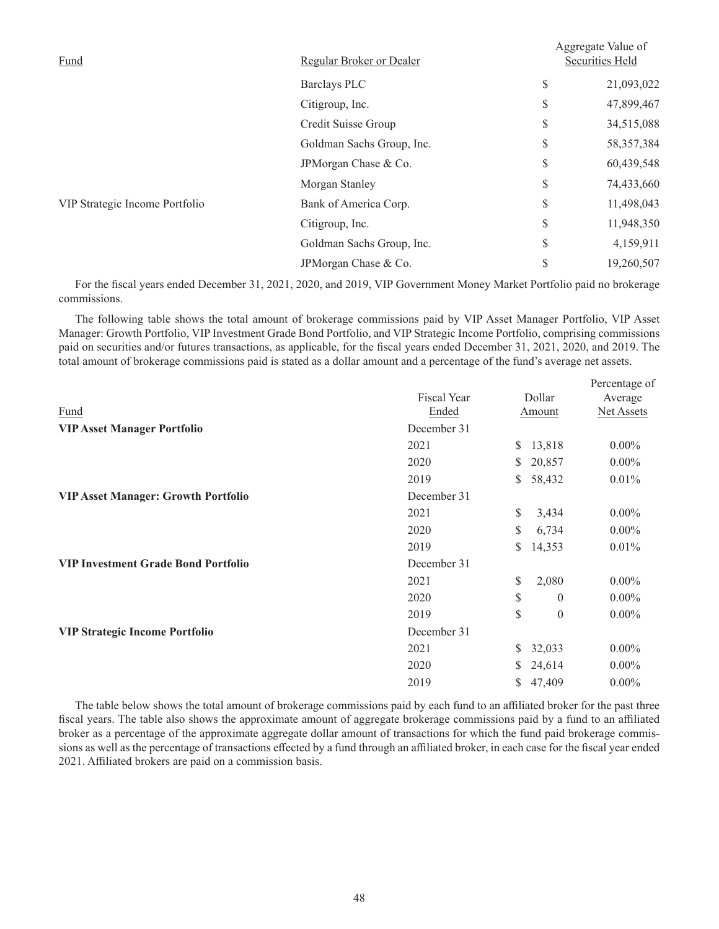| Fund                           | Regular Broker or Dealer  | Aggregate Value of<br>Securities Held |  |  |
|--------------------------------|---------------------------|---------------------------------------|--|--|
|                                | <b>Barclays PLC</b>       | \$<br>21,093,022                      |  |  |
|                                | Citigroup, Inc.           | \$<br>47,899,467                      |  |  |
|                                | Credit Suisse Group       | \$<br>34,515,088                      |  |  |
|                                | Goldman Sachs Group, Inc. | \$<br>58, 357, 384                    |  |  |
|                                | JPMorgan Chase & Co.      | \$<br>60,439,548                      |  |  |
|                                | Morgan Stanley            | \$<br>74,433,660                      |  |  |
| VIP Strategic Income Portfolio | Bank of America Corp.     | \$<br>11,498,043                      |  |  |
|                                | Citigroup, Inc.           | \$<br>11,948,350                      |  |  |
|                                | Goldman Sachs Group, Inc. | \$<br>4,159,911                       |  |  |
|                                | JPMorgan Chase & Co.      | \$<br>19,260,507                      |  |  |
|                                |                           |                                       |  |  |

For the fiscal years ended December 31, 2021, 2020, and 2019, VIP Government Money Market Portfolio paid no brokerage commissions.

The following table shows the total amount of brokerage commissions paid by VIP Asset Manager Portfolio, VIP Asset Manager: Growth Portfolio, VIP Investment Grade Bond Portfolio, and VIP Strategic Income Portfolio, comprising commissions paid on securities and/or futures transactions, as applicable, for the fiscal years ended December 31, 2021, 2020, and 2019. The total amount of brokerage commissions paid is stated as a dollar amount and a percentage of the fund's average net assets.

|                    |    |          | Percentage of     |  |
|--------------------|----|----------|-------------------|--|
| <b>Fiscal Year</b> |    |          | Average           |  |
| Ended              |    |          | <b>Net Assets</b> |  |
| December 31        |    |          |                   |  |
| 2021               | S. | 13,818   | $0.00\%$          |  |
| 2020               | S. | 20,857   | $0.00\%$          |  |
| 2019               | S  | 58,432   | 0.01%             |  |
| December 31        |    |          |                   |  |
| 2021               | \$ | 3,434    | $0.00\%$          |  |
| 2020               | S  | 6,734    | $0.00\%$          |  |
| 2019               | S  | 14,353   | 0.01%             |  |
| December 31        |    |          |                   |  |
| 2021               | \$ | 2,080    | $0.00\%$          |  |
| 2020               | \$ | $\theta$ | $0.00\%$          |  |
| 2019               | \$ | $\theta$ | $0.00\%$          |  |
| December 31        |    |          |                   |  |
| 2021               | S  | 32,033   | $0.00\%$          |  |
| 2020               | S  | 24,614   | $0.00\%$          |  |
| 2019               | S  | 47,409   | $0.00\%$          |  |
|                    |    |          | Dollar<br>Amount  |  |

The table below shows the total amount of brokerage commissions paid by each fund to an affiliated broker for the past three fiscal years. The table also shows the approximate amount of aggregate brokerage commissions paid by a fund to an affiliated broker as a percentage of the approximate aggregate dollar amount of transactions for which the fund paid brokerage commissions as well as the percentage of transactions effected by a fund through an affiliated broker, in each case for the fiscal year ended 2021. Affiliated brokers are paid on a commission basis.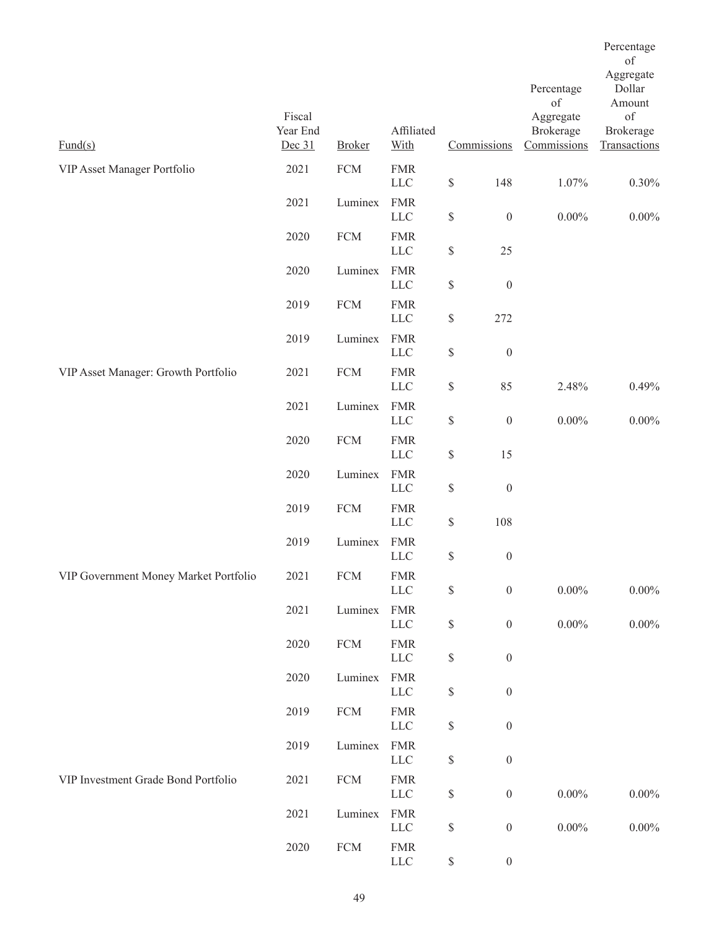|                                       |                              |               |                            |                                                                       |                  |                                       | Percentage<br>of                |
|---------------------------------------|------------------------------|---------------|----------------------------|-----------------------------------------------------------------------|------------------|---------------------------------------|---------------------------------|
|                                       |                              |               |                            |                                                                       |                  | Percentage<br>of                      | Aggregate<br>Dollar<br>Amount   |
| $\frac{Fund(s)}{s}$                   | Fiscal<br>Year End<br>Dec 31 | <b>Broker</b> | Affiliated<br>With         |                                                                       | Commissions      | Aggregate<br>Brokerage<br>Commissions | of<br>Brokerage<br>Transactions |
| VIP Asset Manager Portfolio           | 2021                         | <b>FCM</b>    | <b>FMR</b><br>${\rm LLC}$  | $\mathbb{S}$                                                          | 148              | 1.07%                                 | $0.30\%$                        |
|                                       | 2021                         | Luminex       | <b>FMR</b><br>${\rm LLC}$  | $\mathbb{S}$                                                          | $\boldsymbol{0}$ | $0.00\%$                              | $0.00\%$                        |
|                                       | 2020                         | <b>FCM</b>    | <b>FMR</b><br>${\rm LLC}$  | $\mathbb{S}% _{n}^{X\rightarrow\mathbb{R}}$                           | 25               |                                       |                                 |
|                                       | 2020                         | Luminex       | <b>FMR</b><br>${\rm LLC}$  | $\$$                                                                  | $\boldsymbol{0}$ |                                       |                                 |
|                                       | 2019                         | <b>FCM</b>    | <b>FMR</b><br><b>LLC</b>   | $\mathbb{S}$                                                          | 272              |                                       |                                 |
|                                       | 2019                         | Luminex       | <b>FMR</b><br>${\rm LLC}$  | $\mathbb{S}$                                                          | $\boldsymbol{0}$ |                                       |                                 |
| VIP Asset Manager: Growth Portfolio   | 2021                         | <b>FCM</b>    | <b>FMR</b><br>${\rm LLC}$  | $\$$                                                                  | 85               | 2.48%                                 | 0.49%                           |
|                                       | 2021                         | Luminex       | <b>FMR</b><br><b>LLC</b>   | $\$$                                                                  | $\boldsymbol{0}$ | $0.00\%$                              | $0.00\%$                        |
|                                       | 2020                         | <b>FCM</b>    | <b>FMR</b><br>${\rm LLC}$  | $\$$                                                                  | 15               |                                       |                                 |
|                                       | 2020                         | Luminex       | <b>FMR</b><br><b>LLC</b>   | $\$$                                                                  | $\boldsymbol{0}$ |                                       |                                 |
|                                       | 2019                         | <b>FCM</b>    | <b>FMR</b><br>LLC          | $\mathbb{S}$                                                          | 108              |                                       |                                 |
|                                       | 2019                         | Luminex       | <b>FMR</b><br><b>LLC</b>   | $\mathbb{S}$                                                          | $\boldsymbol{0}$ |                                       |                                 |
| VIP Government Money Market Portfolio | 2021                         | <b>FCM</b>    | <b>FMR</b><br>${\rm LLC}$  | $\mathbb{S}% _{t}\left( t\right) \equiv\mathbb{S}_{t}\left( t\right)$ | $\boldsymbol{0}$ | $0.00\%$                              | $0.00\%$                        |
|                                       | 2021                         | Luminex       | <b>FMR</b><br>${\rm LLC}$  | $\mathbb{S}$                                                          | $\boldsymbol{0}$ | $0.00\%$                              | $0.00\%$                        |
|                                       | 2020                         | <b>FCM</b>    | <b>FMR</b><br>${\rm LLC}$  | $\mathbb{S}$                                                          | $\boldsymbol{0}$ |                                       |                                 |
|                                       | 2020                         | Luminex       | <b>FMR</b><br>${\rm LLC}$  | $\mathbb{S}% _{t}\left( t\right) \equiv\mathbb{S}_{t}\left( t\right)$ | $\boldsymbol{0}$ |                                       |                                 |
|                                       | 2019                         | ${\rm FCM}$   | <b>FMR</b><br>${\rm LLC}$  | $\mathbb S$                                                           | $\boldsymbol{0}$ |                                       |                                 |
|                                       | 2019                         | Luminex       | <b>FMR</b><br><b>LLC</b>   | $\$$                                                                  | $\boldsymbol{0}$ |                                       |                                 |
| VIP Investment Grade Bond Portfolio   | 2021                         | ${\rm FCM}$   | <b>FMR</b><br>${\rm LLC}$  | $\mathbb{S}$                                                          | $\boldsymbol{0}$ | $0.00\%$                              | $0.00\%$                        |
|                                       | 2021                         | Luminex       | <b>FMR</b><br>${\rm LLC}$  | \$                                                                    | $\boldsymbol{0}$ | $0.00\%$                              | $0.00\%$                        |
|                                       | 2020                         | <b>FCM</b>    | ${\rm FMR}$<br>${\rm LLC}$ | $\mathbb{S}$                                                          | $\boldsymbol{0}$ |                                       |                                 |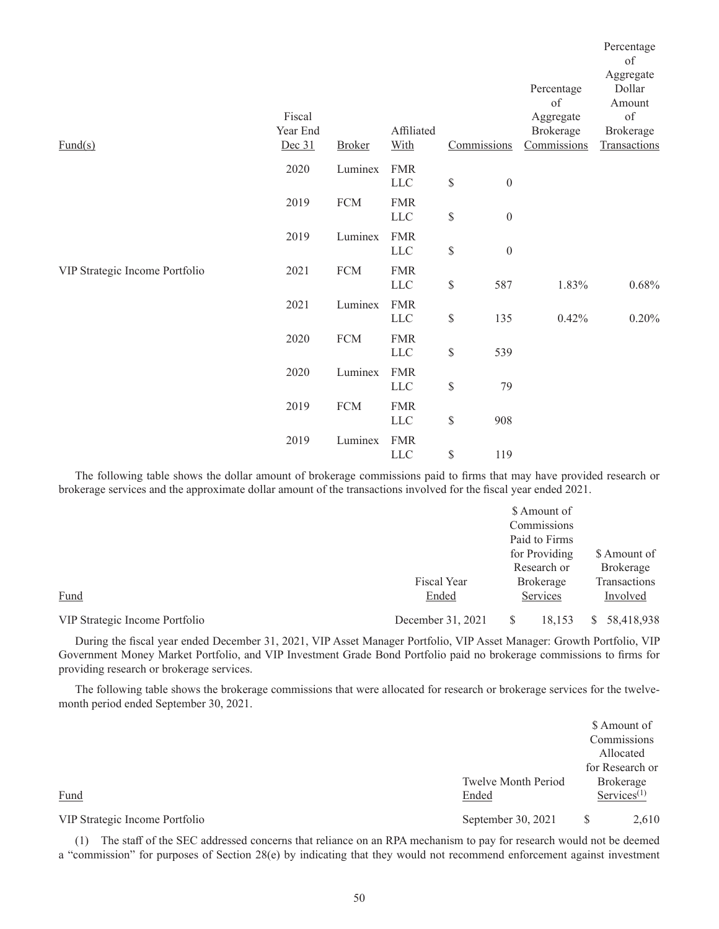| $\text{Fund}(s)$               | Fiscal<br>Year End<br>Dec 31 | <b>Broker</b> | Affiliated<br>With        |              | Commissions      | Percentage<br>of<br>Aggregate<br>Brokerage<br>Commissions | Percentage<br>of<br>Aggregate<br>Dollar<br>Amount<br>$\sigma f$<br>Brokerage<br>Transactions |
|--------------------------------|------------------------------|---------------|---------------------------|--------------|------------------|-----------------------------------------------------------|----------------------------------------------------------------------------------------------|
|                                | 2020                         | Luminex       | <b>FMR</b><br>LLC         | $\$$         | $\boldsymbol{0}$ |                                                           |                                                                                              |
|                                | 2019                         | ${\rm FCM}$   | <b>FMR</b><br>${\rm LLC}$ | $\$$         | $\boldsymbol{0}$ |                                                           |                                                                                              |
|                                | 2019                         | Luminex       | <b>FMR</b><br><b>LLC</b>  | $\$$         | $\boldsymbol{0}$ |                                                           |                                                                                              |
| VIP Strategic Income Portfolio | 2021                         | ${\rm FCM}$   | <b>FMR</b><br><b>LLC</b>  | $\$$         | 587              | 1.83%                                                     | 0.68%                                                                                        |
|                                | 2021                         | Luminex       | <b>FMR</b><br><b>LLC</b>  | $\mathbb{S}$ | 135              | 0.42%                                                     | 0.20%                                                                                        |
|                                | 2020                         | ${\rm FCM}$   | <b>FMR</b><br><b>LLC</b>  | $\mathbb{S}$ | 539              |                                                           |                                                                                              |
|                                | 2020                         | Luminex       | <b>FMR</b><br><b>LLC</b>  | $\$$         | 79               |                                                           |                                                                                              |
|                                | 2019                         | ${\rm FCM}$   | <b>FMR</b><br><b>LLC</b>  | $\$$         | 908              |                                                           |                                                                                              |
|                                | 2019                         | Luminex       | <b>FMR</b><br>${\rm LLC}$ | $\$$         | 119              |                                                           |                                                                                              |

The following table shows the dollar amount of brokerage commissions paid to firms that may have provided research or brokerage services and the approximate dollar amount of the transactions involved for the fiscal year ended 2021.

|                                |                   | \$ Amount of     |                  |
|--------------------------------|-------------------|------------------|------------------|
|                                |                   | Commissions      |                  |
|                                |                   | Paid to Firms    |                  |
|                                |                   | for Providing    | \$ Amount of     |
|                                |                   | Research or      | <b>Brokerage</b> |
|                                | Fiscal Year       | <b>Brokerage</b> | Transactions     |
| Fund                           | Ended             | Services         | Involved         |
| VIP Strategic Income Portfolio | December 31, 2021 | 18,153           | 58,418,938       |

During the fiscal year ended December 31, 2021, VIP Asset Manager Portfolio, VIP Asset Manager: Growth Portfolio, VIP Government Money Market Portfolio, and VIP Investment Grade Bond Portfolio paid no brokerage commissions to firms for providing research or brokerage services.

The following table shows the brokerage commissions that were allocated for research or brokerage services for the twelvemonth period ended September 30, 2021.

|                                |                            | \$ Amount of                            |       |
|--------------------------------|----------------------------|-----------------------------------------|-------|
|                                |                            | Commissions                             |       |
|                                |                            | Allocated                               |       |
|                                |                            | for Research or                         |       |
|                                | <b>Twelve Month Period</b> | Brokerage                               |       |
| Fund                           | Ended                      | $S$ ervices <sup><math>(1)</math></sup> |       |
| VIP Strategic Income Portfolio | September 30, 2021         | S                                       | 2,610 |

(1) The staff of the SEC addressed concerns that reliance on an RPA mechanism to pay for research would not be deemed a "commission" for purposes of Section 28(e) by indicating that they would not recommend enforcement against investment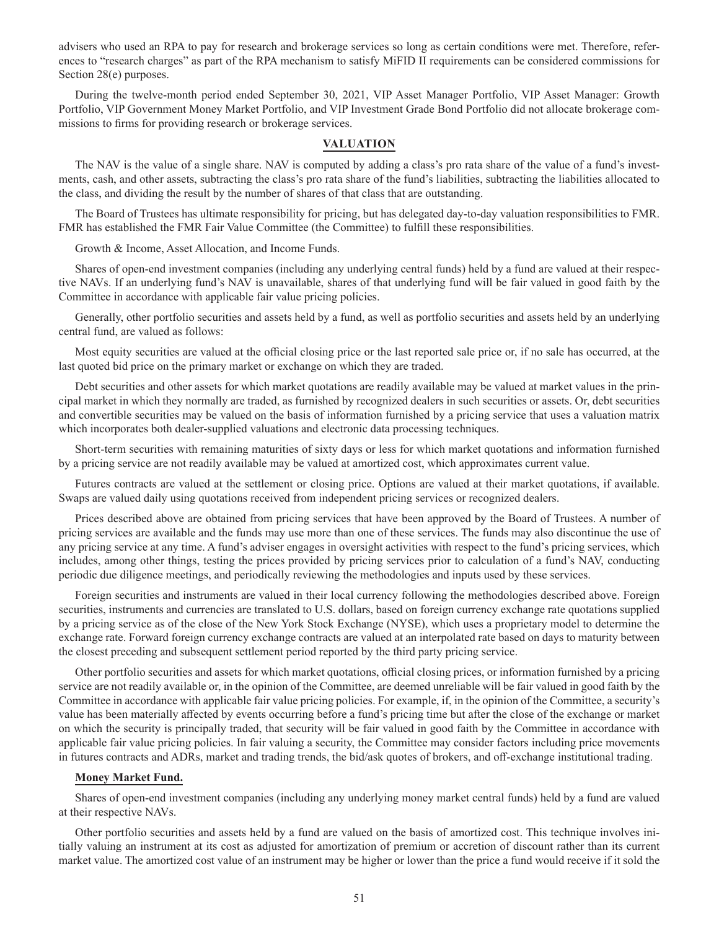advisers who used an RPA to pay for research and brokerage services so long as certain conditions were met. Therefore, references to "research charges" as part of the RPA mechanism to satisfy MiFID II requirements can be considered commissions for Section 28(e) purposes.

During the twelve-month period ended September 30, 2021, VIP Asset Manager Portfolio, VIP Asset Manager: Growth Portfolio, VIP Government Money Market Portfolio, and VIP Investment Grade Bond Portfolio did not allocate brokerage commissions to firms for providing research or brokerage services.

### **VALUATION**

The NAV is the value of a single share. NAV is computed by adding a class's pro rata share of the value of a fund's investments, cash, and other assets, subtracting the class's pro rata share of the fund's liabilities, subtracting the liabilities allocated to the class, and dividing the result by the number of shares of that class that are outstanding.

The Board of Trustees has ultimate responsibility for pricing, but has delegated day-to-day valuation responsibilities to FMR. FMR has established the FMR Fair Value Committee (the Committee) to fulfill these responsibilities.

Growth & Income, Asset Allocation, and Income Funds.

Shares of open-end investment companies (including any underlying central funds) held by a fund are valued at their respective NAVs. If an underlying fund's NAV is unavailable, shares of that underlying fund will be fair valued in good faith by the Committee in accordance with applicable fair value pricing policies.

Generally, other portfolio securities and assets held by a fund, as well as portfolio securities and assets held by an underlying central fund, are valued as follows:

Most equity securities are valued at the official closing price or the last reported sale price or, if no sale has occurred, at the last quoted bid price on the primary market or exchange on which they are traded.

Debt securities and other assets for which market quotations are readily available may be valued at market values in the principal market in which they normally are traded, as furnished by recognized dealers in such securities or assets. Or, debt securities and convertible securities may be valued on the basis of information furnished by a pricing service that uses a valuation matrix which incorporates both dealer-supplied valuations and electronic data processing techniques.

Short-term securities with remaining maturities of sixty days or less for which market quotations and information furnished by a pricing service are not readily available may be valued at amortized cost, which approximates current value.

Futures contracts are valued at the settlement or closing price. Options are valued at their market quotations, if available. Swaps are valued daily using quotations received from independent pricing services or recognized dealers.

Prices described above are obtained from pricing services that have been approved by the Board of Trustees. A number of pricing services are available and the funds may use more than one of these services. The funds may also discontinue the use of any pricing service at any time. A fund's adviser engages in oversight activities with respect to the fund's pricing services, which includes, among other things, testing the prices provided by pricing services prior to calculation of a fund's NAV, conducting periodic due diligence meetings, and periodically reviewing the methodologies and inputs used by these services.

Foreign securities and instruments are valued in their local currency following the methodologies described above. Foreign securities, instruments and currencies are translated to U.S. dollars, based on foreign currency exchange rate quotations supplied by a pricing service as of the close of the New York Stock Exchange (NYSE), which uses a proprietary model to determine the exchange rate. Forward foreign currency exchange contracts are valued at an interpolated rate based on days to maturity between the closest preceding and subsequent settlement period reported by the third party pricing service.

Other portfolio securities and assets for which market quotations, official closing prices, or information furnished by a pricing service are not readily available or, in the opinion of the Committee, are deemed unreliable will be fair valued in good faith by the Committee in accordance with applicable fair value pricing policies. For example, if, in the opinion of the Committee, a security's value has been materially affected by events occurring before a fund's pricing time but after the close of the exchange or market on which the security is principally traded, that security will be fair valued in good faith by the Committee in accordance with applicable fair value pricing policies. In fair valuing a security, the Committee may consider factors including price movements in futures contracts and ADRs, market and trading trends, the bid/ask quotes of brokers, and off-exchange institutional trading.

### **Money Market Fund.**

Shares of open-end investment companies (including any underlying money market central funds) held by a fund are valued at their respective NAVs.

Other portfolio securities and assets held by a fund are valued on the basis of amortized cost. This technique involves initially valuing an instrument at its cost as adjusted for amortization of premium or accretion of discount rather than its current market value. The amortized cost value of an instrument may be higher or lower than the price a fund would receive if it sold the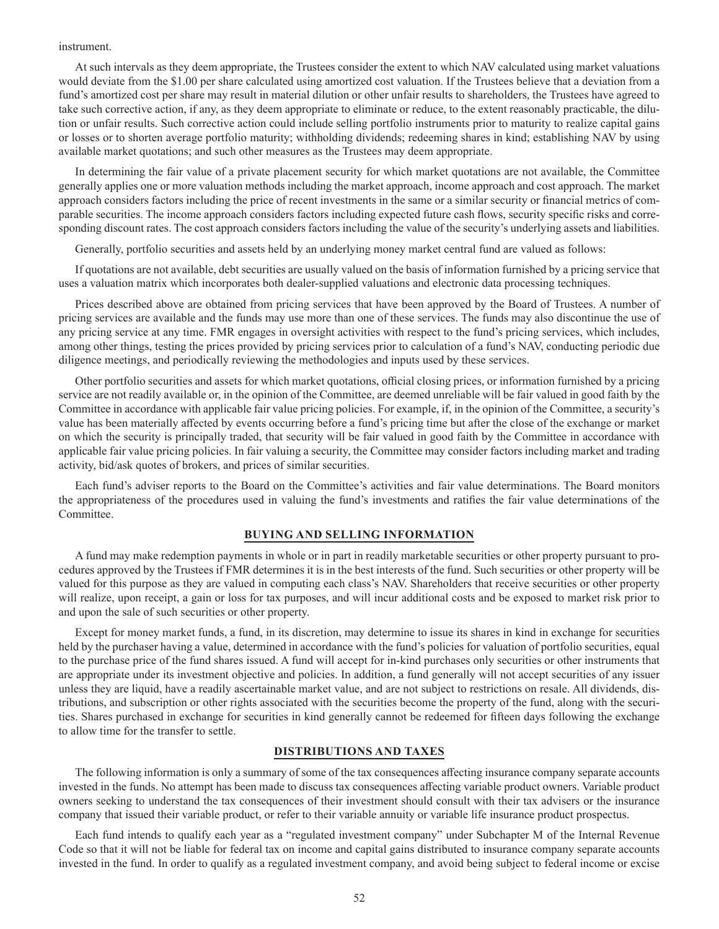### instrument.

At such intervals as they deem appropriate, the Trustees consider the extent to which NAV calculated using market valuations would deviate from the \$1.00 per share calculated using amortized cost valuation. If the Trustees believe that a deviation from a fund's amortized cost per share may result in material dilution or other unfair results to shareholders, the Trustees have agreed to take such corrective action, if any, as they deem appropriate to eliminate or reduce, to the extent reasonably practicable, the dilution or unfair results. Such corrective action could include selling portfolio instruments prior to maturity to realize capital gains or losses or to shorten average portfolio maturity; withholding dividends; redeeming shares in kind; establishing NAV by using available market quotations; and such other measures as the Trustees may deem appropriate.

In determining the fair value of a private placement security for which market quotations are not available, the Committee generally applies one or more valuation methods including the market approach, income approach and cost approach. The market approach considers factors including the price of recent investments in the same or a similar security or financial metrics of comparable securities. The income approach considers factors including expected future cash flows, security specific risks and corresponding discount rates. The cost approach considers factors including the value of the security's underlying assets and liabilities.

Generally, portfolio securities and assets held by an underlying money market central fund are valued as follows:

If quotations are not available, debt securities are usually valued on the basis of information furnished by a pricing service that uses a valuation matrix which incorporates both dealer-supplied valuations and electronic data processing techniques.

Prices described above are obtained from pricing services that have been approved by the Board of Trustees. A number of pricing services are available and the funds may use more than one of these services. The funds may also discontinue the use of any pricing service at any time. FMR engages in oversight activities with respect to the fund's pricing services, which includes, among other things, testing the prices provided by pricing services prior to calculation of a fund's NAV, conducting periodic due diligence meetings, and periodically reviewing the methodologies and inputs used by these services.

Other portfolio securities and assets for which market quotations, official closing prices, or information furnished by a pricing service are not readily available or, in the opinion of the Committee, are deemed unreliable will be fair valued in good faith by the Committee in accordance with applicable fair value pricing policies. For example, if, in the opinion of the Committee, a security's value has been materially affected by events occurring before a fund's pricing time but after the close of the exchange or market on which the security is principally traded, that security will be fair valued in good faith by the Committee in accordance with applicable fair value pricing policies. In fair valuing a security, the Committee may consider factors including market and trading activity, bid/ask quotes of brokers, and prices of similar securities.

Each fund's adviser reports to the Board on the Committee's activities and fair value determinations. The Board monitors the appropriateness of the procedures used in valuing the fund's investments and ratifies the fair value determinations of the Committee.

### **BUYING AND SELLING INFORMATION**

A fund may make redemption payments in whole or in part in readily marketable securities or other property pursuant to procedures approved by the Trustees if FMR determines it is in the best interests of the fund. Such securities or other property will be valued for this purpose as they are valued in computing each class's NAV. Shareholders that receive securities or other property will realize, upon receipt, a gain or loss for tax purposes, and will incur additional costs and be exposed to market risk prior to and upon the sale of such securities or other property.

Except for money market funds, a fund, in its discretion, may determine to issue its shares in kind in exchange for securities held by the purchaser having a value, determined in accordance with the fund's policies for valuation of portfolio securities, equal to the purchase price of the fund shares issued. A fund will accept for in-kind purchases only securities or other instruments that are appropriate under its investment objective and policies. In addition, a fund generally will not accept securities of any issuer unless they are liquid, have a readily ascertainable market value, and are not subject to restrictions on resale. All dividends, distributions, and subscription or other rights associated with the securities become the property of the fund, along with the securities. Shares purchased in exchange for securities in kind generally cannot be redeemed for fifteen days following the exchange to allow time for the transfer to settle.

#### **DISTRIBUTIONS AND TAXES**

The following information is only a summary of some of the tax consequences affecting insurance company separate accounts invested in the funds. No attempt has been made to discuss tax consequences affecting variable product owners. Variable product owners seeking to understand the tax consequences of their investment should consult with their tax advisers or the insurance company that issued their variable product, or refer to their variable annuity or variable life insurance product prospectus.

Each fund intends to qualify each year as a "regulated investment company" under Subchapter M of the Internal Revenue Code so that it will not be liable for federal tax on income and capital gains distributed to insurance company separate accounts invested in the fund. In order to qualify as a regulated investment company, and avoid being subject to federal income or excise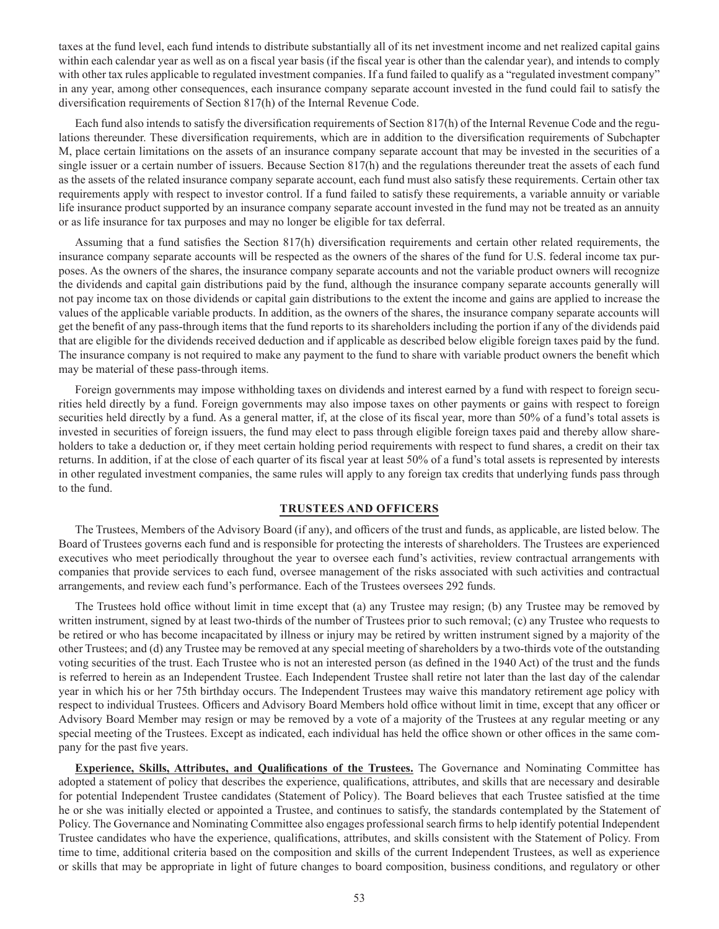taxes at the fund level, each fund intends to distribute substantially all of its net investment income and net realized capital gains within each calendar year as well as on a fiscal year basis (if the fiscal year is other than the calendar year), and intends to comply with other tax rules applicable to regulated investment companies. If a fund failed to qualify as a "regulated investment company" in any year, among other consequences, each insurance company separate account invested in the fund could fail to satisfy the diversification requirements of Section 817(h) of the Internal Revenue Code.

Each fund also intends to satisfy the diversification requirements of Section 817(h) of the Internal Revenue Code and the regulations thereunder. These diversification requirements, which are in addition to the diversification requirements of Subchapter M, place certain limitations on the assets of an insurance company separate account that may be invested in the securities of a single issuer or a certain number of issuers. Because Section 817(h) and the regulations thereunder treat the assets of each fund as the assets of the related insurance company separate account, each fund must also satisfy these requirements. Certain other tax requirements apply with respect to investor control. If a fund failed to satisfy these requirements, a variable annuity or variable life insurance product supported by an insurance company separate account invested in the fund may not be treated as an annuity or as life insurance for tax purposes and may no longer be eligible for tax deferral.

Assuming that a fund satisfies the Section 817(h) diversification requirements and certain other related requirements, the insurance company separate accounts will be respected as the owners of the shares of the fund for U.S. federal income tax purposes. As the owners of the shares, the insurance company separate accounts and not the variable product owners will recognize the dividends and capital gain distributions paid by the fund, although the insurance company separate accounts generally will not pay income tax on those dividends or capital gain distributions to the extent the income and gains are applied to increase the values of the applicable variable products. In addition, as the owners of the shares, the insurance company separate accounts will get the benefit of any pass-through items that the fund reports to its shareholders including the portion if any of the dividends paid that are eligible for the dividends received deduction and if applicable as described below eligible foreign taxes paid by the fund. The insurance company is not required to make any payment to the fund to share with variable product owners the benefit which may be material of these pass-through items.

Foreign governments may impose withholding taxes on dividends and interest earned by a fund with respect to foreign securities held directly by a fund. Foreign governments may also impose taxes on other payments or gains with respect to foreign securities held directly by a fund. As a general matter, if, at the close of its fiscal year, more than 50% of a fund's total assets is invested in securities of foreign issuers, the fund may elect to pass through eligible foreign taxes paid and thereby allow shareholders to take a deduction or, if they meet certain holding period requirements with respect to fund shares, a credit on their tax returns. In addition, if at the close of each quarter of its fiscal year at least 50% of a fund's total assets is represented by interests in other regulated investment companies, the same rules will apply to any foreign tax credits that underlying funds pass through to the fund.

## **TRUSTEES AND OFFICERS**

The Trustees, Members of the Advisory Board (if any), and officers of the trust and funds, as applicable, are listed below. The Board of Trustees governs each fund and is responsible for protecting the interests of shareholders. The Trustees are experienced executives who meet periodically throughout the year to oversee each fund's activities, review contractual arrangements with companies that provide services to each fund, oversee management of the risks associated with such activities and contractual arrangements, and review each fund's performance. Each of the Trustees oversees 292 funds.

The Trustees hold office without limit in time except that (a) any Trustee may resign; (b) any Trustee may be removed by written instrument, signed by at least two-thirds of the number of Trustees prior to such removal; (c) any Trustee who requests to be retired or who has become incapacitated by illness or injury may be retired by written instrument signed by a majority of the other Trustees; and (d) any Trustee may be removed at any special meeting of shareholders by a two-thirds vote of the outstanding voting securities of the trust. Each Trustee who is not an interested person (as defined in the 1940 Act) of the trust and the funds is referred to herein as an Independent Trustee. Each Independent Trustee shall retire not later than the last day of the calendar year in which his or her 75th birthday occurs. The Independent Trustees may waive this mandatory retirement age policy with respect to individual Trustees. Officers and Advisory Board Members hold office without limit in time, except that any officer or Advisory Board Member may resign or may be removed by a vote of a majority of the Trustees at any regular meeting or any special meeting of the Trustees. Except as indicated, each individual has held the office shown or other offices in the same company for the past five years.

**Experience, Skills, Attributes, and Qualifications of the Trustees.** The Governance and Nominating Committee has adopted a statement of policy that describes the experience, qualifications, attributes, and skills that are necessary and desirable for potential Independent Trustee candidates (Statement of Policy). The Board believes that each Trustee satisfied at the time he or she was initially elected or appointed a Trustee, and continues to satisfy, the standards contemplated by the Statement of Policy. The Governance and Nominating Committee also engages professional search firms to help identify potential Independent Trustee candidates who have the experience, qualifications, attributes, and skills consistent with the Statement of Policy. From time to time, additional criteria based on the composition and skills of the current Independent Trustees, as well as experience or skills that may be appropriate in light of future changes to board composition, business conditions, and regulatory or other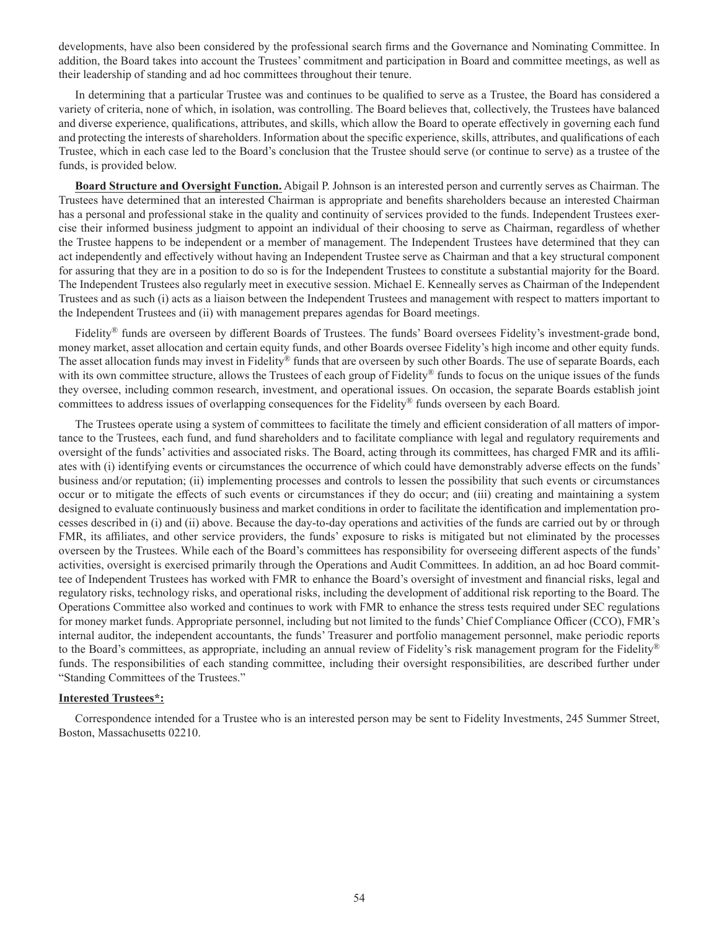developments, have also been considered by the professional search firms and the Governance and Nominating Committee. In addition, the Board takes into account the Trustees' commitment and participation in Board and committee meetings, as well as their leadership of standing and ad hoc committees throughout their tenure.

In determining that a particular Trustee was and continues to be qualified to serve as a Trustee, the Board has considered a variety of criteria, none of which, in isolation, was controlling. The Board believes that, collectively, the Trustees have balanced and diverse experience, qualifications, attributes, and skills, which allow the Board to operate effectively in governing each fund and protecting the interests of shareholders. Information about the specific experience, skills, attributes, and qualifications of each Trustee, which in each case led to the Board's conclusion that the Trustee should serve (or continue to serve) as a trustee of the funds, is provided below.

**Board Structure and Oversight Function.** Abigail P. Johnson is an interested person and currently serves as Chairman. The Trustees have determined that an interested Chairman is appropriate and benefits shareholders because an interested Chairman has a personal and professional stake in the quality and continuity of services provided to the funds. Independent Trustees exercise their informed business judgment to appoint an individual of their choosing to serve as Chairman, regardless of whether the Trustee happens to be independent or a member of management. The Independent Trustees have determined that they can act independently and effectively without having an Independent Trustee serve as Chairman and that a key structural component for assuring that they are in a position to do so is for the Independent Trustees to constitute a substantial majority for the Board. The Independent Trustees also regularly meet in executive session. Michael E. Kenneally serves as Chairman of the Independent Trustees and as such (i) acts as a liaison between the Independent Trustees and management with respect to matters important to the Independent Trustees and (ii) with management prepares agendas for Board meetings.

Fidelity® funds are overseen by different Boards of Trustees. The funds' Board oversees Fidelity's investment-grade bond, money market, asset allocation and certain equity funds, and other Boards oversee Fidelity's high income and other equity funds. The asset allocation funds may invest in Fidelity® funds that are overseen by such other Boards. The use of separate Boards, each with its own committee structure, allows the Trustees of each group of Fidelity® funds to focus on the unique issues of the funds they oversee, including common research, investment, and operational issues. On occasion, the separate Boards establish joint committees to address issues of overlapping consequences for the Fidelity® funds overseen by each Board.

The Trustees operate using a system of committees to facilitate the timely and efficient consideration of all matters of importance to the Trustees, each fund, and fund shareholders and to facilitate compliance with legal and regulatory requirements and oversight of the funds' activities and associated risks. The Board, acting through its committees, has charged FMR and its affiliates with (i) identifying events or circumstances the occurrence of which could have demonstrably adverse effects on the funds' business and/or reputation; (ii) implementing processes and controls to lessen the possibility that such events or circumstances occur or to mitigate the effects of such events or circumstances if they do occur; and (iii) creating and maintaining a system designed to evaluate continuously business and market conditions in order to facilitate the identification and implementation processes described in (i) and (ii) above. Because the day-to-day operations and activities of the funds are carried out by or through FMR, its affiliates, and other service providers, the funds' exposure to risks is mitigated but not eliminated by the processes overseen by the Trustees. While each of the Board's committees has responsibility for overseeing different aspects of the funds' activities, oversight is exercised primarily through the Operations and Audit Committees. In addition, an ad hoc Board committee of Independent Trustees has worked with FMR to enhance the Board's oversight of investment and financial risks, legal and regulatory risks, technology risks, and operational risks, including the development of additional risk reporting to the Board. The Operations Committee also worked and continues to work with FMR to enhance the stress tests required under SEC regulations for money market funds. Appropriate personnel, including but not limited to the funds' Chief Compliance Officer (CCO), FMR's internal auditor, the independent accountants, the funds' Treasurer and portfolio management personnel, make periodic reports to the Board's committees, as appropriate, including an annual review of Fidelity's risk management program for the Fidelity<sup>®</sup> funds. The responsibilities of each standing committee, including their oversight responsibilities, are described further under "Standing Committees of the Trustees."

## **Interested Trustees\*:**

Correspondence intended for a Trustee who is an interested person may be sent to Fidelity Investments, 245 Summer Street, Boston, Massachusetts 02210.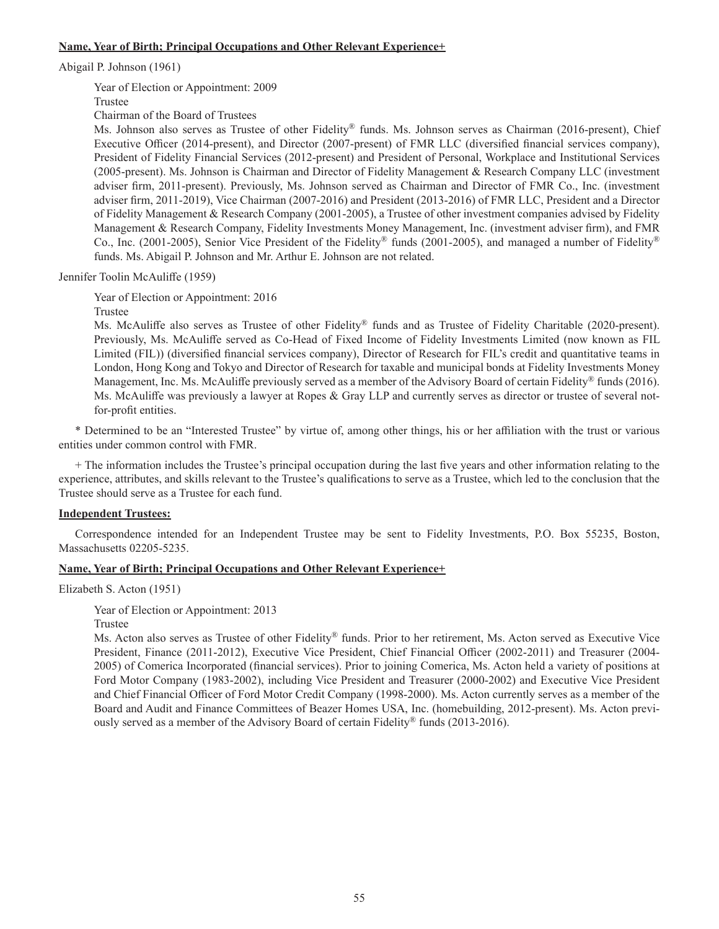## **Name, Year of Birth; Principal Occupations and Other Relevant Experience+**

Abigail P. Johnson (1961)

Year of Election or Appointment: 2009

Trustee

Chairman of the Board of Trustees

Ms. Johnson also serves as Trustee of other Fidelity® funds. Ms. Johnson serves as Chairman (2016-present), Chief Executive Officer (2014-present), and Director (2007-present) of FMR LLC (diversified financial services company), President of Fidelity Financial Services (2012-present) and President of Personal, Workplace and Institutional Services (2005-present). Ms. Johnson is Chairman and Director of Fidelity Management & Research Company LLC (investment adviser firm, 2011-present). Previously, Ms. Johnson served as Chairman and Director of FMR Co., Inc. (investment adviser firm, 2011-2019), Vice Chairman (2007-2016) and President (2013-2016) of FMR LLC, President and a Director of Fidelity Management & Research Company (2001-2005), a Trustee of other investment companies advised by Fidelity Management & Research Company, Fidelity Investments Money Management, Inc. (investment adviser firm), and FMR Co., Inc. (2001-2005), Senior Vice President of the Fidelity® funds (2001-2005), and managed a number of Fidelity® funds. Ms. Abigail P. Johnson and Mr. Arthur E. Johnson are not related.

Jennifer Toolin McAuliffe (1959)

Year of Election or Appointment: 2016

Trustee

Ms. McAuliffe also serves as Trustee of other Fidelity® funds and as Trustee of Fidelity Charitable (2020-present). Previously, Ms. McAuliffe served as Co-Head of Fixed Income of Fidelity Investments Limited (now known as FIL Limited (FIL)) (diversified financial services company), Director of Research for FIL's credit and quantitative teams in London, Hong Kong and Tokyo and Director of Research for taxable and municipal bonds at Fidelity Investments Money Management, Inc. Ms. McAuliffe previously served as a member of the Advisory Board of certain Fidelity® funds (2016). Ms. McAuliffe was previously a lawyer at Ropes & Gray LLP and currently serves as director or trustee of several notfor-profit entities.

\* Determined to be an "Interested Trustee" by virtue of, among other things, his or her affiliation with the trust or various entities under common control with FMR.

+ The information includes the Trustee's principal occupation during the last five years and other information relating to the experience, attributes, and skills relevant to the Trustee's qualifications to serve as a Trustee, which led to the conclusion that the Trustee should serve as a Trustee for each fund.

## **Independent Trustees:**

Correspondence intended for an Independent Trustee may be sent to Fidelity Investments, P.O. Box 55235, Boston, Massachusetts 02205-5235.

## **Name, Year of Birth; Principal Occupations and Other Relevant Experience+**

Elizabeth S. Acton (1951)

Year of Election or Appointment: 2013

Trustee

Ms. Acton also serves as Trustee of other Fidelity® funds. Prior to her retirement, Ms. Acton served as Executive Vice President, Finance (2011-2012), Executive Vice President, Chief Financial Officer (2002-2011) and Treasurer (2004- 2005) of Comerica Incorporated (financial services). Prior to joining Comerica, Ms. Acton held a variety of positions at Ford Motor Company (1983-2002), including Vice President and Treasurer (2000-2002) and Executive Vice President and Chief Financial Officer of Ford Motor Credit Company (1998-2000). Ms. Acton currently serves as a member of the Board and Audit and Finance Committees of Beazer Homes USA, Inc. (homebuilding, 2012-present). Ms. Acton previously served as a member of the Advisory Board of certain Fidelity® funds (2013-2016).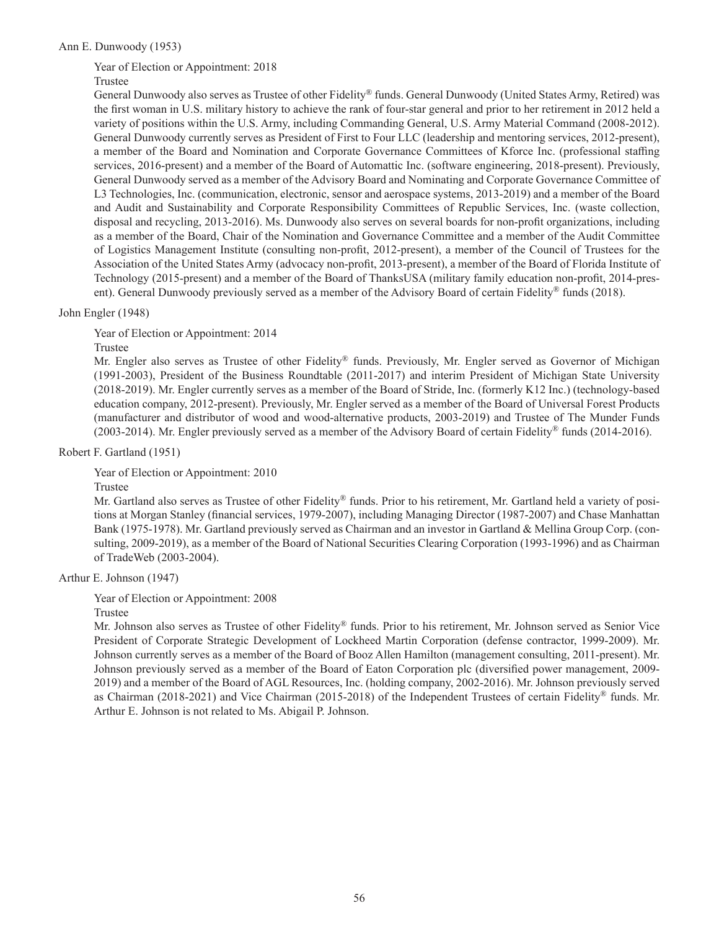## Ann E. Dunwoody (1953)

Year of Election or Appointment: 2018

## Trustee

General Dunwoody also serves as Trustee of other Fidelity® funds. General Dunwoody (United States Army, Retired) was the first woman in U.S. military history to achieve the rank of four-star general and prior to her retirement in 2012 held a variety of positions within the U.S. Army, including Commanding General, U.S. Army Material Command (2008-2012). General Dunwoody currently serves as President of First to Four LLC (leadership and mentoring services, 2012-present), a member of the Board and Nomination and Corporate Governance Committees of Kforce Inc. (professional staffing services, 2016-present) and a member of the Board of Automattic Inc. (software engineering, 2018-present). Previously, General Dunwoody served as a member of the Advisory Board and Nominating and Corporate Governance Committee of L3 Technologies, Inc. (communication, electronic, sensor and aerospace systems, 2013-2019) and a member of the Board and Audit and Sustainability and Corporate Responsibility Committees of Republic Services, Inc. (waste collection, disposal and recycling, 2013-2016). Ms. Dunwoody also serves on several boards for non-profit organizations, including as a member of the Board, Chair of the Nomination and Governance Committee and a member of the Audit Committee of Logistics Management Institute (consulting non-profit, 2012-present), a member of the Council of Trustees for the Association of the United States Army (advocacy non-profit, 2013-present), a member of the Board of Florida Institute of Technology (2015-present) and a member of the Board of ThanksUSA (military family education non-profit, 2014-present). General Dunwoody previously served as a member of the Advisory Board of certain Fidelity® funds (2018).

### John Engler (1948)

Year of Election or Appointment: 2014

Trustee

Mr. Engler also serves as Trustee of other Fidelity® funds. Previously, Mr. Engler served as Governor of Michigan (1991-2003), President of the Business Roundtable (2011-2017) and interim President of Michigan State University (2018-2019). Mr. Engler currently serves as a member of the Board of Stride, Inc. (formerly K12 Inc.) (technology-based education company, 2012-present). Previously, Mr. Engler served as a member of the Board of Universal Forest Products (manufacturer and distributor of wood and wood-alternative products, 2003-2019) and Trustee of The Munder Funds (2003-2014). Mr. Engler previously served as a member of the Advisory Board of certain Fidelity® funds (2014-2016).

Robert F. Gartland (1951)

Year of Election or Appointment: 2010

Trustee

Mr. Gartland also serves as Trustee of other Fidelity® funds. Prior to his retirement, Mr. Gartland held a variety of positions at Morgan Stanley (financial services, 1979-2007), including Managing Director (1987-2007) and Chase Manhattan Bank (1975-1978). Mr. Gartland previously served as Chairman and an investor in Gartland & Mellina Group Corp. (consulting, 2009-2019), as a member of the Board of National Securities Clearing Corporation (1993-1996) and as Chairman of TradeWeb (2003-2004).

Arthur E. Johnson (1947)

Year of Election or Appointment: 2008

Trustee

Mr. Johnson also serves as Trustee of other Fidelity® funds. Prior to his retirement, Mr. Johnson served as Senior Vice President of Corporate Strategic Development of Lockheed Martin Corporation (defense contractor, 1999-2009). Mr. Johnson currently serves as a member of the Board of Booz Allen Hamilton (management consulting, 2011-present). Mr. Johnson previously served as a member of the Board of Eaton Corporation plc (diversified power management, 2009- 2019) and a member of the Board of AGL Resources, Inc. (holding company, 2002-2016). Mr. Johnson previously served as Chairman (2018-2021) and Vice Chairman (2015-2018) of the Independent Trustees of certain Fidelity® funds. Mr. Arthur E. Johnson is not related to Ms. Abigail P. Johnson.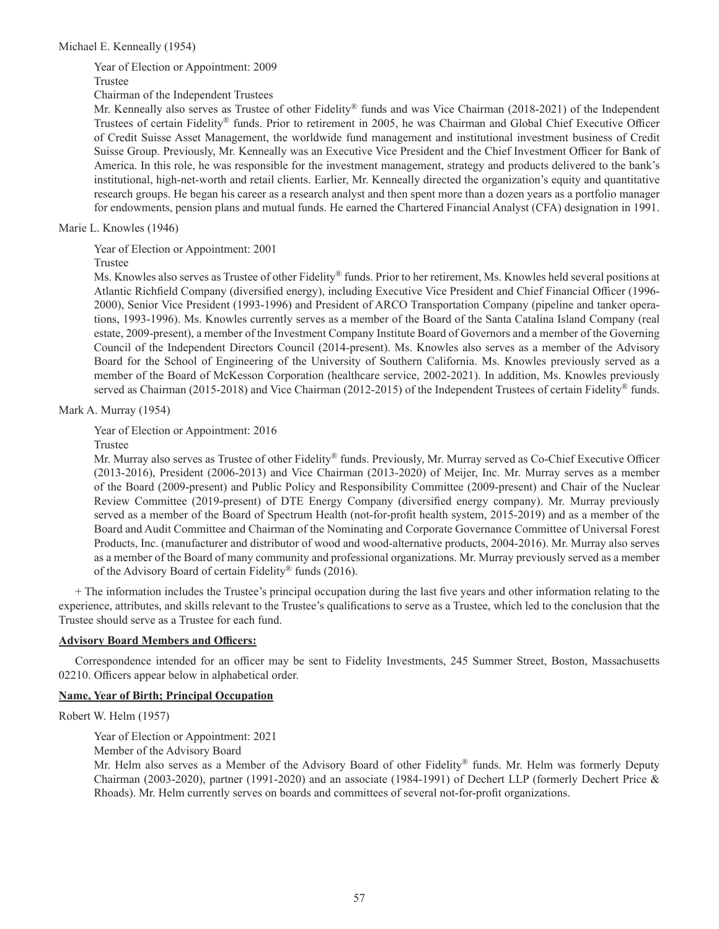Year of Election or Appointment: 2009 Trustee

Chairman of the Independent Trustees

Mr. Kenneally also serves as Trustee of other Fidelity® funds and was Vice Chairman (2018-2021) of the Independent Trustees of certain Fidelity® funds. Prior to retirement in 2005, he was Chairman and Global Chief Executive Officer of Credit Suisse Asset Management, the worldwide fund management and institutional investment business of Credit Suisse Group. Previously, Mr. Kenneally was an Executive Vice President and the Chief Investment Officer for Bank of America. In this role, he was responsible for the investment management, strategy and products delivered to the bank's institutional, high-net-worth and retail clients. Earlier, Mr. Kenneally directed the organization's equity and quantitative research groups. He began his career as a research analyst and then spent more than a dozen years as a portfolio manager for endowments, pension plans and mutual funds. He earned the Chartered Financial Analyst (CFA) designation in 1991.

Marie L. Knowles (1946)

Year of Election or Appointment: 2001

Trustee

Ms. Knowles also serves as Trustee of other Fidelity® funds. Prior to her retirement, Ms. Knowles held several positions at Atlantic Richfield Company (diversified energy), including Executive Vice President and Chief Financial Officer (1996- 2000), Senior Vice President (1993-1996) and President of ARCO Transportation Company (pipeline and tanker operations, 1993-1996). Ms. Knowles currently serves as a member of the Board of the Santa Catalina Island Company (real estate, 2009-present), a member of the Investment Company Institute Board of Governors and a member of the Governing Council of the Independent Directors Council (2014-present). Ms. Knowles also serves as a member of the Advisory Board for the School of Engineering of the University of Southern California. Ms. Knowles previously served as a member of the Board of McKesson Corporation (healthcare service, 2002-2021). In addition, Ms. Knowles previously served as Chairman (2015-2018) and Vice Chairman (2012-2015) of the Independent Trustees of certain Fidelity<sup>®</sup> funds.

Mark A. Murray (1954)

Year of Election or Appointment: 2016

Trustee

Mr. Murray also serves as Trustee of other Fidelity® funds. Previously, Mr. Murray served as Co-Chief Executive Officer (2013-2016), President (2006-2013) and Vice Chairman (2013-2020) of Meijer, Inc. Mr. Murray serves as a member of the Board (2009-present) and Public Policy and Responsibility Committee (2009-present) and Chair of the Nuclear Review Committee (2019-present) of DTE Energy Company (diversified energy company). Mr. Murray previously served as a member of the Board of Spectrum Health (not-for-profit health system, 2015-2019) and as a member of the Board and Audit Committee and Chairman of the Nominating and Corporate Governance Committee of Universal Forest Products, Inc. (manufacturer and distributor of wood and wood-alternative products, 2004-2016). Mr. Murray also serves as a member of the Board of many community and professional organizations. Mr. Murray previously served as a member of the Advisory Board of certain Fidelity® funds (2016).

+ The information includes the Trustee's principal occupation during the last five years and other information relating to the experience, attributes, and skills relevant to the Trustee's qualifications to serve as a Trustee, which led to the conclusion that the Trustee should serve as a Trustee for each fund.

## **Advisory Board Members and Officers:**

Correspondence intended for an officer may be sent to Fidelity Investments, 245 Summer Street, Boston, Massachusetts 02210. Officers appear below in alphabetical order.

## **Name, Year of Birth; Principal Occupation**

Robert W. Helm (1957)

Year of Election or Appointment: 2021

Member of the Advisory Board

Mr. Helm also serves as a Member of the Advisory Board of other Fidelity® funds. Mr. Helm was formerly Deputy Chairman (2003-2020), partner (1991-2020) and an associate (1984-1991) of Dechert LLP (formerly Dechert Price & Rhoads). Mr. Helm currently serves on boards and committees of several not-for-profit organizations.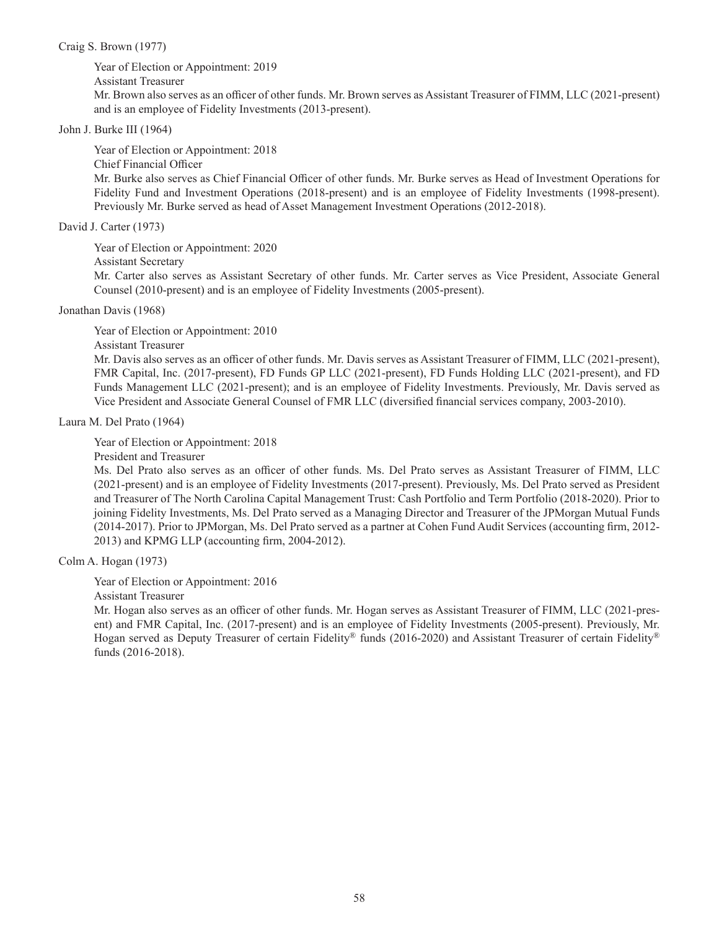Craig S. Brown (1977)

Year of Election or Appointment: 2019 Assistant Treasurer

Mr. Brown also serves as an officer of other funds. Mr. Brown serves as Assistant Treasurer of FIMM, LLC (2021-present) and is an employee of Fidelity Investments (2013-present).

## John J. Burke III (1964)

Year of Election or Appointment: 2018 Chief Financial Officer Mr. Burke also serves as Chief Financial Officer of other funds. Mr. Burke serves as Head of Investment Operations for Fidelity Fund and Investment Operations (2018-present) and is an employee of Fidelity Investments (1998-present). Previously Mr. Burke served as head of Asset Management Investment Operations (2012-2018).

## David J. Carter (1973)

Year of Election or Appointment: 2020 Assistant Secretary

Mr. Carter also serves as Assistant Secretary of other funds. Mr. Carter serves as Vice President, Associate General Counsel (2010-present) and is an employee of Fidelity Investments (2005-present).

Jonathan Davis (1968)

Year of Election or Appointment: 2010

Assistant Treasurer

Mr. Davis also serves as an officer of other funds. Mr. Davis serves as Assistant Treasurer of FIMM, LLC (2021-present), FMR Capital, Inc. (2017-present), FD Funds GP LLC (2021-present), FD Funds Holding LLC (2021-present), and FD Funds Management LLC (2021-present); and is an employee of Fidelity Investments. Previously, Mr. Davis served as Vice President and Associate General Counsel of FMR LLC (diversified financial services company, 2003-2010).

Laura M. Del Prato (1964)

Year of Election or Appointment: 2018

President and Treasurer

Ms. Del Prato also serves as an officer of other funds. Ms. Del Prato serves as Assistant Treasurer of FIMM, LLC (2021-present) and is an employee of Fidelity Investments (2017-present). Previously, Ms. Del Prato served as President and Treasurer of The North Carolina Capital Management Trust: Cash Portfolio and Term Portfolio (2018-2020). Prior to joining Fidelity Investments, Ms. Del Prato served as a Managing Director and Treasurer of the JPMorgan Mutual Funds (2014-2017). Prior to JPMorgan, Ms. Del Prato served as a partner at Cohen Fund Audit Services (accounting firm, 2012- 2013) and KPMG LLP (accounting firm, 2004-2012).

Colm A. Hogan (1973)

Year of Election or Appointment: 2016

Assistant Treasurer

Mr. Hogan also serves as an officer of other funds. Mr. Hogan serves as Assistant Treasurer of FIMM, LLC (2021-present) and FMR Capital, Inc. (2017-present) and is an employee of Fidelity Investments (2005-present). Previously, Mr. Hogan served as Deputy Treasurer of certain Fidelity® funds (2016-2020) and Assistant Treasurer of certain Fidelity® funds (2016-2018).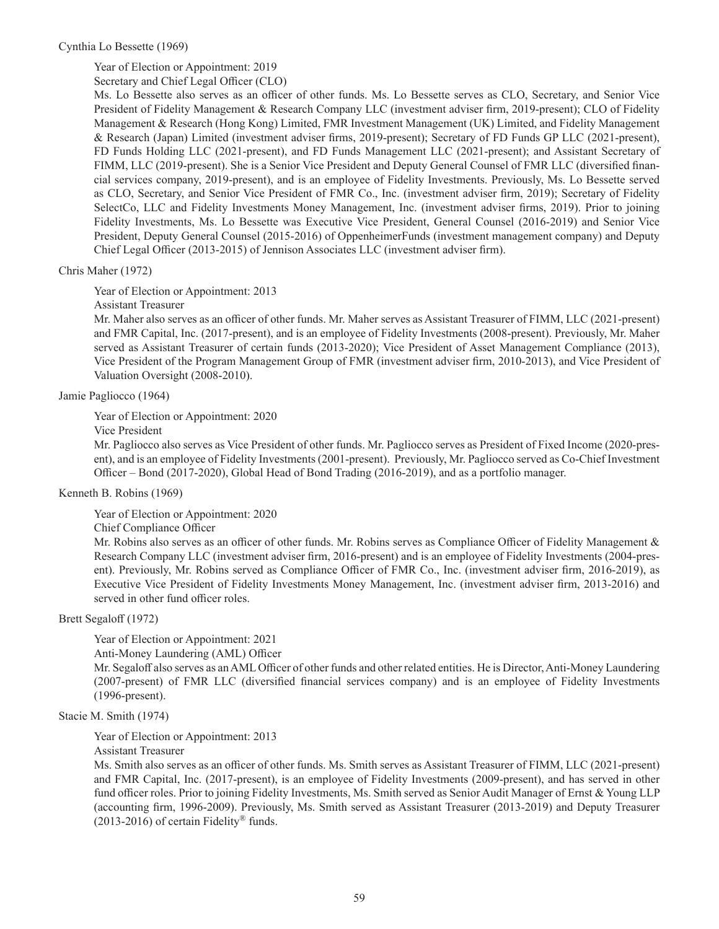Cynthia Lo Bessette (1969)

Year of Election or Appointment: 2019

Secretary and Chief Legal Officer (CLO)

Ms. Lo Bessette also serves as an officer of other funds. Ms. Lo Bessette serves as CLO, Secretary, and Senior Vice President of Fidelity Management & Research Company LLC (investment adviser firm, 2019-present); CLO of Fidelity Management & Research (Hong Kong) Limited, FMR Investment Management (UK) Limited, and Fidelity Management & Research (Japan) Limited (investment adviser firms, 2019-present); Secretary of FD Funds GP LLC (2021-present), FD Funds Holding LLC (2021-present), and FD Funds Management LLC (2021-present); and Assistant Secretary of FIMM, LLC (2019-present). She is a Senior Vice President and Deputy General Counsel of FMR LLC (diversified financial services company, 2019-present), and is an employee of Fidelity Investments. Previously, Ms. Lo Bessette served as CLO, Secretary, and Senior Vice President of FMR Co., Inc. (investment adviser firm, 2019); Secretary of Fidelity SelectCo, LLC and Fidelity Investments Money Management, Inc. (investment adviser firms, 2019). Prior to joining Fidelity Investments, Ms. Lo Bessette was Executive Vice President, General Counsel (2016-2019) and Senior Vice President, Deputy General Counsel (2015-2016) of OppenheimerFunds (investment management company) and Deputy Chief Legal Officer (2013-2015) of Jennison Associates LLC (investment adviser firm).

## Chris Maher (1972)

Year of Election or Appointment: 2013

Assistant Treasurer

Mr. Maher also serves as an officer of other funds. Mr. Maher serves as Assistant Treasurer of FIMM, LLC (2021-present) and FMR Capital, Inc. (2017-present), and is an employee of Fidelity Investments (2008-present). Previously, Mr. Maher served as Assistant Treasurer of certain funds (2013-2020); Vice President of Asset Management Compliance (2013), Vice President of the Program Management Group of FMR (investment adviser firm, 2010-2013), and Vice President of Valuation Oversight (2008-2010).

Jamie Pagliocco (1964)

Year of Election or Appointment: 2020

Vice President

Mr. Pagliocco also serves as Vice President of other funds. Mr. Pagliocco serves as President of Fixed Income (2020-present), and is an employee of Fidelity Investments (2001-present). Previously, Mr. Pagliocco served as Co-Chief Investment Officer – Bond (2017-2020), Global Head of Bond Trading (2016-2019), and as a portfolio manager.

Kenneth B. Robins (1969)

Year of Election or Appointment: 2020

Chief Compliance Officer

Mr. Robins also serves as an officer of other funds. Mr. Robins serves as Compliance Officer of Fidelity Management & Research Company LLC (investment adviser firm, 2016-present) and is an employee of Fidelity Investments (2004-present). Previously, Mr. Robins served as Compliance Officer of FMR Co., Inc. (investment adviser firm, 2016-2019), as Executive Vice President of Fidelity Investments Money Management, Inc. (investment adviser firm, 2013-2016) and served in other fund officer roles.

Brett Segaloff (1972)

Year of Election or Appointment: 2021

Anti-Money Laundering (AML) Officer

Mr. Segaloff also serves as an AML Officer of other funds and other related entities. He is Director, Anti-Money Laundering (2007-present) of FMR LLC (diversified financial services company) and is an employee of Fidelity Investments (1996-present).

Stacie M. Smith (1974)

Year of Election or Appointment: 2013

Assistant Treasurer

Ms. Smith also serves as an officer of other funds. Ms. Smith serves as Assistant Treasurer of FIMM, LLC (2021-present) and FMR Capital, Inc. (2017-present), is an employee of Fidelity Investments (2009-present), and has served in other fund officer roles. Prior to joining Fidelity Investments, Ms. Smith served as Senior Audit Manager of Ernst & Young LLP (accounting firm, 1996-2009). Previously, Ms. Smith served as Assistant Treasurer (2013-2019) and Deputy Treasurer  $(2013-2016)$  of certain Fidelity<sup>®</sup> funds.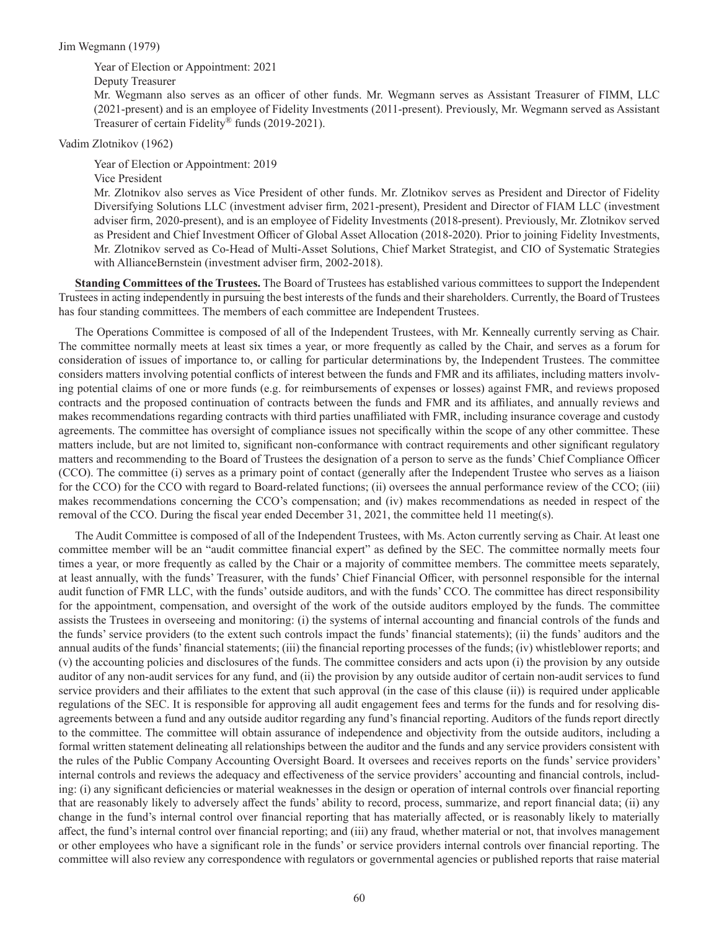### Jim Wegmann (1979)

Year of Election or Appointment: 2021

Deputy Treasurer

Mr. Wegmann also serves as an officer of other funds. Mr. Wegmann serves as Assistant Treasurer of FIMM, LLC (2021-present) and is an employee of Fidelity Investments (2011-present). Previously, Mr. Wegmann served as Assistant Treasurer of certain Fidelity® funds (2019-2021).

Vadim Zlotnikov (1962)

Year of Election or Appointment: 2019

Vice President

Mr. Zlotnikov also serves as Vice President of other funds. Mr. Zlotnikov serves as President and Director of Fidelity Diversifying Solutions LLC (investment adviser firm, 2021-present), President and Director of FIAM LLC (investment adviser firm, 2020-present), and is an employee of Fidelity Investments (2018-present). Previously, Mr. Zlotnikov served as President and Chief Investment Officer of Global Asset Allocation (2018-2020). Prior to joining Fidelity Investments, Mr. Zlotnikov served as Co-Head of Multi-Asset Solutions, Chief Market Strategist, and CIO of Systematic Strategies with AllianceBernstein (investment adviser firm, 2002-2018).

**Standing Committees of the Trustees.** The Board of Trustees has established various committees to support the Independent Trustees in acting independently in pursuing the best interests of the funds and their shareholders. Currently, the Board of Trustees has four standing committees. The members of each committee are Independent Trustees.

The Operations Committee is composed of all of the Independent Trustees, with Mr. Kenneally currently serving as Chair. The committee normally meets at least six times a year, or more frequently as called by the Chair, and serves as a forum for consideration of issues of importance to, or calling for particular determinations by, the Independent Trustees. The committee considers matters involving potential conflicts of interest between the funds and FMR and its affiliates, including matters involving potential claims of one or more funds (e.g. for reimbursements of expenses or losses) against FMR, and reviews proposed contracts and the proposed continuation of contracts between the funds and FMR and its affiliates, and annually reviews and makes recommendations regarding contracts with third parties unaffiliated with FMR, including insurance coverage and custody agreements. The committee has oversight of compliance issues not specifically within the scope of any other committee. These matters include, but are not limited to, significant non-conformance with contract requirements and other significant regulatory matters and recommending to the Board of Trustees the designation of a person to serve as the funds' Chief Compliance Officer (CCO). The committee (i) serves as a primary point of contact (generally after the Independent Trustee who serves as a liaison for the CCO) for the CCO with regard to Board-related functions; (ii) oversees the annual performance review of the CCO; (iii) makes recommendations concerning the CCO's compensation; and (iv) makes recommendations as needed in respect of the removal of the CCO. During the fiscal year ended December 31, 2021, the committee held 11 meeting(s).

The Audit Committee is composed of all of the Independent Trustees, with Ms. Acton currently serving as Chair. At least one committee member will be an "audit committee financial expert" as defined by the SEC. The committee normally meets four times a year, or more frequently as called by the Chair or a majority of committee members. The committee meets separately, at least annually, with the funds' Treasurer, with the funds' Chief Financial Officer, with personnel responsible for the internal audit function of FMR LLC, with the funds' outside auditors, and with the funds' CCO. The committee has direct responsibility for the appointment, compensation, and oversight of the work of the outside auditors employed by the funds. The committee assists the Trustees in overseeing and monitoring: (i) the systems of internal accounting and financial controls of the funds and the funds' service providers (to the extent such controls impact the funds' financial statements); (ii) the funds' auditors and the annual audits of the funds' financial statements; (iii) the financial reporting processes of the funds; (iv) whistleblower reports; and (v) the accounting policies and disclosures of the funds. The committee considers and acts upon (i) the provision by any outside auditor of any non-audit services for any fund, and (ii) the provision by any outside auditor of certain non-audit services to fund service providers and their affiliates to the extent that such approval (in the case of this clause (ii)) is required under applicable regulations of the SEC. It is responsible for approving all audit engagement fees and terms for the funds and for resolving disagreements between a fund and any outside auditor regarding any fund's financial reporting. Auditors of the funds report directly to the committee. The committee will obtain assurance of independence and objectivity from the outside auditors, including a formal written statement delineating all relationships between the auditor and the funds and any service providers consistent with the rules of the Public Company Accounting Oversight Board. It oversees and receives reports on the funds' service providers' internal controls and reviews the adequacy and effectiveness of the service providers' accounting and financial controls, including: (i) any significant deficiencies or material weaknesses in the design or operation of internal controls over financial reporting that are reasonably likely to adversely affect the funds' ability to record, process, summarize, and report financial data; (ii) any change in the fund's internal control over financial reporting that has materially affected, or is reasonably likely to materially affect, the fund's internal control over financial reporting; and (iii) any fraud, whether material or not, that involves management or other employees who have a significant role in the funds' or service providers internal controls over financial reporting. The committee will also review any correspondence with regulators or governmental agencies or published reports that raise material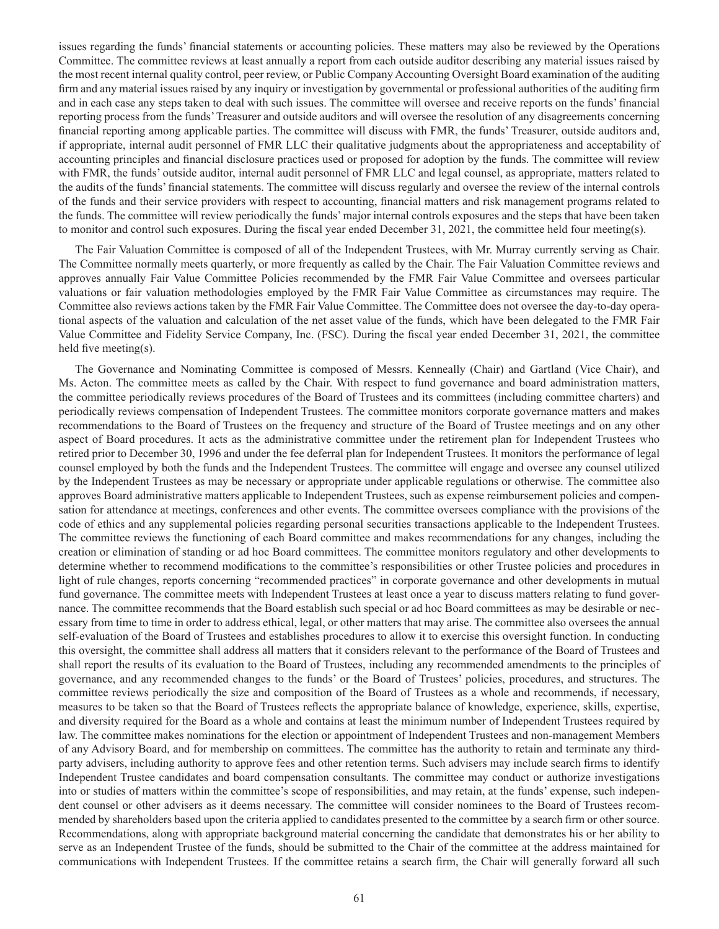issues regarding the funds' financial statements or accounting policies. These matters may also be reviewed by the Operations Committee. The committee reviews at least annually a report from each outside auditor describing any material issues raised by the most recent internal quality control, peer review, or Public Company Accounting Oversight Board examination of the auditing firm and any material issues raised by any inquiry or investigation by governmental or professional authorities of the auditing firm and in each case any steps taken to deal with such issues. The committee will oversee and receive reports on the funds' financial reporting process from the funds' Treasurer and outside auditors and will oversee the resolution of any disagreements concerning financial reporting among applicable parties. The committee will discuss with FMR, the funds' Treasurer, outside auditors and, if appropriate, internal audit personnel of FMR LLC their qualitative judgments about the appropriateness and acceptability of accounting principles and financial disclosure practices used or proposed for adoption by the funds. The committee will review with FMR, the funds' outside auditor, internal audit personnel of FMR LLC and legal counsel, as appropriate, matters related to the audits of the funds' financial statements. The committee will discuss regularly and oversee the review of the internal controls of the funds and their service providers with respect to accounting, financial matters and risk management programs related to the funds. The committee will review periodically the funds' major internal controls exposures and the steps that have been taken to monitor and control such exposures. During the fiscal year ended December 31, 2021, the committee held four meeting(s).

The Fair Valuation Committee is composed of all of the Independent Trustees, with Mr. Murray currently serving as Chair. The Committee normally meets quarterly, or more frequently as called by the Chair. The Fair Valuation Committee reviews and approves annually Fair Value Committee Policies recommended by the FMR Fair Value Committee and oversees particular valuations or fair valuation methodologies employed by the FMR Fair Value Committee as circumstances may require. The Committee also reviews actions taken by the FMR Fair Value Committee. The Committee does not oversee the day-to-day operational aspects of the valuation and calculation of the net asset value of the funds, which have been delegated to the FMR Fair Value Committee and Fidelity Service Company, Inc. (FSC). During the fiscal year ended December 31, 2021, the committee held five meeting(s).

The Governance and Nominating Committee is composed of Messrs. Kenneally (Chair) and Gartland (Vice Chair), and Ms. Acton. The committee meets as called by the Chair. With respect to fund governance and board administration matters, the committee periodically reviews procedures of the Board of Trustees and its committees (including committee charters) and periodically reviews compensation of Independent Trustees. The committee monitors corporate governance matters and makes recommendations to the Board of Trustees on the frequency and structure of the Board of Trustee meetings and on any other aspect of Board procedures. It acts as the administrative committee under the retirement plan for Independent Trustees who retired prior to December 30, 1996 and under the fee deferral plan for Independent Trustees. It monitors the performance of legal counsel employed by both the funds and the Independent Trustees. The committee will engage and oversee any counsel utilized by the Independent Trustees as may be necessary or appropriate under applicable regulations or otherwise. The committee also approves Board administrative matters applicable to Independent Trustees, such as expense reimbursement policies and compensation for attendance at meetings, conferences and other events. The committee oversees compliance with the provisions of the code of ethics and any supplemental policies regarding personal securities transactions applicable to the Independent Trustees. The committee reviews the functioning of each Board committee and makes recommendations for any changes, including the creation or elimination of standing or ad hoc Board committees. The committee monitors regulatory and other developments to determine whether to recommend modifications to the committee's responsibilities or other Trustee policies and procedures in light of rule changes, reports concerning "recommended practices" in corporate governance and other developments in mutual fund governance. The committee meets with Independent Trustees at least once a year to discuss matters relating to fund governance. The committee recommends that the Board establish such special or ad hoc Board committees as may be desirable or necessary from time to time in order to address ethical, legal, or other matters that may arise. The committee also oversees the annual self-evaluation of the Board of Trustees and establishes procedures to allow it to exercise this oversight function. In conducting this oversight, the committee shall address all matters that it considers relevant to the performance of the Board of Trustees and shall report the results of its evaluation to the Board of Trustees, including any recommended amendments to the principles of governance, and any recommended changes to the funds' or the Board of Trustees' policies, procedures, and structures. The committee reviews periodically the size and composition of the Board of Trustees as a whole and recommends, if necessary, measures to be taken so that the Board of Trustees reflects the appropriate balance of knowledge, experience, skills, expertise, and diversity required for the Board as a whole and contains at least the minimum number of Independent Trustees required by law. The committee makes nominations for the election or appointment of Independent Trustees and non-management Members of any Advisory Board, and for membership on committees. The committee has the authority to retain and terminate any thirdparty advisers, including authority to approve fees and other retention terms. Such advisers may include search firms to identify Independent Trustee candidates and board compensation consultants. The committee may conduct or authorize investigations into or studies of matters within the committee's scope of responsibilities, and may retain, at the funds' expense, such independent counsel or other advisers as it deems necessary. The committee will consider nominees to the Board of Trustees recommended by shareholders based upon the criteria applied to candidates presented to the committee by a search firm or other source. Recommendations, along with appropriate background material concerning the candidate that demonstrates his or her ability to serve as an Independent Trustee of the funds, should be submitted to the Chair of the committee at the address maintained for communications with Independent Trustees. If the committee retains a search firm, the Chair will generally forward all such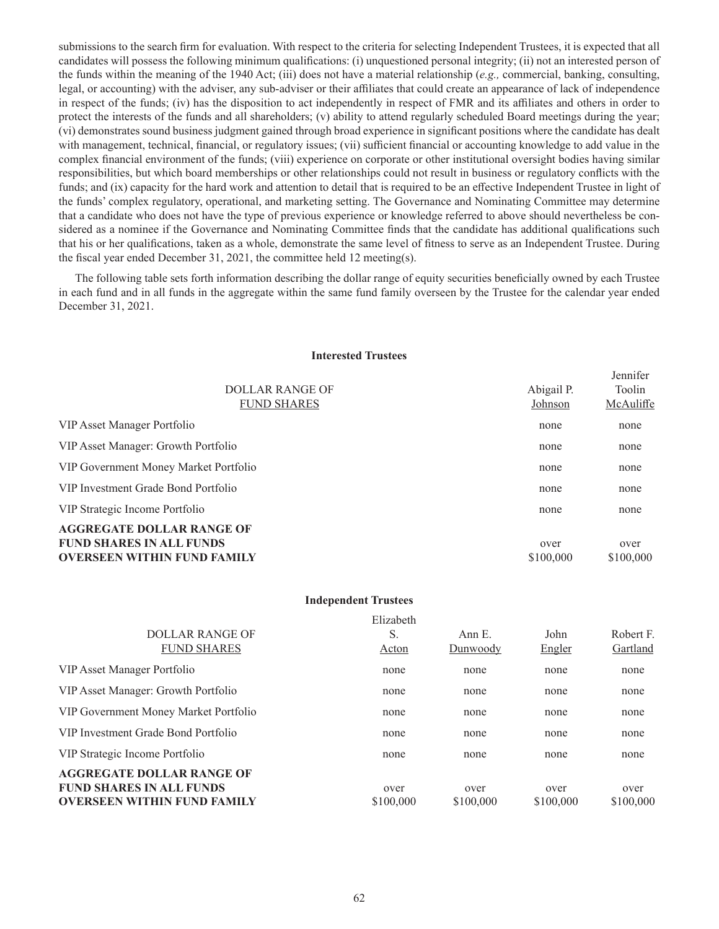submissions to the search firm for evaluation. With respect to the criteria for selecting Independent Trustees, it is expected that all candidates will possess the following minimum qualifications: (i) unquestioned personal integrity; (ii) not an interested person of the funds within the meaning of the 1940 Act; (iii) does not have a material relationship (*e.g.,* commercial, banking, consulting, legal, or accounting) with the adviser, any sub-adviser or their affiliates that could create an appearance of lack of independence in respect of the funds; (iv) has the disposition to act independently in respect of FMR and its affiliates and others in order to protect the interests of the funds and all shareholders; (v) ability to attend regularly scheduled Board meetings during the year; (vi) demonstrates sound business judgment gained through broad experience in significant positions where the candidate has dealt with management, technical, financial, or regulatory issues; (vii) sufficient financial or accounting knowledge to add value in the complex financial environment of the funds; (viii) experience on corporate or other institutional oversight bodies having similar responsibilities, but which board memberships or other relationships could not result in business or regulatory conflicts with the funds; and (ix) capacity for the hard work and attention to detail that is required to be an effective Independent Trustee in light of the funds' complex regulatory, operational, and marketing setting. The Governance and Nominating Committee may determine that a candidate who does not have the type of previous experience or knowledge referred to above should nevertheless be considered as a nominee if the Governance and Nominating Committee finds that the candidate has additional qualifications such that his or her qualifications, taken as a whole, demonstrate the same level of fitness to serve as an Independent Trustee. During the fiscal year ended December 31, 2021, the committee held 12 meeting(s).

The following table sets forth information describing the dollar range of equity securities beneficially owned by each Trustee in each fund and in all funds in the aggregate within the same fund family overseen by the Trustee for the calendar year ended December 31, 2021.

#### **Interested Trustees**

| DOLLAR RANGE OF<br><b>FUND SHARES</b>                                                                     | Abigail P.<br>Johnson | Jennifer<br>Toolin<br>McAuliffe |
|-----------------------------------------------------------------------------------------------------------|-----------------------|---------------------------------|
| VIP Asset Manager Portfolio                                                                               | none                  | none                            |
| VIP Asset Manager: Growth Portfolio                                                                       | none                  | none                            |
| VIP Government Money Market Portfolio                                                                     | none                  | none                            |
| VIP Investment Grade Bond Portfolio                                                                       | none                  | none                            |
| VIP Strategic Income Portfolio                                                                            | none                  | none                            |
| <b>AGGREGATE DOLLAR RANGE OF</b><br><b>FUND SHARES IN ALL FUNDS</b><br><b>OVERSEEN WITHIN FUND FAMILY</b> | over<br>\$100,000     | over<br>\$100,000               |

|                                                                                                           | <b>Independent Trustees</b> |                    |                   |                       |
|-----------------------------------------------------------------------------------------------------------|-----------------------------|--------------------|-------------------|-----------------------|
| <b>DOLLAR RANGE OF</b><br><b>FUND SHARES</b>                                                              | Elizabeth<br>S.<br>Acton    | Ann E.<br>Dunwoody | John<br>Engler    | Robert F.<br>Gartland |
| VIP Asset Manager Portfolio                                                                               | none                        | none               | none              | none                  |
| VIP Asset Manager: Growth Portfolio                                                                       | none                        | none               | none              | none                  |
| VIP Government Money Market Portfolio                                                                     | none                        | none               | none              | none                  |
| VIP Investment Grade Bond Portfolio                                                                       | none                        | none               | none              | none                  |
| VIP Strategic Income Portfolio                                                                            | none                        | none               | none              | none                  |
| <b>AGGREGATE DOLLAR RANGE OF</b><br><b>FUND SHARES IN ALL FUNDS</b><br><b>OVERSEEN WITHIN FUND FAMILY</b> | over<br>\$100,000           | over<br>\$100,000  | over<br>\$100,000 | over<br>\$100,000     |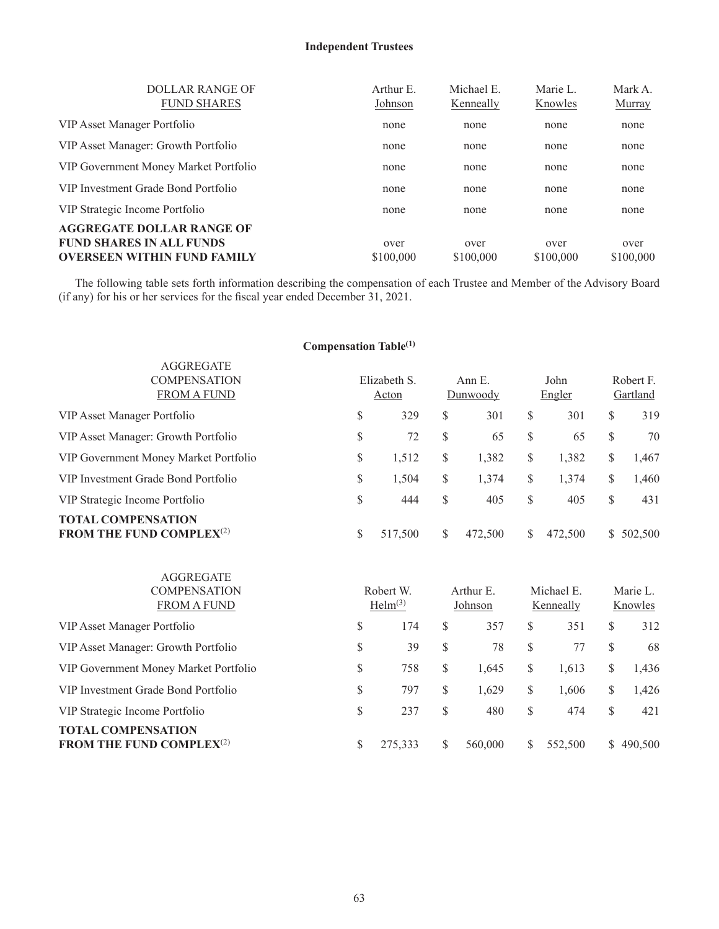# **Independent Trustees**

| <b>DOLLAR RANGE OF</b><br><b>FUND SHARES</b>                                                              | Arthur E.<br>Johnson | Michael E.<br>Kenneally | Marie L.<br>Knowles | Mark A.<br><b>Murray</b> |
|-----------------------------------------------------------------------------------------------------------|----------------------|-------------------------|---------------------|--------------------------|
| VIP Asset Manager Portfolio                                                                               | none                 | none                    | none                | none                     |
| VIP Asset Manager: Growth Portfolio                                                                       | none                 | none                    | none                | none                     |
| VIP Government Money Market Portfolio                                                                     | none                 | none                    | none                | none                     |
| VIP Investment Grade Bond Portfolio                                                                       | none                 | none                    | none                | none                     |
| VIP Strategic Income Portfolio                                                                            | none                 | none                    | none                | none                     |
| <b>AGGREGATE DOLLAR RANGE OF</b><br><b>FUND SHARES IN ALL FUNDS</b><br><b>OVERSEEN WITHIN FUND FAMILY</b> | over<br>\$100,000    | over<br>\$100,000       | over<br>\$100,000   | over<br>\$100,000        |

The following table sets forth information describing the compensation of each Trustee and Member of the Advisory Board (if any) for his or her services for the fiscal year ended December 31, 2021.

# **Compensation Table(1)**

| <b>AGGREGATE</b><br><b>COMPENSATION</b><br><b>FROM A FUND</b>   | Elizabeth S.<br>Acton | Ann E.<br>Dunwoody |    | John<br>Engler |              | Robert F.<br>Gartland |
|-----------------------------------------------------------------|-----------------------|--------------------|----|----------------|--------------|-----------------------|
| VIP Asset Manager Portfolio                                     | \$<br>329             | \$<br>301          | \$ | 301            | \$           | 319                   |
| VIP Asset Manager: Growth Portfolio                             | \$<br>72              | \$<br>65           | S  | 65             | <sup>S</sup> | 70                    |
| VIP Government Money Market Portfolio                           | \$<br>1,512           | \$<br>1,382        | \$ | 1,382          | \$           | 1,467                 |
| VIP Investment Grade Bond Portfolio                             | \$<br>1,504           | \$<br>1,374        | \$ | 1,374          | S            | 1,460                 |
| VIP Strategic Income Portfolio                                  | \$<br>444             | \$<br>405          | \$ | 405            | S            | 431                   |
| <b>TOTAL COMPENSATION</b><br><b>FROM THE FUND COMPLEX</b> $(2)$ | \$<br>517,500         | \$<br>472,500      | S  | 472,500        | S.           | 502,500               |

| <b>AGGREGATE</b><br><b>COMPENSATION</b><br><b>FROM A FUND</b>   |    | Robert W.<br>Helm <sup>(3)</sup> |    | Arthur E.<br>Johnson |    | Michael E.<br>Kenneally |              | Marie L.<br>Knowles |  |
|-----------------------------------------------------------------|----|----------------------------------|----|----------------------|----|-------------------------|--------------|---------------------|--|
| VIP Asset Manager Portfolio                                     | \$ | 174                              | \$ | 357                  | \$ | 351                     | S            | 312                 |  |
| VIP Asset Manager: Growth Portfolio                             | \$ | 39                               | \$ | 78                   | S  | 77                      | S            | 68                  |  |
| VIP Government Money Market Portfolio                           | \$ | 758                              | \$ | 1.645                | \$ | 1,613                   | S            | 1,436               |  |
| VIP Investment Grade Bond Portfolio                             | \$ | 797                              | \$ | 1,629                | \$ | 1,606                   | \$           | 1,426               |  |
| VIP Strategic Income Portfolio                                  | \$ | 237                              | \$ | 480                  | S  | 474                     | S            | 421                 |  |
| <b>TOTAL COMPENSATION</b><br><b>FROM THE FUND COMPLEX</b> $(2)$ | S  | 275,333                          |    | 560,000              | S  | 552,500                 | <sup>S</sup> | 490,500             |  |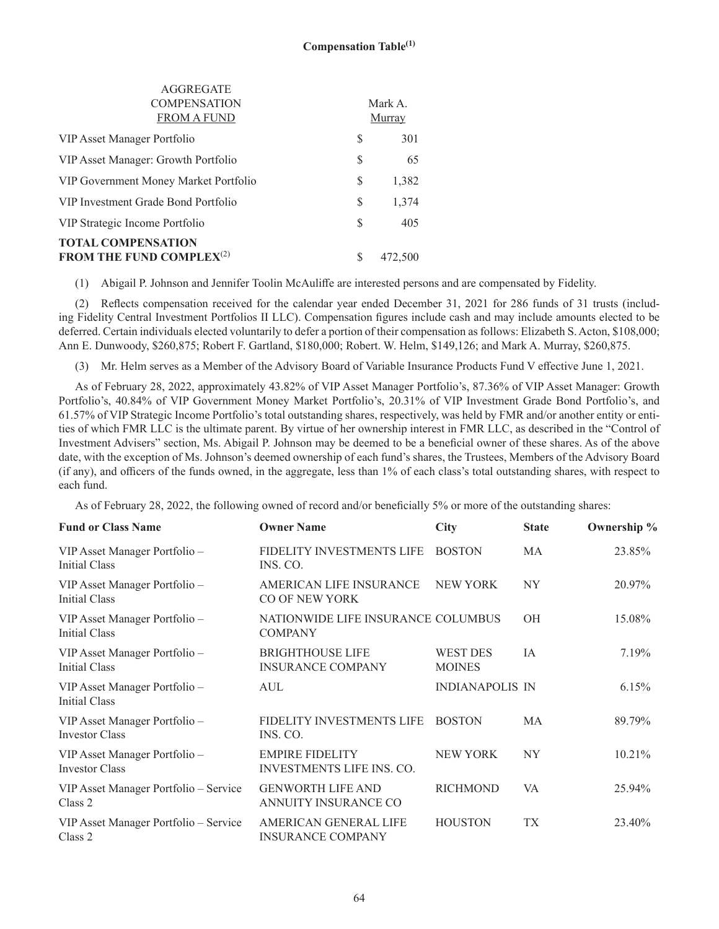| <b>TOTAL COMPENSATION</b><br>FROM THE FUND COMPLEX <sup>(2)</sup> | S  | 472,500 |
|-------------------------------------------------------------------|----|---------|
| VIP Strategic Income Portfolio                                    | S  | 405     |
| VIP Investment Grade Bond Portfolio                               | \$ | 1,374   |
| VIP Government Money Market Portfolio                             | S  | 1,382   |
| VIP Asset Manager: Growth Portfolio                               | S  | 65      |
| VIP Asset Manager Portfolio                                       | S  | 301     |
| <b>FROM A FUND</b>                                                |    | Murray  |
| <b>COMPENSATION</b>                                               |    | Mark A. |
| AGGREGATE                                                         |    |         |

(1) Abigail P. Johnson and Jennifer Toolin McAuliffe are interested persons and are compensated by Fidelity.

(2) Reflects compensation received for the calendar year ended December 31, 2021 for 286 funds of 31 trusts (including Fidelity Central Investment Portfolios II LLC). Compensation figures include cash and may include amounts elected to be deferred. Certain individuals elected voluntarily to defer a portion of their compensation as follows: Elizabeth S. Acton, \$108,000; Ann E. Dunwoody, \$260,875; Robert F. Gartland, \$180,000; Robert. W. Helm, \$149,126; and Mark A. Murray, \$260,875.

(3) Mr. Helm serves as a Member of the Advisory Board of Variable Insurance Products Fund V effective June 1, 2021.

As of February 28, 2022, approximately 43.82% of VIP Asset Manager Portfolio's, 87.36% of VIP Asset Manager: Growth Portfolio's, 40.84% of VIP Government Money Market Portfolio's, 20.31% of VIP Investment Grade Bond Portfolio's, and 61.57% of VIP Strategic Income Portfolio's total outstanding shares, respectively, was held by FMR and/or another entity or entities of which FMR LLC is the ultimate parent. By virtue of her ownership interest in FMR LLC, as described in the "Control of Investment Advisers" section, Ms. Abigail P. Johnson may be deemed to be a beneficial owner of these shares. As of the above date, with the exception of Ms. Johnson's deemed ownership of each fund's shares, the Trustees, Members of the Advisory Board (if any), and officers of the funds owned, in the aggregate, less than 1% of each class's total outstanding shares, with respect to each fund.

As of February 28, 2022, the following owned of record and/or beneficially 5% or more of the outstanding shares:

| <b>Fund or Class Name</b>                              | <b>Owner Name</b>                                          | <b>City</b>                      | <b>State</b>   | Ownership % |
|--------------------------------------------------------|------------------------------------------------------------|----------------------------------|----------------|-------------|
| VIP Asset Manager Portfolio -<br>Initial Class         | FIDELITY INVESTMENTS LIFE<br>INS. CO.                      | <b>BOSTON</b>                    | MA             | 23.85%      |
| VIP Asset Manager Portfolio -<br><b>Initial Class</b>  | AMERICAN LIFE INSURANCE<br>CO OF NEW YORK                  | NEW YORK                         | NY <sub></sub> | 20.97%      |
| VIP Asset Manager Portfolio -<br>Initial Class         | NATIONWIDE LIFE INSURANCE COLUMBUS<br><b>COMPANY</b>       |                                  | <b>OH</b>      | 15.08%      |
| VIP Asset Manager Portfolio -<br>Initial Class         | <b>BRIGHTHOUSE LIFE</b><br><b>INSURANCE COMPANY</b>        | <b>WEST DES</b><br><b>MOINES</b> | IA             | 7.19%       |
| VIP Asset Manager Portfolio -<br><b>Initial Class</b>  | <b>AUL</b>                                                 | <b>INDIANAPOLIS IN</b>           |                | 6.15%       |
| VIP Asset Manager Portfolio -<br><b>Investor Class</b> | FIDELITY INVESTMENTS LIFE<br>INS. CO.                      | <b>BOSTON</b>                    | МA             | 89.79%      |
| VIP Asset Manager Portfolio -<br><b>Investor Class</b> | <b>EMPIRE FIDELITY</b><br><b>INVESTMENTS LIFE INS. CO.</b> | <b>NEW YORK</b>                  | NY.            | 10.21%      |
| VIP Asset Manager Portfolio - Service<br>Class 2       | <b>GENWORTH LIFE AND</b><br>ANNUITY INSURANCE CO           | <b>RICHMOND</b>                  | VA             | 25.94%      |
| VIP Asset Manager Portfolio - Service<br>Class 2       | AMERICAN GENERAL LIFE<br><b>INSURANCE COMPANY</b>          | <b>HOUSTON</b>                   | TX             | 23.40%      |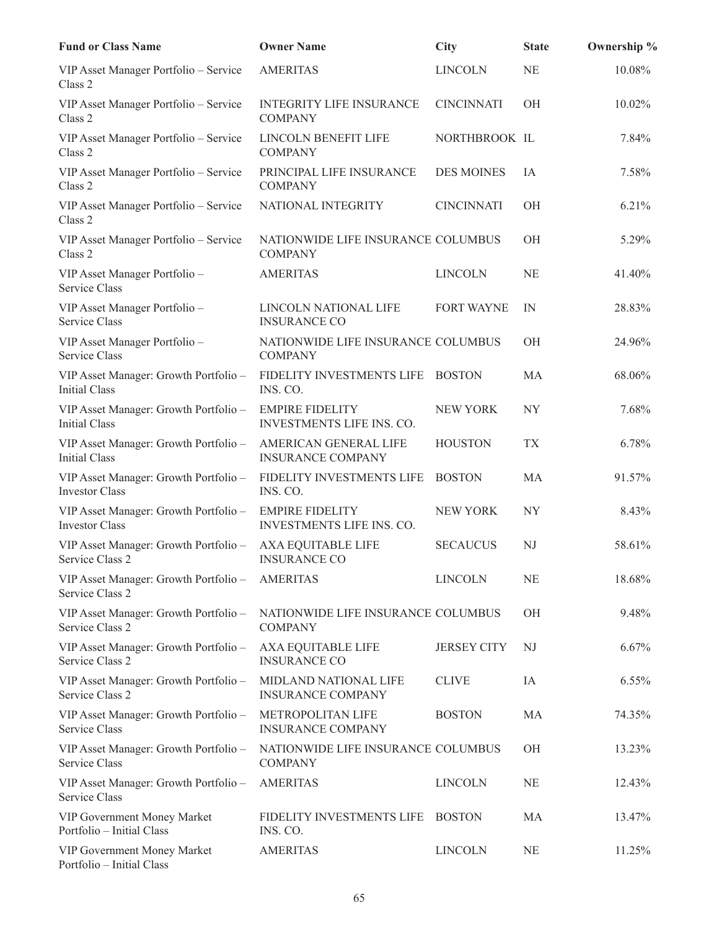| <b>Fund or Class Name</b>                                      | <b>Owner Name</b>                                    | <b>City</b>        | <b>State</b> | Ownership % |
|----------------------------------------------------------------|------------------------------------------------------|--------------------|--------------|-------------|
| VIP Asset Manager Portfolio - Service<br>Class 2               | <b>AMERITAS</b>                                      | <b>LINCOLN</b>     | <b>NE</b>    | 10.08%      |
| VIP Asset Manager Portfolio - Service<br>Class 2               | <b>INTEGRITY LIFE INSURANCE</b><br><b>COMPANY</b>    | <b>CINCINNATI</b>  | <b>OH</b>    | 10.02%      |
| VIP Asset Manager Portfolio - Service<br>Class 2               | LINCOLN BENEFIT LIFE<br><b>COMPANY</b>               | NORTHBROOK IL      |              | 7.84%       |
| VIP Asset Manager Portfolio - Service<br>Class 2               | PRINCIPAL LIFE INSURANCE<br><b>COMPANY</b>           | <b>DES MOINES</b>  | IA           | 7.58%       |
| VIP Asset Manager Portfolio - Service<br>Class 2               | NATIONAL INTEGRITY                                   | <b>CINCINNATI</b>  | <b>OH</b>    | 6.21%       |
| VIP Asset Manager Portfolio - Service<br>Class 2               | NATIONWIDE LIFE INSURANCE COLUMBUS<br><b>COMPANY</b> |                    | OH           | 5.29%       |
| VIP Asset Manager Portfolio -<br>Service Class                 | <b>AMERITAS</b>                                      | <b>LINCOLN</b>     | NE           | 41.40%      |
| VIP Asset Manager Portfolio -<br>Service Class                 | LINCOLN NATIONAL LIFE<br><b>INSURANCE CO</b>         | <b>FORT WAYNE</b>  | IN           | 28.83%      |
| VIP Asset Manager Portfolio -<br>Service Class                 | NATIONWIDE LIFE INSURANCE COLUMBUS<br><b>COMPANY</b> |                    | <b>OH</b>    | 24.96%      |
| VIP Asset Manager: Growth Portfolio -<br>Initial Class         | FIDELITY INVESTMENTS LIFE<br>INS. CO.                | <b>BOSTON</b>      | MA           | 68.06%      |
| VIP Asset Manager: Growth Portfolio -<br>Initial Class         | <b>EMPIRE FIDELITY</b><br>INVESTMENTS LIFE INS. CO.  | <b>NEW YORK</b>    | NY           | 7.68%       |
| VIP Asset Manager: Growth Portfolio -<br><b>Initial Class</b>  | AMERICAN GENERAL LIFE<br><b>INSURANCE COMPANY</b>    | <b>HOUSTON</b>     | <b>TX</b>    | 6.78%       |
| VIP Asset Manager: Growth Portfolio -<br><b>Investor Class</b> | FIDELITY INVESTMENTS LIFE<br>INS. CO.                | <b>BOSTON</b>      | MA           | 91.57%      |
| VIP Asset Manager: Growth Portfolio -<br><b>Investor Class</b> | <b>EMPIRE FIDELITY</b><br>INVESTMENTS LIFE INS. CO.  | <b>NEW YORK</b>    | <b>NY</b>    | 8.43%       |
| VIP Asset Manager: Growth Portfolio -<br>Service Class 2       | AXA EQUITABLE LIFE<br><b>INSURANCE CO</b>            | <b>SECAUCUS</b>    | NJ           | 58.61%      |
| VIP Asset Manager: Growth Portfolio -<br>Service Class 2       | <b>AMERITAS</b>                                      | <b>LINCOLN</b>     | <b>NE</b>    | 18.68%      |
| VIP Asset Manager: Growth Portfolio -<br>Service Class 2       | NATIONWIDE LIFE INSURANCE COLUMBUS<br><b>COMPANY</b> |                    | OH           | 9.48%       |
| VIP Asset Manager: Growth Portfolio -<br>Service Class 2       | AXA EQUITABLE LIFE<br><b>INSURANCE CO</b>            | <b>JERSEY CITY</b> | NJ           | 6.67%       |
| VIP Asset Manager: Growth Portfolio -<br>Service Class 2       | MIDLAND NATIONAL LIFE<br><b>INSURANCE COMPANY</b>    | <b>CLIVE</b>       | IA           | 6.55%       |
| VIP Asset Manager: Growth Portfolio -<br>Service Class         | <b>METROPOLITAN LIFE</b><br><b>INSURANCE COMPANY</b> | <b>BOSTON</b>      | MA           | 74.35%      |
| VIP Asset Manager: Growth Portfolio -<br>Service Class         | NATIONWIDE LIFE INSURANCE COLUMBUS<br><b>COMPANY</b> |                    | <b>OH</b>    | 13.23%      |
| VIP Asset Manager: Growth Portfolio -<br>Service Class         | <b>AMERITAS</b>                                      | <b>LINCOLN</b>     | NE           | 12.43%      |
| VIP Government Money Market<br>Portfolio - Initial Class       | FIDELITY INVESTMENTS LIFE<br>INS. CO.                | <b>BOSTON</b>      | MA           | 13.47%      |
| VIP Government Money Market<br>Portfolio - Initial Class       | <b>AMERITAS</b>                                      | <b>LINCOLN</b>     | <b>NE</b>    | 11.25%      |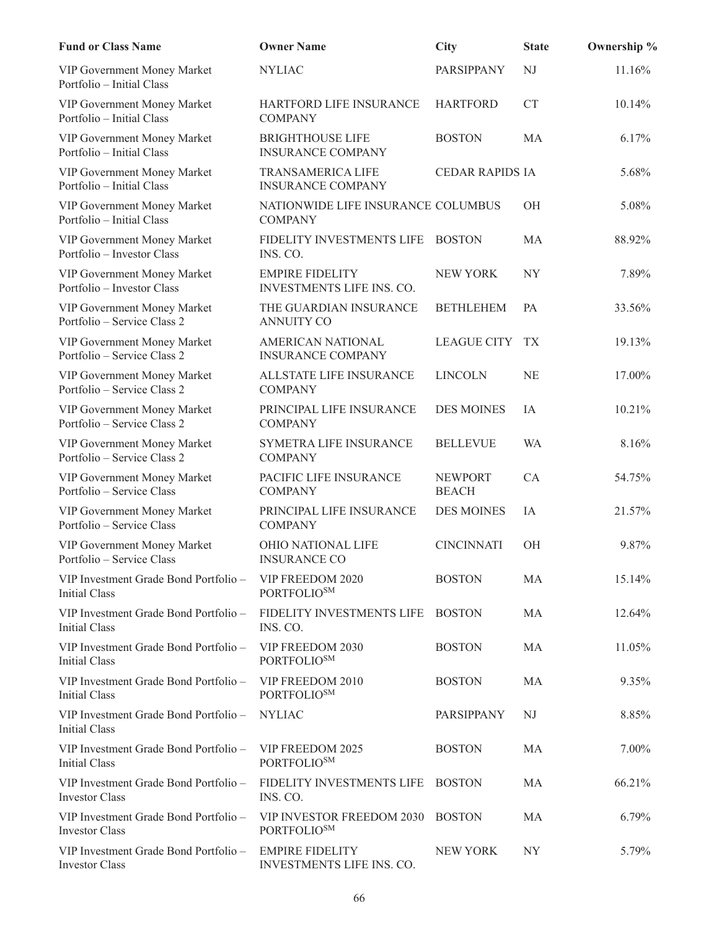| <b>Fund or Class Name</b>                                      | <b>Owner Name</b>                                    | <b>City</b>                    | <b>State</b> | Ownership % |
|----------------------------------------------------------------|------------------------------------------------------|--------------------------------|--------------|-------------|
| VIP Government Money Market<br>Portfolio - Initial Class       | <b>NYLIAC</b>                                        | PARSIPPANY                     | NJ           | 11.16%      |
| VIP Government Money Market<br>Portfolio - Initial Class       | HARTFORD LIFE INSURANCE<br><b>COMPANY</b>            | <b>HARTFORD</b>                | <b>CT</b>    | 10.14%      |
| VIP Government Money Market<br>Portfolio - Initial Class       | <b>BRIGHTHOUSE LIFE</b><br><b>INSURANCE COMPANY</b>  | <b>BOSTON</b>                  | <b>MA</b>    | 6.17%       |
| VIP Government Money Market<br>Portfolio - Initial Class       | <b>TRANSAMERICA LIFE</b><br><b>INSURANCE COMPANY</b> | <b>CEDAR RAPIDS IA</b>         |              | 5.68%       |
| VIP Government Money Market<br>Portfolio - Initial Class       | NATIONWIDE LIFE INSURANCE COLUMBUS<br><b>COMPANY</b> |                                | OH           | 5.08%       |
| VIP Government Money Market<br>Portfolio - Investor Class      | FIDELITY INVESTMENTS LIFE<br>INS. CO.                | <b>BOSTON</b>                  | MA           | 88.92%      |
| VIP Government Money Market<br>Portfolio - Investor Class      | <b>EMPIRE FIDELITY</b><br>INVESTMENTS LIFE INS. CO.  | <b>NEW YORK</b>                | <b>NY</b>    | 7.89%       |
| VIP Government Money Market<br>Portfolio – Service Class 2     | THE GUARDIAN INSURANCE<br><b>ANNUITY CO</b>          | <b>BETHLEHEM</b>               | PA           | 33.56%      |
| VIP Government Money Market<br>Portfolio - Service Class 2     | AMERICAN NATIONAL<br><b>INSURANCE COMPANY</b>        | <b>LEAGUE CITY</b>             | TX           | 19.13%      |
| VIP Government Money Market<br>Portfolio - Service Class 2     | ALLSTATE LIFE INSURANCE<br><b>COMPANY</b>            | <b>LINCOLN</b>                 | <b>NE</b>    | 17.00%      |
| VIP Government Money Market<br>Portfolio - Service Class 2     | PRINCIPAL LIFE INSURANCE<br><b>COMPANY</b>           | <b>DES MOINES</b>              | IA           | 10.21%      |
| VIP Government Money Market<br>Portfolio – Service Class 2     | SYMETRA LIFE INSURANCE<br><b>COMPANY</b>             | <b>BELLEVUE</b>                | <b>WA</b>    | 8.16%       |
| VIP Government Money Market<br>Portfolio - Service Class       | PACIFIC LIFE INSURANCE<br><b>COMPANY</b>             | <b>NEWPORT</b><br><b>BEACH</b> | CA           | 54.75%      |
| VIP Government Money Market<br>Portfolio – Service Class       | PRINCIPAL LIFE INSURANCE<br><b>COMPANY</b>           | <b>DES MOINES</b>              | IA           | 21.57%      |
| VIP Government Money Market<br>Portfolio - Service Class       | OHIO NATIONAL LIFE<br><b>INSURANCE CO</b>            | <b>CINCINNATI</b>              | OH           | 9.87%       |
| VIP Investment Grade Bond Portfolio -<br>Initial Class         | VIP FREEDOM 2020<br>PORTFOLIO <sup>SM</sup>          | <b>BOSTON</b>                  | MA           | 15.14%      |
| VIP Investment Grade Bond Portfolio -<br><b>Initial Class</b>  | FIDELITY INVESTMENTS LIFE<br>INS. CO.                | <b>BOSTON</b>                  | MA           | 12.64%      |
| VIP Investment Grade Bond Portfolio -<br><b>Initial Class</b>  | VIP FREEDOM 2030<br><b>PORTFOLIOSM</b>               | <b>BOSTON</b>                  | MA           | 11.05%      |
| VIP Investment Grade Bond Portfolio –<br><b>Initial Class</b>  | VIP FREEDOM 2010<br><b>PORTFOLIOSM</b>               | <b>BOSTON</b>                  | MA           | 9.35%       |
| VIP Investment Grade Bond Portfolio –<br><b>Initial Class</b>  | <b>NYLIAC</b>                                        | PARSIPPANY                     | NJ           | 8.85%       |
| VIP Investment Grade Bond Portfolio –<br><b>Initial Class</b>  | VIP FREEDOM 2025<br>PORTFOLIO <sup>SM</sup>          | <b>BOSTON</b>                  | MA           | 7.00%       |
| VIP Investment Grade Bond Portfolio –<br><b>Investor Class</b> | FIDELITY INVESTMENTS LIFE<br>INS. CO.                | <b>BOSTON</b>                  | MA           | 66.21%      |
| VIP Investment Grade Bond Portfolio -<br><b>Investor Class</b> | VIP INVESTOR FREEDOM 2030<br>PORTFOLIO <sup>SM</sup> | <b>BOSTON</b>                  | MA           | 6.79%       |
| VIP Investment Grade Bond Portfolio -<br><b>Investor Class</b> | <b>EMPIRE FIDELITY</b><br>INVESTMENTS LIFE INS. CO.  | <b>NEW YORK</b>                | NY.          | 5.79%       |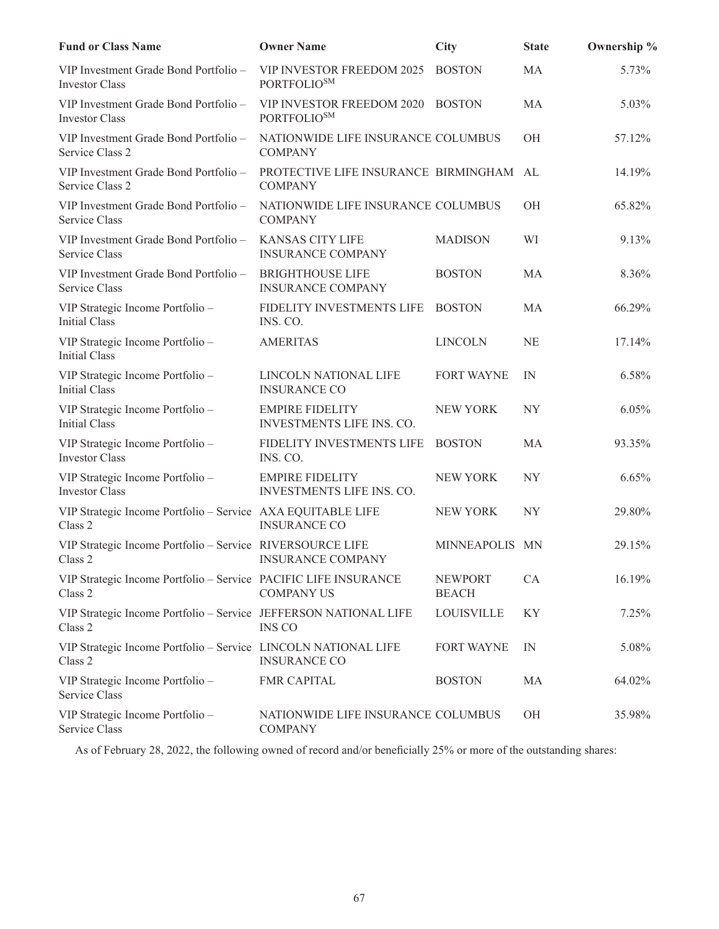| <b>Fund or Class Name</b>                                                   | <b>Owner Name</b>                                         | City                           | <b>State</b> | Ownership % |
|-----------------------------------------------------------------------------|-----------------------------------------------------------|--------------------------------|--------------|-------------|
| VIP Investment Grade Bond Portfolio -<br><b>Investor Class</b>              | VIP INVESTOR FREEDOM 2025<br>PORTFOLIO <sup>SM</sup>      | <b>BOSTON</b>                  | MA           | 5.73%       |
| VIP Investment Grade Bond Portfolio -<br><b>Investor Class</b>              | VIP INVESTOR FREEDOM 2020<br>PORTFOLIO <sup>SM</sup>      | <b>BOSTON</b>                  | MA           | 5.03%       |
| VIP Investment Grade Bond Portfolio -<br>Service Class 2                    | NATIONWIDE LIFE INSURANCE COLUMBUS<br><b>COMPANY</b>      |                                | OH           | 57.12%      |
| VIP Investment Grade Bond Portfolio -<br>Service Class 2                    | PROTECTIVE LIFE INSURANCE BIRMINGHAM AL<br><b>COMPANY</b> |                                |              | 14.19%      |
| VIP Investment Grade Bond Portfolio -<br>Service Class                      | NATIONWIDE LIFE INSURANCE COLUMBUS<br><b>COMPANY</b>      |                                | OH           | 65.82%      |
| VIP Investment Grade Bond Portfolio -<br>Service Class                      | <b>KANSAS CITY LIFE</b><br><b>INSURANCE COMPANY</b>       | <b>MADISON</b>                 | WI           | 9.13%       |
| VIP Investment Grade Bond Portfolio -<br>Service Class                      | <b>BRIGHTHOUSE LIFE</b><br><b>INSURANCE COMPANY</b>       | <b>BOSTON</b>                  | MA           | 8.36%       |
| VIP Strategic Income Portfolio -<br><b>Initial Class</b>                    | FIDELITY INVESTMENTS LIFE<br>INS. CO.                     | <b>BOSTON</b>                  | MA           | 66.29%      |
| VIP Strategic Income Portfolio -<br><b>Initial Class</b>                    | <b>AMERITAS</b>                                           | <b>LINCOLN</b>                 | <b>NE</b>    | 17.14%      |
| VIP Strategic Income Portfolio -<br><b>Initial Class</b>                    | LINCOLN NATIONAL LIFE<br><b>INSURANCE CO</b>              | <b>FORT WAYNE</b>              | IN           | 6.58%       |
| VIP Strategic Income Portfolio -<br><b>Initial Class</b>                    | <b>EMPIRE FIDELITY</b><br>INVESTMENTS LIFE INS. CO.       | <b>NEW YORK</b>                | <b>NY</b>    | 6.05%       |
| VIP Strategic Income Portfolio -<br><b>Investor Class</b>                   | FIDELITY INVESTMENTS LIFE<br>INS. CO.                     | <b>BOSTON</b>                  | MA           | 93.35%      |
| VIP Strategic Income Portfolio -<br><b>Investor Class</b>                   | <b>EMPIRE FIDELITY</b><br>INVESTMENTS LIFE INS. CO.       | <b>NEW YORK</b>                | <b>NY</b>    | 6.65%       |
| VIP Strategic Income Portfolio - Service AXA EQUITABLE LIFE<br>Class 2      | <b>INSURANCE CO</b>                                       | NEW YORK                       | <b>NY</b>    | 29.80%      |
| VIP Strategic Income Portfolio - Service RIVERSOURCE LIFE<br>Class 2        | <b>INSURANCE COMPANY</b>                                  | MINNEAPOLIS MN                 |              | 29.15%      |
| VIP Strategic Income Portfolio - Service PACIFIC LIFE INSURANCE<br>Class 2  | <b>COMPANY US</b>                                         | <b>NEWPORT</b><br><b>BEACH</b> | CA           | 16.19%      |
| VIP Strategic Income Portfolio - Service JEFFERSON NATIONAL LIFE<br>Class 2 | <b>INS CO</b>                                             | <b>LOUISVILLE</b>              | KY           | 7.25%       |
| VIP Strategic Income Portfolio - Service LINCOLN NATIONAL LIFE<br>Class 2   | <b>INSURANCE CO</b>                                       | <b>FORT WAYNE</b>              | IN           | 5.08%       |
| VIP Strategic Income Portfolio -<br>Service Class                           | <b>FMR CAPITAL</b>                                        | <b>BOSTON</b>                  | MA           | 64.02%      |
| VIP Strategic Income Portfolio -<br>Service Class                           | NATIONWIDE LIFE INSURANCE COLUMBUS<br><b>COMPANY</b>      |                                | OH           | 35.98%      |

As of February 28, 2022, the following owned of record and/or beneficially 25% or more of the outstanding shares: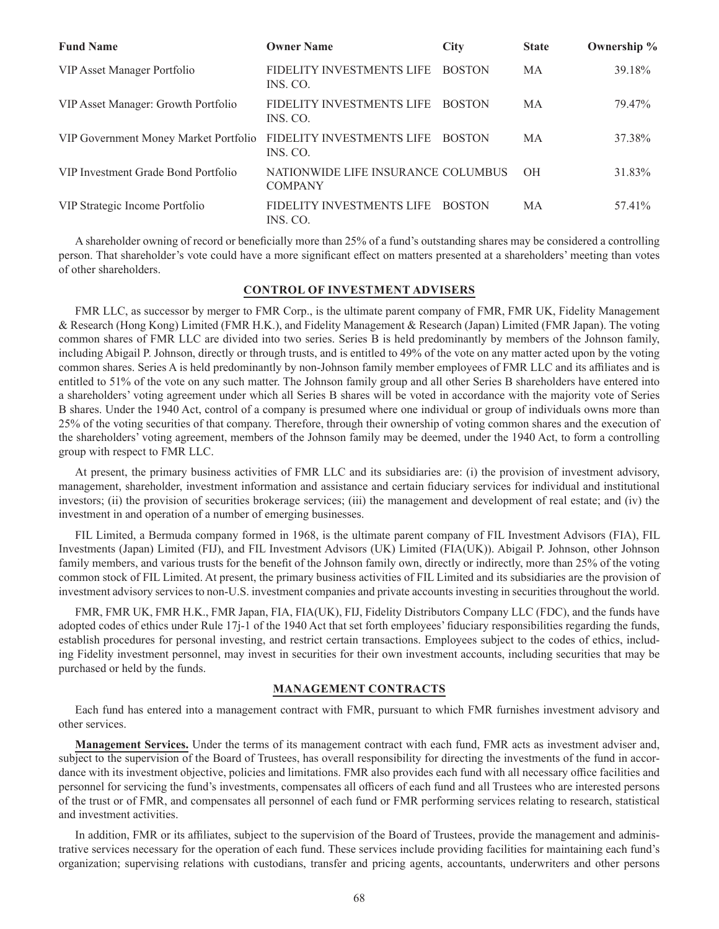| <b>Fund Name</b>                      | <b>Owner Name</b>                                    | <b>City</b>   | <b>State</b> | Ownership % |
|---------------------------------------|------------------------------------------------------|---------------|--------------|-------------|
| VIP Asset Manager Portfolio           | FIDELITY INVESTMENTS LIFE<br>INS. CO.                | <b>BOSTON</b> | MA           | 39.18%      |
| VIP Asset Manager: Growth Portfolio   | FIDELITY INVESTMENTS LIFE<br>INS. CO.                | <b>BOSTON</b> | MA           | 79.47%      |
| VIP Government Money Market Portfolio | FIDELITY INVESTMENTS LIFE<br>INS. CO.                | <b>BOSTON</b> | <b>MA</b>    | 37.38%      |
| VIP Investment Grade Bond Portfolio   | NATIONWIDE LIFE INSURANCE COLUMBUS<br><b>COMPANY</b> |               | <b>OH</b>    | 31.83%      |
| VIP Strategic Income Portfolio        | FIDELITY INVESTMENTS LIFE<br>INS. CO.                | <b>BOSTON</b> | МA           | 57.41%      |

A shareholder owning of record or beneficially more than 25% of a fund's outstanding shares may be considered a controlling person. That shareholder's vote could have a more significant effect on matters presented at a shareholders' meeting than votes of other shareholders.

## **CONTROL OF INVESTMENT ADVISERS**

FMR LLC, as successor by merger to FMR Corp., is the ultimate parent company of FMR, FMR UK, Fidelity Management & Research (Hong Kong) Limited (FMR H.K.), and Fidelity Management & Research (Japan) Limited (FMR Japan). The voting common shares of FMR LLC are divided into two series. Series B is held predominantly by members of the Johnson family, including Abigail P. Johnson, directly or through trusts, and is entitled to 49% of the vote on any matter acted upon by the voting common shares. Series A is held predominantly by non-Johnson family member employees of FMR LLC and its affiliates and is entitled to 51% of the vote on any such matter. The Johnson family group and all other Series B shareholders have entered into a shareholders' voting agreement under which all Series B shares will be voted in accordance with the majority vote of Series B shares. Under the 1940 Act, control of a company is presumed where one individual or group of individuals owns more than 25% of the voting securities of that company. Therefore, through their ownership of voting common shares and the execution of the shareholders' voting agreement, members of the Johnson family may be deemed, under the 1940 Act, to form a controlling group with respect to FMR LLC.

At present, the primary business activities of FMR LLC and its subsidiaries are: (i) the provision of investment advisory, management, shareholder, investment information and assistance and certain fiduciary services for individual and institutional investors; (ii) the provision of securities brokerage services; (iii) the management and development of real estate; and (iv) the investment in and operation of a number of emerging businesses.

FIL Limited, a Bermuda company formed in 1968, is the ultimate parent company of FIL Investment Advisors (FIA), FIL Investments (Japan) Limited (FIJ), and FIL Investment Advisors (UK) Limited (FIA(UK)). Abigail P. Johnson, other Johnson family members, and various trusts for the benefit of the Johnson family own, directly or indirectly, more than 25% of the voting common stock of FIL Limited. At present, the primary business activities of FIL Limited and its subsidiaries are the provision of investment advisory services to non-U.S. investment companies and private accounts investing in securities throughout the world.

FMR, FMR UK, FMR H.K., FMR Japan, FIA, FIA(UK), FIJ, Fidelity Distributors Company LLC (FDC), and the funds have adopted codes of ethics under Rule 17j-1 of the 1940 Act that set forth employees' fiduciary responsibilities regarding the funds, establish procedures for personal investing, and restrict certain transactions. Employees subject to the codes of ethics, including Fidelity investment personnel, may invest in securities for their own investment accounts, including securities that may be purchased or held by the funds.

## **MANAGEMENT CONTRACTS**

Each fund has entered into a management contract with FMR, pursuant to which FMR furnishes investment advisory and other services.

**Management Services.** Under the terms of its management contract with each fund, FMR acts as investment adviser and, subject to the supervision of the Board of Trustees, has overall responsibility for directing the investments of the fund in accordance with its investment objective, policies and limitations. FMR also provides each fund with all necessary office facilities and personnel for servicing the fund's investments, compensates all officers of each fund and all Trustees who are interested persons of the trust or of FMR, and compensates all personnel of each fund or FMR performing services relating to research, statistical and investment activities.

In addition, FMR or its affiliates, subject to the supervision of the Board of Trustees, provide the management and administrative services necessary for the operation of each fund. These services include providing facilities for maintaining each fund's organization; supervising relations with custodians, transfer and pricing agents, accountants, underwriters and other persons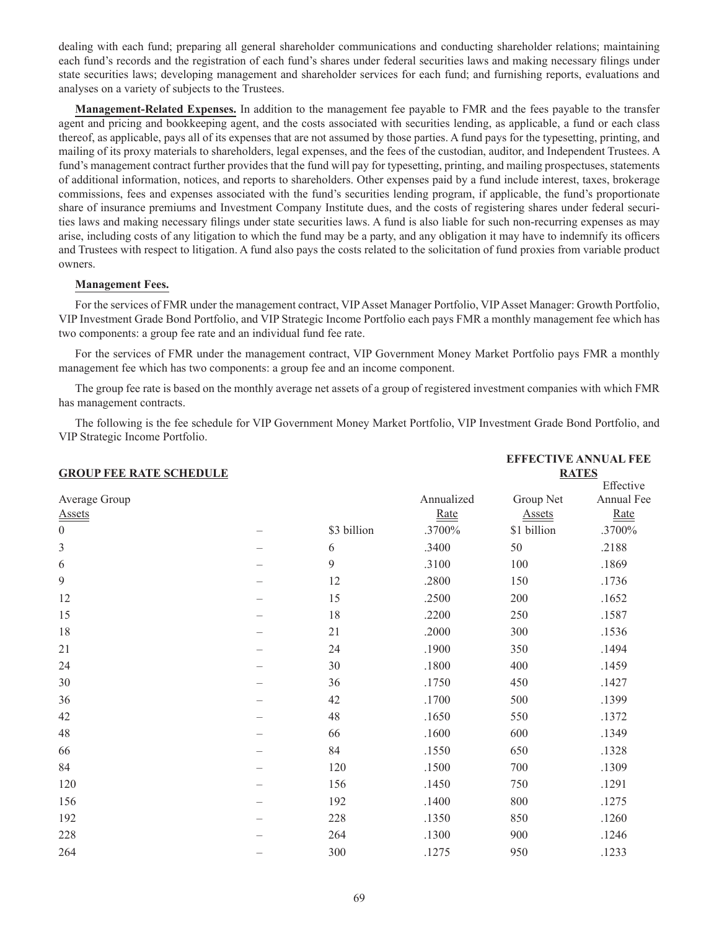dealing with each fund; preparing all general shareholder communications and conducting shareholder relations; maintaining each fund's records and the registration of each fund's shares under federal securities laws and making necessary filings under state securities laws; developing management and shareholder services for each fund; and furnishing reports, evaluations and analyses on a variety of subjects to the Trustees.

**Management-Related Expenses.** In addition to the management fee payable to FMR and the fees payable to the transfer agent and pricing and bookkeeping agent, and the costs associated with securities lending, as applicable, a fund or each class thereof, as applicable, pays all of its expenses that are not assumed by those parties. A fund pays for the typesetting, printing, and mailing of its proxy materials to shareholders, legal expenses, and the fees of the custodian, auditor, and Independent Trustees. A fund's management contract further provides that the fund will pay for typesetting, printing, and mailing prospectuses, statements of additional information, notices, and reports to shareholders. Other expenses paid by a fund include interest, taxes, brokerage commissions, fees and expenses associated with the fund's securities lending program, if applicable, the fund's proportionate share of insurance premiums and Investment Company Institute dues, and the costs of registering shares under federal securities laws and making necessary filings under state securities laws. A fund is also liable for such non-recurring expenses as may arise, including costs of any litigation to which the fund may be a party, and any obligation it may have to indemnify its officers and Trustees with respect to litigation. A fund also pays the costs related to the solicitation of fund proxies from variable product owners.

## **Management Fees.**

For the services of FMR under the management contract, VIP Asset Manager Portfolio, VIP Asset Manager: Growth Portfolio, VIP Investment Grade Bond Portfolio, and VIP Strategic Income Portfolio each pays FMR a monthly management fee which has two components: a group fee rate and an individual fund fee rate.

For the services of FMR under the management contract, VIP Government Money Market Portfolio pays FMR a monthly management fee which has two components: a group fee and an income component.

The group fee rate is based on the monthly average net assets of a group of registered investment companies with which FMR has management contracts.

The following is the fee schedule for VIP Government Money Market Portfolio, VIP Investment Grade Bond Portfolio, and VIP Strategic Income Portfolio.

| <b>GROUP FEE RATE SCHEDULE</b> |  |             |                    | <b>EFFECTIVE ANNUAL FEE</b><br><b>RATES</b> |                                 |  |  |
|--------------------------------|--|-------------|--------------------|---------------------------------------------|---------------------------------|--|--|
| Average Group<br><b>Assets</b> |  |             | Annualized<br>Rate | Group Net<br><b>Assets</b>                  | Effective<br>Annual Fee<br>Rate |  |  |
| $\boldsymbol{0}$               |  | \$3 billion | .3700%             | \$1 billion                                 | .3700%                          |  |  |
| $\mathfrak{Z}$                 |  | 6           | .3400              | 50                                          | .2188                           |  |  |
| 6                              |  | 9           | .3100              | 100                                         | .1869                           |  |  |
| 9                              |  | 12          | .2800              | 150                                         | .1736                           |  |  |
| 12                             |  | 15          | .2500              | 200                                         | .1652                           |  |  |
| 15                             |  | 18          | .2200              | 250                                         | .1587                           |  |  |
| 18                             |  | 21          | .2000              | 300                                         | .1536                           |  |  |
| 21                             |  | 24          | .1900              | 350                                         | .1494                           |  |  |
| 24                             |  | 30          | $.1800\,$          | 400                                         | .1459                           |  |  |
| 30                             |  | 36          | .1750              | 450                                         | .1427                           |  |  |
| 36                             |  | 42          | .1700              | 500                                         | .1399                           |  |  |
| 42                             |  | 48          | .1650              | 550                                         | .1372                           |  |  |
| 48                             |  | 66          | .1600              | 600                                         | .1349                           |  |  |
| 66                             |  | 84          | .1550              | 650                                         | .1328                           |  |  |
| 84                             |  | 120         | .1500              | 700                                         | .1309                           |  |  |
| 120                            |  | 156         | .1450              | 750                                         | .1291                           |  |  |
| 156                            |  | 192         | .1400              | 800                                         | .1275                           |  |  |
| 192                            |  | 228         | .1350              | 850                                         | .1260                           |  |  |
| 228                            |  | 264         | .1300              | 900                                         | .1246                           |  |  |
| 264                            |  | 300         | .1275              | 950                                         | .1233                           |  |  |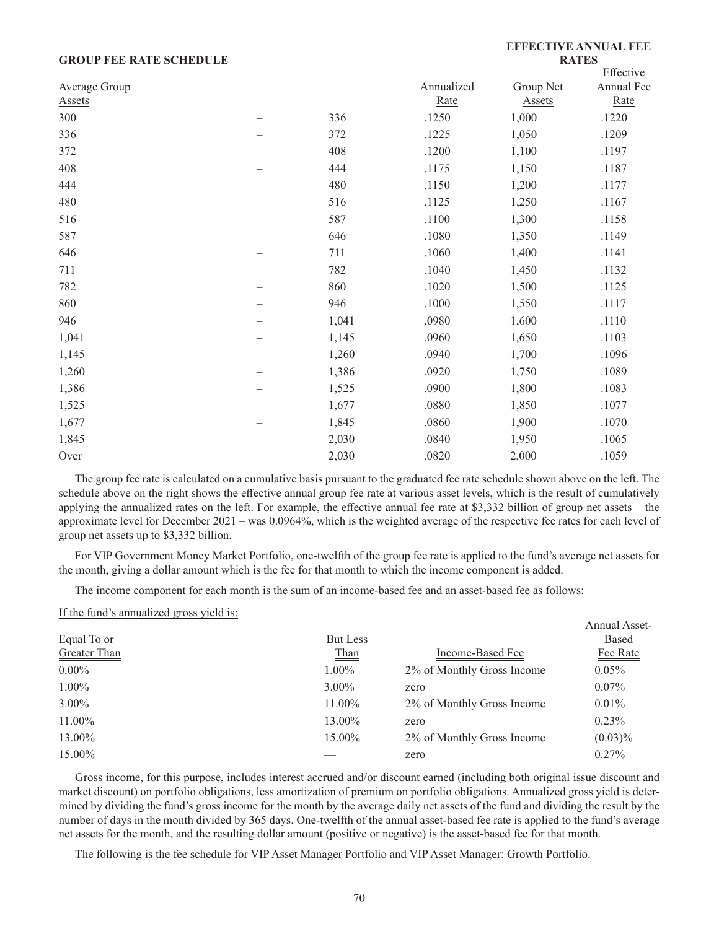### **GROUP FEE RATE SCHEDULE**

### **EFFECTIVE ANNUAL FEE RATES**

|               |   |       |            |               | Effective  |
|---------------|---|-------|------------|---------------|------------|
| Average Group |   |       | Annualized | Group Net     | Annual Fee |
| <b>Assets</b> |   |       | Rate       | <b>Assets</b> | Rate       |
| 300           |   | 336   | .1250      | 1,000         | .1220      |
| 336           |   | 372   | .1225      | 1,050         | .1209      |
| 372           |   | 408   | .1200      | 1,100         | .1197      |
| 408           |   | 444   | .1175      | 1,150         | .1187      |
| 444           |   | 480   | .1150      | 1,200         | .1177      |
| 480           |   | 516   | .1125      | 1,250         | .1167      |
| 516           |   | 587   | .1100      | 1,300         | .1158      |
| 587           |   | 646   | .1080      | 1,350         | .1149      |
| 646           |   | 711   | .1060      | 1,400         | .1141      |
| 711           |   | 782   | .1040      | 1,450         | .1132      |
| 782           |   | 860   | .1020      | 1,500         | .1125      |
| 860           |   | 946   | .1000      | 1,550         | .1117      |
| 946           |   | 1,041 | .0980      | 1,600         | .1110      |
| 1,041         |   | 1,145 | .0960      | 1,650         | .1103      |
| 1,145         |   | 1,260 | .0940      | 1,700         | .1096      |
| 1,260         | - | 1,386 | .0920      | 1,750         | .1089      |
| 1,386         |   | 1,525 | .0900      | 1,800         | .1083      |
| 1,525         |   | 1,677 | .0880      | 1,850         | .1077      |
| 1,677         |   | 1,845 | .0860      | 1,900         | .1070      |
| 1,845         |   | 2,030 | .0840      | 1,950         | .1065      |
| Over          |   | 2,030 | .0820      | 2,000         | .1059      |

The group fee rate is calculated on a cumulative basis pursuant to the graduated fee rate schedule shown above on the left. The schedule above on the right shows the effective annual group fee rate at various asset levels, which is the result of cumulatively applying the annualized rates on the left. For example, the effective annual fee rate at \$3,332 billion of group net assets – the approximate level for December 2021 – was 0.0964%, which is the weighted average of the respective fee rates for each level of group net assets up to \$3,332 billion.

For VIP Government Money Market Portfolio, one-twelfth of the group fee rate is applied to the fund's average net assets for the month, giving a dollar amount which is the fee for that month to which the income component is added.

The income component for each month is the sum of an income-based fee and an asset-based fee as follows:

If the fund's annualized gross yield is:

|              |          |                            | <b>Annual Asset-</b> |
|--------------|----------|----------------------------|----------------------|
| Equal To or  | But Less |                            | Based                |
| Greater Than | Than     | Income-Based Fee           | Fee Rate             |
| $0.00\%$     | $1.00\%$ | 2% of Monthly Gross Income | $0.05\%$             |
| $1.00\%$     | $3.00\%$ | zero                       | $0.07\%$             |
| $3.00\%$     | 11.00%   | 2% of Monthly Gross Income | $0.01\%$             |
| 11.00%       | 13.00%   | zero                       | $0.23\%$             |
| 13.00%       | 15.00%   | 2% of Monthly Gross Income | $(0.03)\%$           |
| 15.00%       |          | zero                       | $0.27\%$             |

Gross income, for this purpose, includes interest accrued and/or discount earned (including both original issue discount and market discount) on portfolio obligations, less amortization of premium on portfolio obligations. Annualized gross yield is determined by dividing the fund's gross income for the month by the average daily net assets of the fund and dividing the result by the number of days in the month divided by 365 days. One-twelfth of the annual asset-based fee rate is applied to the fund's average net assets for the month, and the resulting dollar amount (positive or negative) is the asset-based fee for that month.

The following is the fee schedule for VIP Asset Manager Portfolio and VIP Asset Manager: Growth Portfolio.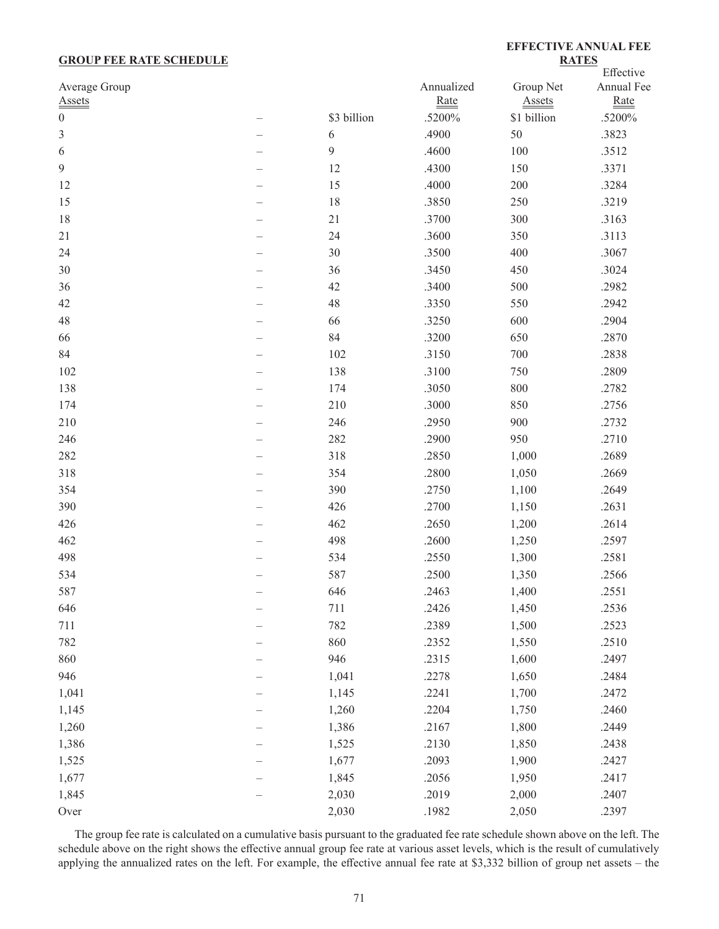## **GROUP FEE RATE SCHEDULE**

# **EFFECTIVE ANNUAL FEE RATES**

|                  |             |            |               | Effective  |
|------------------|-------------|------------|---------------|------------|
| Average Group    |             | Annualized | Group Net     | Annual Fee |
| <b>Assets</b>    |             | Rate       | <b>Assets</b> | Rate       |
| $\boldsymbol{0}$ | \$3 billion | .5200%     | \$1 billion   | .5200%     |
| $\mathfrak{Z}$   | 6           | .4900      | 50            | .3823      |
| 6                | 9           | .4600      | 100           | .3512      |
| $\mathbf{9}$     | 12          | .4300      | 150           | .3371      |
| 12               | 15          | .4000      | 200           | .3284      |
| 15               | 18          | .3850      | 250           | .3219      |
| 18               | 21          | .3700      | 300           | .3163      |
| 21               | 24          | .3600      | 350           | .3113      |
| 24               | $30\,$      | .3500      | 400           | .3067      |
| 30               | 36          | .3450      | 450           | .3024      |
| 36               | 42          | .3400      | 500           | .2982      |
| 42               | 48          | .3350      | 550           | .2942      |
| 48               | 66          | .3250      | 600           | .2904      |
| 66               | 84          | .3200      | 650           | .2870      |
| 84               | 102         | .3150      | 700           | .2838      |
| 102              | 138         | .3100      | 750           | .2809      |
| 138              | 174         | .3050      | 800           | .2782      |
| 174              | 210         | .3000      | 850           | .2756      |
| 210              | 246         | .2950      | 900           | .2732      |
| 246              | 282         | .2900      | 950           | .2710      |
| 282              | 318         | .2850      | 1,000         | .2689      |
| 318              | 354         | .2800      | 1,050         | .2669      |
| 354              | 390         | .2750      | 1,100         | .2649      |
| 390              | 426         | .2700      | 1,150         | .2631      |
| 426              | 462         | .2650      | 1,200         | .2614      |
| 462              | 498         | .2600      | 1,250         | .2597      |
| 498              | 534         | .2550      | 1,300         | .2581      |
| 534              | 587         | .2500      | 1,350         | .2566      |
| 587              | 646         | .2463      | 1,400         | .2551      |
| 646              | 711         | .2426      | 1,450         | .2536      |
| 711              | 782         | .2389      | 1,500         | .2523      |
| 782              | 860         | .2352      | 1,550         | .2510      |
| 860              | 946         | .2315      | 1,600         | .2497      |
| 946              | 1,041       | .2278      | 1,650         | .2484      |
| 1,041            | 1,145       | .2241      | 1,700         | .2472      |
| 1,145            | 1,260       | .2204      | 1,750         | .2460      |
| 1,260            | 1,386       | .2167      | 1,800         | .2449      |
| 1,386            | 1,525       | .2130      | 1,850         | .2438      |
| 1,525            | 1,677       | .2093      | 1,900         | .2427      |
| 1,677            | 1,845       | .2056      | 1,950         | .2417      |
|                  |             |            |               |            |
| 1,845            | 2,030       | .2019      | 2,000         | .2407      |
| Over             | 2,030       | .1982      | 2,050         | .2397      |

The group fee rate is calculated on a cumulative basis pursuant to the graduated fee rate schedule shown above on the left. The schedule above on the right shows the effective annual group fee rate at various asset levels, which is the result of cumulatively applying the annualized rates on the left. For example, the effective annual fee rate at \$3,332 billion of group net assets – the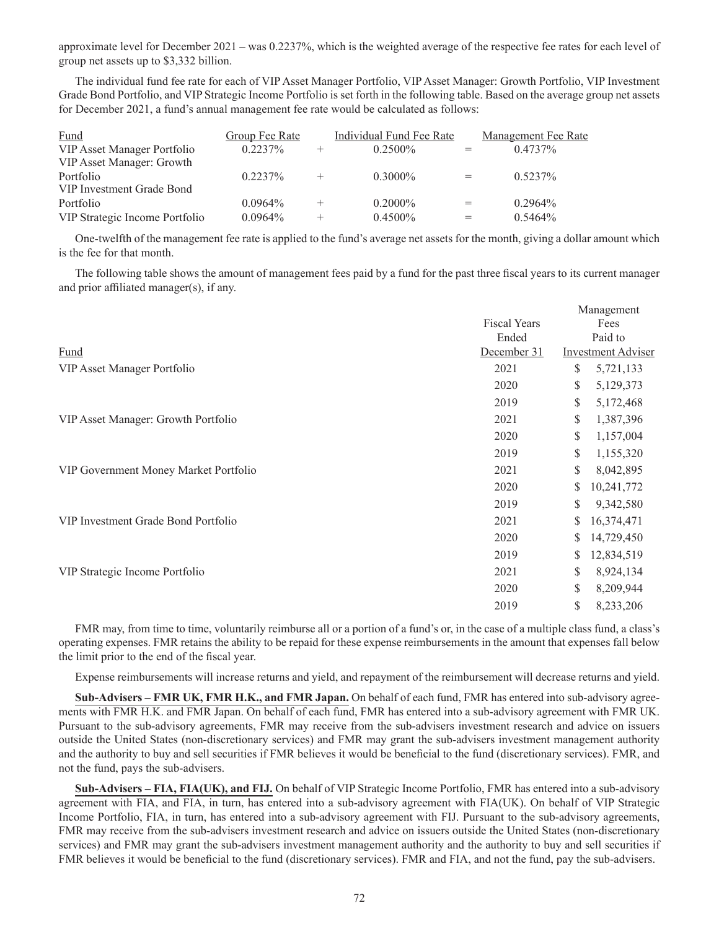approximate level for December 2021 – was 0.2237%, which is the weighted average of the respective fee rates for each level of group net assets up to \$3,332 billion.

The individual fund fee rate for each of VIP Asset Manager Portfolio, VIP Asset Manager: Growth Portfolio, VIP Investment Grade Bond Portfolio, and VIP Strategic Income Portfolio is set forth in the following table. Based on the average group net assets for December 2021, a fund's annual management fee rate would be calculated as follows:

| Fund                           | <b>Group Fee Rate</b> | Individual Fund Fee Rate |     | <b>Management Fee Rate</b> |
|--------------------------------|-----------------------|--------------------------|-----|----------------------------|
| VIP Asset Manager Portfolio    | $0.2237\%$            | $0.2500\%$               | $=$ | $0.4737\%$                 |
| VIP Asset Manager: Growth      |                       |                          |     |                            |
| Portfolio                      | $0.2237\%$            | $0.3000\%$               | $=$ | $0.5237\%$                 |
| VIP Investment Grade Bond      |                       |                          |     |                            |
| Portfolio                      | $0.0964\%$            | $0.2000\%$               | $=$ | $0.2964\%$                 |
| VIP Strategic Income Portfolio | $0.0964\%$            | $0.4500\%$               | $=$ | $0.5464\%$                 |

One-twelfth of the management fee rate is applied to the fund's average net assets for the month, giving a dollar amount which is the fee for that month.

The following table shows the amount of management fees paid by a fund for the past three fiscal years to its current manager and prior affiliated manager(s), if any.

|                                       |             | Management<br><b>Fiscal Years</b><br>Fees |            |
|---------------------------------------|-------------|-------------------------------------------|------------|
|                                       |             |                                           |            |
|                                       | Ended       |                                           | Paid to    |
| Fund                                  | December 31 | Investment Adviser                        |            |
| VIP Asset Manager Portfolio           | 2021        | \$                                        | 5,721,133  |
|                                       | 2020        | \$                                        | 5,129,373  |
|                                       | 2019        | \$                                        | 5,172,468  |
| VIP Asset Manager: Growth Portfolio   | 2021        | \$                                        | 1,387,396  |
|                                       | 2020        | \$                                        | 1,157,004  |
|                                       | 2019        | \$                                        | 1,155,320  |
| VIP Government Money Market Portfolio | 2021        | \$                                        | 8,042,895  |
|                                       | 2020        | \$                                        | 10,241,772 |
|                                       | 2019        | \$                                        | 9,342,580  |
| VIP Investment Grade Bond Portfolio   | 2021        | S                                         | 16,374,471 |
|                                       | 2020        | \$                                        | 14,729,450 |
|                                       | 2019        | \$                                        | 12,834,519 |
| VIP Strategic Income Portfolio        | 2021        | \$                                        | 8,924,134  |
|                                       | 2020        | \$                                        | 8,209,944  |
|                                       | 2019        | \$                                        | 8,233,206  |

FMR may, from time to time, voluntarily reimburse all or a portion of a fund's or, in the case of a multiple class fund, a class's operating expenses. FMR retains the ability to be repaid for these expense reimbursements in the amount that expenses fall below the limit prior to the end of the fiscal year.

Expense reimbursements will increase returns and yield, and repayment of the reimbursement will decrease returns and yield.

**Sub-Advisers – FMR UK, FMR H.K., and FMR Japan.** On behalf of each fund, FMR has entered into sub-advisory agreements with FMR H.K. and FMR Japan. On behalf of each fund, FMR has entered into a sub-advisory agreement with FMR UK. Pursuant to the sub-advisory agreements, FMR may receive from the sub-advisers investment research and advice on issuers outside the United States (non-discretionary services) and FMR may grant the sub-advisers investment management authority and the authority to buy and sell securities if FMR believes it would be beneficial to the fund (discretionary services). FMR, and not the fund, pays the sub-advisers.

**Sub-Advisers – FIA, FIA(UK), and FIJ.** On behalf of VIP Strategic Income Portfolio, FMR has entered into a sub-advisory agreement with FIA, and FIA, in turn, has entered into a sub-advisory agreement with FIA(UK). On behalf of VIP Strategic Income Portfolio, FIA, in turn, has entered into a sub-advisory agreement with FIJ. Pursuant to the sub-advisory agreements, FMR may receive from the sub-advisers investment research and advice on issuers outside the United States (non-discretionary services) and FMR may grant the sub-advisers investment management authority and the authority to buy and sell securities if FMR believes it would be beneficial to the fund (discretionary services). FMR and FIA, and not the fund, pay the sub-advisers.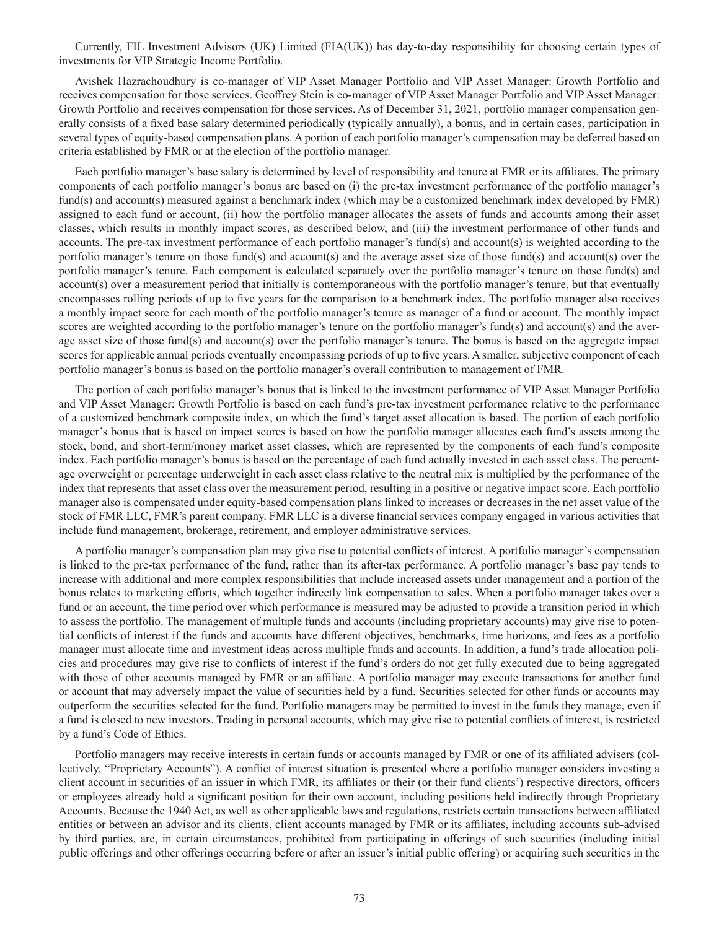Currently, FIL Investment Advisors (UK) Limited (FIA(UK)) has day-to-day responsibility for choosing certain types of investments for VIP Strategic Income Portfolio.

Avishek Hazrachoudhury is co-manager of VIP Asset Manager Portfolio and VIP Asset Manager: Growth Portfolio and receives compensation for those services. Geoffrey Stein is co-manager of VIP Asset Manager Portfolio and VIP Asset Manager: Growth Portfolio and receives compensation for those services. As of December 31, 2021, portfolio manager compensation generally consists of a fixed base salary determined periodically (typically annually), a bonus, and in certain cases, participation in several types of equity-based compensation plans. A portion of each portfolio manager's compensation may be deferred based on criteria established by FMR or at the election of the portfolio manager.

Each portfolio manager's base salary is determined by level of responsibility and tenure at FMR or its affiliates. The primary components of each portfolio manager's bonus are based on (i) the pre-tax investment performance of the portfolio manager's fund(s) and account(s) measured against a benchmark index (which may be a customized benchmark index developed by FMR) assigned to each fund or account, (ii) how the portfolio manager allocates the assets of funds and accounts among their asset classes, which results in monthly impact scores, as described below, and (iii) the investment performance of other funds and accounts. The pre-tax investment performance of each portfolio manager's fund(s) and account(s) is weighted according to the portfolio manager's tenure on those fund(s) and account(s) and the average asset size of those fund(s) and account(s) over the portfolio manager's tenure. Each component is calculated separately over the portfolio manager's tenure on those fund(s) and account(s) over a measurement period that initially is contemporaneous with the portfolio manager's tenure, but that eventually encompasses rolling periods of up to five years for the comparison to a benchmark index. The portfolio manager also receives a monthly impact score for each month of the portfolio manager's tenure as manager of a fund or account. The monthly impact scores are weighted according to the portfolio manager's tenure on the portfolio manager's fund(s) and account(s) and the average asset size of those fund(s) and account(s) over the portfolio manager's tenure. The bonus is based on the aggregate impact scores for applicable annual periods eventually encompassing periods of up to five years. A smaller, subjective component of each portfolio manager's bonus is based on the portfolio manager's overall contribution to management of FMR.

The portion of each portfolio manager's bonus that is linked to the investment performance of VIP Asset Manager Portfolio and VIP Asset Manager: Growth Portfolio is based on each fund's pre-tax investment performance relative to the performance of a customized benchmark composite index, on which the fund's target asset allocation is based. The portion of each portfolio manager's bonus that is based on impact scores is based on how the portfolio manager allocates each fund's assets among the stock, bond, and short-term/money market asset classes, which are represented by the components of each fund's composite index. Each portfolio manager's bonus is based on the percentage of each fund actually invested in each asset class. The percentage overweight or percentage underweight in each asset class relative to the neutral mix is multiplied by the performance of the index that represents that asset class over the measurement period, resulting in a positive or negative impact score. Each portfolio manager also is compensated under equity-based compensation plans linked to increases or decreases in the net asset value of the stock of FMR LLC, FMR's parent company. FMR LLC is a diverse financial services company engaged in various activities that include fund management, brokerage, retirement, and employer administrative services.

A portfolio manager's compensation plan may give rise to potential conflicts of interest. A portfolio manager's compensation is linked to the pre-tax performance of the fund, rather than its after-tax performance. A portfolio manager's base pay tends to increase with additional and more complex responsibilities that include increased assets under management and a portion of the bonus relates to marketing efforts, which together indirectly link compensation to sales. When a portfolio manager takes over a fund or an account, the time period over which performance is measured may be adjusted to provide a transition period in which to assess the portfolio. The management of multiple funds and accounts (including proprietary accounts) may give rise to potential conflicts of interest if the funds and accounts have different objectives, benchmarks, time horizons, and fees as a portfolio manager must allocate time and investment ideas across multiple funds and accounts. In addition, a fund's trade allocation policies and procedures may give rise to conflicts of interest if the fund's orders do not get fully executed due to being aggregated with those of other accounts managed by FMR or an affiliate. A portfolio manager may execute transactions for another fund or account that may adversely impact the value of securities held by a fund. Securities selected for other funds or accounts may outperform the securities selected for the fund. Portfolio managers may be permitted to invest in the funds they manage, even if a fund is closed to new investors. Trading in personal accounts, which may give rise to potential conflicts of interest, is restricted by a fund's Code of Ethics.

Portfolio managers may receive interests in certain funds or accounts managed by FMR or one of its affiliated advisers (collectively, "Proprietary Accounts"). A conflict of interest situation is presented where a portfolio manager considers investing a client account in securities of an issuer in which FMR, its affiliates or their (or their fund clients') respective directors, officers or employees already hold a significant position for their own account, including positions held indirectly through Proprietary Accounts. Because the 1940 Act, as well as other applicable laws and regulations, restricts certain transactions between affiliated entities or between an advisor and its clients, client accounts managed by FMR or its affiliates, including accounts sub-advised by third parties, are, in certain circumstances, prohibited from participating in offerings of such securities (including initial public offerings and other offerings occurring before or after an issuer's initial public offering) or acquiring such securities in the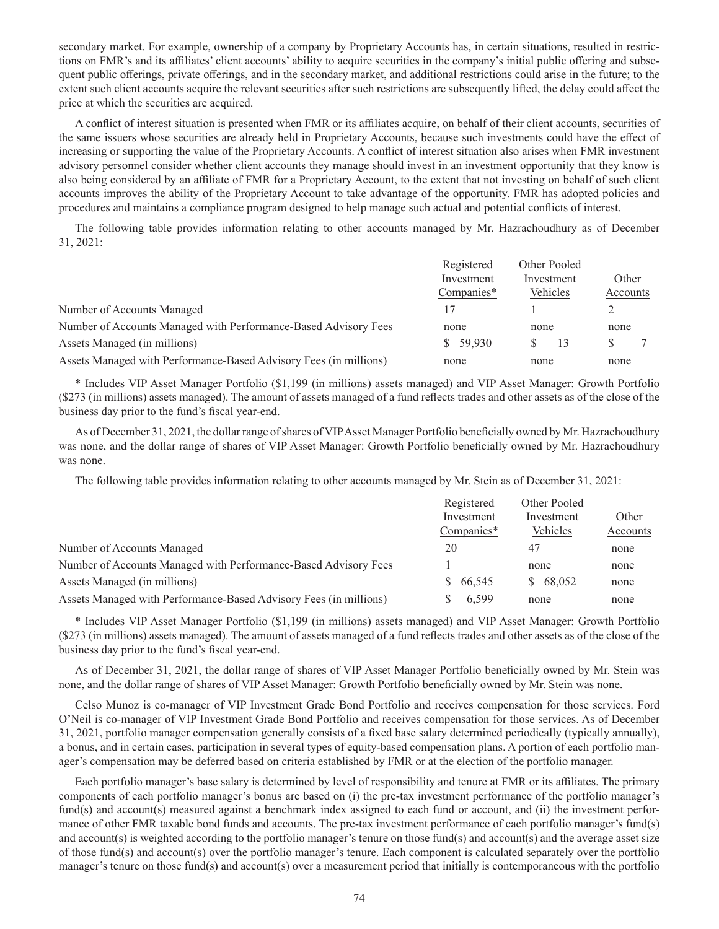secondary market. For example, ownership of a company by Proprietary Accounts has, in certain situations, resulted in restrictions on FMR's and its affiliates' client accounts' ability to acquire securities in the company's initial public offering and subsequent public offerings, private offerings, and in the secondary market, and additional restrictions could arise in the future; to the extent such client accounts acquire the relevant securities after such restrictions are subsequently lifted, the delay could affect the price at which the securities are acquired.

A conflict of interest situation is presented when FMR or its affiliates acquire, on behalf of their client accounts, securities of the same issuers whose securities are already held in Proprietary Accounts, because such investments could have the effect of increasing or supporting the value of the Proprietary Accounts. A conflict of interest situation also arises when FMR investment advisory personnel consider whether client accounts they manage should invest in an investment opportunity that they know is also being considered by an affiliate of FMR for a Proprietary Account, to the extent that not investing on behalf of such client accounts improves the ability of the Proprietary Account to take advantage of the opportunity. FMR has adopted policies and procedures and maintains a compliance program designed to help manage such actual and potential conflicts of interest.

The following table provides information relating to other accounts managed by Mr. Hazrachoudhury as of December 31, 2021:

|                                                                   | Registered<br>Investment<br>Companies* | Other Pooled<br>Investment<br>Vehicles | Other<br>Accounts |
|-------------------------------------------------------------------|----------------------------------------|----------------------------------------|-------------------|
| Number of Accounts Managed                                        |                                        |                                        |                   |
| Number of Accounts Managed with Performance-Based Advisory Fees   | none                                   | none                                   | none              |
| Assets Managed (in millions)                                      | \$59,930                               | 13                                     | S                 |
| Assets Managed with Performance-Based Advisory Fees (in millions) | none                                   | none                                   | none              |

\* Includes VIP Asset Manager Portfolio (\$1,199 (in millions) assets managed) and VIP Asset Manager: Growth Portfolio (\$273 (in millions) assets managed). The amount of assets managed of a fund reflects trades and other assets as of the close of the business day prior to the fund's fiscal year-end.

As of December 31, 2021, the dollar range of shares of VIP Asset Manager Portfolio beneficially owned by Mr. Hazrachoudhury was none, and the dollar range of shares of VIP Asset Manager: Growth Portfolio beneficially owned by Mr. Hazrachoudhury was none.

The following table provides information relating to other accounts managed by Mr. Stein as of December 31, 2021:

|                                                                   | Registered<br>Investment<br>Companies* | Other Pooled<br>Investment<br>Vehicles | Other    |
|-------------------------------------------------------------------|----------------------------------------|----------------------------------------|----------|
|                                                                   |                                        |                                        |          |
|                                                                   |                                        |                                        | Accounts |
| Number of Accounts Managed                                        | 20                                     | 47                                     | none     |
| Number of Accounts Managed with Performance-Based Advisory Fees   |                                        | none                                   | none     |
| Assets Managed (in millions)                                      | 66.545<br>S.                           | \$68,052                               | none     |
| Assets Managed with Performance-Based Advisory Fees (in millions) | 6,599                                  | none                                   | none     |

\* Includes VIP Asset Manager Portfolio (\$1,199 (in millions) assets managed) and VIP Asset Manager: Growth Portfolio (\$273 (in millions) assets managed). The amount of assets managed of a fund reflects trades and other assets as of the close of the business day prior to the fund's fiscal year-end.

As of December 31, 2021, the dollar range of shares of VIP Asset Manager Portfolio beneficially owned by Mr. Stein was none, and the dollar range of shares of VIP Asset Manager: Growth Portfolio beneficially owned by Mr. Stein was none.

Celso Munoz is co-manager of VIP Investment Grade Bond Portfolio and receives compensation for those services. Ford O'Neil is co-manager of VIP Investment Grade Bond Portfolio and receives compensation for those services. As of December 31, 2021, portfolio manager compensation generally consists of a fixed base salary determined periodically (typically annually), a bonus, and in certain cases, participation in several types of equity-based compensation plans. A portion of each portfolio manager's compensation may be deferred based on criteria established by FMR or at the election of the portfolio manager.

Each portfolio manager's base salary is determined by level of responsibility and tenure at FMR or its affiliates. The primary components of each portfolio manager's bonus are based on (i) the pre-tax investment performance of the portfolio manager's fund(s) and account(s) measured against a benchmark index assigned to each fund or account, and (ii) the investment performance of other FMR taxable bond funds and accounts. The pre-tax investment performance of each portfolio manager's fund(s) and account(s) is weighted according to the portfolio manager's tenure on those fund(s) and account(s) and the average asset size of those fund(s) and account(s) over the portfolio manager's tenure. Each component is calculated separately over the portfolio manager's tenure on those fund(s) and account(s) over a measurement period that initially is contemporaneous with the portfolio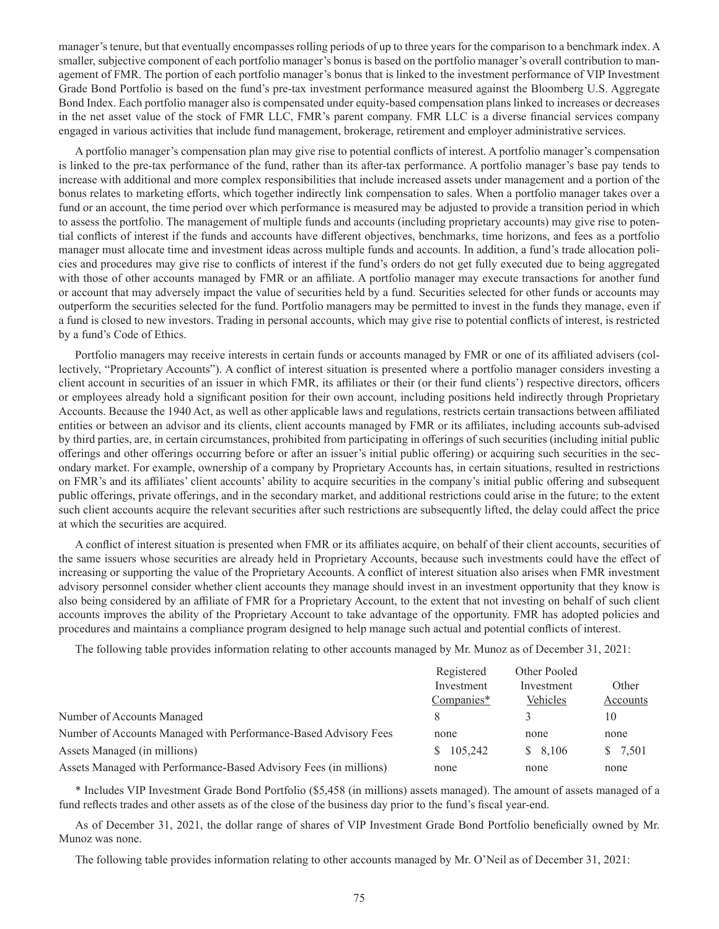manager's tenure, but that eventually encompasses rolling periods of up to three years for the comparison to a benchmark index. A smaller, subjective component of each portfolio manager's bonus is based on the portfolio manager's overall contribution to management of FMR. The portion of each portfolio manager's bonus that is linked to the investment performance of VIP Investment Grade Bond Portfolio is based on the fund's pre-tax investment performance measured against the Bloomberg U.S. Aggregate Bond Index. Each portfolio manager also is compensated under equity-based compensation plans linked to increases or decreases in the net asset value of the stock of FMR LLC, FMR's parent company. FMR LLC is a diverse financial services company engaged in various activities that include fund management, brokerage, retirement and employer administrative services.

A portfolio manager's compensation plan may give rise to potential conflicts of interest. A portfolio manager's compensation is linked to the pre-tax performance of the fund, rather than its after-tax performance. A portfolio manager's base pay tends to increase with additional and more complex responsibilities that include increased assets under management and a portion of the bonus relates to marketing efforts, which together indirectly link compensation to sales. When a portfolio manager takes over a fund or an account, the time period over which performance is measured may be adjusted to provide a transition period in which to assess the portfolio. The management of multiple funds and accounts (including proprietary accounts) may give rise to potential conflicts of interest if the funds and accounts have different objectives, benchmarks, time horizons, and fees as a portfolio manager must allocate time and investment ideas across multiple funds and accounts. In addition, a fund's trade allocation policies and procedures may give rise to conflicts of interest if the fund's orders do not get fully executed due to being aggregated with those of other accounts managed by FMR or an affiliate. A portfolio manager may execute transactions for another fund or account that may adversely impact the value of securities held by a fund. Securities selected for other funds or accounts may outperform the securities selected for the fund. Portfolio managers may be permitted to invest in the funds they manage, even if a fund is closed to new investors. Trading in personal accounts, which may give rise to potential conflicts of interest, is restricted by a fund's Code of Ethics.

Portfolio managers may receive interests in certain funds or accounts managed by FMR or one of its affiliated advisers (collectively, "Proprietary Accounts"). A conflict of interest situation is presented where a portfolio manager considers investing a client account in securities of an issuer in which FMR, its affiliates or their (or their fund clients') respective directors, officers or employees already hold a significant position for their own account, including positions held indirectly through Proprietary Accounts. Because the 1940 Act, as well as other applicable laws and regulations, restricts certain transactions between affiliated entities or between an advisor and its clients, client accounts managed by FMR or its affiliates, including accounts sub-advised by third parties, are, in certain circumstances, prohibited from participating in offerings of such securities (including initial public offerings and other offerings occurring before or after an issuer's initial public offering) or acquiring such securities in the secondary market. For example, ownership of a company by Proprietary Accounts has, in certain situations, resulted in restrictions on FMR's and its affiliates' client accounts' ability to acquire securities in the company's initial public offering and subsequent public offerings, private offerings, and in the secondary market, and additional restrictions could arise in the future; to the extent such client accounts acquire the relevant securities after such restrictions are subsequently lifted, the delay could affect the price at which the securities are acquired.

A conflict of interest situation is presented when FMR or its affiliates acquire, on behalf of their client accounts, securities of the same issuers whose securities are already held in Proprietary Accounts, because such investments could have the effect of increasing or supporting the value of the Proprietary Accounts. A conflict of interest situation also arises when FMR investment advisory personnel consider whether client accounts they manage should invest in an investment opportunity that they know is also being considered by an affiliate of FMR for a Proprietary Account, to the extent that not investing on behalf of such client accounts improves the ability of the Proprietary Account to take advantage of the opportunity. FMR has adopted policies and procedures and maintains a compliance program designed to help manage such actual and potential conflicts of interest.

The following table provides information relating to other accounts managed by Mr. Munoz as of December 31, 2021:

|                                                                   | Registered<br>Investment | Other Pooled | Other    |
|-------------------------------------------------------------------|--------------------------|--------------|----------|
|                                                                   |                          | Investment   |          |
|                                                                   | Companies*               | Vehicles     | Accounts |
| Number of Accounts Managed                                        |                          |              | 10       |
| Number of Accounts Managed with Performance-Based Advisory Fees   | none                     | none         | none     |
| Assets Managed (in millions)                                      | \$105,242                | \$8,106      | \$7,501  |
| Assets Managed with Performance-Based Advisory Fees (in millions) | none                     | none         | none     |

\* Includes VIP Investment Grade Bond Portfolio (\$5,458 (in millions) assets managed). The amount of assets managed of a fund reflects trades and other assets as of the close of the business day prior to the fund's fiscal year-end.

As of December 31, 2021, the dollar range of shares of VIP Investment Grade Bond Portfolio beneficially owned by Mr. Munoz was none.

The following table provides information relating to other accounts managed by Mr. O'Neil as of December 31, 2021: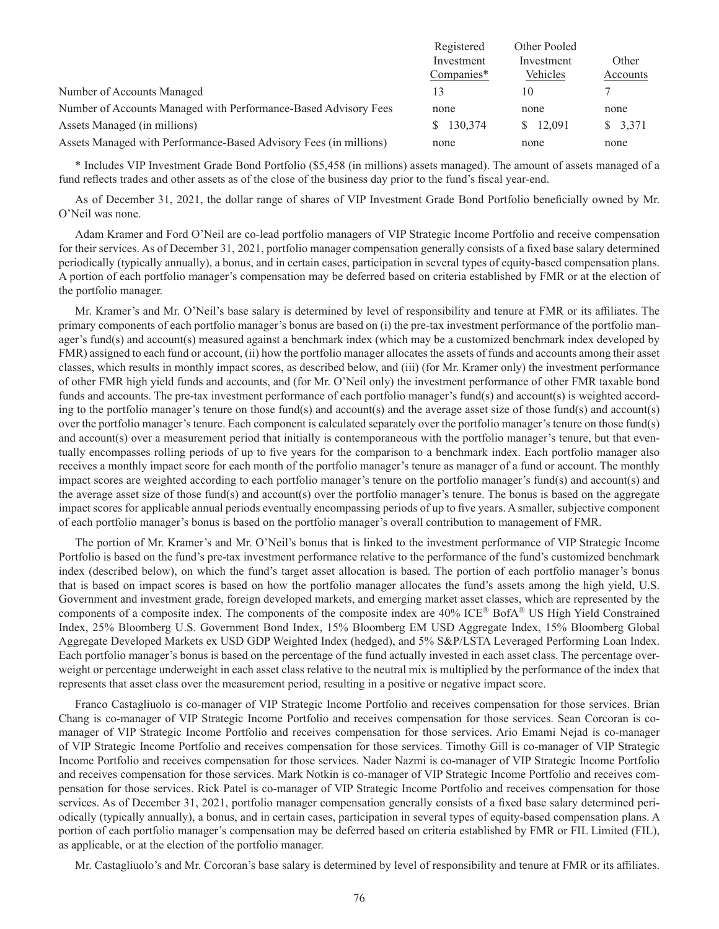|                                                                   | Registered<br>Investment | Other Pooled<br>Investment | Other    |
|-------------------------------------------------------------------|--------------------------|----------------------------|----------|
|                                                                   |                          |                            |          |
|                                                                   | Companies*               | Vehicles                   | Accounts |
| Number of Accounts Managed                                        | 13                       | 10                         |          |
| Number of Accounts Managed with Performance-Based Advisory Fees   | none                     | none                       | none     |
| Assets Managed (in millions)                                      | \$130,374                | \$ 12,091                  | \$3,371  |
| Assets Managed with Performance-Based Advisory Fees (in millions) | none                     | none                       | none     |

\* Includes VIP Investment Grade Bond Portfolio (\$5,458 (in millions) assets managed). The amount of assets managed of a fund reflects trades and other assets as of the close of the business day prior to the fund's fiscal year-end.

As of December 31, 2021, the dollar range of shares of VIP Investment Grade Bond Portfolio beneficially owned by Mr. O'Neil was none.

Adam Kramer and Ford O'Neil are co-lead portfolio managers of VIP Strategic Income Portfolio and receive compensation for their services. As of December 31, 2021, portfolio manager compensation generally consists of a fixed base salary determined periodically (typically annually), a bonus, and in certain cases, participation in several types of equity-based compensation plans. A portion of each portfolio manager's compensation may be deferred based on criteria established by FMR or at the election of the portfolio manager.

Mr. Kramer's and Mr. O'Neil's base salary is determined by level of responsibility and tenure at FMR or its affiliates. The primary components of each portfolio manager's bonus are based on (i) the pre-tax investment performance of the portfolio manager's fund(s) and account(s) measured against a benchmark index (which may be a customized benchmark index developed by FMR) assigned to each fund or account, (ii) how the portfolio manager allocates the assets of funds and accounts among their asset classes, which results in monthly impact scores, as described below, and (iii) (for Mr. Kramer only) the investment performance of other FMR high yield funds and accounts, and (for Mr. O'Neil only) the investment performance of other FMR taxable bond funds and accounts. The pre-tax investment performance of each portfolio manager's fund(s) and account(s) is weighted according to the portfolio manager's tenure on those fund(s) and account(s) and the average asset size of those fund(s) and account(s) over the portfolio manager's tenure. Each component is calculated separately over the portfolio manager's tenure on those fund(s) and account(s) over a measurement period that initially is contemporaneous with the portfolio manager's tenure, but that eventually encompasses rolling periods of up to five years for the comparison to a benchmark index. Each portfolio manager also receives a monthly impact score for each month of the portfolio manager's tenure as manager of a fund or account. The monthly impact scores are weighted according to each portfolio manager's tenure on the portfolio manager's fund(s) and account(s) and the average asset size of those fund(s) and account(s) over the portfolio manager's tenure. The bonus is based on the aggregate impact scores for applicable annual periods eventually encompassing periods of up to five years. A smaller, subjective component of each portfolio manager's bonus is based on the portfolio manager's overall contribution to management of FMR.

The portion of Mr. Kramer's and Mr. O'Neil's bonus that is linked to the investment performance of VIP Strategic Income Portfolio is based on the fund's pre-tax investment performance relative to the performance of the fund's customized benchmark index (described below), on which the fund's target asset allocation is based. The portion of each portfolio manager's bonus that is based on impact scores is based on how the portfolio manager allocates the fund's assets among the high yield, U.S. Government and investment grade, foreign developed markets, and emerging market asset classes, which are represented by the components of a composite index. The components of the composite index are 40% ICE® BofA® US High Yield Constrained Index, 25% Bloomberg U.S. Government Bond Index, 15% Bloomberg EM USD Aggregate Index, 15% Bloomberg Global Aggregate Developed Markets ex USD GDP Weighted Index (hedged), and 5% S&P/LSTA Leveraged Performing Loan Index. Each portfolio manager's bonus is based on the percentage of the fund actually invested in each asset class. The percentage overweight or percentage underweight in each asset class relative to the neutral mix is multiplied by the performance of the index that represents that asset class over the measurement period, resulting in a positive or negative impact score.

Franco Castagliuolo is co-manager of VIP Strategic Income Portfolio and receives compensation for those services. Brian Chang is co-manager of VIP Strategic Income Portfolio and receives compensation for those services. Sean Corcoran is comanager of VIP Strategic Income Portfolio and receives compensation for those services. Ario Emami Nejad is co-manager of VIP Strategic Income Portfolio and receives compensation for those services. Timothy Gill is co-manager of VIP Strategic Income Portfolio and receives compensation for those services. Nader Nazmi is co-manager of VIP Strategic Income Portfolio and receives compensation for those services. Mark Notkin is co-manager of VIP Strategic Income Portfolio and receives compensation for those services. Rick Patel is co-manager of VIP Strategic Income Portfolio and receives compensation for those services. As of December 31, 2021, portfolio manager compensation generally consists of a fixed base salary determined periodically (typically annually), a bonus, and in certain cases, participation in several types of equity-based compensation plans. A portion of each portfolio manager's compensation may be deferred based on criteria established by FMR or FIL Limited (FIL), as applicable, or at the election of the portfolio manager.

Mr. Castagliuolo's and Mr. Corcoran's base salary is determined by level of responsibility and tenure at FMR or its affiliates.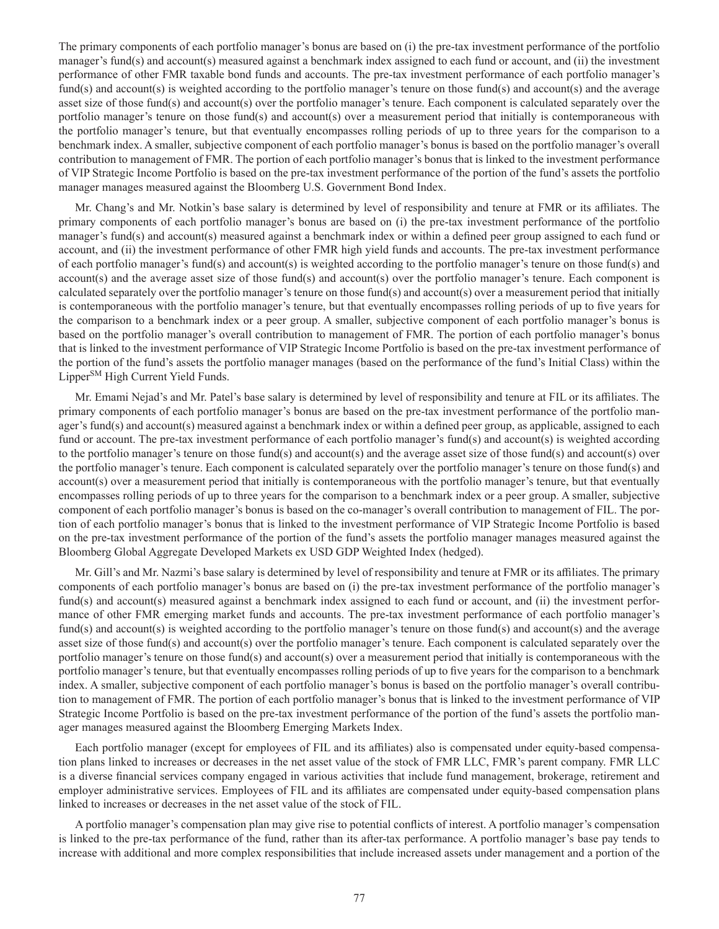The primary components of each portfolio manager's bonus are based on (i) the pre-tax investment performance of the portfolio manager's fund(s) and account(s) measured against a benchmark index assigned to each fund or account, and (ii) the investment performance of other FMR taxable bond funds and accounts. The pre-tax investment performance of each portfolio manager's fund(s) and account(s) is weighted according to the portfolio manager's tenure on those fund(s) and account(s) and the average asset size of those fund(s) and account(s) over the portfolio manager's tenure. Each component is calculated separately over the portfolio manager's tenure on those fund(s) and account(s) over a measurement period that initially is contemporaneous with the portfolio manager's tenure, but that eventually encompasses rolling periods of up to three years for the comparison to a benchmark index. A smaller, subjective component of each portfolio manager's bonus is based on the portfolio manager's overall contribution to management of FMR. The portion of each portfolio manager's bonus that is linked to the investment performance of VIP Strategic Income Portfolio is based on the pre-tax investment performance of the portion of the fund's assets the portfolio manager manages measured against the Bloomberg U.S. Government Bond Index.

Mr. Chang's and Mr. Notkin's base salary is determined by level of responsibility and tenure at FMR or its affiliates. The primary components of each portfolio manager's bonus are based on (i) the pre-tax investment performance of the portfolio manager's fund(s) and account(s) measured against a benchmark index or within a defined peer group assigned to each fund or account, and (ii) the investment performance of other FMR high yield funds and accounts. The pre-tax investment performance of each portfolio manager's fund(s) and account(s) is weighted according to the portfolio manager's tenure on those fund(s) and account(s) and the average asset size of those fund(s) and account(s) over the portfolio manager's tenure. Each component is calculated separately over the portfolio manager's tenure on those fund(s) and account(s) over a measurement period that initially is contemporaneous with the portfolio manager's tenure, but that eventually encompasses rolling periods of up to five years for the comparison to a benchmark index or a peer group. A smaller, subjective component of each portfolio manager's bonus is based on the portfolio manager's overall contribution to management of FMR. The portion of each portfolio manager's bonus that is linked to the investment performance of VIP Strategic Income Portfolio is based on the pre-tax investment performance of the portion of the fund's assets the portfolio manager manages (based on the performance of the fund's Initial Class) within the LipperSM High Current Yield Funds.

Mr. Emami Nejad's and Mr. Patel's base salary is determined by level of responsibility and tenure at FIL or its affiliates. The primary components of each portfolio manager's bonus are based on the pre-tax investment performance of the portfolio manager's fund(s) and account(s) measured against a benchmark index or within a defined peer group, as applicable, assigned to each fund or account. The pre-tax investment performance of each portfolio manager's fund(s) and account(s) is weighted according to the portfolio manager's tenure on those fund(s) and account(s) and the average asset size of those fund(s) and account(s) over the portfolio manager's tenure. Each component is calculated separately over the portfolio manager's tenure on those fund(s) and account(s) over a measurement period that initially is contemporaneous with the portfolio manager's tenure, but that eventually encompasses rolling periods of up to three years for the comparison to a benchmark index or a peer group. A smaller, subjective component of each portfolio manager's bonus is based on the co-manager's overall contribution to management of FIL. The portion of each portfolio manager's bonus that is linked to the investment performance of VIP Strategic Income Portfolio is based on the pre-tax investment performance of the portion of the fund's assets the portfolio manager manages measured against the Bloomberg Global Aggregate Developed Markets ex USD GDP Weighted Index (hedged).

Mr. Gill's and Mr. Nazmi's base salary is determined by level of responsibility and tenure at FMR or its affiliates. The primary components of each portfolio manager's bonus are based on (i) the pre-tax investment performance of the portfolio manager's fund(s) and account(s) measured against a benchmark index assigned to each fund or account, and (ii) the investment performance of other FMR emerging market funds and accounts. The pre-tax investment performance of each portfolio manager's fund(s) and account(s) is weighted according to the portfolio manager's tenure on those fund(s) and account(s) and the average asset size of those fund(s) and account(s) over the portfolio manager's tenure. Each component is calculated separately over the portfolio manager's tenure on those fund(s) and account(s) over a measurement period that initially is contemporaneous with the portfolio manager's tenure, but that eventually encompasses rolling periods of up to five years for the comparison to a benchmark index. A smaller, subjective component of each portfolio manager's bonus is based on the portfolio manager's overall contribution to management of FMR. The portion of each portfolio manager's bonus that is linked to the investment performance of VIP Strategic Income Portfolio is based on the pre-tax investment performance of the portion of the fund's assets the portfolio manager manages measured against the Bloomberg Emerging Markets Index.

Each portfolio manager (except for employees of FIL and its affiliates) also is compensated under equity-based compensation plans linked to increases or decreases in the net asset value of the stock of FMR LLC, FMR's parent company. FMR LLC is a diverse financial services company engaged in various activities that include fund management, brokerage, retirement and employer administrative services. Employees of FIL and its affiliates are compensated under equity-based compensation plans linked to increases or decreases in the net asset value of the stock of FIL.

A portfolio manager's compensation plan may give rise to potential conflicts of interest. A portfolio manager's compensation is linked to the pre-tax performance of the fund, rather than its after-tax performance. A portfolio manager's base pay tends to increase with additional and more complex responsibilities that include increased assets under management and a portion of the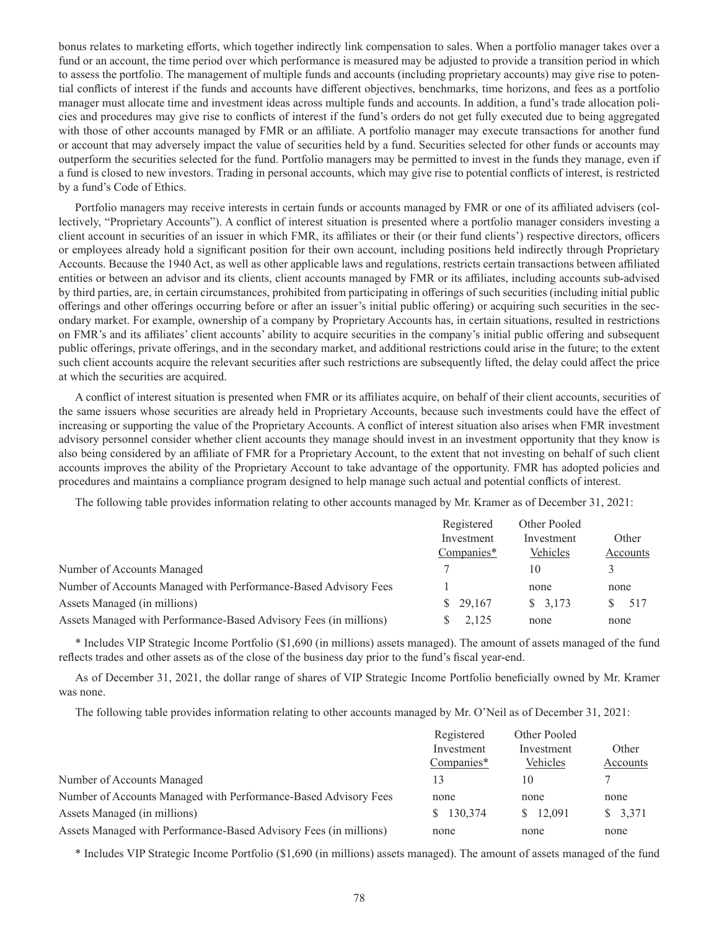bonus relates to marketing efforts, which together indirectly link compensation to sales. When a portfolio manager takes over a fund or an account, the time period over which performance is measured may be adjusted to provide a transition period in which to assess the portfolio. The management of multiple funds and accounts (including proprietary accounts) may give rise to potential conflicts of interest if the funds and accounts have different objectives, benchmarks, time horizons, and fees as a portfolio manager must allocate time and investment ideas across multiple funds and accounts. In addition, a fund's trade allocation policies and procedures may give rise to conflicts of interest if the fund's orders do not get fully executed due to being aggregated with those of other accounts managed by FMR or an affiliate. A portfolio manager may execute transactions for another fund or account that may adversely impact the value of securities held by a fund. Securities selected for other funds or accounts may outperform the securities selected for the fund. Portfolio managers may be permitted to invest in the funds they manage, even if a fund is closed to new investors. Trading in personal accounts, which may give rise to potential conflicts of interest, is restricted by a fund's Code of Ethics.

Portfolio managers may receive interests in certain funds or accounts managed by FMR or one of its affiliated advisers (collectively, "Proprietary Accounts"). A conflict of interest situation is presented where a portfolio manager considers investing a client account in securities of an issuer in which FMR, its affiliates or their (or their fund clients') respective directors, officers or employees already hold a significant position for their own account, including positions held indirectly through Proprietary Accounts. Because the 1940 Act, as well as other applicable laws and regulations, restricts certain transactions between affiliated entities or between an advisor and its clients, client accounts managed by FMR or its affiliates, including accounts sub-advised by third parties, are, in certain circumstances, prohibited from participating in offerings of such securities (including initial public offerings and other offerings occurring before or after an issuer's initial public offering) or acquiring such securities in the secondary market. For example, ownership of a company by Proprietary Accounts has, in certain situations, resulted in restrictions on FMR's and its affiliates' client accounts' ability to acquire securities in the company's initial public offering and subsequent public offerings, private offerings, and in the secondary market, and additional restrictions could arise in the future; to the extent such client accounts acquire the relevant securities after such restrictions are subsequently lifted, the delay could affect the price at which the securities are acquired.

A conflict of interest situation is presented when FMR or its affiliates acquire, on behalf of their client accounts, securities of the same issuers whose securities are already held in Proprietary Accounts, because such investments could have the effect of increasing or supporting the value of the Proprietary Accounts. A conflict of interest situation also arises when FMR investment advisory personnel consider whether client accounts they manage should invest in an investment opportunity that they know is also being considered by an affiliate of FMR for a Proprietary Account, to the extent that not investing on behalf of such client accounts improves the ability of the Proprietary Account to take advantage of the opportunity. FMR has adopted policies and procedures and maintains a compliance program designed to help manage such actual and potential conflicts of interest.

The following table provides information relating to other accounts managed by Mr. Kramer as of December 31, 2021:

|                                                                   | Registered<br>Investment | Other Pooled<br>Investment | Other    |
|-------------------------------------------------------------------|--------------------------|----------------------------|----------|
|                                                                   |                          |                            |          |
|                                                                   | Companies*               | Vehicles                   | Accounts |
| Number of Accounts Managed                                        |                          | 10                         |          |
| Number of Accounts Managed with Performance-Based Advisory Fees   |                          | none                       | none     |
| Assets Managed (in millions)                                      | \$29,167                 | \$3,173                    | 517      |
| Assets Managed with Performance-Based Advisory Fees (in millions) | 2.125                    | none                       | none     |

\* Includes VIP Strategic Income Portfolio (\$1,690 (in millions) assets managed). The amount of assets managed of the fund reflects trades and other assets as of the close of the business day prior to the fund's fiscal year-end.

As of December 31, 2021, the dollar range of shares of VIP Strategic Income Portfolio beneficially owned by Mr. Kramer was none.

The following table provides information relating to other accounts managed by Mr. O'Neil as of December 31, 2021:

|                                                                   | Registered | Other Pooled |          |
|-------------------------------------------------------------------|------------|--------------|----------|
|                                                                   | Investment | Investment   | Other    |
|                                                                   | Companies* | Vehicles     | Accounts |
| Number of Accounts Managed                                        | 13         | 10           |          |
| Number of Accounts Managed with Performance-Based Advisory Fees   | none       | none         | none     |
| Assets Managed (in millions)                                      | \$130,374  | \$12,091     | \$3,371  |
| Assets Managed with Performance-Based Advisory Fees (in millions) | none       | none         | none     |

\* Includes VIP Strategic Income Portfolio (\$1,690 (in millions) assets managed). The amount of assets managed of the fund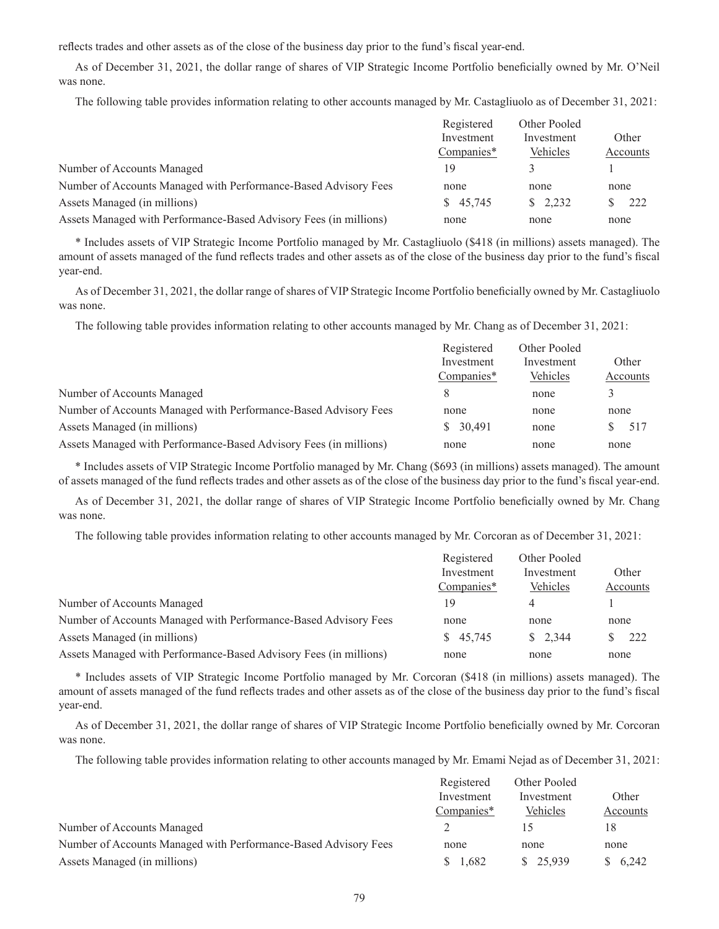reflects trades and other assets as of the close of the business day prior to the fund's fiscal year-end.

As of December 31, 2021, the dollar range of shares of VIP Strategic Income Portfolio beneficially owned by Mr. O'Neil was none.

The following table provides information relating to other accounts managed by Mr. Castagliuolo as of December 31, 2021:

|                                                                   | Registered<br>Investment | Other Pooled<br>Investment |          |
|-------------------------------------------------------------------|--------------------------|----------------------------|----------|
|                                                                   |                          |                            | Other    |
|                                                                   | Companies*               | Vehicles                   | Accounts |
| Number of Accounts Managed                                        | 19                       |                            |          |
| Number of Accounts Managed with Performance-Based Advisory Fees   | none                     | none                       | none     |
| Assets Managed (in millions)                                      | \$45,745                 | $\frac{\$}{2.232}$         | 222      |
| Assets Managed with Performance-Based Advisory Fees (in millions) | none                     | none                       | none     |

\* Includes assets of VIP Strategic Income Portfolio managed by Mr. Castagliuolo (\$418 (in millions) assets managed). The amount of assets managed of the fund reflects trades and other assets as of the close of the business day prior to the fund's fiscal year-end.

As of December 31, 2021, the dollar range of shares of VIP Strategic Income Portfolio beneficially owned by Mr. Castagliuolo was none.

The following table provides information relating to other accounts managed by Mr. Chang as of December 31, 2021:

|                                                                   | Registered | Other Pooled |          |
|-------------------------------------------------------------------|------------|--------------|----------|
|                                                                   | Investment | Investment   | Other    |
|                                                                   | Companies* | Vehicles     | Accounts |
| Number of Accounts Managed                                        |            | none         | 3        |
| Number of Accounts Managed with Performance-Based Advisory Fees   | none       | none         | none     |
| Assets Managed (in millions)                                      | \$30,491   | none         | 517      |
| Assets Managed with Performance-Based Advisory Fees (in millions) | none       | none         | none     |

\* Includes assets of VIP Strategic Income Portfolio managed by Mr. Chang (\$693 (in millions) assets managed). The amount of assets managed of the fund reflects trades and other assets as of the close of the business day prior to the fund's fiscal year-end.

As of December 31, 2021, the dollar range of shares of VIP Strategic Income Portfolio beneficially owned by Mr. Chang was none.

The following table provides information relating to other accounts managed by Mr. Corcoran as of December 31, 2021:

| Registered | Other Pooled       |          |
|------------|--------------------|----------|
| Investment | Investment         | Other    |
| Companies* | Vehicles           | Accounts |
| 19         | 4                  |          |
| none       | none               | none     |
| \$45,745   | $\frac{\$}{2,344}$ | 222      |
| none       | none               | none     |
|            |                    |          |

\* Includes assets of VIP Strategic Income Portfolio managed by Mr. Corcoran (\$418 (in millions) assets managed). The amount of assets managed of the fund reflects trades and other assets as of the close of the business day prior to the fund's fiscal year-end.

As of December 31, 2021, the dollar range of shares of VIP Strategic Income Portfolio beneficially owned by Mr. Corcoran was none.

The following table provides information relating to other accounts managed by Mr. Emami Nejad as of December 31, 2021:

|                                                                 | Registered | Other Pooled |          |
|-----------------------------------------------------------------|------------|--------------|----------|
|                                                                 | Investment | Investment   | Other    |
|                                                                 | Companies* | Vehicles     | Accounts |
| Number of Accounts Managed                                      |            |              | 18       |
| Number of Accounts Managed with Performance-Based Advisory Fees | none       | none         | none     |
| Assets Managed (in millions)                                    | 1,682      | \$25.939     | \$6.242  |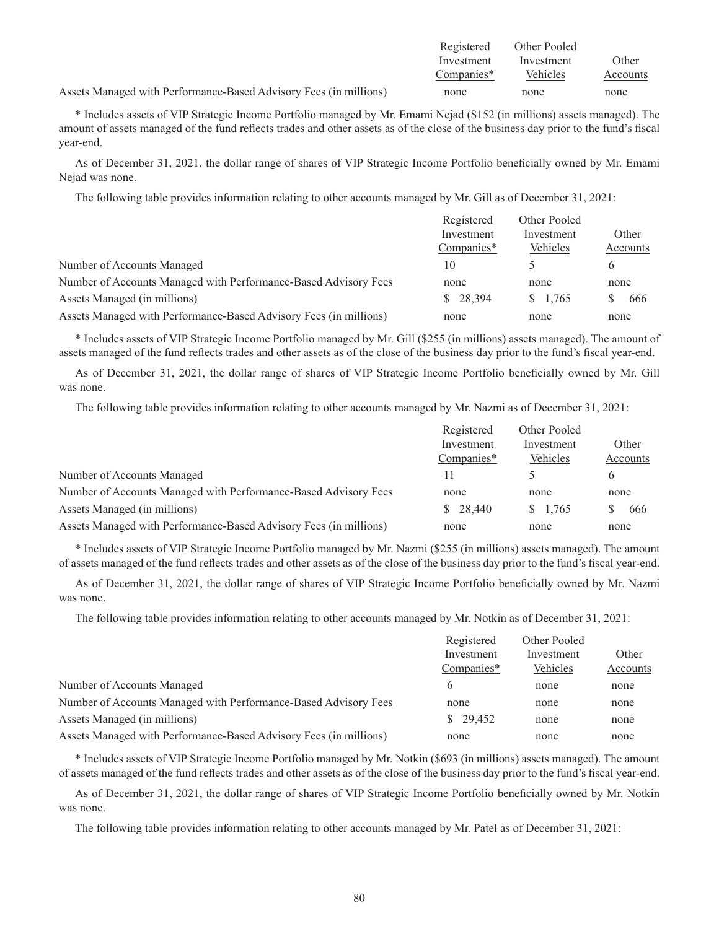|                                                                   | Registered | Other Pooled |          |
|-------------------------------------------------------------------|------------|--------------|----------|
|                                                                   | Investment | Investment   | Other    |
|                                                                   | Companies* | Vehicles     | Accounts |
| Assets Managed with Performance-Based Advisory Fees (in millions) | none       | none         | none     |

\* Includes assets of VIP Strategic Income Portfolio managed by Mr. Emami Nejad (\$152 (in millions) assets managed). The amount of assets managed of the fund reflects trades and other assets as of the close of the business day prior to the fund's fiscal year-end.

As of December 31, 2021, the dollar range of shares of VIP Strategic Income Portfolio beneficially owned by Mr. Emami Nejad was none.

The following table provides information relating to other accounts managed by Mr. Gill as of December 31, 2021:

|                                                                   | Registered<br>Investment<br>Companies* | Other Pooled<br>Investment | Other        |
|-------------------------------------------------------------------|----------------------------------------|----------------------------|--------------|
|                                                                   |                                        |                            |              |
|                                                                   |                                        | Vehicles                   | Accounts     |
| Number of Accounts Managed                                        | 10                                     |                            | <sub>(</sub> |
| Number of Accounts Managed with Performance-Based Advisory Fees   | none                                   | none                       | none         |
| Assets Managed (in millions)                                      | \$28,394                               | \$1.765                    | 666          |
| Assets Managed with Performance-Based Advisory Fees (in millions) | none                                   | none                       | none         |

\* Includes assets of VIP Strategic Income Portfolio managed by Mr. Gill (\$255 (in millions) assets managed). The amount of assets managed of the fund reflects trades and other assets as of the close of the business day prior to the fund's fiscal year-end.

As of December 31, 2021, the dollar range of shares of VIP Strategic Income Portfolio beneficially owned by Mr. Gill was none.

The following table provides information relating to other accounts managed by Mr. Nazmi as of December 31, 2021:

|                                                                   | Registered | Other Pooled |          |
|-------------------------------------------------------------------|------------|--------------|----------|
|                                                                   | Investment | Investment   | Other    |
|                                                                   | Companies* | Vehicles     | Accounts |
| Number of Accounts Managed                                        |            |              | 6        |
| Number of Accounts Managed with Performance-Based Advisory Fees   | none       | none         | none     |
| Assets Managed (in millions)                                      | \$28,440   | \$1.765      | 666      |
| Assets Managed with Performance-Based Advisory Fees (in millions) | none       | none         | none     |

\* Includes assets of VIP Strategic Income Portfolio managed by Mr. Nazmi (\$255 (in millions) assets managed). The amount of assets managed of the fund reflects trades and other assets as of the close of the business day prior to the fund's fiscal year-end.

As of December 31, 2021, the dollar range of shares of VIP Strategic Income Portfolio beneficially owned by Mr. Nazmi was none.

The following table provides information relating to other accounts managed by Mr. Notkin as of December 31, 2021:

|                                                                   | Registered | Other Pooled |          |
|-------------------------------------------------------------------|------------|--------------|----------|
|                                                                   | Investment | Investment   | Other    |
|                                                                   | Companies* | Vehicles     | Accounts |
| Number of Accounts Managed                                        | 6          | none         | none     |
| Number of Accounts Managed with Performance-Based Advisory Fees   | none       | none         | none     |
| Assets Managed (in millions)                                      | \$29,452   | none         | none     |
| Assets Managed with Performance-Based Advisory Fees (in millions) | none       | none         | none     |

\* Includes assets of VIP Strategic Income Portfolio managed by Mr. Notkin (\$693 (in millions) assets managed). The amount of assets managed of the fund reflects trades and other assets as of the close of the business day prior to the fund's fiscal year-end.

As of December 31, 2021, the dollar range of shares of VIP Strategic Income Portfolio beneficially owned by Mr. Notkin was none.

The following table provides information relating to other accounts managed by Mr. Patel as of December 31, 2021: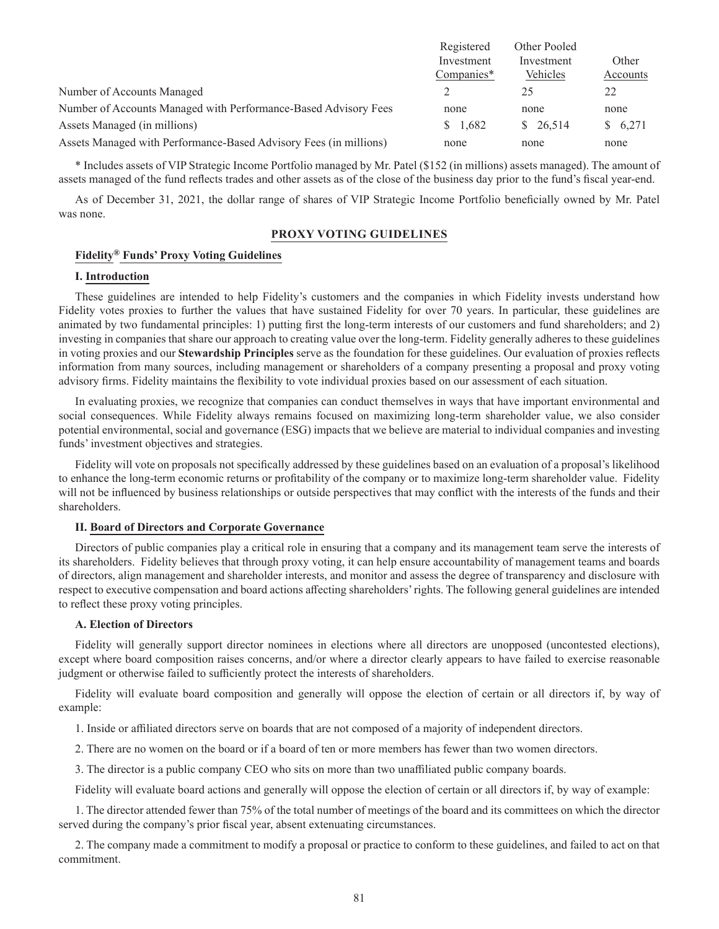|                                                                   | Registered | Other Pooled |          |
|-------------------------------------------------------------------|------------|--------------|----------|
|                                                                   | Investment | Investment   | Other    |
|                                                                   | Companies* | Vehicles     | Accounts |
| Number of Accounts Managed                                        |            |              | 22       |
| Number of Accounts Managed with Performance-Based Advisory Fees   | none       | none         | none     |
| Assets Managed (in millions)                                      | \$1,682    | \$26,514     | \$6,271  |
| Assets Managed with Performance-Based Advisory Fees (in millions) | none       | none         | none     |

\* Includes assets of VIP Strategic Income Portfolio managed by Mr. Patel (\$152 (in millions) assets managed). The amount of assets managed of the fund reflects trades and other assets as of the close of the business day prior to the fund's fiscal year-end.

As of December 31, 2021, the dollar range of shares of VIP Strategic Income Portfolio beneficially owned by Mr. Patel was none.

## **PROXY VOTING GUIDELINES**

# **Fidelity® Funds' Proxy Voting Guidelines**

## **I. Introduction**

These guidelines are intended to help Fidelity's customers and the companies in which Fidelity invests understand how Fidelity votes proxies to further the values that have sustained Fidelity for over 70 years. In particular, these guidelines are animated by two fundamental principles: 1) putting first the long-term interests of our customers and fund shareholders; and 2) investing in companies that share our approach to creating value over the long-term. Fidelity generally adheres to these guidelines in voting proxies and our **Stewardship Principles** serve as the foundation for these guidelines. Our evaluation of proxies reflects information from many sources, including management or shareholders of a company presenting a proposal and proxy voting advisory firms. Fidelity maintains the flexibility to vote individual proxies based on our assessment of each situation.

In evaluating proxies, we recognize that companies can conduct themselves in ways that have important environmental and social consequences. While Fidelity always remains focused on maximizing long-term shareholder value, we also consider potential environmental, social and governance (ESG) impacts that we believe are material to individual companies and investing funds' investment objectives and strategies.

Fidelity will vote on proposals not specifically addressed by these guidelines based on an evaluation of a proposal's likelihood to enhance the long-term economic returns or profitability of the company or to maximize long-term shareholder value. Fidelity will not be influenced by business relationships or outside perspectives that may conflict with the interests of the funds and their shareholders.

## **II. Board of Directors and Corporate Governance**

Directors of public companies play a critical role in ensuring that a company and its management team serve the interests of its shareholders. Fidelity believes that through proxy voting, it can help ensure accountability of management teams and boards of directors, align management and shareholder interests, and monitor and assess the degree of transparency and disclosure with respect to executive compensation and board actions affecting shareholders' rights. The following general guidelines are intended to reflect these proxy voting principles.

### **A. Election of Directors**

Fidelity will generally support director nominees in elections where all directors are unopposed (uncontested elections), except where board composition raises concerns, and/or where a director clearly appears to have failed to exercise reasonable judgment or otherwise failed to sufficiently protect the interests of shareholders.

Fidelity will evaluate board composition and generally will oppose the election of certain or all directors if, by way of example:

1. Inside or affiliated directors serve on boards that are not composed of a majority of independent directors.

2. There are no women on the board or if a board of ten or more members has fewer than two women directors.

3. The director is a public company CEO who sits on more than two unaffiliated public company boards.

Fidelity will evaluate board actions and generally will oppose the election of certain or all directors if, by way of example:

1. The director attended fewer than 75% of the total number of meetings of the board and its committees on which the director served during the company's prior fiscal year, absent extenuating circumstances.

2. The company made a commitment to modify a proposal or practice to conform to these guidelines, and failed to act on that commitment.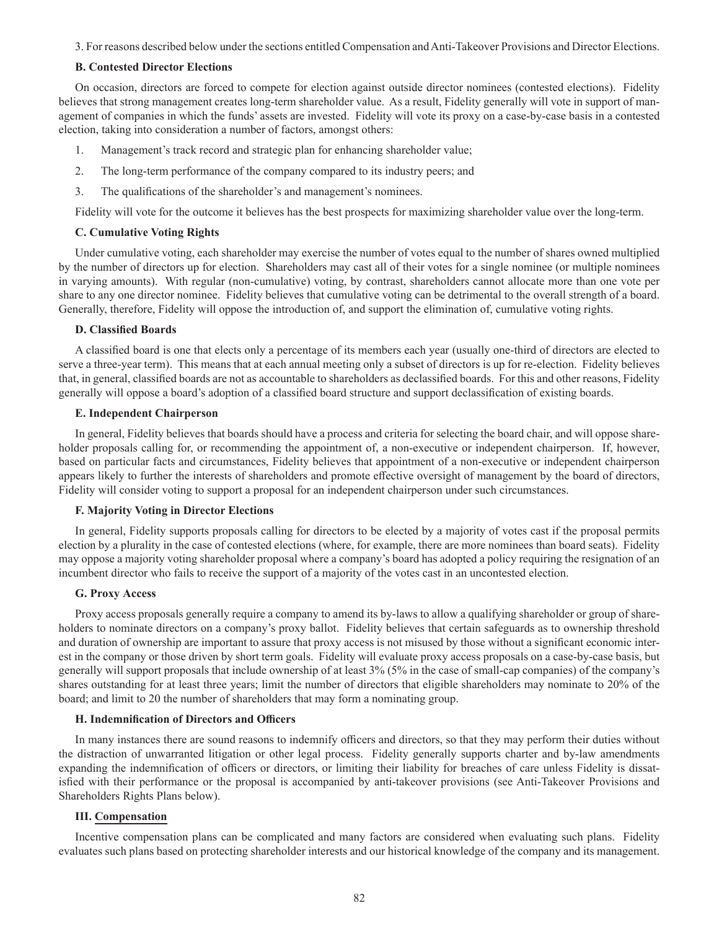3. For reasons described below under the sections entitled Compensation and Anti-Takeover Provisions and Director Elections.

## **B. Contested Director Elections**

On occasion, directors are forced to compete for election against outside director nominees (contested elections). Fidelity believes that strong management creates long-term shareholder value. As a result, Fidelity generally will vote in support of management of companies in which the funds' assets are invested. Fidelity will vote its proxy on a case-by-case basis in a contested election, taking into consideration a number of factors, amongst others:

- 1. Management's track record and strategic plan for enhancing shareholder value;
- 2. The long-term performance of the company compared to its industry peers; and
- 3. The qualifications of the shareholder's and management's nominees.

Fidelity will vote for the outcome it believes has the best prospects for maximizing shareholder value over the long-term.

### **C. Cumulative Voting Rights**

Under cumulative voting, each shareholder may exercise the number of votes equal to the number of shares owned multiplied by the number of directors up for election. Shareholders may cast all of their votes for a single nominee (or multiple nominees in varying amounts). With regular (non-cumulative) voting, by contrast, shareholders cannot allocate more than one vote per share to any one director nominee. Fidelity believes that cumulative voting can be detrimental to the overall strength of a board. Generally, therefore, Fidelity will oppose the introduction of, and support the elimination of, cumulative voting rights.

## **D. Classified Boards**

A classified board is one that elects only a percentage of its members each year (usually one-third of directors are elected to serve a three-year term). This means that at each annual meeting only a subset of directors is up for re-election. Fidelity believes that, in general, classified boards are not as accountable to shareholders as declassified boards. For this and other reasons, Fidelity generally will oppose a board's adoption of a classified board structure and support declassification of existing boards.

## **E. Independent Chairperson**

In general, Fidelity believes that boards should have a process and criteria for selecting the board chair, and will oppose shareholder proposals calling for, or recommending the appointment of, a non-executive or independent chairperson. If, however, based on particular facts and circumstances, Fidelity believes that appointment of a non-executive or independent chairperson appears likely to further the interests of shareholders and promote effective oversight of management by the board of directors, Fidelity will consider voting to support a proposal for an independent chairperson under such circumstances.

### **F. Majority Voting in Director Elections**

In general, Fidelity supports proposals calling for directors to be elected by a majority of votes cast if the proposal permits election by a plurality in the case of contested elections (where, for example, there are more nominees than board seats). Fidelity may oppose a majority voting shareholder proposal where a company's board has adopted a policy requiring the resignation of an incumbent director who fails to receive the support of a majority of the votes cast in an uncontested election.

## **G. Proxy Access**

Proxy access proposals generally require a company to amend its by-laws to allow a qualifying shareholder or group of shareholders to nominate directors on a company's proxy ballot. Fidelity believes that certain safeguards as to ownership threshold and duration of ownership are important to assure that proxy access is not misused by those without a significant economic interest in the company or those driven by short term goals. Fidelity will evaluate proxy access proposals on a case-by-case basis, but generally will support proposals that include ownership of at least 3% (5% in the case of small-cap companies) of the company's shares outstanding for at least three years; limit the number of directors that eligible shareholders may nominate to 20% of the board; and limit to 20 the number of shareholders that may form a nominating group.

## **H. Indemnification of Directors and Officers**

In many instances there are sound reasons to indemnify officers and directors, so that they may perform their duties without the distraction of unwarranted litigation or other legal process. Fidelity generally supports charter and by-law amendments expanding the indemnification of officers or directors, or limiting their liability for breaches of care unless Fidelity is dissatisfied with their performance or the proposal is accompanied by anti-takeover provisions (see Anti-Takeover Provisions and Shareholders Rights Plans below).

## **III. Compensation**

Incentive compensation plans can be complicated and many factors are considered when evaluating such plans. Fidelity evaluates such plans based on protecting shareholder interests and our historical knowledge of the company and its management.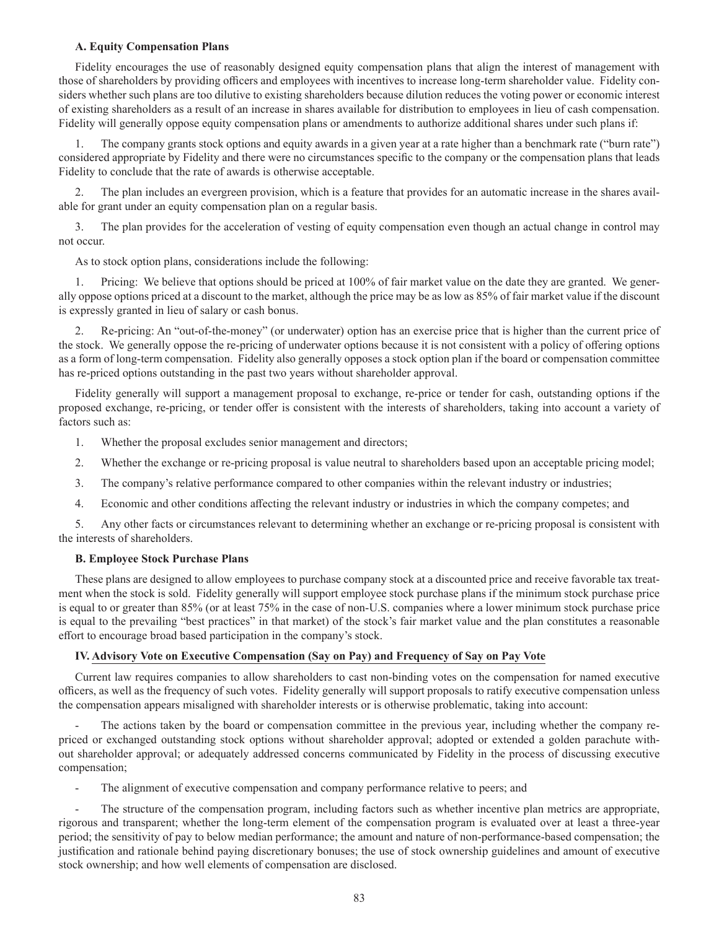# **A. Equity Compensation Plans**

Fidelity encourages the use of reasonably designed equity compensation plans that align the interest of management with those of shareholders by providing officers and employees with incentives to increase long-term shareholder value. Fidelity considers whether such plans are too dilutive to existing shareholders because dilution reduces the voting power or economic interest of existing shareholders as a result of an increase in shares available for distribution to employees in lieu of cash compensation. Fidelity will generally oppose equity compensation plans or amendments to authorize additional shares under such plans if:

1. The company grants stock options and equity awards in a given year at a rate higher than a benchmark rate ("burn rate") considered appropriate by Fidelity and there were no circumstances specific to the company or the compensation plans that leads Fidelity to conclude that the rate of awards is otherwise acceptable.

The plan includes an evergreen provision, which is a feature that provides for an automatic increase in the shares available for grant under an equity compensation plan on a regular basis.

3. The plan provides for the acceleration of vesting of equity compensation even though an actual change in control may not occur.

As to stock option plans, considerations include the following:

1. Pricing: We believe that options should be priced at 100% of fair market value on the date they are granted. We generally oppose options priced at a discount to the market, although the price may be as low as 85% of fair market value if the discount is expressly granted in lieu of salary or cash bonus.

2. Re-pricing: An "out-of-the-money" (or underwater) option has an exercise price that is higher than the current price of the stock. We generally oppose the re-pricing of underwater options because it is not consistent with a policy of offering options as a form of long-term compensation. Fidelity also generally opposes a stock option plan if the board or compensation committee has re-priced options outstanding in the past two years without shareholder approval.

Fidelity generally will support a management proposal to exchange, re-price or tender for cash, outstanding options if the proposed exchange, re-pricing, or tender offer is consistent with the interests of shareholders, taking into account a variety of factors such as:

- 1. Whether the proposal excludes senior management and directors;
- 2. Whether the exchange or re-pricing proposal is value neutral to shareholders based upon an acceptable pricing model;
- 3. The company's relative performance compared to other companies within the relevant industry or industries;
- 4. Economic and other conditions affecting the relevant industry or industries in which the company competes; and

5. Any other facts or circumstances relevant to determining whether an exchange or re-pricing proposal is consistent with the interests of shareholders.

## **B. Employee Stock Purchase Plans**

These plans are designed to allow employees to purchase company stock at a discounted price and receive favorable tax treatment when the stock is sold. Fidelity generally will support employee stock purchase plans if the minimum stock purchase price is equal to or greater than 85% (or at least 75% in the case of non-U.S. companies where a lower minimum stock purchase price is equal to the prevailing "best practices" in that market) of the stock's fair market value and the plan constitutes a reasonable effort to encourage broad based participation in the company's stock.

# **IV. Advisory Vote on Executive Compensation (Say on Pay) and Frequency of Say on Pay Vote**

Current law requires companies to allow shareholders to cast non-binding votes on the compensation for named executive officers, as well as the frequency of such votes. Fidelity generally will support proposals to ratify executive compensation unless the compensation appears misaligned with shareholder interests or is otherwise problematic, taking into account:

The actions taken by the board or compensation committee in the previous year, including whether the company repriced or exchanged outstanding stock options without shareholder approval; adopted or extended a golden parachute without shareholder approval; or adequately addressed concerns communicated by Fidelity in the process of discussing executive compensation;

The alignment of executive compensation and company performance relative to peers; and

The structure of the compensation program, including factors such as whether incentive plan metrics are appropriate, rigorous and transparent; whether the long-term element of the compensation program is evaluated over at least a three-year period; the sensitivity of pay to below median performance; the amount and nature of non-performance-based compensation; the justification and rationale behind paying discretionary bonuses; the use of stock ownership guidelines and amount of executive stock ownership; and how well elements of compensation are disclosed.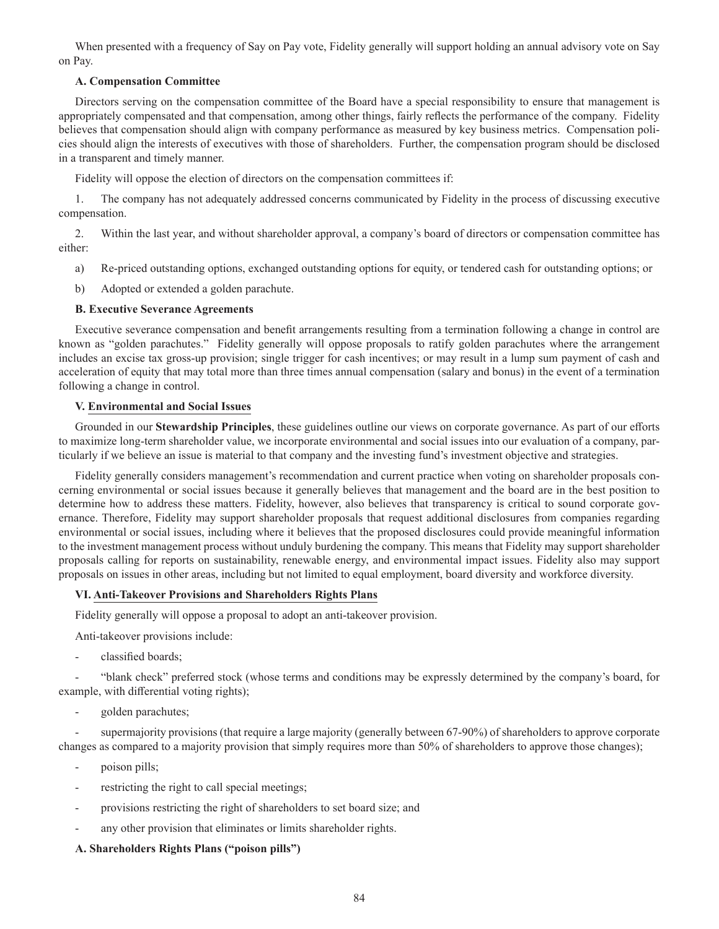When presented with a frequency of Say on Pay vote, Fidelity generally will support holding an annual advisory vote on Say on Pay.

# **A. Compensation Committee**

Directors serving on the compensation committee of the Board have a special responsibility to ensure that management is appropriately compensated and that compensation, among other things, fairly reflects the performance of the company. Fidelity believes that compensation should align with company performance as measured by key business metrics. Compensation policies should align the interests of executives with those of shareholders. Further, the compensation program should be disclosed in a transparent and timely manner.

Fidelity will oppose the election of directors on the compensation committees if:

1. The company has not adequately addressed concerns communicated by Fidelity in the process of discussing executive compensation.

2. Within the last year, and without shareholder approval, a company's board of directors or compensation committee has either:

- a) Re-priced outstanding options, exchanged outstanding options for equity, or tendered cash for outstanding options; or
- b) Adopted or extended a golden parachute.

## **B. Executive Severance Agreements**

Executive severance compensation and benefit arrangements resulting from a termination following a change in control are known as "golden parachutes." Fidelity generally will oppose proposals to ratify golden parachutes where the arrangement includes an excise tax gross-up provision; single trigger for cash incentives; or may result in a lump sum payment of cash and acceleration of equity that may total more than three times annual compensation (salary and bonus) in the event of a termination following a change in control.

## **V. Environmental and Social Issues**

Grounded in our **Stewardship Principles**, these guidelines outline our views on corporate governance. As part of our efforts to maximize long-term shareholder value, we incorporate environmental and social issues into our evaluation of a company, particularly if we believe an issue is material to that company and the investing fund's investment objective and strategies.

Fidelity generally considers management's recommendation and current practice when voting on shareholder proposals concerning environmental or social issues because it generally believes that management and the board are in the best position to determine how to address these matters. Fidelity, however, also believes that transparency is critical to sound corporate governance. Therefore, Fidelity may support shareholder proposals that request additional disclosures from companies regarding environmental or social issues, including where it believes that the proposed disclosures could provide meaningful information to the investment management process without unduly burdening the company. This means that Fidelity may support shareholder proposals calling for reports on sustainability, renewable energy, and environmental impact issues. Fidelity also may support proposals on issues in other areas, including but not limited to equal employment, board diversity and workforce diversity.

## **VI. Anti-Takeover Provisions and Shareholders Rights Plans**

Fidelity generally will oppose a proposal to adopt an anti-takeover provision.

Anti-takeover provisions include:

classified boards;

"blank check" preferred stock (whose terms and conditions may be expressly determined by the company's board, for example, with differential voting rights);

- golden parachutes;

supermajority provisions (that require a large majority (generally between 67-90%) of shareholders to approve corporate changes as compared to a majority provision that simply requires more than 50% of shareholders to approve those changes);

- poison pills;
- restricting the right to call special meetings;
- provisions restricting the right of shareholders to set board size; and
- any other provision that eliminates or limits shareholder rights.

# **A. Shareholders Rights Plans ("poison pills")**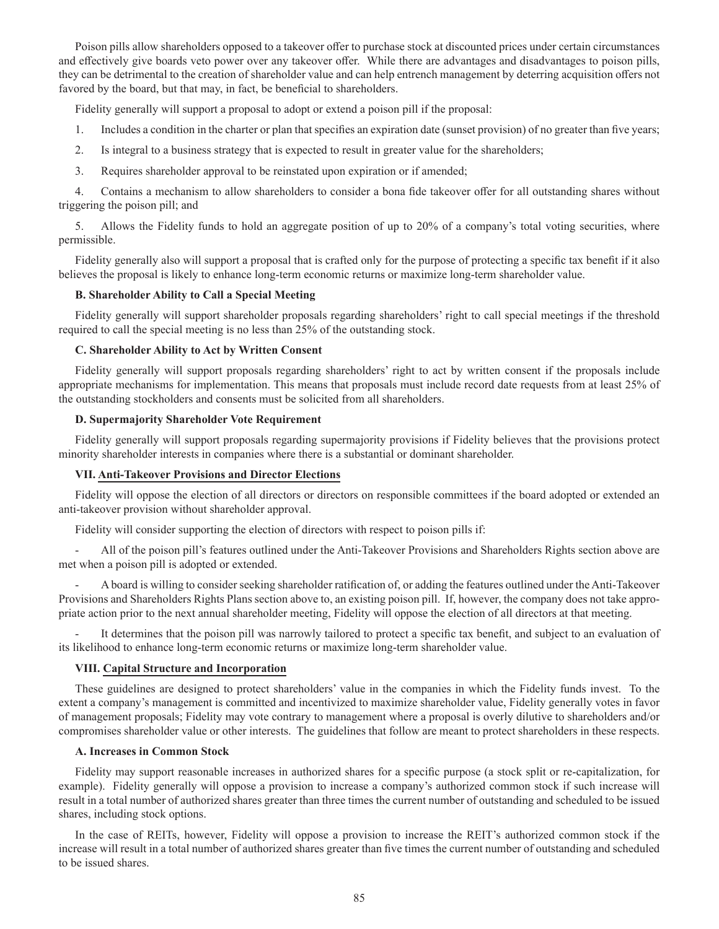Poison pills allow shareholders opposed to a takeover offer to purchase stock at discounted prices under certain circumstances and effectively give boards veto power over any takeover offer. While there are advantages and disadvantages to poison pills, they can be detrimental to the creation of shareholder value and can help entrench management by deterring acquisition offers not favored by the board, but that may, in fact, be beneficial to shareholders.

Fidelity generally will support a proposal to adopt or extend a poison pill if the proposal:

- 1. Includes a condition in the charter or plan that specifies an expiration date (sunset provision) of no greater than five years;
- 2. Is integral to a business strategy that is expected to result in greater value for the shareholders;
- 3. Requires shareholder approval to be reinstated upon expiration or if amended;

4. Contains a mechanism to allow shareholders to consider a bona fide takeover offer for all outstanding shares without triggering the poison pill; and

5. Allows the Fidelity funds to hold an aggregate position of up to 20% of a company's total voting securities, where permissible.

Fidelity generally also will support a proposal that is crafted only for the purpose of protecting a specific tax benefit if it also believes the proposal is likely to enhance long-term economic returns or maximize long-term shareholder value.

# **B. Shareholder Ability to Call a Special Meeting**

Fidelity generally will support shareholder proposals regarding shareholders' right to call special meetings if the threshold required to call the special meeting is no less than 25% of the outstanding stock.

# **C. Shareholder Ability to Act by Written Consent**

Fidelity generally will support proposals regarding shareholders' right to act by written consent if the proposals include appropriate mechanisms for implementation. This means that proposals must include record date requests from at least 25% of the outstanding stockholders and consents must be solicited from all shareholders.

# **D. Supermajority Shareholder Vote Requirement**

Fidelity generally will support proposals regarding supermajority provisions if Fidelity believes that the provisions protect minority shareholder interests in companies where there is a substantial or dominant shareholder.

# **VII. Anti-Takeover Provisions and Director Elections**

Fidelity will oppose the election of all directors or directors on responsible committees if the board adopted or extended an anti-takeover provision without shareholder approval.

Fidelity will consider supporting the election of directors with respect to poison pills if:

- All of the poison pill's features outlined under the Anti-Takeover Provisions and Shareholders Rights section above are met when a poison pill is adopted or extended.

- A board is willing to consider seeking shareholder ratification of, or adding the features outlined under the Anti-Takeover Provisions and Shareholders Rights Plans section above to, an existing poison pill. If, however, the company does not take appropriate action prior to the next annual shareholder meeting, Fidelity will oppose the election of all directors at that meeting.

It determines that the poison pill was narrowly tailored to protect a specific tax benefit, and subject to an evaluation of its likelihood to enhance long-term economic returns or maximize long-term shareholder value.

# **VIII. Capital Structure and Incorporation**

These guidelines are designed to protect shareholders' value in the companies in which the Fidelity funds invest. To the extent a company's management is committed and incentivized to maximize shareholder value, Fidelity generally votes in favor of management proposals; Fidelity may vote contrary to management where a proposal is overly dilutive to shareholders and/or compromises shareholder value or other interests. The guidelines that follow are meant to protect shareholders in these respects.

## **A. Increases in Common Stock**

Fidelity may support reasonable increases in authorized shares for a specific purpose (a stock split or re-capitalization, for example). Fidelity generally will oppose a provision to increase a company's authorized common stock if such increase will result in a total number of authorized shares greater than three times the current number of outstanding and scheduled to be issued shares, including stock options.

In the case of REITs, however, Fidelity will oppose a provision to increase the REIT's authorized common stock if the increase will result in a total number of authorized shares greater than five times the current number of outstanding and scheduled to be issued shares.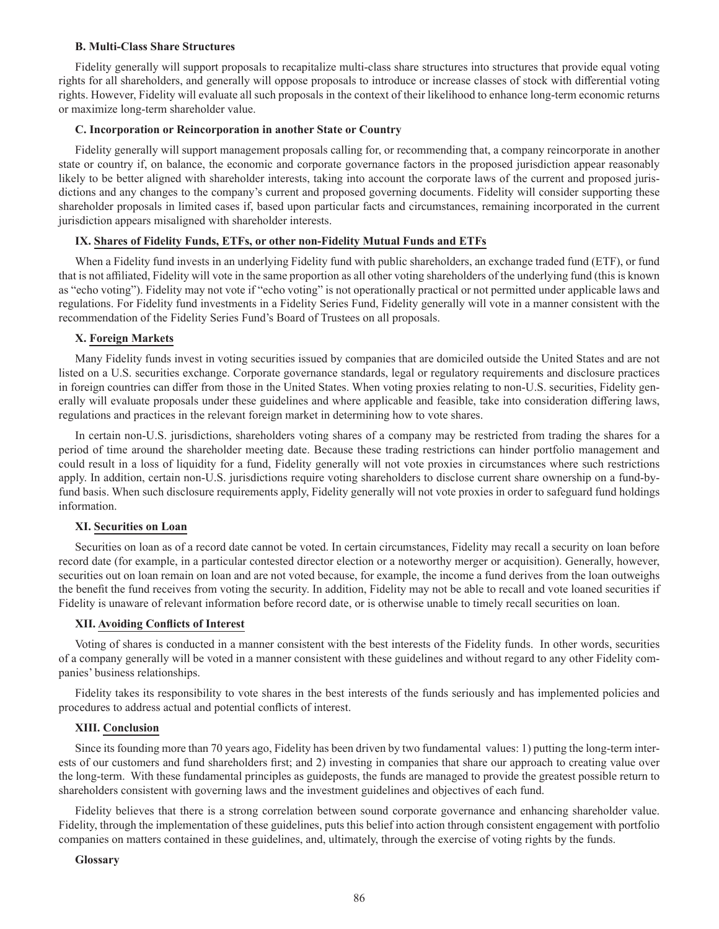#### **B. Multi-Class Share Structures**

Fidelity generally will support proposals to recapitalize multi-class share structures into structures that provide equal voting rights for all shareholders, and generally will oppose proposals to introduce or increase classes of stock with differential voting rights. However, Fidelity will evaluate all such proposals in the context of their likelihood to enhance long-term economic returns or maximize long-term shareholder value.

### **C. Incorporation or Reincorporation in another State or Country**

Fidelity generally will support management proposals calling for, or recommending that, a company reincorporate in another state or country if, on balance, the economic and corporate governance factors in the proposed jurisdiction appear reasonably likely to be better aligned with shareholder interests, taking into account the corporate laws of the current and proposed jurisdictions and any changes to the company's current and proposed governing documents. Fidelity will consider supporting these shareholder proposals in limited cases if, based upon particular facts and circumstances, remaining incorporated in the current jurisdiction appears misaligned with shareholder interests.

#### **IX. Shares of Fidelity Funds, ETFs, or other non-Fidelity Mutual Funds and ETFs**

When a Fidelity fund invests in an underlying Fidelity fund with public shareholders, an exchange traded fund (ETF), or fund that is not affiliated, Fidelity will vote in the same proportion as all other voting shareholders of the underlying fund (this is known as "echo voting"). Fidelity may not vote if "echo voting" is not operationally practical or not permitted under applicable laws and regulations. For Fidelity fund investments in a Fidelity Series Fund, Fidelity generally will vote in a manner consistent with the recommendation of the Fidelity Series Fund's Board of Trustees on all proposals.

#### **X. Foreign Markets**

Many Fidelity funds invest in voting securities issued by companies that are domiciled outside the United States and are not listed on a U.S. securities exchange. Corporate governance standards, legal or regulatory requirements and disclosure practices in foreign countries can differ from those in the United States. When voting proxies relating to non-U.S. securities, Fidelity generally will evaluate proposals under these guidelines and where applicable and feasible, take into consideration differing laws, regulations and practices in the relevant foreign market in determining how to vote shares.

In certain non-U.S. jurisdictions, shareholders voting shares of a company may be restricted from trading the shares for a period of time around the shareholder meeting date. Because these trading restrictions can hinder portfolio management and could result in a loss of liquidity for a fund, Fidelity generally will not vote proxies in circumstances where such restrictions apply. In addition, certain non-U.S. jurisdictions require voting shareholders to disclose current share ownership on a fund-byfund basis. When such disclosure requirements apply, Fidelity generally will not vote proxies in order to safeguard fund holdings information.

#### **XI. Securities on Loan**

Securities on loan as of a record date cannot be voted. In certain circumstances, Fidelity may recall a security on loan before record date (for example, in a particular contested director election or a noteworthy merger or acquisition). Generally, however, securities out on loan remain on loan and are not voted because, for example, the income a fund derives from the loan outweighs the benefit the fund receives from voting the security. In addition, Fidelity may not be able to recall and vote loaned securities if Fidelity is unaware of relevant information before record date, or is otherwise unable to timely recall securities on loan.

### **XII. Avoiding Conflicts of Interest**

Voting of shares is conducted in a manner consistent with the best interests of the Fidelity funds. In other words, securities of a company generally will be voted in a manner consistent with these guidelines and without regard to any other Fidelity companies' business relationships.

Fidelity takes its responsibility to vote shares in the best interests of the funds seriously and has implemented policies and procedures to address actual and potential conflicts of interest.

### **XIII. Conclusion**

Since its founding more than 70 years ago, Fidelity has been driven by two fundamental values: 1) putting the long-term interests of our customers and fund shareholders first; and 2) investing in companies that share our approach to creating value over the long-term. With these fundamental principles as guideposts, the funds are managed to provide the greatest possible return to shareholders consistent with governing laws and the investment guidelines and objectives of each fund.

Fidelity believes that there is a strong correlation between sound corporate governance and enhancing shareholder value. Fidelity, through the implementation of these guidelines, puts this belief into action through consistent engagement with portfolio companies on matters contained in these guidelines, and, ultimately, through the exercise of voting rights by the funds.

#### **Glossary**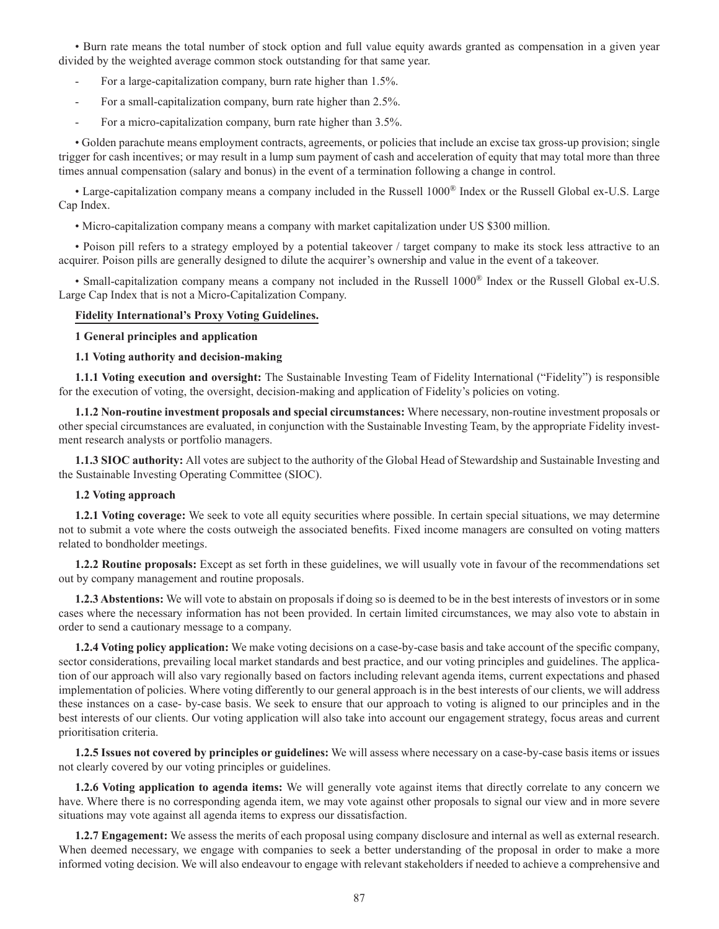• Burn rate means the total number of stock option and full value equity awards granted as compensation in a given year divided by the weighted average common stock outstanding for that same year.

- For a large-capitalization company, burn rate higher than 1.5%.
- For a small-capitalization company, burn rate higher than 2.5%.
- For a micro-capitalization company, burn rate higher than 3.5%.

• Golden parachute means employment contracts, agreements, or policies that include an excise tax gross-up provision; single trigger for cash incentives; or may result in a lump sum payment of cash and acceleration of equity that may total more than three times annual compensation (salary and bonus) in the event of a termination following a change in control.

• Large-capitalization company means a company included in the Russell 1000® Index or the Russell Global ex-U.S. Large Cap Index.

• Micro-capitalization company means a company with market capitalization under US \$300 million.

• Poison pill refers to a strategy employed by a potential takeover / target company to make its stock less attractive to an acquirer. Poison pills are generally designed to dilute the acquirer's ownership and value in the event of a takeover.

• Small-capitalization company means a company not included in the Russell 1000® Index or the Russell Global ex-U.S. Large Cap Index that is not a Micro-Capitalization Company.

## **Fidelity International's Proxy Voting Guidelines.**

**1 General principles and application**

**1.1 Voting authority and decision-making**

**1.1.1 Voting execution and oversight:** The Sustainable Investing Team of Fidelity International ("Fidelity") is responsible for the execution of voting, the oversight, decision-making and application of Fidelity's policies on voting.

**1.1.2 Non-routine investment proposals and special circumstances:** Where necessary, non-routine investment proposals or other special circumstances are evaluated, in conjunction with the Sustainable Investing Team, by the appropriate Fidelity investment research analysts or portfolio managers.

**1.1.3 SIOC authority:** All votes are subject to the authority of the Global Head of Stewardship and Sustainable Investing and the Sustainable Investing Operating Committee (SIOC).

## **1.2 Voting approach**

**1.2.1 Voting coverage:** We seek to vote all equity securities where possible. In certain special situations, we may determine not to submit a vote where the costs outweigh the associated benefits. Fixed income managers are consulted on voting matters related to bondholder meetings.

**1.2.2 Routine proposals:** Except as set forth in these guidelines, we will usually vote in favour of the recommendations set out by company management and routine proposals.

**1.2.3 Abstentions:** We will vote to abstain on proposals if doing so is deemed to be in the best interests of investors or in some cases where the necessary information has not been provided. In certain limited circumstances, we may also vote to abstain in order to send a cautionary message to a company.

**1.2.4 Voting policy application:** We make voting decisions on a case-by-case basis and take account of the specific company, sector considerations, prevailing local market standards and best practice, and our voting principles and guidelines. The application of our approach will also vary regionally based on factors including relevant agenda items, current expectations and phased implementation of policies. Where voting differently to our general approach is in the best interests of our clients, we will address these instances on a case- by-case basis. We seek to ensure that our approach to voting is aligned to our principles and in the best interests of our clients. Our voting application will also take into account our engagement strategy, focus areas and current prioritisation criteria.

**1.2.5 Issues not covered by principles or guidelines:** We will assess where necessary on a case-by-case basis items or issues not clearly covered by our voting principles or guidelines.

**1.2.6 Voting application to agenda items:** We will generally vote against items that directly correlate to any concern we have. Where there is no corresponding agenda item, we may vote against other proposals to signal our view and in more severe situations may vote against all agenda items to express our dissatisfaction.

**1.2.7 Engagement:** We assess the merits of each proposal using company disclosure and internal as well as external research. When deemed necessary, we engage with companies to seek a better understanding of the proposal in order to make a more informed voting decision. We will also endeavour to engage with relevant stakeholders if needed to achieve a comprehensive and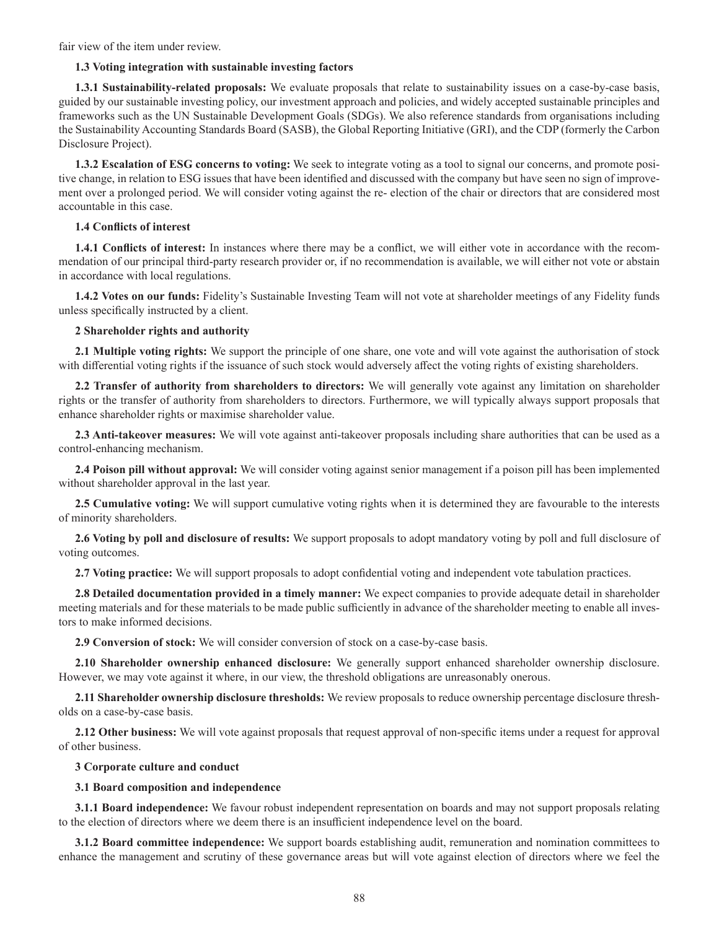fair view of the item under review.

## **1.3 Voting integration with sustainable investing factors**

**1.3.1 Sustainability-related proposals:** We evaluate proposals that relate to sustainability issues on a case-by-case basis, guided by our sustainable investing policy, our investment approach and policies, and widely accepted sustainable principles and frameworks such as the UN Sustainable Development Goals (SDGs). We also reference standards from organisations including the Sustainability Accounting Standards Board (SASB), the Global Reporting Initiative (GRI), and the CDP (formerly the Carbon Disclosure Project).

**1.3.2 Escalation of ESG concerns to voting:** We seek to integrate voting as a tool to signal our concerns, and promote positive change, in relation to ESG issues that have been identified and discussed with the company but have seen no sign of improvement over a prolonged period. We will consider voting against the re- election of the chair or directors that are considered most accountable in this case.

# **1.4 Conflicts of interest**

**1.4.1 Conflicts of interest:** In instances where there may be a conflict, we will either vote in accordance with the recommendation of our principal third-party research provider or, if no recommendation is available, we will either not vote or abstain in accordance with local regulations.

**1.4.2 Votes on our funds:** Fidelity's Sustainable Investing Team will not vote at shareholder meetings of any Fidelity funds unless specifically instructed by a client.

# **2 Shareholder rights and authority**

**2.1 Multiple voting rights:** We support the principle of one share, one vote and will vote against the authorisation of stock with differential voting rights if the issuance of such stock would adversely affect the voting rights of existing shareholders.

**2.2 Transfer of authority from shareholders to directors:** We will generally vote against any limitation on shareholder rights or the transfer of authority from shareholders to directors. Furthermore, we will typically always support proposals that enhance shareholder rights or maximise shareholder value.

**2.3 Anti-takeover measures:** We will vote against anti-takeover proposals including share authorities that can be used as a control-enhancing mechanism.

**2.4 Poison pill without approval:** We will consider voting against senior management if a poison pill has been implemented without shareholder approval in the last year.

**2.5 Cumulative voting:** We will support cumulative voting rights when it is determined they are favourable to the interests of minority shareholders.

**2.6 Voting by poll and disclosure of results:** We support proposals to adopt mandatory voting by poll and full disclosure of voting outcomes.

**2.7 Voting practice:** We will support proposals to adopt confidential voting and independent vote tabulation practices.

**2.8 Detailed documentation provided in a timely manner:** We expect companies to provide adequate detail in shareholder meeting materials and for these materials to be made public sufficiently in advance of the shareholder meeting to enable all investors to make informed decisions.

**2.9 Conversion of stock:** We will consider conversion of stock on a case-by-case basis.

**2.10 Shareholder ownership enhanced disclosure:** We generally support enhanced shareholder ownership disclosure. However, we may vote against it where, in our view, the threshold obligations are unreasonably onerous.

**2.11 Shareholder ownership disclosure thresholds:** We review proposals to reduce ownership percentage disclosure thresholds on a case-by-case basis.

**2.12 Other business:** We will vote against proposals that request approval of non-specific items under a request for approval of other business.

# **3 Corporate culture and conduct**

# **3.1 Board composition and independence**

**3.1.1 Board independence:** We favour robust independent representation on boards and may not support proposals relating to the election of directors where we deem there is an insufficient independence level on the board.

**3.1.2 Board committee independence:** We support boards establishing audit, remuneration and nomination committees to enhance the management and scrutiny of these governance areas but will vote against election of directors where we feel the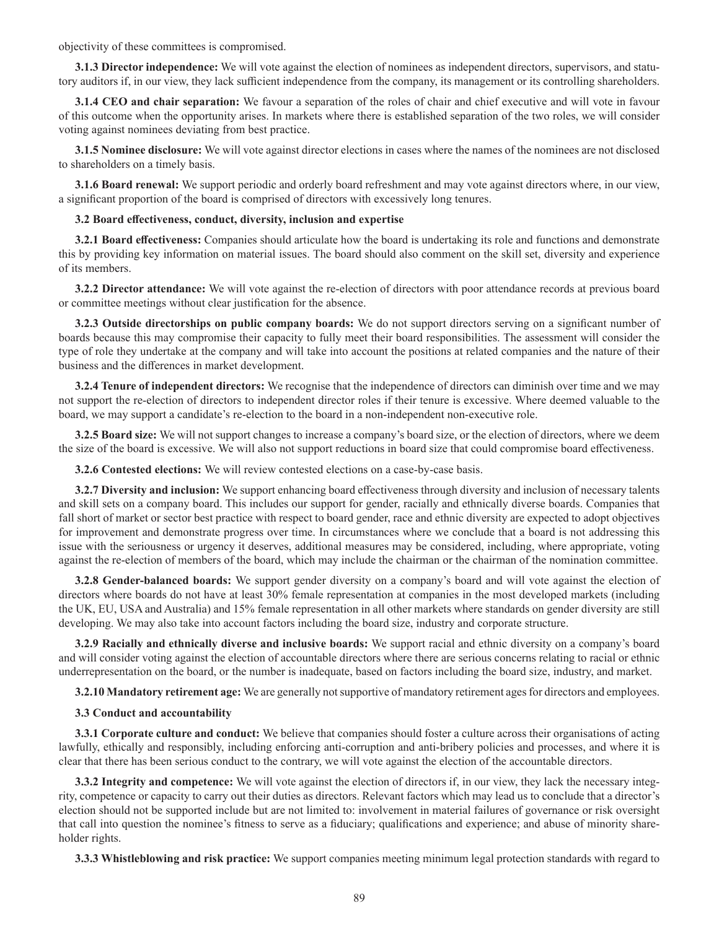objectivity of these committees is compromised.

**3.1.3 Director independence:** We will vote against the election of nominees as independent directors, supervisors, and statutory auditors if, in our view, they lack sufficient independence from the company, its management or its controlling shareholders.

**3.1.4 CEO and chair separation:** We favour a separation of the roles of chair and chief executive and will vote in favour of this outcome when the opportunity arises. In markets where there is established separation of the two roles, we will consider voting against nominees deviating from best practice.

**3.1.5 Nominee disclosure:** We will vote against director elections in cases where the names of the nominees are not disclosed to shareholders on a timely basis.

**3.1.6 Board renewal:** We support periodic and orderly board refreshment and may vote against directors where, in our view, a significant proportion of the board is comprised of directors with excessively long tenures.

# **3.2 Board effectiveness, conduct, diversity, inclusion and expertise**

**3.2.1 Board effectiveness:** Companies should articulate how the board is undertaking its role and functions and demonstrate this by providing key information on material issues. The board should also comment on the skill set, diversity and experience of its members.

**3.2.2 Director attendance:** We will vote against the re-election of directors with poor attendance records at previous board or committee meetings without clear justification for the absence.

**3.2.3 Outside directorships on public company boards:** We do not support directors serving on a significant number of boards because this may compromise their capacity to fully meet their board responsibilities. The assessment will consider the type of role they undertake at the company and will take into account the positions at related companies and the nature of their business and the differences in market development.

**3.2.4 Tenure of independent directors:** We recognise that the independence of directors can diminish over time and we may not support the re-election of directors to independent director roles if their tenure is excessive. Where deemed valuable to the board, we may support a candidate's re-election to the board in a non-independent non-executive role.

**3.2.5 Board size:** We will not support changes to increase a company's board size, or the election of directors, where we deem the size of the board is excessive. We will also not support reductions in board size that could compromise board effectiveness.

**3.2.6 Contested elections:** We will review contested elections on a case-by-case basis.

**3.2.7 Diversity and inclusion:** We support enhancing board effectiveness through diversity and inclusion of necessary talents and skill sets on a company board. This includes our support for gender, racially and ethnically diverse boards. Companies that fall short of market or sector best practice with respect to board gender, race and ethnic diversity are expected to adopt objectives for improvement and demonstrate progress over time. In circumstances where we conclude that a board is not addressing this issue with the seriousness or urgency it deserves, additional measures may be considered, including, where appropriate, voting against the re-election of members of the board, which may include the chairman or the chairman of the nomination committee.

**3.2.8 Gender-balanced boards:** We support gender diversity on a company's board and will vote against the election of directors where boards do not have at least 30% female representation at companies in the most developed markets (including the UK, EU, USA and Australia) and 15% female representation in all other markets where standards on gender diversity are still developing. We may also take into account factors including the board size, industry and corporate structure.

**3.2.9 Racially and ethnically diverse and inclusive boards:** We support racial and ethnic diversity on a company's board and will consider voting against the election of accountable directors where there are serious concerns relating to racial or ethnic underrepresentation on the board, or the number is inadequate, based on factors including the board size, industry, and market.

**3.2.10 Mandatory retirement age:** We are generally not supportive of mandatory retirement ages for directors and employees.

## **3.3 Conduct and accountability**

**3.3.1 Corporate culture and conduct:** We believe that companies should foster a culture across their organisations of acting lawfully, ethically and responsibly, including enforcing anti-corruption and anti-bribery policies and processes, and where it is clear that there has been serious conduct to the contrary, we will vote against the election of the accountable directors.

**3.3.2 Integrity and competence:** We will vote against the election of directors if, in our view, they lack the necessary integrity, competence or capacity to carry out their duties as directors. Relevant factors which may lead us to conclude that a director's election should not be supported include but are not limited to: involvement in material failures of governance or risk oversight that call into question the nominee's fitness to serve as a fiduciary; qualifications and experience; and abuse of minority shareholder rights.

**3.3.3 Whistleblowing and risk practice:** We support companies meeting minimum legal protection standards with regard to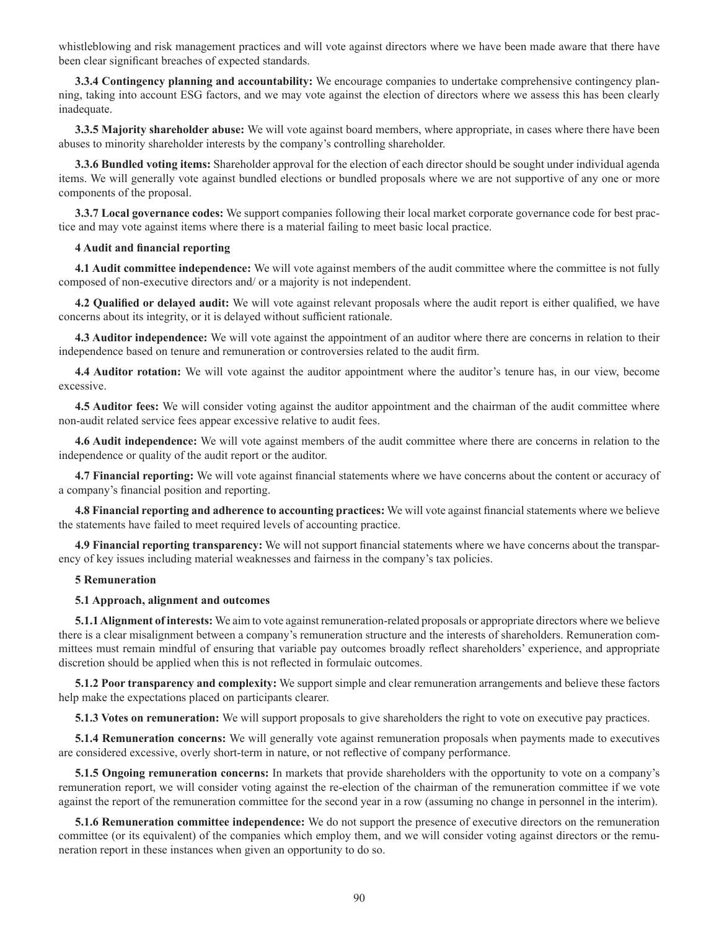whistleblowing and risk management practices and will vote against directors where we have been made aware that there have been clear significant breaches of expected standards.

**3.3.4 Contingency planning and accountability:** We encourage companies to undertake comprehensive contingency planning, taking into account ESG factors, and we may vote against the election of directors where we assess this has been clearly inadequate.

**3.3.5 Majority shareholder abuse:** We will vote against board members, where appropriate, in cases where there have been abuses to minority shareholder interests by the company's controlling shareholder.

**3.3.6 Bundled voting items:** Shareholder approval for the election of each director should be sought under individual agenda items. We will generally vote against bundled elections or bundled proposals where we are not supportive of any one or more components of the proposal.

**3.3.7 Local governance codes:** We support companies following their local market corporate governance code for best practice and may vote against items where there is a material failing to meet basic local practice.

### **4 Audit and financial reporting**

**4.1 Audit committee independence:** We will vote against members of the audit committee where the committee is not fully composed of non-executive directors and/ or a majority is not independent.

**4.2 Qualified or delayed audit:** We will vote against relevant proposals where the audit report is either qualified, we have concerns about its integrity, or it is delayed without sufficient rationale.

**4.3 Auditor independence:** We will vote against the appointment of an auditor where there are concerns in relation to their independence based on tenure and remuneration or controversies related to the audit firm.

**4.4 Auditor rotation:** We will vote against the auditor appointment where the auditor's tenure has, in our view, become excessive.

**4.5 Auditor fees:** We will consider voting against the auditor appointment and the chairman of the audit committee where non-audit related service fees appear excessive relative to audit fees.

**4.6 Audit independence:** We will vote against members of the audit committee where there are concerns in relation to the independence or quality of the audit report or the auditor.

**4.7 Financial reporting:** We will vote against financial statements where we have concerns about the content or accuracy of a company's financial position and reporting.

**4.8 Financial reporting and adherence to accounting practices:** We will vote against financial statements where we believe the statements have failed to meet required levels of accounting practice.

**4.9 Financial reporting transparency:** We will not support financial statements where we have concerns about the transparency of key issues including material weaknesses and fairness in the company's tax policies.

### **5 Remuneration**

### **5.1 Approach, alignment and outcomes**

**5.1.1 Alignment of interests:** We aim to vote against remuneration-related proposals or appropriate directors where we believe there is a clear misalignment between a company's remuneration structure and the interests of shareholders. Remuneration committees must remain mindful of ensuring that variable pay outcomes broadly reflect shareholders' experience, and appropriate discretion should be applied when this is not reflected in formulaic outcomes.

**5.1.2 Poor transparency and complexity:** We support simple and clear remuneration arrangements and believe these factors help make the expectations placed on participants clearer.

**5.1.3 Votes on remuneration:** We will support proposals to give shareholders the right to vote on executive pay practices.

**5.1.4 Remuneration concerns:** We will generally vote against remuneration proposals when payments made to executives are considered excessive, overly short-term in nature, or not reflective of company performance.

**5.1.5 Ongoing remuneration concerns:** In markets that provide shareholders with the opportunity to vote on a company's remuneration report, we will consider voting against the re-election of the chairman of the remuneration committee if we vote against the report of the remuneration committee for the second year in a row (assuming no change in personnel in the interim).

**5.1.6 Remuneration committee independence:** We do not support the presence of executive directors on the remuneration committee (or its equivalent) of the companies which employ them, and we will consider voting against directors or the remuneration report in these instances when given an opportunity to do so.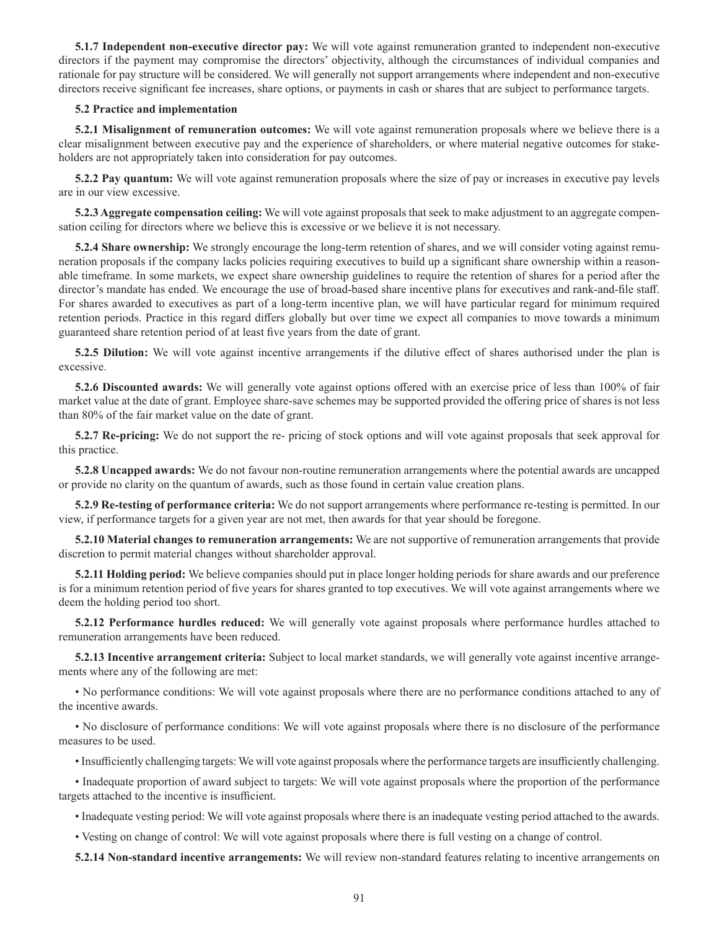**5.1.7 Independent non-executive director pay:** We will vote against remuneration granted to independent non-executive directors if the payment may compromise the directors' objectivity, although the circumstances of individual companies and rationale for pay structure will be considered. We will generally not support arrangements where independent and non-executive directors receive significant fee increases, share options, or payments in cash or shares that are subject to performance targets.

## **5.2 Practice and implementation**

**5.2.1 Misalignment of remuneration outcomes:** We will vote against remuneration proposals where we believe there is a clear misalignment between executive pay and the experience of shareholders, or where material negative outcomes for stakeholders are not appropriately taken into consideration for pay outcomes.

**5.2.2 Pay quantum:** We will vote against remuneration proposals where the size of pay or increases in executive pay levels are in our view excessive.

**5.2.3 Aggregate compensation ceiling:** We will vote against proposals that seek to make adjustment to an aggregate compensation ceiling for directors where we believe this is excessive or we believe it is not necessary.

**5.2.4 Share ownership:** We strongly encourage the long-term retention of shares, and we will consider voting against remuneration proposals if the company lacks policies requiring executives to build up a significant share ownership within a reasonable timeframe. In some markets, we expect share ownership guidelines to require the retention of shares for a period after the director's mandate has ended. We encourage the use of broad-based share incentive plans for executives and rank-and-file staff. For shares awarded to executives as part of a long-term incentive plan, we will have particular regard for minimum required retention periods. Practice in this regard differs globally but over time we expect all companies to move towards a minimum guaranteed share retention period of at least five years from the date of grant.

**5.2.5 Dilution:** We will vote against incentive arrangements if the dilutive effect of shares authorised under the plan is excessive.

**5.2.6 Discounted awards:** We will generally vote against options offered with an exercise price of less than 100% of fair market value at the date of grant. Employee share-save schemes may be supported provided the offering price of shares is not less than 80% of the fair market value on the date of grant.

**5.2.7 Re-pricing:** We do not support the re- pricing of stock options and will vote against proposals that seek approval for this practice.

**5.2.8 Uncapped awards:** We do not favour non-routine remuneration arrangements where the potential awards are uncapped or provide no clarity on the quantum of awards, such as those found in certain value creation plans.

**5.2.9 Re-testing of performance criteria:** We do not support arrangements where performance re-testing is permitted. In our view, if performance targets for a given year are not met, then awards for that year should be foregone.

**5.2.10 Material changes to remuneration arrangements:** We are not supportive of remuneration arrangements that provide discretion to permit material changes without shareholder approval.

**5.2.11 Holding period:** We believe companies should put in place longer holding periods for share awards and our preference is for a minimum retention period of five years for shares granted to top executives. We will vote against arrangements where we deem the holding period too short.

**5.2.12 Performance hurdles reduced:** We will generally vote against proposals where performance hurdles attached to remuneration arrangements have been reduced.

**5.2.13 Incentive arrangement criteria:** Subject to local market standards, we will generally vote against incentive arrangements where any of the following are met:

• No performance conditions: We will vote against proposals where there are no performance conditions attached to any of the incentive awards.

• No disclosure of performance conditions: We will vote against proposals where there is no disclosure of the performance measures to be used.

• Insufficiently challenging targets: We will vote against proposals where the performance targets are insufficiently challenging.

• Inadequate proportion of award subject to targets: We will vote against proposals where the proportion of the performance targets attached to the incentive is insufficient.

• Inadequate vesting period: We will vote against proposals where there is an inadequate vesting period attached to the awards.

• Vesting on change of control: We will vote against proposals where there is full vesting on a change of control.

**5.2.14 Non-standard incentive arrangements:** We will review non-standard features relating to incentive arrangements on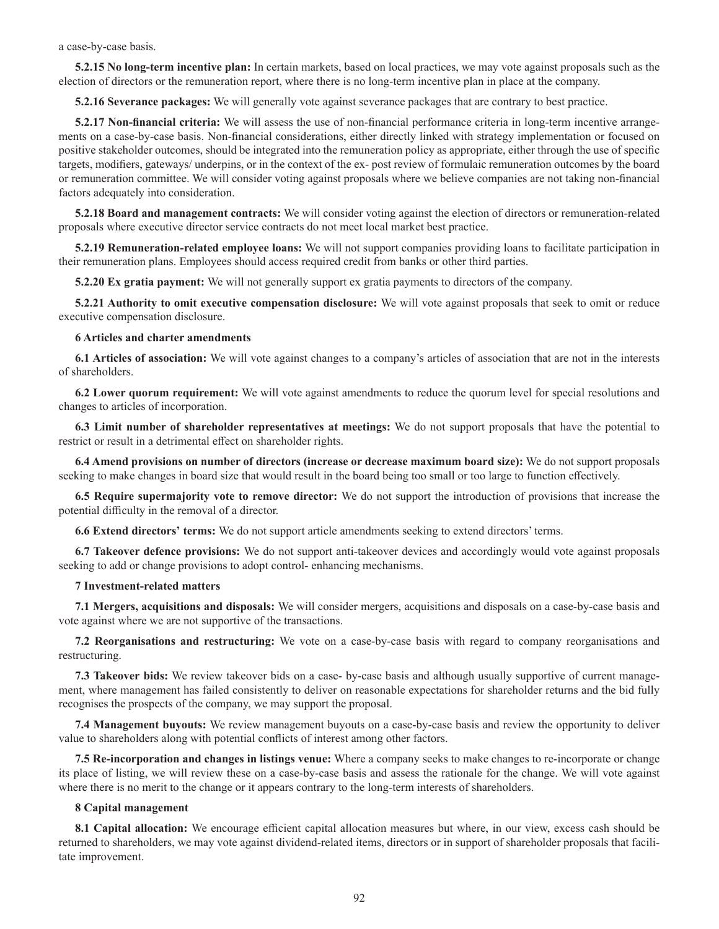a case-by-case basis.

**5.2.15 No long-term incentive plan:** In certain markets, based on local practices, we may vote against proposals such as the election of directors or the remuneration report, where there is no long-term incentive plan in place at the company.

**5.2.16 Severance packages:** We will generally vote against severance packages that are contrary to best practice.

**5.2.17 Non-financial criteria:** We will assess the use of non-financial performance criteria in long-term incentive arrangements on a case-by-case basis. Non-financial considerations, either directly linked with strategy implementation or focused on positive stakeholder outcomes, should be integrated into the remuneration policy as appropriate, either through the use of specific targets, modifiers, gateways/ underpins, or in the context of the ex- post review of formulaic remuneration outcomes by the board or remuneration committee. We will consider voting against proposals where we believe companies are not taking non-financial factors adequately into consideration.

**5.2.18 Board and management contracts:** We will consider voting against the election of directors or remuneration-related proposals where executive director service contracts do not meet local market best practice.

**5.2.19 Remuneration-related employee loans:** We will not support companies providing loans to facilitate participation in their remuneration plans. Employees should access required credit from banks or other third parties.

**5.2.20 Ex gratia payment:** We will not generally support ex gratia payments to directors of the company.

**5.2.21 Authority to omit executive compensation disclosure:** We will vote against proposals that seek to omit or reduce executive compensation disclosure.

### **6 Articles and charter amendments**

**6.1 Articles of association:** We will vote against changes to a company's articles of association that are not in the interests of shareholders.

**6.2 Lower quorum requirement:** We will vote against amendments to reduce the quorum level for special resolutions and changes to articles of incorporation.

**6.3 Limit number of shareholder representatives at meetings:** We do not support proposals that have the potential to restrict or result in a detrimental effect on shareholder rights.

**6.4 Amend provisions on number of directors (increase or decrease maximum board size):** We do not support proposals seeking to make changes in board size that would result in the board being too small or too large to function effectively.

**6.5 Require supermajority vote to remove director:** We do not support the introduction of provisions that increase the potential difficulty in the removal of a director.

**6.6 Extend directors' terms:** We do not support article amendments seeking to extend directors' terms.

**6.7 Takeover defence provisions:** We do not support anti-takeover devices and accordingly would vote against proposals seeking to add or change provisions to adopt control- enhancing mechanisms.

### **7 Investment-related matters**

**7.1 Mergers, acquisitions and disposals:** We will consider mergers, acquisitions and disposals on a case-by-case basis and vote against where we are not supportive of the transactions.

**7.2 Reorganisations and restructuring:** We vote on a case-by-case basis with regard to company reorganisations and restructuring.

**7.3 Takeover bids:** We review takeover bids on a case- by-case basis and although usually supportive of current management, where management has failed consistently to deliver on reasonable expectations for shareholder returns and the bid fully recognises the prospects of the company, we may support the proposal.

**7.4 Management buyouts:** We review management buyouts on a case-by-case basis and review the opportunity to deliver value to shareholders along with potential conflicts of interest among other factors.

**7.5 Re-incorporation and changes in listings venue:** Where a company seeks to make changes to re-incorporate or change its place of listing, we will review these on a case-by-case basis and assess the rationale for the change. We will vote against where there is no merit to the change or it appears contrary to the long-term interests of shareholders.

#### **8 Capital management**

**8.1 Capital allocation:** We encourage efficient capital allocation measures but where, in our view, excess cash should be returned to shareholders, we may vote against dividend-related items, directors or in support of shareholder proposals that facilitate improvement.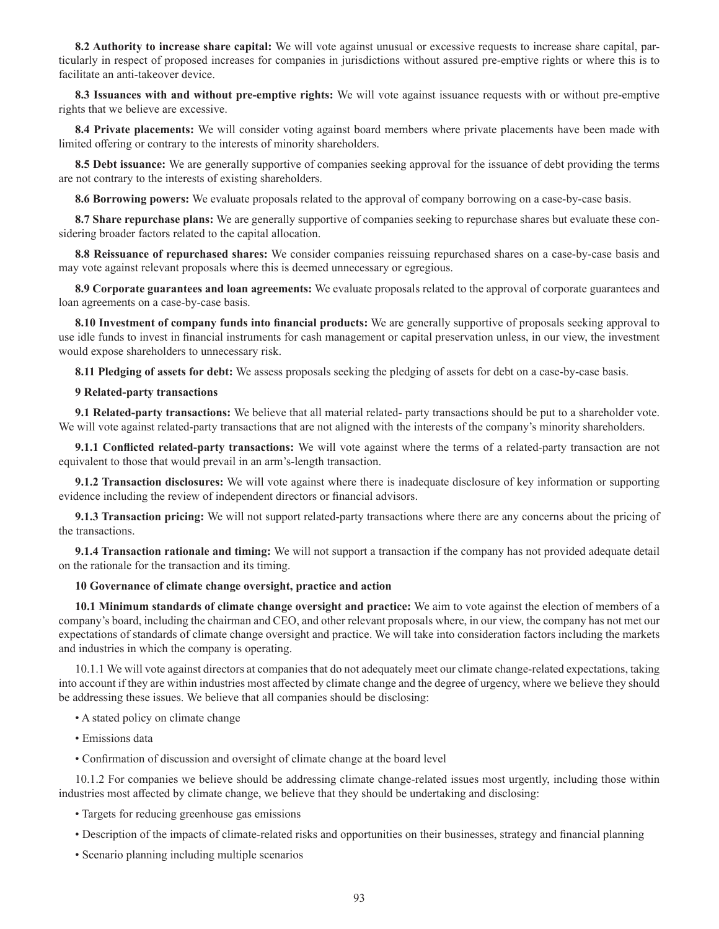**8.2 Authority to increase share capital:** We will vote against unusual or excessive requests to increase share capital, particularly in respect of proposed increases for companies in jurisdictions without assured pre-emptive rights or where this is to facilitate an anti-takeover device.

**8.3 Issuances with and without pre-emptive rights:** We will vote against issuance requests with or without pre-emptive rights that we believe are excessive.

**8.4 Private placements:** We will consider voting against board members where private placements have been made with limited offering or contrary to the interests of minority shareholders.

**8.5 Debt issuance:** We are generally supportive of companies seeking approval for the issuance of debt providing the terms are not contrary to the interests of existing shareholders.

**8.6 Borrowing powers:** We evaluate proposals related to the approval of company borrowing on a case-by-case basis.

**8.7 Share repurchase plans:** We are generally supportive of companies seeking to repurchase shares but evaluate these considering broader factors related to the capital allocation.

**8.8 Reissuance of repurchased shares:** We consider companies reissuing repurchased shares on a case-by-case basis and may vote against relevant proposals where this is deemed unnecessary or egregious.

**8.9 Corporate guarantees and loan agreements:** We evaluate proposals related to the approval of corporate guarantees and loan agreements on a case-by-case basis.

**8.10 Investment of company funds into financial products:** We are generally supportive of proposals seeking approval to use idle funds to invest in financial instruments for cash management or capital preservation unless, in our view, the investment would expose shareholders to unnecessary risk.

**8.11 Pledging of assets for debt:** We assess proposals seeking the pledging of assets for debt on a case-by-case basis.

## **9 Related-party transactions**

**9.1 Related-party transactions:** We believe that all material related- party transactions should be put to a shareholder vote. We will vote against related-party transactions that are not aligned with the interests of the company's minority shareholders.

**9.1.1 Conflicted related-party transactions:** We will vote against where the terms of a related-party transaction are not equivalent to those that would prevail in an arm's-length transaction.

**9.1.2 Transaction disclosures:** We will vote against where there is inadequate disclosure of key information or supporting evidence including the review of independent directors or financial advisors.

**9.1.3 Transaction pricing:** We will not support related-party transactions where there are any concerns about the pricing of the transactions.

**9.1.4 Transaction rationale and timing:** We will not support a transaction if the company has not provided adequate detail on the rationale for the transaction and its timing.

## **10 Governance of climate change oversight, practice and action**

**10.1 Minimum standards of climate change oversight and practice:** We aim to vote against the election of members of a company's board, including the chairman and CEO, and other relevant proposals where, in our view, the company has not met our expectations of standards of climate change oversight and practice. We will take into consideration factors including the markets and industries in which the company is operating.

10.1.1 We will vote against directors at companies that do not adequately meet our climate change-related expectations, taking into account if they are within industries most affected by climate change and the degree of urgency, where we believe they should be addressing these issues. We believe that all companies should be disclosing:

- A stated policy on climate change
- Emissions data
- Confirmation of discussion and oversight of climate change at the board level

10.1.2 For companies we believe should be addressing climate change-related issues most urgently, including those within industries most affected by climate change, we believe that they should be undertaking and disclosing:

- Targets for reducing greenhouse gas emissions
- Description of the impacts of climate-related risks and opportunities on their businesses, strategy and financial planning
- Scenario planning including multiple scenarios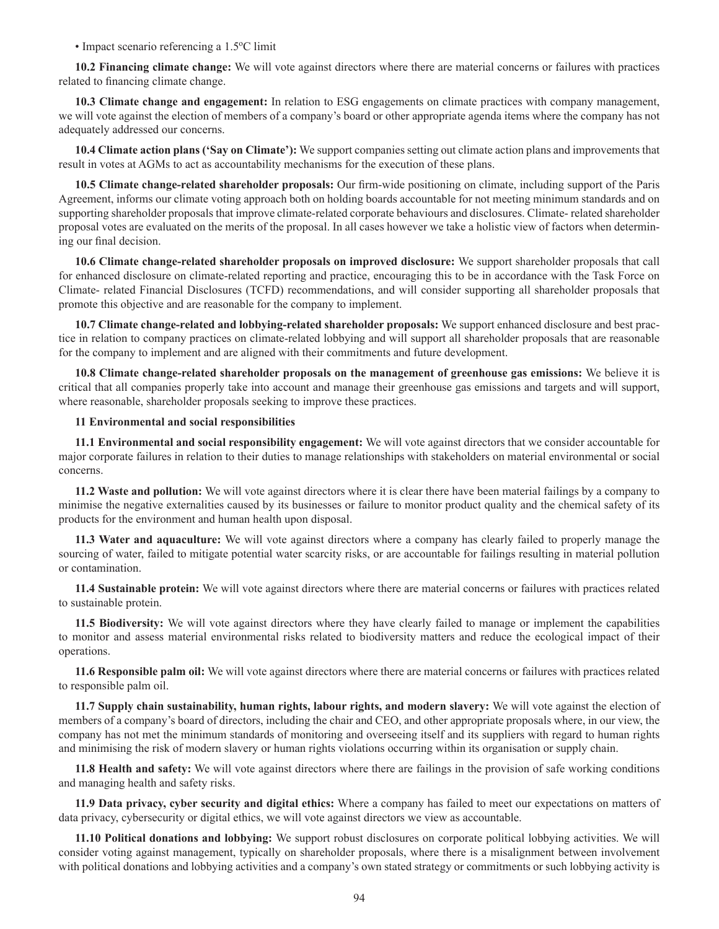• Impact scenario referencing a 1.5 °C limit

**10.2 Financing climate change:** We will vote against directors where there are material concerns or failures with practices related to financing climate change.

**10.3 Climate change and engagement:** In relation to ESG engagements on climate practices with company management, we will vote against the election of members of a company's board or other appropriate agenda items where the company has not adequately addressed our concerns.

**10.4 Climate action plans ('Say on Climate'):** We support companies setting out climate action plans and improvements that result in votes at AGMs to act as accountability mechanisms for the execution of these plans.

**10.5 Climate change-related shareholder proposals:** Our firm-wide positioning on climate, including support of the Paris Agreement, informs our climate voting approach both on holding boards accountable for not meeting minimum standards and on supporting shareholder proposals that improve climate-related corporate behaviours and disclosures. Climate- related shareholder proposal votes are evaluated on the merits of the proposal. In all cases however we take a holistic view of factors when determining our final decision.

**10.6 Climate change-related shareholder proposals on improved disclosure:** We support shareholder proposals that call for enhanced disclosure on climate-related reporting and practice, encouraging this to be in accordance with the Task Force on Climate- related Financial Disclosures (TCFD) recommendations, and will consider supporting all shareholder proposals that promote this objective and are reasonable for the company to implement.

**10.7 Climate change-related and lobbying-related shareholder proposals:** We support enhanced disclosure and best practice in relation to company practices on climate-related lobbying and will support all shareholder proposals that are reasonable for the company to implement and are aligned with their commitments and future development.

**10.8 Climate change-related shareholder proposals on the management of greenhouse gas emissions:** We believe it is critical that all companies properly take into account and manage their greenhouse gas emissions and targets and will support, where reasonable, shareholder proposals seeking to improve these practices.

# **11 Environmental and social responsibilities**

**11.1 Environmental and social responsibility engagement:** We will vote against directors that we consider accountable for major corporate failures in relation to their duties to manage relationships with stakeholders on material environmental or social concerns.

**11.2 Waste and pollution:** We will vote against directors where it is clear there have been material failings by a company to minimise the negative externalities caused by its businesses or failure to monitor product quality and the chemical safety of its products for the environment and human health upon disposal.

**11.3 Water and aquaculture:** We will vote against directors where a company has clearly failed to properly manage the sourcing of water, failed to mitigate potential water scarcity risks, or are accountable for failings resulting in material pollution or contamination.

**11.4 Sustainable protein:** We will vote against directors where there are material concerns or failures with practices related to sustainable protein.

**11.5 Biodiversity:** We will vote against directors where they have clearly failed to manage or implement the capabilities to monitor and assess material environmental risks related to biodiversity matters and reduce the ecological impact of their operations.

**11.6 Responsible palm oil:** We will vote against directors where there are material concerns or failures with practices related to responsible palm oil.

**11.7 Supply chain sustainability, human rights, labour rights, and modern slavery:** We will vote against the election of members of a company's board of directors, including the chair and CEO, and other appropriate proposals where, in our view, the company has not met the minimum standards of monitoring and overseeing itself and its suppliers with regard to human rights and minimising the risk of modern slavery or human rights violations occurring within its organisation or supply chain.

**11.8 Health and safety:** We will vote against directors where there are failings in the provision of safe working conditions and managing health and safety risks.

**11.9 Data privacy, cyber security and digital ethics:** Where a company has failed to meet our expectations on matters of data privacy, cybersecurity or digital ethics, we will vote against directors we view as accountable.

**11.10 Political donations and lobbying:** We support robust disclosures on corporate political lobbying activities. We will consider voting against management, typically on shareholder proposals, where there is a misalignment between involvement with political donations and lobbying activities and a company's own stated strategy or commitments or such lobbying activity is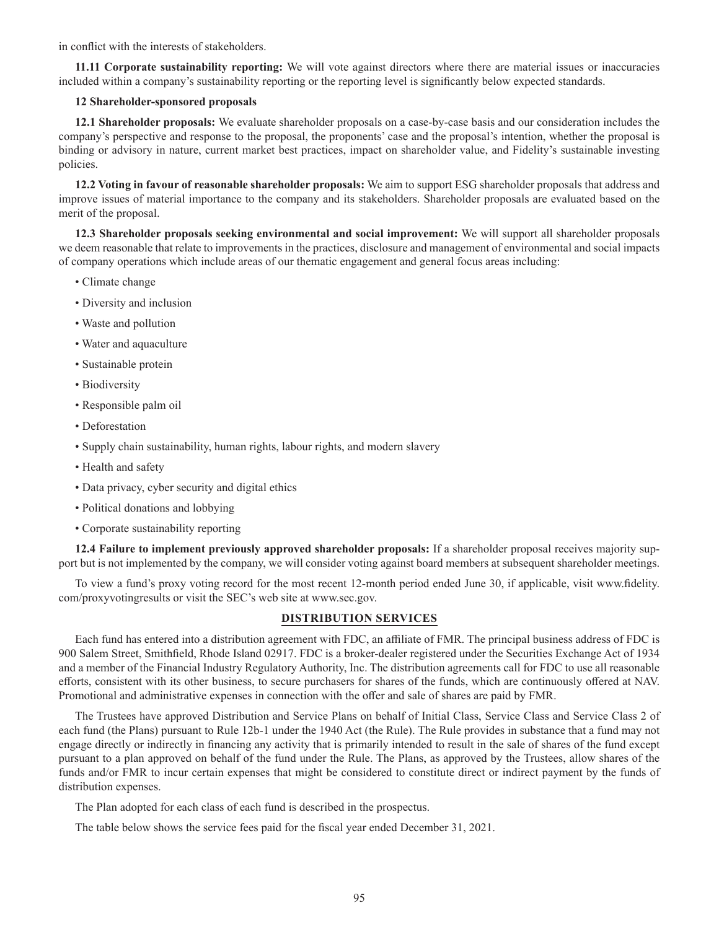in conflict with the interests of stakeholders.

**11.11 Corporate sustainability reporting:** We will vote against directors where there are material issues or inaccuracies included within a company's sustainability reporting or the reporting level is significantly below expected standards.

# **12 Shareholder-sponsored proposals**

**12.1 Shareholder proposals:** We evaluate shareholder proposals on a case-by-case basis and our consideration includes the company's perspective and response to the proposal, the proponents' case and the proposal's intention, whether the proposal is binding or advisory in nature, current market best practices, impact on shareholder value, and Fidelity's sustainable investing policies.

**12.2 Voting in favour of reasonable shareholder proposals:** We aim to support ESG shareholder proposals that address and improve issues of material importance to the company and its stakeholders. Shareholder proposals are evaluated based on the merit of the proposal.

**12.3 Shareholder proposals seeking environmental and social improvement:** We will support all shareholder proposals we deem reasonable that relate to improvements in the practices, disclosure and management of environmental and social impacts of company operations which include areas of our thematic engagement and general focus areas including:

- Climate change
- Diversity and inclusion
- Waste and pollution
- Water and aquaculture
- Sustainable protein
- Biodiversity
- Responsible palm oil
- Deforestation
- Supply chain sustainability, human rights, labour rights, and modern slavery
- Health and safety
- Data privacy, cyber security and digital ethics
- Political donations and lobbying
- Corporate sustainability reporting

**12.4 Failure to implement previously approved shareholder proposals:** If a shareholder proposal receives majority support but is not implemented by the company, we will consider voting against board members at subsequent shareholder meetings.

To view a fund's proxy voting record for the most recent 12-month period ended June 30, if applicable, visit www.fidelity. com/proxyvotingresults or visit the SEC's web site at www.sec.gov.

# **DISTRIBUTION SERVICES**

Each fund has entered into a distribution agreement with FDC, an affiliate of FMR. The principal business address of FDC is 900 Salem Street, Smithfield, Rhode Island 02917. FDC is a broker-dealer registered under the Securities Exchange Act of 1934 and a member of the Financial Industry Regulatory Authority, Inc. The distribution agreements call for FDC to use all reasonable efforts, consistent with its other business, to secure purchasers for shares of the funds, which are continuously offered at NAV. Promotional and administrative expenses in connection with the offer and sale of shares are paid by FMR.

The Trustees have approved Distribution and Service Plans on behalf of Initial Class, Service Class and Service Class 2 of each fund (the Plans) pursuant to Rule 12b-1 under the 1940 Act (the Rule). The Rule provides in substance that a fund may not engage directly or indirectly in financing any activity that is primarily intended to result in the sale of shares of the fund except pursuant to a plan approved on behalf of the fund under the Rule. The Plans, as approved by the Trustees, allow shares of the funds and/or FMR to incur certain expenses that might be considered to constitute direct or indirect payment by the funds of distribution expenses.

The Plan adopted for each class of each fund is described in the prospectus.

The table below shows the service fees paid for the fiscal year ended December 31, 2021.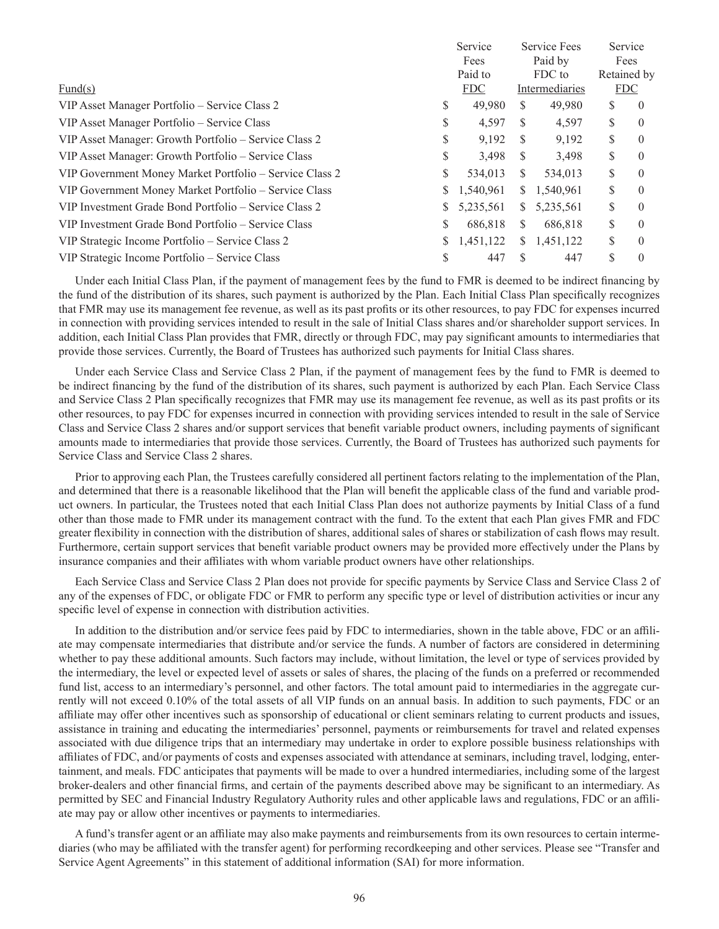|                                                         | Service |            | Service Fees |                |                     | Service  |
|---------------------------------------------------------|---------|------------|--------------|----------------|---------------------|----------|
|                                                         |         | Fees       |              | Paid by        | Fees<br>Retained by |          |
|                                                         |         | Paid to    | FDC to       |                |                     |          |
| Fund $(s)$                                              |         | <b>FDC</b> |              | Intermediaries | <b>FDC</b>          |          |
| VIP Asset Manager Portfolio – Service Class 2           | S       | 49.980     | S            | 49,980         | S                   | $\theta$ |
| VIP Asset Manager Portfolio – Service Class             | S       | 4,597      | S            | 4,597          | \$                  | $\theta$ |
| VIP Asset Manager: Growth Portfolio – Service Class 2   | S       | 9.192      | S            | 9,192          | \$                  | $\theta$ |
| VIP Asset Manager: Growth Portfolio – Service Class     | S       | 3.498      | S            | 3,498          | \$                  | $\theta$ |
| VIP Government Money Market Portfolio - Service Class 2 | S       | 534,013    | S.           | 534,013        | \$                  | $\theta$ |
| VIP Government Money Market Portfolio – Service Class   | S       | 1,540,961  | S.           | 1,540,961      | S                   | $\theta$ |
| VIP Investment Grade Bond Portfolio – Service Class 2   | S       | 5,235,561  | S.           | 5,235,561      | \$                  | $\theta$ |
| VIP Investment Grade Bond Portfolio – Service Class     | S       | 686,818    | S            | 686,818        | \$                  | $\theta$ |
| VIP Strategic Income Portfolio – Service Class 2        |         | 1,451,122  | S.           | 1,451,122      | \$                  | $\theta$ |
| VIP Strategic Income Portfolio – Service Class          | S       | 447        | S            | 447            |                     | $\theta$ |

Under each Initial Class Plan, if the payment of management fees by the fund to FMR is deemed to be indirect financing by the fund of the distribution of its shares, such payment is authorized by the Plan. Each Initial Class Plan specifically recognizes that FMR may use its management fee revenue, as well as its past profits or its other resources, to pay FDC for expenses incurred in connection with providing services intended to result in the sale of Initial Class shares and/or shareholder support services. In addition, each Initial Class Plan provides that FMR, directly or through FDC, may pay significant amounts to intermediaries that provide those services. Currently, the Board of Trustees has authorized such payments for Initial Class shares.

Under each Service Class and Service Class 2 Plan, if the payment of management fees by the fund to FMR is deemed to be indirect financing by the fund of the distribution of its shares, such payment is authorized by each Plan. Each Service Class and Service Class 2 Plan specifically recognizes that FMR may use its management fee revenue, as well as its past profits or its other resources, to pay FDC for expenses incurred in connection with providing services intended to result in the sale of Service Class and Service Class 2 shares and/or support services that benefit variable product owners, including payments of significant amounts made to intermediaries that provide those services. Currently, the Board of Trustees has authorized such payments for Service Class and Service Class 2 shares.

Prior to approving each Plan, the Trustees carefully considered all pertinent factors relating to the implementation of the Plan, and determined that there is a reasonable likelihood that the Plan will benefit the applicable class of the fund and variable product owners. In particular, the Trustees noted that each Initial Class Plan does not authorize payments by Initial Class of a fund other than those made to FMR under its management contract with the fund. To the extent that each Plan gives FMR and FDC greater flexibility in connection with the distribution of shares, additional sales of shares or stabilization of cash flows may result. Furthermore, certain support services that benefit variable product owners may be provided more effectively under the Plans by insurance companies and their affiliates with whom variable product owners have other relationships.

Each Service Class and Service Class 2 Plan does not provide for specific payments by Service Class and Service Class 2 of any of the expenses of FDC, or obligate FDC or FMR to perform any specific type or level of distribution activities or incur any specific level of expense in connection with distribution activities.

In addition to the distribution and/or service fees paid by FDC to intermediaries, shown in the table above, FDC or an affiliate may compensate intermediaries that distribute and/or service the funds. A number of factors are considered in determining whether to pay these additional amounts. Such factors may include, without limitation, the level or type of services provided by the intermediary, the level or expected level of assets or sales of shares, the placing of the funds on a preferred or recommended fund list, access to an intermediary's personnel, and other factors. The total amount paid to intermediaries in the aggregate currently will not exceed 0.10% of the total assets of all VIP funds on an annual basis. In addition to such payments, FDC or an affiliate may offer other incentives such as sponsorship of educational or client seminars relating to current products and issues, assistance in training and educating the intermediaries' personnel, payments or reimbursements for travel and related expenses associated with due diligence trips that an intermediary may undertake in order to explore possible business relationships with affiliates of FDC, and/or payments of costs and expenses associated with attendance at seminars, including travel, lodging, entertainment, and meals. FDC anticipates that payments will be made to over a hundred intermediaries, including some of the largest broker-dealers and other financial firms, and certain of the payments described above may be significant to an intermediary. As permitted by SEC and Financial Industry Regulatory Authority rules and other applicable laws and regulations, FDC or an affiliate may pay or allow other incentives or payments to intermediaries.

A fund's transfer agent or an affiliate may also make payments and reimbursements from its own resources to certain intermediaries (who may be affiliated with the transfer agent) for performing recordkeeping and other services. Please see "Transfer and Service Agent Agreements" in this statement of additional information (SAI) for more information.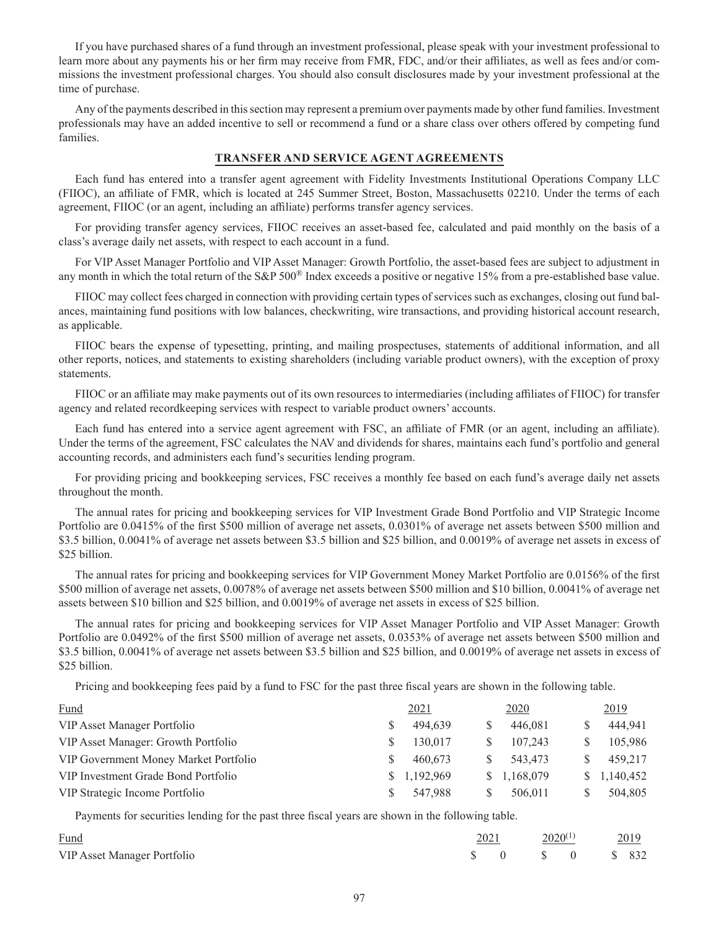If you have purchased shares of a fund through an investment professional, please speak with your investment professional to learn more about any payments his or her firm may receive from FMR, FDC, and/or their affiliates, as well as fees and/or commissions the investment professional charges. You should also consult disclosures made by your investment professional at the time of purchase.

Any of the payments described in this section may represent a premium over payments made by other fund families. Investment professionals may have an added incentive to sell or recommend a fund or a share class over others offered by competing fund families.

## **TRANSFER AND SERVICE AGENT AGREEMENTS**

Each fund has entered into a transfer agent agreement with Fidelity Investments Institutional Operations Company LLC (FIIOC), an affiliate of FMR, which is located at 245 Summer Street, Boston, Massachusetts 02210. Under the terms of each agreement, FIIOC (or an agent, including an affiliate) performs transfer agency services.

For providing transfer agency services, FIIOC receives an asset-based fee, calculated and paid monthly on the basis of a class's average daily net assets, with respect to each account in a fund.

For VIP Asset Manager Portfolio and VIP Asset Manager: Growth Portfolio, the asset-based fees are subject to adjustment in any month in which the total return of the S&P 500® Index exceeds a positive or negative 15% from a pre-established base value.

FIIOC may collect fees charged in connection with providing certain types of services such as exchanges, closing out fund balances, maintaining fund positions with low balances, checkwriting, wire transactions, and providing historical account research, as applicable.

FIIOC bears the expense of typesetting, printing, and mailing prospectuses, statements of additional information, and all other reports, notices, and statements to existing shareholders (including variable product owners), with the exception of proxy statements.

FIIOC or an affiliate may make payments out of its own resources to intermediaries (including affiliates of FIIOC) for transfer agency and related recordkeeping services with respect to variable product owners' accounts.

Each fund has entered into a service agent agreement with FSC, an affiliate of FMR (or an agent, including an affiliate). Under the terms of the agreement, FSC calculates the NAV and dividends for shares, maintains each fund's portfolio and general accounting records, and administers each fund's securities lending program.

For providing pricing and bookkeeping services, FSC receives a monthly fee based on each fund's average daily net assets throughout the month.

The annual rates for pricing and bookkeeping services for VIP Investment Grade Bond Portfolio and VIP Strategic Income Portfolio are 0.0415% of the first \$500 million of average net assets, 0.0301% of average net assets between \$500 million and \$3.5 billion, 0.0041% of average net assets between \$3.5 billion and \$25 billion, and 0.0019% of average net assets in excess of \$25 billion.

The annual rates for pricing and bookkeeping services for VIP Government Money Market Portfolio are 0.0156% of the first \$500 million of average net assets, 0.0078% of average net assets between \$500 million and \$10 billion, 0.0041% of average net assets between \$10 billion and \$25 billion, and 0.0019% of average net assets in excess of \$25 billion.

The annual rates for pricing and bookkeeping services for VIP Asset Manager Portfolio and VIP Asset Manager: Growth Portfolio are 0.0492% of the first \$500 million of average net assets, 0.0353% of average net assets between \$500 million and \$3.5 billion, 0.0041% of average net assets between \$3.5 billion and \$25 billion, and 0.0019% of average net assets in excess of \$25 billion.

Pricing and bookkeeping fees paid by a fund to FSC for the past three fiscal years are shown in the following table.

| Fund                                  |    | 2021      | 2020        | 2019        |
|---------------------------------------|----|-----------|-------------|-------------|
| VIP Asset Manager Portfolio           |    | 494.639   | 446.081     | 444.941     |
| VIP Asset Manager: Growth Portfolio   |    | 130.017   | 107,243     | 105,986     |
| VIP Government Money Market Portfolio |    | 460.673   | 543,473     | 459,217     |
| VIP Investment Grade Bond Portfolio   | S. | 1,192,969 | \$1,168,079 | \$1,140,452 |
| VIP Strategic Income Portfolio        |    | 547,988   | 506.011     | 504,805     |

Payments for securities lending for the past three fiscal years are shown in the following table.

| Fund                        | 2021 |                                                                                        | $\frac{2020^{(1)}}{2019}$ 2019 |  |  |  |
|-----------------------------|------|----------------------------------------------------------------------------------------|--------------------------------|--|--|--|
| VIP Asset Manager Portfolio |      | $\begin{array}{ccccccc}\n\text{\$} & 0 & \text{\$} & 0 & \text{\$} & 832\n\end{array}$ |                                |  |  |  |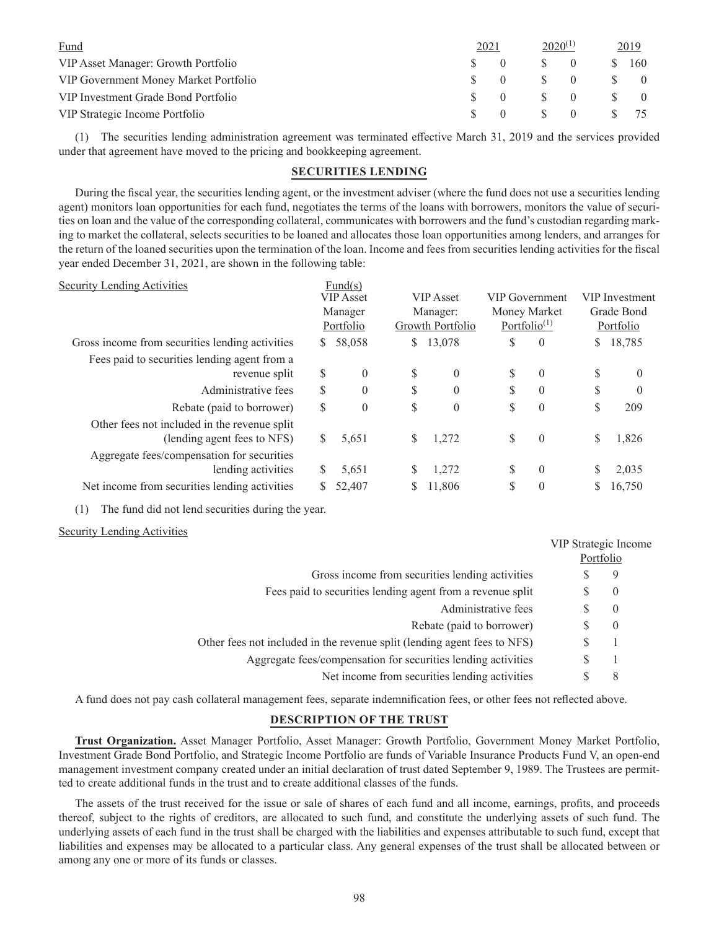| Fund                                  | 2021 |          | $2020^{(1)}$  |                  | 2019 |          |  |
|---------------------------------------|------|----------|---------------|------------------|------|----------|--|
| VIP Asset Manager: Growth Portfolio   |      |          |               | $\Omega$         | -SS  | 160      |  |
| VIP Government Money Market Portfolio |      |          | $\mathcal{S}$ | $\left( \right)$ |      | $\theta$ |  |
| VIP Investment Grade Bond Portfolio   |      | $\Omega$ | $\mathcal{S}$ | $\Omega$         |      | $\theta$ |  |
| VIP Strategic Income Portfolio        |      |          | $\mathcal{S}$ | $\left( \right)$ |      |          |  |

(1) The securities lending administration agreement was terminated effective March 31, 2019 and the services provided under that agreement have moved to the pricing and bookkeeping agreement.

### **SECURITIES LENDING**

During the fiscal year, the securities lending agent, or the investment adviser (where the fund does not use a securities lending agent) monitors loan opportunities for each fund, negotiates the terms of the loans with borrowers, monitors the value of securities on loan and the value of the corresponding collateral, communicates with borrowers and the fund's custodian regarding marking to market the collateral, selects securities to be loaned and allocates those loan opportunities among lenders, and arranges for the return of the loaned securities upon the termination of the loan. Income and fees from securities lending activities for the fiscal year ended December 31, 2021, are shown in the following table:

| <b>Security Lending Activities</b>              |              | Fund(s)          |    |                                                           |    |                |    |                       |
|-------------------------------------------------|--------------|------------------|----|-----------------------------------------------------------|----|----------------|----|-----------------------|
|                                                 |              | <b>VIP</b> Asset |    | <b>VIP</b> Asset                                          |    | VIP Government |    | <b>VIP</b> Investment |
|                                                 |              | Manager          |    | Manager:                                                  |    | Money Market   |    | Grade Bond            |
|                                                 |              | Portfolio        |    | Portfolio <sup><math>(1)</math></sup><br>Growth Portfolio |    |                |    | Portfolio             |
| Gross income from securities lending activities | S.           | 58,058           | \$ | 13,078                                                    | \$ | $\overline{0}$ | S  | 18,785                |
| Fees paid to securities lending agent from a    |              |                  |    |                                                           |    |                |    |                       |
| revenue split                                   | S            | $\theta$         | S  | $\theta$                                                  | \$ | $\overline{0}$ | S  | $\theta$              |
| Administrative fees                             | \$           | $\theta$         | \$ | $\Omega$                                                  | \$ | $\theta$       | \$ | $\theta$              |
| Rebate (paid to borrower)                       | \$           | $\theta$         | \$ | $\theta$                                                  | \$ | $\theta$       | S  | 209                   |
| Other fees not included in the revenue split    |              |                  |    |                                                           |    |                |    |                       |
| (lending agent fees to NFS)                     | S.           | 5,651            | \$ | 1,272                                                     | \$ | $\overline{0}$ | S  | 1,826                 |
| Aggregate fees/compensation for securities      |              |                  |    |                                                           |    |                |    |                       |
| lending activities                              | <sup>S</sup> | 5,651            | \$ | 1,272                                                     | \$ | $\theta$       | S  | 2,035                 |
| Net income from securities lending activities   |              | 52,407           | S  | 11,806                                                    | \$ | $\theta$       | S  | 16,750                |
|                                                 |              |                  |    |                                                           |    |                |    |                       |

(1) The fund did not lend securities during the year.

### Security Lending Activities

|                                                                          | VIP Strategic Income |
|--------------------------------------------------------------------------|----------------------|
|                                                                          | Portfolio            |
| Gross income from securities lending activities                          | 9                    |
| Fees paid to securities lending agent from a revenue split               | $\overline{0}$<br>S  |
| Administrative fees                                                      | $\overline{0}$<br>У. |
| Rebate (paid to borrower)                                                | $\overline{0}$       |
| Other fees not included in the revenue split (lending agent fees to NFS) | S                    |
| Aggregate fees/compensation for securities lending activities            |                      |
| Net income from securities lending activities                            | 8                    |

A fund does not pay cash collateral management fees, separate indemnification fees, or other fees not reflected above.

## **DESCRIPTION OF THE TRUST**

**Trust Organization.** Asset Manager Portfolio, Asset Manager: Growth Portfolio, Government Money Market Portfolio, Investment Grade Bond Portfolio, and Strategic Income Portfolio are funds of Variable Insurance Products Fund V, an open-end management investment company created under an initial declaration of trust dated September 9, 1989. The Trustees are permitted to create additional funds in the trust and to create additional classes of the funds.

The assets of the trust received for the issue or sale of shares of each fund and all income, earnings, profits, and proceeds thereof, subject to the rights of creditors, are allocated to such fund, and constitute the underlying assets of such fund. The underlying assets of each fund in the trust shall be charged with the liabilities and expenses attributable to such fund, except that liabilities and expenses may be allocated to a particular class. Any general expenses of the trust shall be allocated between or among any one or more of its funds or classes.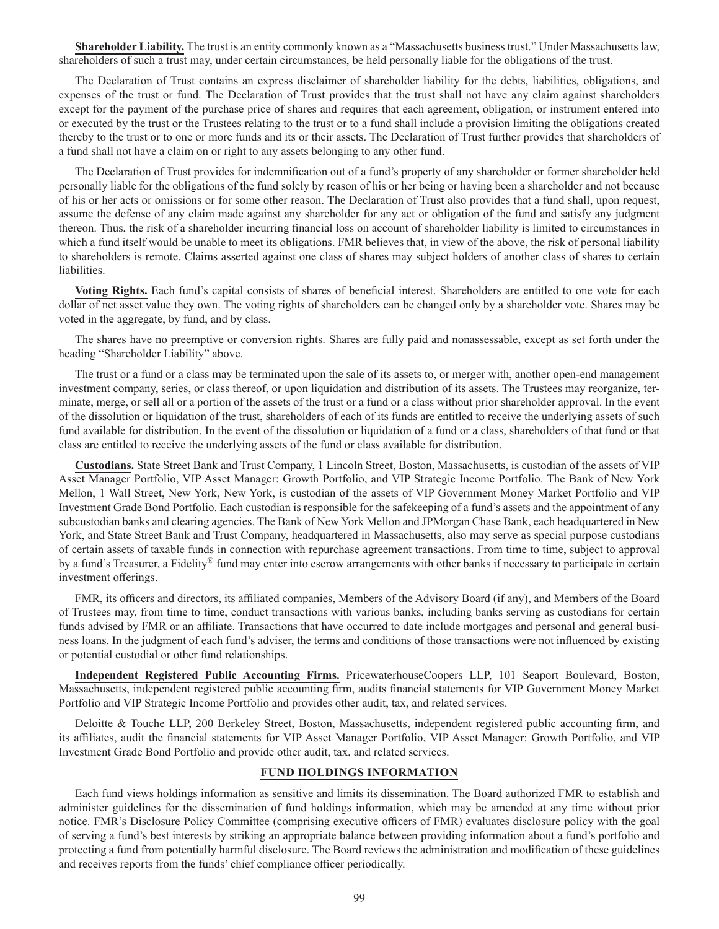**Shareholder Liability.** The trust is an entity commonly known as a "Massachusetts business trust." Under Massachusetts law, shareholders of such a trust may, under certain circumstances, be held personally liable for the obligations of the trust.

The Declaration of Trust contains an express disclaimer of shareholder liability for the debts, liabilities, obligations, and expenses of the trust or fund. The Declaration of Trust provides that the trust shall not have any claim against shareholders except for the payment of the purchase price of shares and requires that each agreement, obligation, or instrument entered into or executed by the trust or the Trustees relating to the trust or to a fund shall include a provision limiting the obligations created thereby to the trust or to one or more funds and its or their assets. The Declaration of Trust further provides that shareholders of a fund shall not have a claim on or right to any assets belonging to any other fund.

The Declaration of Trust provides for indemnification out of a fund's property of any shareholder or former shareholder held personally liable for the obligations of the fund solely by reason of his or her being or having been a shareholder and not because of his or her acts or omissions or for some other reason. The Declaration of Trust also provides that a fund shall, upon request, assume the defense of any claim made against any shareholder for any act or obligation of the fund and satisfy any judgment thereon. Thus, the risk of a shareholder incurring financial loss on account of shareholder liability is limited to circumstances in which a fund itself would be unable to meet its obligations. FMR believes that, in view of the above, the risk of personal liability to shareholders is remote. Claims asserted against one class of shares may subject holders of another class of shares to certain liabilities.

**Voting Rights.** Each fund's capital consists of shares of beneficial interest. Shareholders are entitled to one vote for each dollar of net asset value they own. The voting rights of shareholders can be changed only by a shareholder vote. Shares may be voted in the aggregate, by fund, and by class.

The shares have no preemptive or conversion rights. Shares are fully paid and nonassessable, except as set forth under the heading "Shareholder Liability" above.

The trust or a fund or a class may be terminated upon the sale of its assets to, or merger with, another open-end management investment company, series, or class thereof, or upon liquidation and distribution of its assets. The Trustees may reorganize, terminate, merge, or sell all or a portion of the assets of the trust or a fund or a class without prior shareholder approval. In the event of the dissolution or liquidation of the trust, shareholders of each of its funds are entitled to receive the underlying assets of such fund available for distribution. In the event of the dissolution or liquidation of a fund or a class, shareholders of that fund or that class are entitled to receive the underlying assets of the fund or class available for distribution.

**Custodians.** State Street Bank and Trust Company, 1 Lincoln Street, Boston, Massachusetts, is custodian of the assets of VIP Asset Manager Portfolio, VIP Asset Manager: Growth Portfolio, and VIP Strategic Income Portfolio. The Bank of New York Mellon, 1 Wall Street, New York, New York, is custodian of the assets of VIP Government Money Market Portfolio and VIP Investment Grade Bond Portfolio. Each custodian is responsible for the safekeeping of a fund's assets and the appointment of any subcustodian banks and clearing agencies. The Bank of New York Mellon and JPMorgan Chase Bank, each headquartered in New York, and State Street Bank and Trust Company, headquartered in Massachusetts, also may serve as special purpose custodians of certain assets of taxable funds in connection with repurchase agreement transactions. From time to time, subject to approval by a fund's Treasurer, a Fidelity® fund may enter into escrow arrangements with other banks if necessary to participate in certain investment offerings.

FMR, its officers and directors, its affiliated companies, Members of the Advisory Board (if any), and Members of the Board of Trustees may, from time to time, conduct transactions with various banks, including banks serving as custodians for certain funds advised by FMR or an affiliate. Transactions that have occurred to date include mortgages and personal and general business loans. In the judgment of each fund's adviser, the terms and conditions of those transactions were not influenced by existing or potential custodial or other fund relationships.

**Independent Registered Public Accounting Firms.** PricewaterhouseCoopers LLP, 101 Seaport Boulevard, Boston, Massachusetts, independent registered public accounting firm, audits financial statements for VIP Government Money Market Portfolio and VIP Strategic Income Portfolio and provides other audit, tax, and related services.

Deloitte & Touche LLP, 200 Berkeley Street, Boston, Massachusetts, independent registered public accounting firm, and its affiliates, audit the financial statements for VIP Asset Manager Portfolio, VIP Asset Manager: Growth Portfolio, and VIP Investment Grade Bond Portfolio and provide other audit, tax, and related services.

# **FUND HOLDINGS INFORMATION**

Each fund views holdings information as sensitive and limits its dissemination. The Board authorized FMR to establish and administer guidelines for the dissemination of fund holdings information, which may be amended at any time without prior notice. FMR's Disclosure Policy Committee (comprising executive officers of FMR) evaluates disclosure policy with the goal of serving a fund's best interests by striking an appropriate balance between providing information about a fund's portfolio and protecting a fund from potentially harmful disclosure. The Board reviews the administration and modification of these guidelines and receives reports from the funds' chief compliance officer periodically.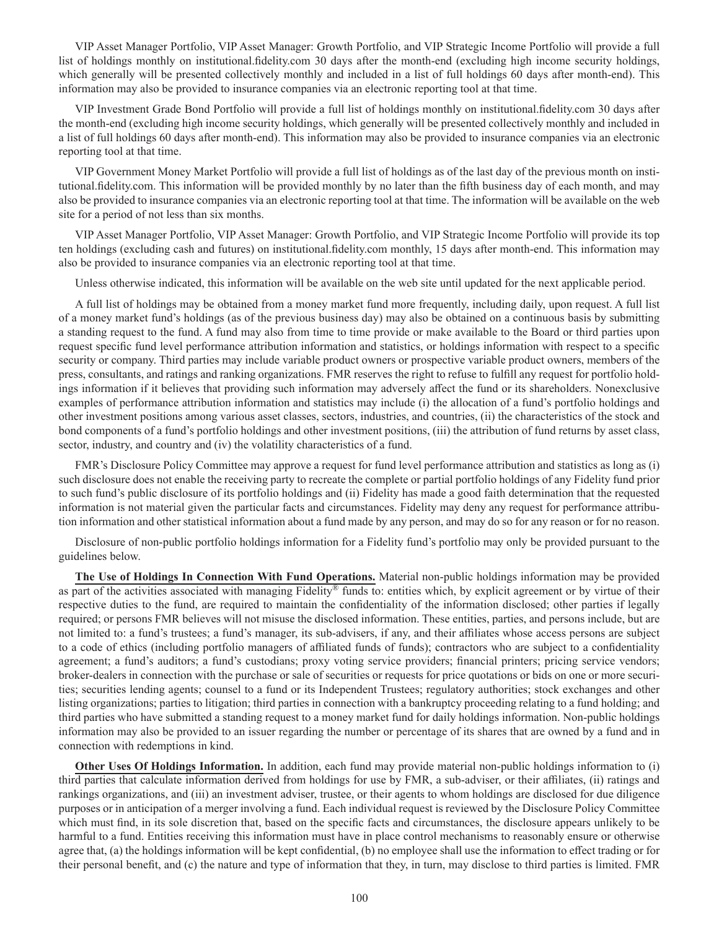VIP Asset Manager Portfolio, VIP Asset Manager: Growth Portfolio, and VIP Strategic Income Portfolio will provide a full list of holdings monthly on institutional.fidelity.com 30 days after the month-end (excluding high income security holdings, which generally will be presented collectively monthly and included in a list of full holdings 60 days after month-end). This information may also be provided to insurance companies via an electronic reporting tool at that time.

VIP Investment Grade Bond Portfolio will provide a full list of holdings monthly on institutional.fidelity.com 30 days after the month-end (excluding high income security holdings, which generally will be presented collectively monthly and included in a list of full holdings 60 days after month-end). This information may also be provided to insurance companies via an electronic reporting tool at that time.

VIP Government Money Market Portfolio will provide a full list of holdings as of the last day of the previous month on institutional.fidelity.com. This information will be provided monthly by no later than the fifth business day of each month, and may also be provided to insurance companies via an electronic reporting tool at that time. The information will be available on the web site for a period of not less than six months.

VIP Asset Manager Portfolio, VIP Asset Manager: Growth Portfolio, and VIP Strategic Income Portfolio will provide its top ten holdings (excluding cash and futures) on institutional.fidelity.com monthly, 15 days after month-end. This information may also be provided to insurance companies via an electronic reporting tool at that time.

Unless otherwise indicated, this information will be available on the web site until updated for the next applicable period.

A full list of holdings may be obtained from a money market fund more frequently, including daily, upon request. A full list of a money market fund's holdings (as of the previous business day) may also be obtained on a continuous basis by submitting a standing request to the fund. A fund may also from time to time provide or make available to the Board or third parties upon request specific fund level performance attribution information and statistics, or holdings information with respect to a specific security or company. Third parties may include variable product owners or prospective variable product owners, members of the press, consultants, and ratings and ranking organizations. FMR reserves the right to refuse to fulfill any request for portfolio holdings information if it believes that providing such information may adversely affect the fund or its shareholders. Nonexclusive examples of performance attribution information and statistics may include (i) the allocation of a fund's portfolio holdings and other investment positions among various asset classes, sectors, industries, and countries, (ii) the characteristics of the stock and bond components of a fund's portfolio holdings and other investment positions, (iii) the attribution of fund returns by asset class, sector, industry, and country and (iv) the volatility characteristics of a fund.

FMR's Disclosure Policy Committee may approve a request for fund level performance attribution and statistics as long as (i) such disclosure does not enable the receiving party to recreate the complete or partial portfolio holdings of any Fidelity fund prior to such fund's public disclosure of its portfolio holdings and (ii) Fidelity has made a good faith determination that the requested information is not material given the particular facts and circumstances. Fidelity may deny any request for performance attribution information and other statistical information about a fund made by any person, and may do so for any reason or for no reason.

Disclosure of non-public portfolio holdings information for a Fidelity fund's portfolio may only be provided pursuant to the guidelines below.

**The Use of Holdings In Connection With Fund Operations.** Material non-public holdings information may be provided as part of the activities associated with managing Fidelity® funds to: entities which, by explicit agreement or by virtue of their respective duties to the fund, are required to maintain the confidentiality of the information disclosed; other parties if legally required; or persons FMR believes will not misuse the disclosed information. These entities, parties, and persons include, but are not limited to: a fund's trustees; a fund's manager, its sub-advisers, if any, and their affiliates whose access persons are subject to a code of ethics (including portfolio managers of affiliated funds of funds); contractors who are subject to a confidentiality agreement; a fund's auditors; a fund's custodians; proxy voting service providers; financial printers; pricing service vendors; broker-dealers in connection with the purchase or sale of securities or requests for price quotations or bids on one or more securities; securities lending agents; counsel to a fund or its Independent Trustees; regulatory authorities; stock exchanges and other listing organizations; parties to litigation; third parties in connection with a bankruptcy proceeding relating to a fund holding; and third parties who have submitted a standing request to a money market fund for daily holdings information. Non-public holdings information may also be provided to an issuer regarding the number or percentage of its shares that are owned by a fund and in connection with redemptions in kind.

**Other Uses Of Holdings Information.** In addition, each fund may provide material non-public holdings information to (i) third parties that calculate information derived from holdings for use by FMR, a sub-adviser, or their affiliates, (ii) ratings and rankings organizations, and (iii) an investment adviser, trustee, or their agents to whom holdings are disclosed for due diligence purposes or in anticipation of a merger involving a fund. Each individual request is reviewed by the Disclosure Policy Committee which must find, in its sole discretion that, based on the specific facts and circumstances, the disclosure appears unlikely to be harmful to a fund. Entities receiving this information must have in place control mechanisms to reasonably ensure or otherwise agree that, (a) the holdings information will be kept confidential, (b) no employee shall use the information to effect trading or for their personal benefit, and (c) the nature and type of information that they, in turn, may disclose to third parties is limited. FMR